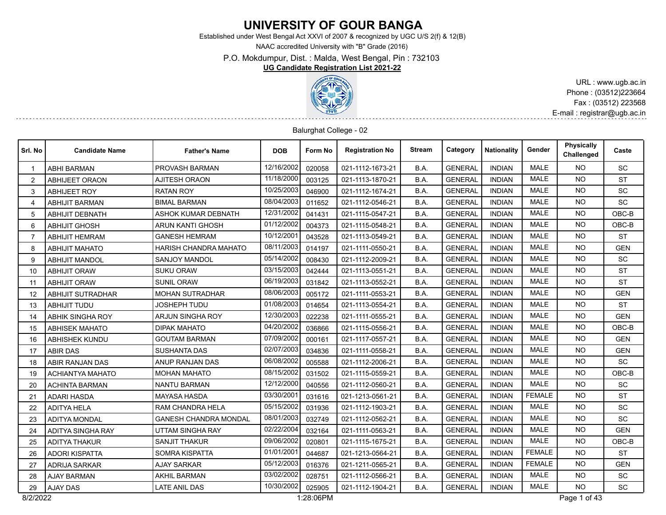# **UNIVERSITY OF GOUR BANGA**

Established under West Bengal Act XXVI of 2007 & recognized by UGC U/S 2(f) & 12(B)

NAAC accredited University with "B" Grade (2016)

P.O. Mokdumpur, Dist. : Malda, West Bengal, Pin : 732103

#### **UG Candidate Registration List 2021-22**



URL : www.ugb.ac.in Phone : (03512)223664 Fax : (03512) 223568 E-mail : registrar@ugb.ac.in

#### Balurghat College - 02

| Srl. No        | <b>Candidate Name</b>    | <b>Father's Name</b>         | <b>DOB</b> | Form No   | <b>Registration No</b> | <b>Stream</b> | Category       | <b>Nationality</b> | Gender        | <b>Physically</b><br>Challenged | Caste      |
|----------------|--------------------------|------------------------------|------------|-----------|------------------------|---------------|----------------|--------------------|---------------|---------------------------------|------------|
|                | <b>ABHI BARMAN</b>       | PROVASH BARMAN               | 12/16/2002 | 020058    | 021-1112-1673-21       | B.A.          | <b>GENERAL</b> | <b>INDIAN</b>      | <b>MALE</b>   | <b>NO</b>                       | SC         |
| 2              | <b>ABHIJEET ORAON</b>    | <b>AJITESH ORAON</b>         | 11/18/2000 | 003125    | 021-1113-1870-21       | B.A.          | <b>GENERAL</b> | <b>INDIAN</b>      | <b>MALE</b>   | <b>NO</b>                       | <b>ST</b>  |
| 3              | <b>ABHIJEET ROY</b>      | <b>RATAN ROY</b>             | 10/25/2003 | 046900    | 021-1112-1674-21       | B.A.          | <b>GENERAL</b> | <b>INDIAN</b>      | <b>MALE</b>   | <b>NO</b>                       | <b>SC</b>  |
| $\overline{4}$ | <b>ABHIJIT BARMAN</b>    | <b>BIMAL BARMAN</b>          | 08/04/2003 | 011652    | 021-1112-0546-21       | B.A.          | <b>GENERAL</b> | <b>INDIAN</b>      | MALE          | NO.                             | SC         |
| 5              | <b>ABHIJIT DEBNATH</b>   | <b>ASHOK KUMAR DEBNATH</b>   | 12/31/2002 | 041431    | 021-1115-0547-21       | B.A.          | <b>GENERAL</b> | <b>INDIAN</b>      | <b>MALE</b>   | <b>NO</b>                       | OBC-B      |
| 6              | <b>ABHIJIT GHOSH</b>     | <b>ARUN KANTI GHOSH</b>      | 01/12/2002 | 004373    | 021-1115-0548-21       | B.A.          | <b>GENERAL</b> | <b>INDIAN</b>      | <b>MALE</b>   | <b>NO</b>                       | $OBC-B$    |
| $\overline{7}$ | <b>ABHIJIT HEMRAM</b>    | <b>GANESH HEMRAM</b>         | 10/12/2001 | 043528    | 021-1113-0549-21       | B.A.          | <b>GENERAL</b> | <b>INDIAN</b>      | MALE          | <b>NO</b>                       | <b>ST</b>  |
| 8              | <b>ABHIJIT MAHATO</b>    | HARISH CHANDRA MAHATO        | 08/11/2003 | 014197    | 021-1111-0550-21       | B.A.          | <b>GENERAL</b> | <b>INDIAN</b>      | <b>MALE</b>   | <b>NO</b>                       | <b>GEN</b> |
| 9              | <b>ABHIJIT MANDOL</b>    | <b>SANJOY MANDOL</b>         | 05/14/2002 | 008430    | 021-1112-2009-21       | B.A.          | <b>GENERAL</b> | <b>INDIAN</b>      | <b>MALE</b>   | <b>NO</b>                       | <b>SC</b>  |
| 10             | <b>ABHIJIT ORAW</b>      | <b>SUKU ORAW</b>             | 03/15/2003 | 042444    | 021-1113-0551-21       | B.A.          | <b>GENERAL</b> | <b>INDIAN</b>      | <b>MALE</b>   | <b>NO</b>                       | <b>ST</b>  |
| 11             | <b>ABHIJIT ORAW</b>      | <b>SUNIL ORAW</b>            | 06/19/2003 | 031842    | 021-1113-0552-21       | B.A.          | <b>GENERAL</b> | <b>INDIAN</b>      | <b>MALE</b>   | <b>NO</b>                       | <b>ST</b>  |
| 12             | <b>ABHIJIT SUTRADHAR</b> | <b>MOHAN SUTRADHAR</b>       | 08/06/2003 | 005172    | 021-1111-0553-21       | B.A.          | <b>GENERAL</b> | <b>INDIAN</b>      | <b>MALE</b>   | <b>NO</b>                       | <b>GEN</b> |
| 13             | <b>ABHIJIT TUDU</b>      | <b>JOSHEPH TUDU</b>          | 01/08/2003 | 014654    | 021-1113-0554-21       | B.A.          | <b>GENERAL</b> | <b>INDIAN</b>      | <b>MALE</b>   | <b>NO</b>                       | <b>ST</b>  |
| 14             | <b>ABHIK SINGHA ROY</b>  | ARJUN SINGHA ROY             | 12/30/2003 | 022238    | 021-1111-0555-21       | B.A.          | <b>GENERAL</b> | <b>INDIAN</b>      | <b>MALE</b>   | <b>NO</b>                       | <b>GEN</b> |
| 15             | <b>ABHISEK MAHATO</b>    | <b>DIPAK MAHATO</b>          | 04/20/2002 | 036866    | 021-1115-0556-21       | B.A.          | <b>GENERAL</b> | <b>INDIAN</b>      | <b>MALE</b>   | <b>NO</b>                       | OBC-B      |
| 16             | <b>ABHISHEK KUNDU</b>    | <b>GOUTAM BARMAN</b>         | 07/09/2002 | 000161    | 021-1117-0557-21       | B.A.          | <b>GENERAL</b> | <b>INDIAN</b>      | <b>MALE</b>   | <b>NO</b>                       | <b>GEN</b> |
| 17             | <b>ABIR DAS</b>          | <b>SUSHANTA DAS</b>          | 02/07/2003 | 034836    | 021-1111-0558-21       | B.A.          | <b>GENERAL</b> | <b>INDIAN</b>      | <b>MALE</b>   | <b>NO</b>                       | <b>GEN</b> |
| 18             | ABIR RANJAN DAS          | ANUP RANJAN DAS              | 06/08/2002 | 005588    | 021-1112-2006-21       | B.A.          | <b>GENERAL</b> | <b>INDIAN</b>      | <b>MALE</b>   | <b>NO</b>                       | <b>SC</b>  |
| 19             | <b>ACHIANTYA MAHATO</b>  | <b>MOHAN MAHATO</b>          | 08/15/2002 | 031502    | 021-1115-0559-21       | B.A.          | <b>GENERAL</b> | <b>INDIAN</b>      | <b>MALE</b>   | <b>NO</b>                       | OBC-B      |
| 20             | <b>ACHINTA BARMAN</b>    | <b>NANTU BARMAN</b>          | 12/12/2000 | 040556    | 021-1112-0560-21       | B.A.          | <b>GENERAL</b> | <b>INDIAN</b>      | <b>MALE</b>   | <b>NO</b>                       | <b>SC</b>  |
| 21             | <b>ADARI HASDA</b>       | <b>MAYASA HASDA</b>          | 03/30/2001 | 031616    | 021-1213-0561-21       | B.A.          | <b>GENERAL</b> | <b>INDIAN</b>      | <b>FEMALE</b> | <b>NO</b>                       | <b>ST</b>  |
| 22             | <b>ADITYA HELA</b>       | RAM CHANDRA HELA             | 05/15/2002 | 031936    | 021-1112-1903-21       | B.A.          | <b>GENERAL</b> | <b>INDIAN</b>      | <b>MALE</b>   | <b>NO</b>                       | <b>SC</b>  |
| 23             | <b>ADITYA MONDAL</b>     | <b>GANESH CHANDRA MONDAL</b> | 08/01/2003 | 032749    | 021-1112-0562-21       | B.A.          | <b>GENERAL</b> | <b>INDIAN</b>      | <b>MALE</b>   | <b>NO</b>                       | <b>SC</b>  |
| 24             | <b>ADITYA SINGHA RAY</b> | <b>UTTAM SINGHA RAY</b>      | 02/22/2004 | 032164    | 021-1111-0563-21       | B.A.          | <b>GENERAL</b> | <b>INDIAN</b>      | <b>MALE</b>   | <b>NO</b>                       | <b>GEN</b> |
| 25             | <b>ADITYA THAKUR</b>     | <b>SANJIT THAKUR</b>         | 09/06/2002 | 020801    | 021-1115-1675-21       | B.A.          | <b>GENERAL</b> | <b>INDIAN</b>      | <b>MALE</b>   | <b>NO</b>                       | OBC-B      |
| 26             | <b>ADORI KISPATTA</b>    | SOMRA KISPATTA               | 01/01/2001 | 044687    | 021-1213-0564-21       | B.A.          | <b>GENERAL</b> | <b>INDIAN</b>      | <b>FEMALE</b> | <b>NO</b>                       | <b>ST</b>  |
| 27             | <b>ADRIJA SARKAR</b>     | <b>AJAY SARKAR</b>           | 05/12/2003 | 016376    | 021-1211-0565-21       | B.A.          | <b>GENERAL</b> | <b>INDIAN</b>      | <b>FEMALE</b> | <b>NO</b>                       | <b>GEN</b> |
| 28             | <b>AJAY BARMAN</b>       | <b>AKHIL BARMAN</b>          | 03/02/2002 | 028751    | 021-1112-0566-21       | B.A.          | <b>GENERAL</b> | <b>INDIAN</b>      | <b>MALE</b>   | NO.                             | <b>SC</b>  |
| 29             | <b>AJAY DAS</b>          | <b>LATE ANIL DAS</b>         | 10/30/2002 | 025905    | 021-1112-1904-21       | B.A.          | <b>GENERAL</b> | <b>INDIAN</b>      | <b>MALE</b>   | <b>NO</b>                       | <b>SC</b>  |
| 8/2/2022       |                          |                              |            | 1:28:06PM |                        |               |                |                    |               | Page 1 of 43                    |            |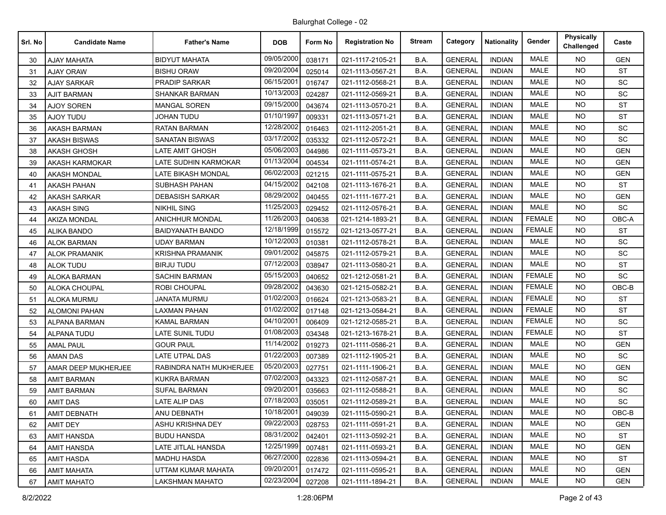| Srl. No | <b>Candidate Name</b> | <b>Father's Name</b>    | <b>DOB</b> | Form No | <b>Registration No</b> | <b>Stream</b> | Category       | <b>Nationality</b> | Gender        | Physically<br>Challenged | Caste      |
|---------|-----------------------|-------------------------|------------|---------|------------------------|---------------|----------------|--------------------|---------------|--------------------------|------------|
| 30      | <b>AJAY MAHATA</b>    | <b>BIDYUT MAHATA</b>    | 09/05/2000 | 038171  | 021-1117-2105-21       | B.A.          | <b>GENERAL</b> | <b>INDIAN</b>      | MALE          | <b>NO</b>                | <b>GEN</b> |
| 31      | <b>AJAY ORAW</b>      | <b>BISHU ORAW</b>       | 09/20/2004 | 025014  | 021-1113-0567-21       | B.A.          | <b>GENERAL</b> | <b>INDIAN</b>      | <b>MALE</b>   | <b>NO</b>                | <b>ST</b>  |
| 32      | <b>AJAY SARKAR</b>    | <b>PRADIP SARKAR</b>    | 06/15/2001 | 016747  | 021-1112-0568-21       | B.A.          | <b>GENERAL</b> | <b>INDIAN</b>      | <b>MALE</b>   | <b>NO</b>                | SC         |
| 33      | <b>AJIT BARMAN</b>    | <b>SHANKAR BARMAN</b>   | 10/13/2003 | 024287  | 021-1112-0569-21       | B.A.          | <b>GENERAL</b> | <b>INDIAN</b>      | MALE          | <b>NO</b>                | SC         |
| 34      | <b>AJOY SOREN</b>     | <b>MANGAL SOREN</b>     | 09/15/2000 | 043674  | 021-1113-0570-21       | B.A.          | <b>GENERAL</b> | <b>INDIAN</b>      | <b>MALE</b>   | <b>NO</b>                | <b>ST</b>  |
| 35      | AJOY TUDU             | JOHAN TUDU              | 01/10/1997 | 009331  | 021-1113-0571-21       | B.A.          | <b>GENERAL</b> | <b>INDIAN</b>      | <b>MALE</b>   | <b>NO</b>                | <b>ST</b>  |
| 36      | <b>AKASH BARMAN</b>   | <b>RATAN BARMAN</b>     | 12/28/2002 | 016463  | 021-1112-2051-21       | B.A.          | <b>GENERAL</b> | <b>INDIAN</b>      | <b>MALE</b>   | <b>NO</b>                | SC         |
| 37      | <b>AKASH BISWAS</b>   | <b>SANATAN BISWAS</b>   | 03/17/2002 | 035332  | 021-1112-0572-21       | B.A.          | <b>GENERAL</b> | <b>INDIAN</b>      | <b>MALE</b>   | <b>NO</b>                | SC         |
| 38      | <b>AKASH GHOSH</b>    | LATE AMIT GHOSH         | 05/06/2003 | 044986  | 021-1111-0573-21       | B.A.          | <b>GENERAL</b> | <b>INDIAN</b>      | <b>MALE</b>   | <b>NO</b>                | <b>GEN</b> |
| 39      | <b>AKASH KARMOKAR</b> | LATE SUDHIN KARMOKAR    | 01/13/2004 | 004534  | 021-1111-0574-21       | B.A.          | <b>GENERAL</b> | <b>INDIAN</b>      | <b>MALE</b>   | <b>NO</b>                | <b>GEN</b> |
| 40      | <b>AKASH MONDAL</b>   | LATE BIKASH MONDAL      | 06/02/2003 | 021215  | 021-1111-0575-21       | B.A.          | <b>GENERAL</b> | <b>INDIAN</b>      | <b>MALE</b>   | NO.                      | <b>GEN</b> |
| 41      | <b>AKASH PAHAN</b>    | <b>SUBHASH PAHAN</b>    | 04/15/2002 | 042108  | 021-1113-1676-21       | B.A.          | <b>GENERAL</b> | <b>INDIAN</b>      | <b>MALE</b>   | <b>NO</b>                | <b>ST</b>  |
| 42      | <b>AKASH SARKAR</b>   | <b>DEBASISH SARKAR</b>  | 08/29/2002 | 040455  | 021-1111-1677-21       | B.A.          | <b>GENERAL</b> | <b>INDIAN</b>      | <b>MALE</b>   | <b>NO</b>                | <b>GEN</b> |
| 43      | <b>AKASH SING</b>     | <b>NIKHIL SING</b>      | 11/25/2003 | 029452  | 021-1112-0576-21       | B.A.          | <b>GENERAL</b> | <b>INDIAN</b>      | <b>MALE</b>   | <b>NO</b>                | SC         |
| 44      | <b>AKIZA MONDAL</b>   | <b>ANICHHUR MONDAL</b>  | 11/26/2003 | 040638  | 021-1214-1893-21       | B.A.          | <b>GENERAL</b> | <b>INDIAN</b>      | <b>FEMALE</b> | <b>NO</b>                | OBC-A      |
| 45      | <b>ALIKA BANDO</b>    | <b>BAIDYANATH BANDO</b> | 12/18/1999 | 015572  | 021-1213-0577-21       | B.A.          | <b>GENERAL</b> | <b>INDIAN</b>      | <b>FEMALE</b> | <b>NO</b>                | <b>ST</b>  |
| 46      | <b>ALOK BARMAN</b>    | <b>UDAY BARMAN</b>      | 10/12/2003 | 010381  | 021-1112-0578-21       | B.A.          | <b>GENERAL</b> | <b>INDIAN</b>      | <b>MALE</b>   | <b>NO</b>                | SC         |
| 47      | <b>ALOK PRAMANIK</b>  | KRISHNA PRAMANIK        | 09/01/2002 | 045875  | 021-1112-0579-21       | B.A.          | <b>GENERAL</b> | <b>INDIAN</b>      | <b>MALE</b>   | <b>NO</b>                | SC         |
| 48      | <b>ALOK TUDU</b>      | <b>BIRJU TUDU</b>       | 07/12/2003 | 038947  | 021-1113-0580-21       | B.A.          | <b>GENERAL</b> | <b>INDIAN</b>      | MALE          | <b>NO</b>                | <b>ST</b>  |
| 49      | <b>ALOKA BARMAN</b>   | <b>SACHIN BARMAN</b>    | 05/15/2003 | 040652  | 021-1212-0581-21       | B.A.          | <b>GENERAL</b> | <b>INDIAN</b>      | <b>FEMALE</b> | <b>NO</b>                | SC         |
| 50      | ALOKA CHOUPAL         | <b>ROBI CHOUPAL</b>     | 09/28/2002 | 043630  | 021-1215-0582-21       | B.A.          | <b>GENERAL</b> | <b>INDIAN</b>      | <b>FEMALE</b> | <b>NO</b>                | OBC-B      |
| 51      | <b>ALOKA MURMU</b>    | JANATA MURMU            | 01/02/2003 | 016624  | 021-1213-0583-21       | B.A.          | <b>GENERAL</b> | <b>INDIAN</b>      | <b>FEMALE</b> | <b>NO</b>                | <b>ST</b>  |
| 52      | <b>ALOMONI PAHAN</b>  | LAXMAN PAHAN            | 01/02/2002 | 017148  | 021-1213-0584-21       | B.A.          | <b>GENERAL</b> | <b>INDIAN</b>      | <b>FEMALE</b> | <b>NO</b>                | <b>ST</b>  |
| 53      | ALPANA BARMAN         | <b>KAMAL BARMAN</b>     | 04/10/2001 | 006409  | 021-1212-0585-21       | B.A.          | <b>GENERAL</b> | <b>INDIAN</b>      | <b>FEMALE</b> | <b>NO</b>                | SC         |
| 54      | <b>ALPANA TUDU</b>    | LATE SUNIL TUDU         | 01/08/2003 | 034348  | 021-1213-1678-21       | B.A.          | <b>GENERAL</b> | <b>INDIAN</b>      | <b>FEMALE</b> | <b>NO</b>                | <b>ST</b>  |
| 55      | <b>AMAL PAUL</b>      | <b>GOUR PAUL</b>        | 11/14/2002 | 019273  | 021-1111-0586-21       | B.A.          | <b>GENERAL</b> | <b>INDIAN</b>      | <b>MALE</b>   | <b>NO</b>                | <b>GEN</b> |
| 56      | <b>AMAN DAS</b>       | <b>LATE UTPAL DAS</b>   | 01/22/2003 | 007389  | 021-1112-1905-21       | B.A.          | <b>GENERAL</b> | <b>INDIAN</b>      | <b>MALE</b>   | <b>NO</b>                | SC         |
| 57      | AMAR DEEP MUKHERJEE   | RABINDRA NATH MUKHERJEE | 05/20/2003 | 027751  | 021-1111-1906-21       | B.A.          | <b>GENERAL</b> | <b>INDIAN</b>      | MALE          | <b>NO</b>                | <b>GEN</b> |
| 58      | <b>AMIT BARMAN</b>    | <b>KUKRA BARMAN</b>     | 07/02/2003 | 043323  | 021-1112-0587-21       | B.A.          | <b>GENERAL</b> | <b>INDIAN</b>      | <b>MALE</b>   | <b>NO</b>                | SC         |
| 59      | <b>AMIT BARMAN</b>    | <b>SUFAL BARMAN</b>     | 09/20/2001 | 035663  | 021-1112-0588-21       | B.A.          | <b>GENERAL</b> | <b>INDIAN</b>      | <b>MALE</b>   | <b>NO</b>                | SC         |
| 60      | <b>AMIT DAS</b>       | LATE ALIP DAS           | 07/18/2003 | 035051  | 021-1112-0589-21       | B.A.          | <b>GENERAL</b> | <b>INDIAN</b>      | MALE          | <b>NO</b>                | SC         |
| 61      | <b>AMIT DEBNATH</b>   | <b>ANU DEBNATH</b>      | 10/18/2001 | 049039  | 021-1115-0590-21       | B.A.          | <b>GENERAL</b> | <b>INDIAN</b>      | MALE          | NO.                      | OBC-B      |
| 62      | <b>AMIT DEY</b>       | ASHU KRISHNA DEY        | 09/22/2003 | 028753  | 021-1111-0591-21       | B.A.          | <b>GENERAL</b> | <b>INDIAN</b>      | MALE          | <b>NO</b>                | <b>GEN</b> |
| 63      | <b>AMIT HANSDA</b>    | <b>BUDU HANSDA</b>      | 08/31/2002 | 042401  | 021-1113-0592-21       | B.A.          | <b>GENERAL</b> | <b>INDIAN</b>      | MALE          | NO.                      | <b>ST</b>  |
| 64      | <b>AMIT HANSDA</b>    | LATE JITLAL HANSDA      | 12/25/1999 | 007481  | 021-1111-0593-21       | B.A.          | <b>GENERAL</b> | <b>INDIAN</b>      | MALE          | NO.                      | <b>GEN</b> |
| 65      | AMIT HASDA            | <b>MADHU HASDA</b>      | 06/27/2000 | 022836  | 021-1113-0594-21       | B.A.          | <b>GENERAL</b> | <b>INDIAN</b>      | MALE          | NO.                      | <b>ST</b>  |
| 66      | <b>AMIT MAHATA</b>    | UTTAM KUMAR MAHATA      | 09/20/2001 | 017472  | 021-1111-0595-21       | B.A.          | <b>GENERAL</b> | <b>INDIAN</b>      | MALE          | NO.                      | <b>GEN</b> |
| 67      | <b>AMIT MAHATO</b>    | LAKSHMAN MAHATO         | 02/23/2004 | 027208  | 021-1111-1894-21       | B.A.          | <b>GENERAL</b> | <b>INDIAN</b>      | MALE          | NO.                      | <b>GEN</b> |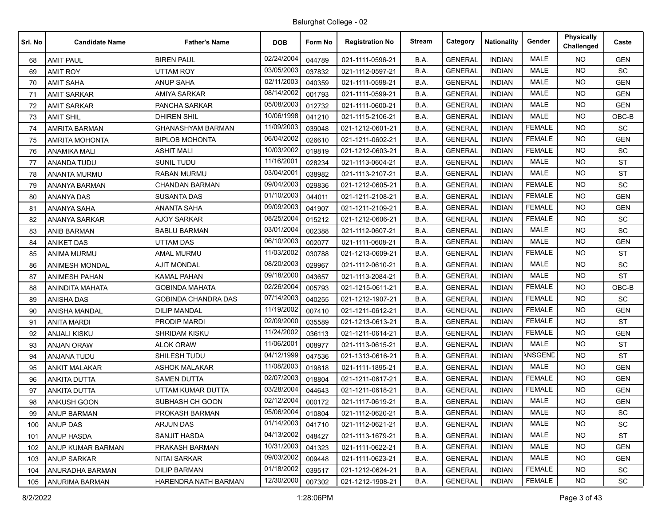| Srl. No | <b>Candidate Name</b> | <b>Father's Name</b>       | <b>DOB</b> | Form No | <b>Registration No</b> | <b>Stream</b> | Category       | <b>Nationality</b> | Gender         | <b>Physically</b><br>Challenged | Caste      |
|---------|-----------------------|----------------------------|------------|---------|------------------------|---------------|----------------|--------------------|----------------|---------------------------------|------------|
| 68      | <b>AMIT PAUL</b>      | <b>BIREN PAUL</b>          | 02/24/2004 | 044789  | 021-1111-0596-21       | B.A.          | <b>GENERAL</b> | <b>INDIAN</b>      | <b>MALE</b>    | <b>NO</b>                       | <b>GEN</b> |
| 69      | <b>AMIT ROY</b>       | <b>UTTAM ROY</b>           | 03/05/2003 | 037832  | 021-1112-0597-21       | B.A.          | <b>GENERAL</b> | <b>INDIAN</b>      | <b>MALE</b>    | <b>NO</b>                       | <b>SC</b>  |
| 70      | <b>AMIT SAHA</b>      | <b>ANUP SAHA</b>           | 02/11/2003 | 040359  | 021-1111-0598-21       | B.A.          | <b>GENERAL</b> | <b>INDIAN</b>      | MALE           | <b>NO</b>                       | <b>GEN</b> |
| 71      | <b>AMIT SARKAR</b>    | <b>AMIYA SARKAR</b>        | 08/14/2002 | 001793  | 021-1111-0599-21       | B.A.          | <b>GENERAL</b> | <b>INDIAN</b>      | <b>MALE</b>    | <b>NO</b>                       | <b>GEN</b> |
| 72      | <b>AMIT SARKAR</b>    | PANCHA SARKAR              | 05/08/2003 | 012732  | 021-1111-0600-21       | B.A.          | <b>GENERAL</b> | <b>INDIAN</b>      | MALE           | <b>NO</b>                       | <b>GEN</b> |
| 73      | <b>AMIT SHIL</b>      | <b>DHIREN SHIL</b>         | 10/06/1998 | 041210  | 021-1115-2106-21       | B.A.          | <b>GENERAL</b> | <b>INDIAN</b>      | <b>MALE</b>    | <b>NO</b>                       | OBC-B      |
| 74      | <b>AMRITA BARMAN</b>  | <b>GHANASHYAM BARMAN</b>   | 11/09/2003 | 039048  | 021-1212-0601-21       | B.A.          | <b>GENERAL</b> | <b>INDIAN</b>      | <b>FEMALE</b>  | <b>NO</b>                       | <b>SC</b>  |
| 75      | <b>AMRITA MOHONTA</b> | <b>BIPLOB MOHONTA</b>      | 06/04/2002 | 026610  | 021-1211-0602-21       | B.A.          | <b>GENERAL</b> | <b>INDIAN</b>      | <b>FEMALE</b>  | <b>NO</b>                       | <b>GEN</b> |
| 76      | ANAMIKA MALI          | <b>ASHIT MALI</b>          | 10/03/2002 | 019819  | 021-1212-0603-21       | B.A.          | <b>GENERAL</b> | <b>INDIAN</b>      | <b>FEMALE</b>  | NO.                             | SC         |
| 77      | ANANDA TUDU           | <b>SUNIL TUDU</b>          | 11/16/2001 | 028234  | 021-1113-0604-21       | B.A.          | <b>GENERAL</b> | <b>INDIAN</b>      | <b>MALE</b>    | <b>NO</b>                       | <b>ST</b>  |
| 78      | <b>ANANTA MURMU</b>   | <b>RABAN MURMU</b>         | 03/04/2001 | 038982  | 021-1113-2107-21       | B.A.          | <b>GENERAL</b> | <b>INDIAN</b>      | <b>MALE</b>    | <b>NO</b>                       | <b>ST</b>  |
| 79      | ANANYA BARMAN         | <b>CHANDAN BARMAN</b>      | 09/04/2003 | 029836  | 021-1212-0605-21       | B.A.          | <b>GENERAL</b> | <b>INDIAN</b>      | <b>FEMALE</b>  | <b>NO</b>                       | SC         |
| 80      | <b>ANANYA DAS</b>     | <b>SUSANTA DAS</b>         | 01/10/2003 | 044011  | 021-1211-2108-21       | B.A.          | <b>GENERAL</b> | <b>INDIAN</b>      | <b>FEMALE</b>  | NO.                             | <b>GEN</b> |
| 81      | <b>ANANYA SAHA</b>    | ANANTA SAHA                | 09/09/2003 | 041907  | 021-1211-2109-21       | B.A.          | <b>GENERAL</b> | <b>INDIAN</b>      | <b>FEMALE</b>  | <b>NO</b>                       | <b>GEN</b> |
| 82      | <b>ANANYA SARKAR</b>  | <b>AJOY SARKAR</b>         | 08/25/2004 | 015212  | 021-1212-0606-21       | B.A.          | <b>GENERAL</b> | <b>INDIAN</b>      | <b>FEMALE</b>  | NO.                             | <b>SC</b>  |
| 83      | <b>ANIB BARMAN</b>    | <b>BABLU BARMAN</b>        | 03/01/2004 | 002388  | 021-1112-0607-21       | B.A.          | <b>GENERAL</b> | <b>INDIAN</b>      | <b>MALE</b>    | <b>NO</b>                       | SC         |
| 84      | <b>ANIKET DAS</b>     | <b>UTTAM DAS</b>           | 06/10/2003 | 002077  | 021-1111-0608-21       | B.A.          | <b>GENERAL</b> | <b>INDIAN</b>      | <b>MALE</b>    | NO.                             | <b>GEN</b> |
| 85      | ANIMA MURMU           | <b>AMAL MURMU</b>          | 11/03/2002 | 030788  | 021-1213-0609-21       | B.A.          | <b>GENERAL</b> | <b>INDIAN</b>      | <b>FEMALE</b>  | <b>NO</b>                       | <b>ST</b>  |
| 86      | <b>ANIMESH MONDAL</b> | <b>AJIT MONDAL</b>         | 08/20/2003 | 029967  | 021-1112-0610-21       | B.A.          | <b>GENERAL</b> | <b>INDIAN</b>      | <b>MALE</b>    | <b>NO</b>                       | SC         |
| 87      | <b>ANIMESH PAHAN</b>  | <b>KAMAL PAHAN</b>         | 09/18/2000 | 043657  | 021-1113-2084-21       | B.A.          | <b>GENERAL</b> | <b>INDIAN</b>      | MALE           | <b>NO</b>                       | <b>ST</b>  |
| 88      | ANINDITA MAHATA       | <b>GOBINDA MAHATA</b>      | 02/26/2004 | 005793  | 021-1215-0611-21       | B.A.          | <b>GENERAL</b> | <b>INDIAN</b>      | <b>FEMALE</b>  | <b>NO</b>                       | OBC-B      |
| 89      | <b>ANISHA DAS</b>     | <b>GOBINDA CHANDRA DAS</b> | 07/14/2003 | 040255  | 021-1212-1907-21       | B.A.          | <b>GENERAL</b> | <b>INDIAN</b>      | <b>FEMALE</b>  | <b>NO</b>                       | SC         |
| 90      | ANISHA MANDAL         | <b>DILIP MANDAL</b>        | 11/19/2002 | 007410  | 021-1211-0612-21       | B.A.          | <b>GENERAL</b> | <b>INDIAN</b>      | <b>FEMALE</b>  | <b>NO</b>                       | <b>GEN</b> |
| 91      | <b>ANITA MARDI</b>    | PRODIP MARDI               | 02/09/2000 | 035589  | 021-1213-0613-21       | B.A.          | <b>GENERAL</b> | <b>INDIAN</b>      | <b>FEMALE</b>  | <b>NO</b>                       | <b>ST</b>  |
| 92      | <b>ANJALI KISKU</b>   | SHRIDAM KISKU              | 11/24/2002 | 036113  | 021-1211-0614-21       | B.A.          | <b>GENERAL</b> | <b>INDIAN</b>      | <b>FEMALE</b>  | NO.                             | <b>GEN</b> |
| 93      | ANJAN ORAW            | ALOK ORAW                  | 11/06/2001 | 008977  | 021-1113-0615-21       | B.A.          | <b>GENERAL</b> | <b>INDIAN</b>      | <b>MALE</b>    | <b>NO</b>                       | ST         |
| 94      | ANJANA TUDU           | SHILESH TUDU               | 04/12/1999 | 047536  | 021-1313-0616-21       | B.A.          | <b>GENERAL</b> | <b>INDIAN</b>      | <b>INSGEND</b> | <b>NO</b>                       | <b>ST</b>  |
| 95      | <b>ANKIT MALAKAR</b>  | <b>ASHOK MALAKAR</b>       | 11/08/2003 | 019818  | 021-1111-1895-21       | B.A.          | <b>GENERAL</b> | <b>INDIAN</b>      | <b>MALE</b>    | <b>NO</b>                       | <b>GEN</b> |
| 96      | <b>ANKITA DUTTA</b>   | <b>SAMEN DUTTA</b>         | 02/07/2003 | 018804  | 021-1211-0617-21       | B.A.          | <b>GENERAL</b> | <b>INDIAN</b>      | <b>FEMALE</b>  | <b>NO</b>                       | <b>GEN</b> |
| 97      | <b>ANKITA DUTTA</b>   | UTTAM KUMAR DUTTA          | 03/28/2004 | 044643  | 021-1211-0618-21       | B.A.          | <b>GENERAL</b> | <b>INDIAN</b>      | <b>FEMALE</b>  | <b>NO</b>                       | <b>GEN</b> |
| 98      | ANKUSH GOON           | SUBHASH CH GOON            | 02/12/2004 | 000172  | 021-1117-0619-21       | B.A.          | <b>GENERAL</b> | <b>INDIAN</b>      | <b>MALE</b>    | <b>NO</b>                       | <b>GEN</b> |
| 99      | <b>ANUP BARMAN</b>    | PROKASH BARMAN             | 05/06/2004 | 010804  | 021-1112-0620-21       | B.A.          | <b>GENERAL</b> | INDIAN             | MALE           | NO.                             | <b>SC</b>  |
| 100     | <b>ANUP DAS</b>       | <b>ARJUN DAS</b>           | 01/14/2003 | 041710  | 021-1112-0621-21       | B.A.          | <b>GENERAL</b> | <b>INDIAN</b>      | MALE           | NO.                             | SC         |
| 101     | <b>ANUP HASDA</b>     | <b>SANJIT HASDA</b>        | 04/13/2002 | 048427  | 021-1113-1679-21       | B.A.          | <b>GENERAL</b> | <b>INDIAN</b>      | MALE           | NO.                             | <b>ST</b>  |
| 102     | ANUP KUMAR BARMAN     | PRAKASH BARMAN             | 10/31/2003 | 041323  | 021-1111-0622-21       | B.A.          | <b>GENERAL</b> | <b>INDIAN</b>      | MALE           | <b>NO</b>                       | <b>GEN</b> |
| 103     | ANUP SARKAR           | NITAI SARKAR               | 09/03/2002 | 009448  | 021-1111-0623-21       | B.A.          | <b>GENERAL</b> | <b>INDIAN</b>      | MALE           | NO.                             | <b>GEN</b> |
| 104     | ANURADHA BARMAN       | <b>DILIP BARMAN</b>        | 01/18/2002 | 039517  | 021-1212-0624-21       | B.A.          | <b>GENERAL</b> | <b>INDIAN</b>      | <b>FEMALE</b>  | NO.                             | <b>SC</b>  |
| 105     | ANURIMA BARMAN        | HARENDRA NATH BARMAN       | 12/30/2000 | 007302  | 021-1212-1908-21       | B.A.          | <b>GENERAL</b> | <b>INDIAN</b>      | <b>FEMALE</b>  | NO.                             | <b>SC</b>  |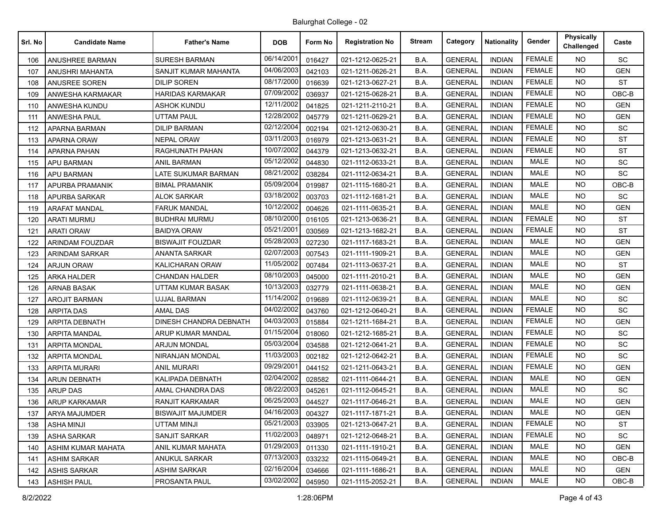| Srl. No | <b>Candidate Name</b>  | <b>Father's Name</b>     | <b>DOB</b> | Form No | <b>Registration No</b> | <b>Stream</b> | Category       | Nationality   | Gender        | <b>Physically</b><br>Challenged | Caste      |
|---------|------------------------|--------------------------|------------|---------|------------------------|---------------|----------------|---------------|---------------|---------------------------------|------------|
| 106     | ANUSHREE BARMAN        | <b>SURESH BARMAN</b>     | 06/14/2001 | 016427  | 021-1212-0625-21       | B.A.          | <b>GENERAL</b> | <b>INDIAN</b> | <b>FEMALE</b> | NO.                             | <b>SC</b>  |
| 107     | ANUSHRI MAHANTA        | SANJIT KUMAR MAHANTA     | 04/06/2003 | 042103  | 021-1211-0626-21       | B.A.          | <b>GENERAL</b> | <b>INDIAN</b> | <b>FEMALE</b> | <b>NO</b>                       | <b>GEN</b> |
| 108     | <b>ANUSREE SOREN</b>   | <b>DILIP SOREN</b>       | 08/17/2000 | 016639  | 021-1213-0627-21       | B.A.          | <b>GENERAL</b> | <b>INDIAN</b> | <b>FEMALE</b> | NO.                             | <b>ST</b>  |
| 109     | ANWESHA KARMAKAR       | <b>HARIDAS KARMAKAR</b>  | 07/09/2002 | 036937  | 021-1215-0628-21       | B.A.          | <b>GENERAL</b> | <b>INDIAN</b> | <b>FEMALE</b> | <b>NO</b>                       | $OBC-B$    |
| 110     | ANWESHA KUNDU          | <b>ASHOK KUNDU</b>       | 12/11/2002 | 041825  | 021-1211-2110-21       | B.A.          | <b>GENERAL</b> | <b>INDIAN</b> | <b>FEMALE</b> | NO.                             | <b>GEN</b> |
| 111     | <b>ANWESHA PAUL</b>    | UTTAM PAUL               | 12/28/2002 | 045779  | 021-1211-0629-21       | B.A.          | <b>GENERAL</b> | <b>INDIAN</b> | <b>FEMALE</b> | <b>NO</b>                       | <b>GEN</b> |
| 112     | APARNA BARMAN          | <b>DILIP BARMAN</b>      | 02/12/2004 | 002194  | 021-1212-0630-21       | B.A.          | <b>GENERAL</b> | <b>INDIAN</b> | <b>FEMALE</b> | <b>NO</b>                       | SC         |
| 113     | APARNA ORAW            | <b>NEPAL ORAW</b>        | 03/11/2003 | 016979  | 021-1213-0631-21       | B.A.          | <b>GENERAL</b> | <b>INDIAN</b> | <b>FEMALE</b> | <b>NO</b>                       | <b>ST</b>  |
| 114     | <b>APARNA PAHAN</b>    | RAGHUNATH PAHAN          | 10/07/2002 | 044379  | 021-1213-0632-21       | B.A.          | <b>GENERAL</b> | <b>INDIAN</b> | <b>FEMALE</b> | NO.                             | <b>ST</b>  |
| 115     | <b>APU BARMAN</b>      | ANIL BARMAN              | 05/12/2002 | 044830  | 021-1112-0633-21       | B.A.          | <b>GENERAL</b> | <b>INDIAN</b> | <b>MALE</b>   | <b>NO</b>                       | SC         |
| 116     | <b>APU BARMAN</b>      | LATE SUKUMAR BARMAN      | 08/21/2002 | 038284  | 021-1112-0634-21       | B.A.          | <b>GENERAL</b> | <b>INDIAN</b> | <b>MALE</b>   | <b>NO</b>                       | <b>SC</b>  |
| 117     | APURBA PRAMANIK        | <b>BIMAL PRAMANIK</b>    | 05/09/2004 | 019987  | 021-1115-1680-21       | B.A.          | <b>GENERAL</b> | <b>INDIAN</b> | <b>MALE</b>   | <b>NO</b>                       | OBC-B      |
| 118     | APURBA SARKAR          | <b>ALOK SARKAR</b>       | 03/18/2002 | 003703  | 021-1112-1681-21       | B.A.          | <b>GENERAL</b> | <b>INDIAN</b> | <b>MALE</b>   | <b>NO</b>                       | <b>SC</b>  |
| 119     | <b>ARAFAT MANDAL</b>   | <b>FARUK MANDAL</b>      | 10/12/2002 | 004626  | 021-1111-0635-21       | B.A.          | <b>GENERAL</b> | <b>INDIAN</b> | <b>MALE</b>   | <b>NO</b>                       | <b>GEN</b> |
| 120     | <b>ARATI MURMU</b>     | <b>BUDHRAI MURMU</b>     | 08/10/2000 | 016105  | 021-1213-0636-21       | B.A.          | <b>GENERAL</b> | <b>INDIAN</b> | <b>FEMALE</b> | <b>NO</b>                       | <b>ST</b>  |
| 121     | <b>ARATI ORAW</b>      | <b>BAIDYA ORAW</b>       | 05/21/2001 | 030569  | 021-1213-1682-21       | B.A.          | <b>GENERAL</b> | <b>INDIAN</b> | <b>FEMALE</b> | <b>NO</b>                       | <b>ST</b>  |
| 122     | <b>ARINDAM FOUZDAR</b> | <b>BISWAJIT FOUZDAR</b>  | 05/28/2003 | 027230  | 021-1117-1683-21       | B.A.          | <b>GENERAL</b> | <b>INDIAN</b> | <b>MALE</b>   | <b>NO</b>                       | <b>GEN</b> |
| 123     | <b>ARINDAM SARKAR</b>  | <b>ANANTA SARKAR</b>     | 02/07/2003 | 007543  | 021-1111-1909-21       | B.A.          | <b>GENERAL</b> | <b>INDIAN</b> | <b>MALE</b>   | <b>NO</b>                       | <b>GEN</b> |
| 124     | <b>ARJUN ORAW</b>      | KALICHARAN ORAW          | 11/05/2002 | 007484  | 021-1113-0637-21       | B.A.          | <b>GENERAL</b> | <b>INDIAN</b> | <b>MALE</b>   | <b>NO</b>                       | <b>ST</b>  |
| 125     | ARKA HALDER            | <b>CHANDAN HALDER</b>    | 08/10/2003 | 045000  | 021-1111-2010-21       | B.A.          | <b>GENERAL</b> | <b>INDIAN</b> | <b>MALE</b>   | NO.                             | <b>GEN</b> |
| 126     | <b>ARNAB BASAK</b>     | UTTAM KUMAR BASAK        | 10/13/2003 | 032779  | 021-1111-0638-21       | B.A.          | <b>GENERAL</b> | <b>INDIAN</b> | <b>MALE</b>   | <b>NO</b>                       | <b>GEN</b> |
| 127     | <b>AROJIT BARMAN</b>   | <b>UJJAL BARMAN</b>      | 11/14/2002 | 019689  | 021-1112-0639-21       | B.A.          | <b>GENERAL</b> | <b>INDIAN</b> | <b>MALE</b>   | <b>NO</b>                       | <b>SC</b>  |
| 128     | <b>ARPITA DAS</b>      | <b>AMAL DAS</b>          | 04/02/2002 | 043760  | 021-1212-0640-21       | B.A.          | <b>GENERAL</b> | <b>INDIAN</b> | <b>FEMALE</b> | <b>NO</b>                       | SC         |
| 129     | <b>ARPITA DEBNATH</b>  | DINESH CHANDRA DEBNATH   | 04/03/2003 | 015884  | 021-1211-1684-21       | B.A.          | <b>GENERAL</b> | <b>INDIAN</b> | <b>FEMALE</b> | NO.                             | <b>GEN</b> |
| 130     | ARPITA MANDAL          | ARUP KUMAR MANDAL        | 01/15/2004 | 018060  | 021-1212-1685-21       | B.A.          | <b>GENERAL</b> | <b>INDIAN</b> | <b>FEMALE</b> | <b>NO</b>                       | SC         |
| 131     | <b>ARPITA MONDAL</b>   | <b>ARJUN MONDAL</b>      | 05/03/2004 | 034588  | 021-1212-0641-21       | B.A.          | <b>GENERAL</b> | <b>INDIAN</b> | <b>FEMALE</b> | NO.                             | SC         |
| 132     | ARPITA MONDAL          | <b>NIRANJAN MONDAL</b>   | 11/03/2003 | 002182  | 021-1212-0642-21       | B.A.          | <b>GENERAL</b> | <b>INDIAN</b> | <b>FEMALE</b> | <b>NO</b>                       | SC         |
| 133     | <b>ARPITA MURARI</b>   | <b>ANIL MURARI</b>       | 09/29/2001 | 044152  | 021-1211-0643-21       | B.A.          | <b>GENERAL</b> | <b>INDIAN</b> | <b>FEMALE</b> | NO.                             | <b>GEN</b> |
| 134     | <b>ARUN DEBNATH</b>    | KALIPADA DEBNATH         | 02/04/2002 | 028582  | 021-1111-0644-21       | B.A.          | <b>GENERAL</b> | <b>INDIAN</b> | <b>MALE</b>   | <b>NO</b>                       | <b>GEN</b> |
| 135     | <b>ARUP DAS</b>        | AMAL CHANDRA DAS         | 08/22/2003 | 045261  | 021-1112-0645-21       | B.A.          | <b>GENERAL</b> | <b>INDIAN</b> | <b>MALE</b>   | NO.                             | <b>SC</b>  |
| 136     | ARUP KARKAMAR          | <b>RANJIT KARKAMAR</b>   | 06/25/2003 | 044527  | 021-1117-0646-21       | B.A.          | <b>GENERAL</b> | <b>INDIAN</b> | <b>MALE</b>   | <b>NO</b>                       | <b>GEN</b> |
| 137     | ARYA MAJUMDER          | <b>BISWAJIT MAJUMDER</b> | 04/16/2003 | 004327  | 021-1117-1871-21       | B.A.          | <b>GENERAL</b> | <b>INDIAN</b> | MALE          | NO.                             | <b>GEN</b> |
| 138     | <b>ASHA MINJI</b>      | <b>UTTAM MINJI</b>       | 05/21/2003 | 033905  | 021-1213-0647-21       | B.A.          | <b>GENERAL</b> | <b>INDIAN</b> | <b>FEMALE</b> | NO.                             | ST         |
| 139     | ASHA SARKAR            | <b>SANJIT SARKAR</b>     | 11/02/2003 | 048971  | 021-1212-0648-21       | B.A.          | <b>GENERAL</b> | <b>INDIAN</b> | <b>FEMALE</b> | <b>NO</b>                       | SC         |
| 140     | ASHIM KUMAR MAHATA     | ANIL KUMAR MAHATA        | 01/29/2003 | 011330  | 021-1111-1910-21       | B.A.          | <b>GENERAL</b> | <b>INDIAN</b> | MALE          | NO.                             | <b>GEN</b> |
| 141     | <b>ASHIM SARKAR</b>    | ANUKUL SARKAR            | 07/13/2003 | 033232  | 021-1115-0649-21       | B.A.          | <b>GENERAL</b> | <b>INDIAN</b> | <b>MALE</b>   | NO.                             | OBC-B      |
| 142     | <b>ASHIS SARKAR</b>    | <b>ASHIM SARKAR</b>      | 02/16/2004 | 034666  | 021-1111-1686-21       | B.A.          | <b>GENERAL</b> | <b>INDIAN</b> | <b>MALE</b>   | NO.                             | <b>GEN</b> |
| 143     | <b>ASHISH PAUL</b>     | PROSANTA PAUL            | 03/02/2002 | 045950  | 021-1115-2052-21       | B.A.          | <b>GENERAL</b> | <b>INDIAN</b> | <b>MALE</b>   | <b>NO</b>                       | OBC-B      |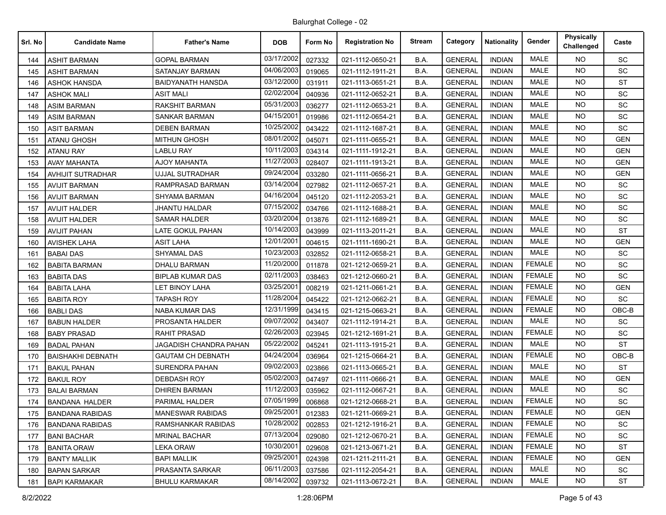| Srl. No | <b>Candidate Name</b>    | <b>Father's Name</b>     | <b>DOB</b> | Form No | <b>Registration No</b> | <b>Stream</b> | Category       | <b>Nationality</b> | Gender        | <b>Physically</b><br>Challenged | Caste      |
|---------|--------------------------|--------------------------|------------|---------|------------------------|---------------|----------------|--------------------|---------------|---------------------------------|------------|
| 144     | <b>ASHIT BARMAN</b>      | <b>GOPAL BARMAN</b>      | 03/17/2002 | 027332  | 021-1112-0650-21       | B.A.          | <b>GENERAL</b> | <b>INDIAN</b>      | <b>MALE</b>   | NO.                             | SC         |
| 145     | <b>ASHIT BARMAN</b>      | SATANJAY BARMAN          | 04/06/2003 | 019065  | 021-1112-1911-21       | B.A.          | <b>GENERAL</b> | <b>INDIAN</b>      | <b>MALE</b>   | <b>NO</b>                       | SC         |
| 146     | <b>ASHOK HANSDA</b>      | <b>BAIDYANATH HANSDA</b> | 03/12/2000 | 031911  | 021-1113-0651-21       | B.A.          | <b>GENERAL</b> | <b>INDIAN</b>      | <b>MALE</b>   | <b>NO</b>                       | <b>ST</b>  |
| 147     | <b>ASHOK MALI</b>        | <b>ASIT MALI</b>         | 02/02/2004 | 040936  | 021-1112-0652-21       | B.A.          | <b>GENERAL</b> | <b>INDIAN</b>      | <b>MALE</b>   | <b>NO</b>                       | SC         |
| 148     | <b>ASIM BARMAN</b>       | <b>RAKSHIT BARMAN</b>    | 05/31/2003 | 036277  | 021-1112-0653-21       | B.A.          | <b>GENERAL</b> | <b>INDIAN</b>      | <b>MALE</b>   | NO.                             | SC         |
| 149     | <b>ASIM BARMAN</b>       | SANKAR BARMAN            | 04/15/2001 | 019986  | 021-1112-0654-21       | B.A.          | <b>GENERAL</b> | <b>INDIAN</b>      | <b>MALE</b>   | <b>NO</b>                       | <b>SC</b>  |
| 150     | <b>ASIT BARMAN</b>       | <b>DEBEN BARMAN</b>      | 10/25/2002 | 043422  | 021-1112-1687-21       | B.A.          | <b>GENERAL</b> | <b>INDIAN</b>      | <b>MALE</b>   | <b>NO</b>                       | SC         |
| 151     | <b>ATANU GHOSH</b>       | <b>MITHUN GHOSH</b>      | 08/01/2002 | 045071  | 021-1111-0655-21       | B.A.          | <b>GENERAL</b> | <b>INDIAN</b>      | <b>MALE</b>   | <b>NO</b>                       | <b>GEN</b> |
| 152     | <b>ATANU RAY</b>         | <b>LABLU RAY</b>         | 10/11/2003 | 034314  | 021-1111-1912-21       | B.A.          | <b>GENERAL</b> | <b>INDIAN</b>      | <b>MALE</b>   | NO.                             | <b>GEN</b> |
| 153     | AVAY MAHANTA             | AJOY MAHANTA             | 11/27/2003 | 028407  | 021-1111-1913-21       | B.A.          | <b>GENERAL</b> | <b>INDIAN</b>      | <b>MALE</b>   | <b>NO</b>                       | <b>GEN</b> |
| 154     | AVHIJIT SUTRADHAR        | <b>UJJAL SUTRADHAR</b>   | 09/24/2004 | 033280  | 021-1111-0656-21       | B.A.          | <b>GENERAL</b> | <b>INDIAN</b>      | <b>MALE</b>   | <b>NO</b>                       | <b>GEN</b> |
| 155     | <b>AVIJIT BARMAN</b>     | RAMPRASAD BARMAN         | 03/14/2004 | 027982  | 021-1112-0657-21       | B.A.          | <b>GENERAL</b> | <b>INDIAN</b>      | <b>MALE</b>   | <b>NO</b>                       | <b>SC</b>  |
| 156     | <b>AVIJIT BARMAN</b>     | <b>SHYAMA BARMAN</b>     | 04/16/2004 | 045120  | 021-1112-2053-21       | B.A.          | <b>GENERAL</b> | <b>INDIAN</b>      | <b>MALE</b>   | <b>NO</b>                       | SC         |
| 157     | <b>AVIJIT HALDER</b>     | JHANTU HALDAR            | 07/15/2002 | 034766  | 021-1112-1688-21       | B.A.          | <b>GENERAL</b> | <b>INDIAN</b>      | MALE          | <b>NO</b>                       | <b>SC</b>  |
| 158     | <b>AVIJIT HALDER</b>     | <b>SAMAR HALDER</b>      | 03/20/2004 | 013876  | 021-1112-1689-21       | B.A.          | <b>GENERAL</b> | <b>INDIAN</b>      | MALE          | <b>NO</b>                       | SC         |
| 159     | <b>AVIJIT PAHAN</b>      | LATE GOKUL PAHAN         | 10/14/2003 | 043999  | 021-1113-2011-21       | B.A.          | <b>GENERAL</b> | <b>INDIAN</b>      | <b>MALE</b>   | <b>NO</b>                       | <b>ST</b>  |
| 160     | <b>AVISHEK LAHA</b>      | ASIT LAHA                | 12/01/2001 | 004615  | 021-1111-1690-21       | B.A.          | <b>GENERAL</b> | <b>INDIAN</b>      | MALE          | NO.                             | <b>GEN</b> |
| 161     | <b>BABAI DAS</b>         | SHYAMAL DAS              | 10/23/2003 | 032852  | 021-1112-0658-21       | B.A.          | <b>GENERAL</b> | <b>INDIAN</b>      | <b>MALE</b>   | <b>NO</b>                       | SC         |
| 162     | <b>BABITA BARMAN</b>     | <b>DHALU BARMAN</b>      | 11/20/2000 | 011878  | 021-1212-0659-21       | B.A.          | <b>GENERAL</b> | <b>INDIAN</b>      | <b>FEMALE</b> | <b>NO</b>                       | SC         |
| 163     | <b>BABITA DAS</b>        | <b>BIPLAB KUMAR DAS</b>  | 02/11/2003 | 038463  | 021-1212-0660-21       | B.A.          | <b>GENERAL</b> | <b>INDIAN</b>      | <b>FEMALE</b> | NO.                             | SC         |
| 164     | <b>BABITA LAHA</b>       | LET BINOY LAHA           | 03/25/2001 | 008219  | 021-1211-0661-21       | B.A.          | <b>GENERAL</b> | <b>INDIAN</b>      | <b>FEMALE</b> | <b>NO</b>                       | <b>GEN</b> |
| 165     | <b>BABITA ROY</b>        | <b>TAPASH ROY</b>        | 11/28/2004 | 045422  | 021-1212-0662-21       | B.A.          | <b>GENERAL</b> | <b>INDIAN</b>      | <b>FEMALE</b> | <b>NO</b>                       | SC         |
| 166     | <b>BABLI DAS</b>         | <b>NABA KUMAR DAS</b>    | 12/31/1999 | 043415  | 021-1215-0663-21       | B.A.          | <b>GENERAL</b> | <b>INDIAN</b>      | <b>FEMALE</b> | <b>NO</b>                       | OBC-B      |
| 167     | <b>BABUN HALDER</b>      | PROSANTA HALDER          | 09/07/2002 | 043407  | 021-1112-1914-21       | B.A.          | <b>GENERAL</b> | <b>INDIAN</b>      | <b>MALE</b>   | NO.                             | <b>SC</b>  |
| 168     | <b>BABY PRASAD</b>       | <b>RAHIT PRASAD</b>      | 02/26/2003 | 023945  | 021-1212-1691-21       | B.A.          | <b>GENERAL</b> | <b>INDIAN</b>      | <b>FEMALE</b> | <b>NO</b>                       | SC         |
| 169     | <b>BADAL PAHAN</b>       | JAGADISH CHANDRA PAHAN   | 05/22/2002 | 045241  | 021-1113-1915-21       | B.A.          | <b>GENERAL</b> | <b>INDIAN</b>      | <b>MALE</b>   | <b>NO</b>                       | <b>ST</b>  |
| 170     | <b>BAISHAKHI DEBNATH</b> | <b>GAUTAM CH DEBNATH</b> | 04/24/2004 | 036964  | 021-1215-0664-21       | B.A.          | <b>GENERAL</b> | <b>INDIAN</b>      | <b>FEMALE</b> | <b>NO</b>                       | OBC-B      |
| 171     | <b>BAKUL PAHAN</b>       | SURENDRA PAHAN           | 09/02/2003 | 023866  | 021-1113-0665-21       | B.A.          | <b>GENERAL</b> | <b>INDIAN</b>      | <b>MALE</b>   | NO.                             | <b>ST</b>  |
| 172     | <b>BAKUL ROY</b>         | <b>DEBDASH ROY</b>       | 05/02/2003 | 047497  | 021-1111-0666-21       | B.A.          | <b>GENERAL</b> | <b>INDIAN</b>      | <b>MALE</b>   | <b>NO</b>                       | <b>GEN</b> |
| 173     | <b>BALAI BARMAN</b>      | <b>DHIREN BARMAN</b>     | 11/12/2003 | 035962  | 021-1112-0667-21       | B.A.          | <b>GENERAL</b> | <b>INDIAN</b>      | <b>MALE</b>   | <b>NO</b>                       | <b>SC</b>  |
| 174     | <b>BANDANA HALDER</b>    | PARIMAL HALDER           | 07/05/1999 | 006868  | 021-1212-0668-21       | B.A.          | <b>GENERAL</b> | <b>INDIAN</b>      | <b>FEMALE</b> | <b>NO</b>                       | SC         |
| 175     | <b>BANDANA RABIDAS</b>   | <b>MANESWAR RABIDAS</b>  | 09/25/2001 | 012383  | 021-1211-0669-21       | B.A.          | <b>GENERAL</b> | <b>INDIAN</b>      | <b>FEMALE</b> | <b>NO</b>                       | <b>GEN</b> |
| 176     | <b>BANDANA RABIDAS</b>   | RAMSHANKAR RABIDAS       | 10/28/2002 | 002853  | 021-1212-1916-21       | B.A.          | <b>GENERAL</b> | <b>INDIAN</b>      | <b>FEMALE</b> | NO.                             | SC         |
| 177     | <b>BANI BACHAR</b>       | <b>MRINAL BACHAR</b>     | 07/13/2004 | 029080  | 021-1212-0670-21       | B.A.          | <b>GENERAL</b> | <b>INDIAN</b>      | <b>FEMALE</b> | <b>NO</b>                       | SC         |
| 178     | <b>BANITA ORAW</b>       | LEKA ORAW                | 10/30/2001 | 029608  | 021-1213-0671-21       | B.A.          | <b>GENERAL</b> | <b>INDIAN</b>      | <b>FEMALE</b> | <b>NO</b>                       | <b>ST</b>  |
| 179     | <b>BANTY MALLIK</b>      | <b>BAPI MALLIK</b>       | 09/25/2001 | 024398  | 021-1211-2111-21       | B.A.          | <b>GENERAL</b> | <b>INDIAN</b>      | <b>FEMALE</b> | NO.                             | <b>GEN</b> |
| 180     | <b>BAPAN SARKAR</b>      | PRASANTA SARKAR          | 06/11/2003 | 037586  | 021-1112-2054-21       | B.A.          | <b>GENERAL</b> | <b>INDIAN</b>      | MALE          | NO.                             | SC         |
| 181     | <b>BAPI KARMAKAR</b>     | <b>BHULU KARMAKAR</b>    | 08/14/2002 | 039732  | 021-1113-0672-21       | B.A.          | <b>GENERAL</b> | <b>INDIAN</b>      | MALE          | NO.                             | ST         |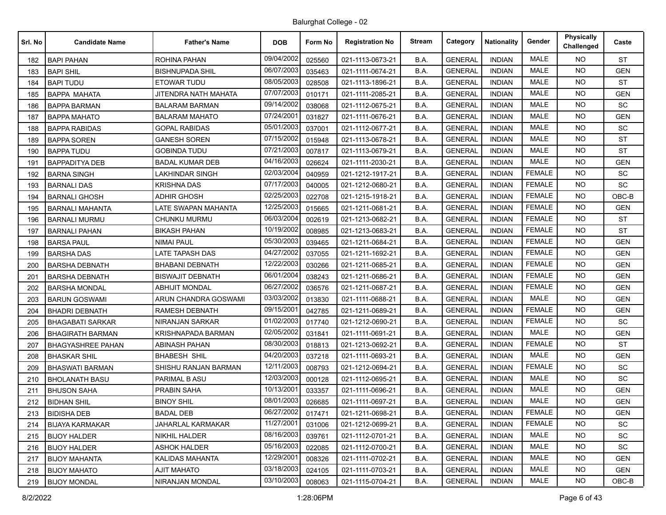| Srl. No | <b>Candidate Name</b>    | <b>Father's Name</b>     | <b>DOB</b> | Form No | <b>Registration No</b> | <b>Stream</b> | Category       | <b>Nationality</b> | Gender        | Physically<br>Challenged | Caste      |
|---------|--------------------------|--------------------------|------------|---------|------------------------|---------------|----------------|--------------------|---------------|--------------------------|------------|
| 182     | <b>BAPI PAHAN</b>        | ROHINA PAHAN             | 09/04/2002 | 025560  | 021-1113-0673-21       | B.A.          | <b>GENERAL</b> | <b>INDIAN</b>      | <b>MALE</b>   | NO.                      | <b>ST</b>  |
| 183     | <b>BAPI SHIL</b>         | <b>BISHNUPADA SHIL</b>   | 06/07/2003 | 035463  | 021-1111-0674-21       | B.A.          | <b>GENERAL</b> | <b>INDIAN</b>      | <b>MALE</b>   | <b>NO</b>                | <b>GEN</b> |
| 184     | <b>BAPI TUDU</b>         | ETOWAR TUDU              | 08/05/2003 | 028508  | 021-1113-1896-21       | B.A.          | <b>GENERAL</b> | <b>INDIAN</b>      | <b>MALE</b>   | <b>NO</b>                | <b>ST</b>  |
| 185     | <b>BAPPA MAHATA</b>      | JITENDRA NATH MAHATA     | 07/07/2003 | 010171  | 021-1111-2085-21       | B.A.          | <b>GENERAL</b> | <b>INDIAN</b>      | <b>MALE</b>   | <b>NO</b>                | <b>GEN</b> |
| 186     | <b>BAPPA BARMAN</b>      | <b>BALARAM BARMAN</b>    | 09/14/2002 | 038068  | 021-1112-0675-21       | B.A.          | <b>GENERAL</b> | <b>INDIAN</b>      | <b>MALE</b>   | NO.                      | SC         |
| 187     | <b>BAPPA MAHATO</b>      | <b>BALARAM MAHATO</b>    | 07/24/2001 | 031827  | 021-1111-0676-21       | B.A.          | <b>GENERAL</b> | <b>INDIAN</b>      | <b>MALE</b>   | <b>NO</b>                | <b>GEN</b> |
| 188     | <b>BAPPA RABIDAS</b>     | <b>GOPAL RABIDAS</b>     | 05/01/2003 | 037001  | 021-1112-0677-21       | B.A.          | <b>GENERAL</b> | <b>INDIAN</b>      | <b>MALE</b>   | <b>NO</b>                | SC         |
| 189     | <b>BAPPA SOREN</b>       | <b>GANESH SOREN</b>      | 07/15/2002 | 015948  | 021-1113-0678-21       | B.A.          | <b>GENERAL</b> | <b>INDIAN</b>      | <b>MALE</b>   | <b>NO</b>                | <b>ST</b>  |
| 190     | <b>BAPPA TUDU</b>        | <b>GOBINDA TUDU</b>      | 07/21/2003 | 007817  | 021-1113-0679-21       | B.A.          | <b>GENERAL</b> | <b>INDIAN</b>      | <b>MALE</b>   | NO.                      | <b>ST</b>  |
| 191     | <b>BAPPADITYA DEB</b>    | BADAL KUMAR DEB          | 04/16/2003 | 026624  | 021-1111-2030-21       | B.A.          | <b>GENERAL</b> | <b>INDIAN</b>      | <b>MALE</b>   | <b>NO</b>                | <b>GEN</b> |
| 192     | <b>BARNA SINGH</b>       | <b>LAKHINDAR SINGH</b>   | 02/03/2004 | 040959  | 021-1212-1917-21       | B.A.          | <b>GENERAL</b> | <b>INDIAN</b>      | <b>FEMALE</b> | <b>NO</b>                | SC         |
| 193     | <b>BARNALI DAS</b>       | <b>KRISHNA DAS</b>       | 07/17/2003 | 040005  | 021-1212-0680-21       | B.A.          | <b>GENERAL</b> | <b>INDIAN</b>      | <b>FEMALE</b> | <b>NO</b>                | SC         |
| 194     | <b>BARNALI GHOSH</b>     | <b>ADHIR GHOSH</b>       | 02/25/2003 | 022708  | 021-1215-1918-21       | B.A.          | <b>GENERAL</b> | <b>INDIAN</b>      | <b>FEMALE</b> | NO.                      | $OBC-B$    |
| 195     | <b>BARNALI MAHANTA</b>   | LATE SWAPAN MAHANTA      | 12/25/2003 | 015665  | 021-1211-0681-21       | B.A.          | <b>GENERAL</b> | <b>INDIAN</b>      | <b>FEMALE</b> | NO.                      | <b>GEN</b> |
| 196     | <b>BARNALI MURMU</b>     | <b>CHUNKU MURMU</b>      | 06/03/2004 | 002619  | 021-1213-0682-21       | B.A.          | <b>GENERAL</b> | <b>INDIAN</b>      | <b>FEMALE</b> | <b>NO</b>                | <b>ST</b>  |
| 197     | <b>BARNALI PAHAN</b>     | <b>BIKASH PAHAN</b>      | 10/19/2002 | 008985  | 021-1213-0683-21       | B.A.          | <b>GENERAL</b> | <b>INDIAN</b>      | <b>FEMALE</b> | <b>NO</b>                | ST         |
| 198     | <b>BARSA PAUL</b>        | <b>NIMAI PAUL</b>        | 05/30/2003 | 039465  | 021-1211-0684-21       | B.A.          | <b>GENERAL</b> | <b>INDIAN</b>      | <b>FEMALE</b> | NO.                      | <b>GEN</b> |
| 199     | <b>BARSHA DAS</b>        | LATE TAPASH DAS          | 04/27/2002 | 037055  | 021-1211-1692-21       | B.A.          | <b>GENERAL</b> | <b>INDIAN</b>      | <b>FEMALE</b> | NO.                      | <b>GEN</b> |
| 200     | <b>BARSHA DEBNATH</b>    | <b>BHABANI DEBNATH</b>   | 12/22/2003 | 030266  | 021-1211-0685-21       | B.A.          | <b>GENERAL</b> | <b>INDIAN</b>      | <b>FEMALE</b> | <b>NO</b>                | <b>GEN</b> |
| 201     | <b>BARSHA DEBNATH</b>    | <b>BISWAJIT DEBNATH</b>  | 06/01/2004 | 038243  | 021-1211-0686-21       | B.A.          | <b>GENERAL</b> | <b>INDIAN</b>      | <b>FEMALE</b> | NO.                      | <b>GEN</b> |
| 202     | <b>BARSHA MONDAL</b>     | ABHIJIT MONDAL           | 06/27/2002 | 036576  | 021-1211-0687-21       | B.A.          | <b>GENERAL</b> | <b>INDIAN</b>      | <b>FEMALE</b> | <b>NO</b>                | <b>GEN</b> |
| 203     | <b>BARUN GOSWAMI</b>     | ARUN CHANDRA GOSWAMI     | 03/03/2002 | 013830  | 021-1111-0688-21       | B.A.          | <b>GENERAL</b> | <b>INDIAN</b>      | <b>MALE</b>   | NO.                      | <b>GEN</b> |
| 204     | <b>BHADRI DEBNATH</b>    | <b>RAMESH DEBNATH</b>    | 09/15/2001 | 042785  | 021-1211-0689-21       | B.A.          | <b>GENERAL</b> | <b>INDIAN</b>      | <b>FEMALE</b> | <b>NO</b>                | <b>GEN</b> |
| 205     | <b>BHAGABATI SARKAR</b>  | NIRANJAN SARKAR          | 01/02/2003 | 017740  | 021-1212-0690-21       | B.A.          | <b>GENERAL</b> | <b>INDIAN</b>      | <b>FEMALE</b> | NO.                      | <b>SC</b>  |
| 206     | <b>BHAGIRATH BARMAN</b>  | KRISHNAPADA BARMAN       | 02/05/2002 | 031841  | 021-1111-0691-21       | B.A.          | <b>GENERAL</b> | <b>INDIAN</b>      | <b>MALE</b>   | <b>NO</b>                | <b>GEN</b> |
| 207     | <b>BHAGYASHREE PAHAN</b> | <b>ABINASH PAHAN</b>     | 08/30/2003 | 018813  | 021-1213-0692-21       | B.A.          | <b>GENERAL</b> | <b>INDIAN</b>      | <b>FEMALE</b> | NO.                      | ST         |
| 208     | <b>BHASKAR SHIL</b>      | <b>BHABESH SHIL</b>      | 04/20/2003 | 037218  | 021-1111-0693-21       | B.A.          | <b>GENERAL</b> | <b>INDIAN</b>      | <b>MALE</b>   | <b>NO</b>                | <b>GEN</b> |
| 209     | <b>BHASWATI BARMAN</b>   | SHISHU RANJAN BARMAN     | 12/11/2003 | 008793  | 021-1212-0694-21       | B.A.          | <b>GENERAL</b> | <b>INDIAN</b>      | <b>FEMALE</b> | NO.                      | SC         |
| 210     | <b>BHOLANATH BASU</b>    | PARIMAL B ASU            | 12/03/2003 | 000128  | 021-1112-0695-21       | B.A.          | <b>GENERAL</b> | <b>INDIAN</b>      | MALE          | <b>NO</b>                | SC         |
| 211     | <b>BHUSON SAHA</b>       | PRABIN SAHA              | 10/13/2001 | 033357  | 021-1111-0696-21       | B.A.          | <b>GENERAL</b> | <b>INDIAN</b>      | <b>MALE</b>   | NO.                      | <b>GEN</b> |
| 212     | <b>BIDHAN SHIL</b>       | <b>BINOY SHIL</b>        | 08/01/2003 | 026685  | 021-1111-0697-21       | B.A.          | <b>GENERAL</b> | <b>INDIAN</b>      | <b>MALE</b>   | <b>NO</b>                | <b>GEN</b> |
| 213     | <b>BIDISHA DEB</b>       | <b>BADAL DEB</b>         | 06/27/2002 | 017471  | 021-1211-0698-21       | B.A.          | <b>GENERAL</b> | <b>INDIAN</b>      | FEMALE        | <b>NO</b>                | <b>GEN</b> |
| 214     | <b>BIJAYA KARMAKAR</b>   | <b>JAHARLAL KARMAKAR</b> | 11/27/2001 | 031006  | 021-1212-0699-21       | B.A.          | <b>GENERAL</b> | <b>INDIAN</b>      | <b>FEMALE</b> | NO.                      | SC         |
| 215     | <b>BIJOY HALDER</b>      | NIKHIL HALDER            | 08/16/2003 | 039761  | 021-1112-0701-21       | B.A.          | <b>GENERAL</b> | <b>INDIAN</b>      | MALE          | <b>NO</b>                | SC         |
| 216     | <b>BIJOY HALDER</b>      | <b>ASHOK HALDER</b>      | 05/16/2003 | 022085  | 021-1112-0700-21       | B.A.          | <b>GENERAL</b> | <b>INDIAN</b>      | MALE          | <b>NO</b>                | <b>SC</b>  |
| 217     | <b>BIJOY MAHANTA</b>     | <b>KALIDAS MAHANTA</b>   | 12/29/2001 | 008326  | 021-1111-0702-21       | B.A.          | <b>GENERAL</b> | <b>INDIAN</b>      | MALE          | NO.                      | <b>GEN</b> |
| 218     | <b>BIJOY MAHATO</b>      | <b>AJIT MAHATO</b>       | 03/18/2003 | 024105  | 021-1111-0703-21       | B.A.          | <b>GENERAL</b> | <b>INDIAN</b>      | MALE          | NO.                      | <b>GEN</b> |
| 219     | <b>BIJOY MONDAL</b>      | NIRANJAN MONDAL          | 03/10/2003 | 008063  | 021-1115-0704-21       | B.A.          | <b>GENERAL</b> | <b>INDIAN</b>      | MALE          | <b>NO</b>                | OBC-B      |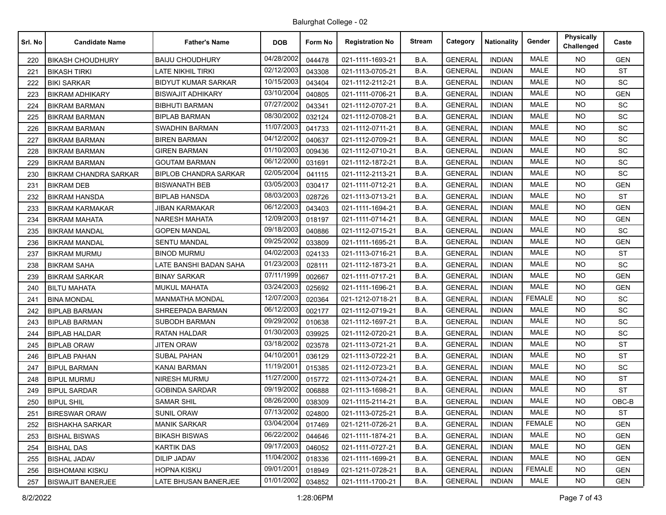| Srl. No | <b>Candidate Name</b>        | <b>Father's Name</b>         | <b>DOB</b> | Form No | <b>Registration No</b> | <b>Stream</b> | Category       | <b>Nationality</b> | Gender        | <b>Physically</b><br>Challenged | Caste      |
|---------|------------------------------|------------------------------|------------|---------|------------------------|---------------|----------------|--------------------|---------------|---------------------------------|------------|
| 220     | <b>BIKASH CHOUDHURY</b>      | <b>BAIJU CHOUDHURY</b>       | 04/28/2002 | 044478  | 021-1111-1693-21       | B.A.          | <b>GENERAL</b> | <b>INDIAN</b>      | MALE          | NO.                             | <b>GEN</b> |
| 221     | <b>BIKASH TIRKI</b>          | LATE NIKHIL TIRKI            | 02/12/2003 | 043308  | 021-1113-0705-21       | B.A.          | <b>GENERAL</b> | <b>INDIAN</b>      | <b>MALE</b>   | <b>NO</b>                       | <b>ST</b>  |
| 222     | <b>BIKI SARKAR</b>           | <b>BIDYUT KUMAR SARKAR</b>   | 10/15/2003 | 043404  | 021-1112-2112-21       | B.A.          | <b>GENERAL</b> | <b>INDIAN</b>      | <b>MALE</b>   | <b>NO</b>                       | SC         |
| 223     | <b>BIKRAM ADHIKARY</b>       | <b>BISWAJIT ADHIKARY</b>     | 03/10/2004 | 040805  | 021-1111-0706-21       | B.A.          | <b>GENERAL</b> | <b>INDIAN</b>      | <b>MALE</b>   | <b>NO</b>                       | <b>GEN</b> |
| 224     | <b>BIKRAM BARMAN</b>         | <b>BIBHUTI BARMAN</b>        | 07/27/2002 | 043341  | 021-1112-0707-21       | B.A.          | <b>GENERAL</b> | <b>INDIAN</b>      | <b>MALE</b>   | NO.                             | SC         |
| 225     | <b>BIKRAM BARMAN</b>         | <b>BIPLAB BARMAN</b>         | 08/30/2002 | 032124  | 021-1112-0708-21       | B.A.          | <b>GENERAL</b> | <b>INDIAN</b>      | <b>MALE</b>   | <b>NO</b>                       | <b>SC</b>  |
| 226     | <b>BIKRAM BARMAN</b>         | <b>SWADHIN BARMAN</b>        | 11/07/2003 | 041733  | 021-1112-0711-21       | B.A.          | <b>GENERAL</b> | <b>INDIAN</b>      | <b>MALE</b>   | <b>NO</b>                       | SC         |
| 227     | <b>BIKRAM BARMAN</b>         | <b>BIREN BARMAN</b>          | 04/12/2002 | 040637  | 021-1112-0709-21       | B.A.          | <b>GENERAL</b> | <b>INDIAN</b>      | <b>MALE</b>   | <b>NO</b>                       | <b>SC</b>  |
| 228     | <b>BIKRAM BARMAN</b>         | <b>GIREN BARMAN</b>          | 01/10/2003 | 009436  | 021-1112-0710-21       | B.A.          | <b>GENERAL</b> | <b>INDIAN</b>      | <b>MALE</b>   | NO.                             | SC         |
| 229     | <b>BIKRAM BARMAN</b>         | <b>GOUTAM BARMAN</b>         | 06/12/2000 | 031691  | 021-1112-1872-21       | B.A.          | <b>GENERAL</b> | <b>INDIAN</b>      | <b>MALE</b>   | NO.                             | SC         |
| 230     | <b>BIKRAM CHANDRA SARKAR</b> | <b>BIPLOB CHANDRA SARKAR</b> | 02/05/2004 | 041115  | 021-1112-2113-21       | B.A.          | <b>GENERAL</b> | <b>INDIAN</b>      | <b>MALE</b>   | <b>NO</b>                       | <b>SC</b>  |
| 231     | <b>BIKRAM DEB</b>            | <b>BISWANATH BEB</b>         | 03/05/2003 | 030417  | 021-1111-0712-21       | B.A.          | <b>GENERAL</b> | <b>INDIAN</b>      | <b>MALE</b>   | <b>NO</b>                       | <b>GEN</b> |
| 232     | <b>BIKRAM HANSDA</b>         | <b>BIPLAB HANSDA</b>         | 08/03/2003 | 028726  | 021-1113-0713-21       | B.A.          | <b>GENERAL</b> | <b>INDIAN</b>      | <b>MALE</b>   | NO.                             | <b>ST</b>  |
| 233     | <b>BIKRAM KARMAKAR</b>       | JIBAN KARMAKAR               | 06/12/2003 | 043403  | 021-1111-1694-21       | B.A.          | <b>GENERAL</b> | <b>INDIAN</b>      | <b>MALE</b>   | NO.                             | <b>GEN</b> |
| 234     | <b>BIKRAM MAHATA</b>         | <b>NARESH MAHATA</b>         | 12/09/2003 | 018197  | 021-1111-0714-21       | B.A.          | <b>GENERAL</b> | <b>INDIAN</b>      | MALE          | <b>NO</b>                       | <b>GEN</b> |
| 235     | <b>BIKRAM MANDAL</b>         | <b>GOPEN MANDAL</b>          | 09/18/2003 | 040886  | 021-1112-0715-21       | B.A.          | <b>GENERAL</b> | <b>INDIAN</b>      | <b>MALE</b>   | <b>NO</b>                       | <b>SC</b>  |
| 236     | <b>BIKRAM MANDAL</b>         | <b>SENTU MANDAL</b>          | 09/25/2002 | 033809  | 021-1111-1695-21       | B.A.          | <b>GENERAL</b> | <b>INDIAN</b>      | MALE          | NO.                             | <b>GEN</b> |
| 237     | <b>BIKRAM MURMU</b>          | <b>BINOD MURMU</b>           | 04/02/2003 | 024133  | 021-1113-0716-21       | B.A.          | <b>GENERAL</b> | <b>INDIAN</b>      | <b>MALE</b>   | NO.                             | ST         |
| 238     | <b>BIKRAM SAHA</b>           | LATE BANSHI BADAN SAHA       | 01/23/2003 | 028111  | 021-1112-1873-21       | B.A.          | <b>GENERAL</b> | <b>INDIAN</b>      | <b>MALE</b>   | <b>NO</b>                       | SC         |
| 239     | <b>BIKRAM SARKAR</b>         | <b>BINAY SARKAR</b>          | 07/11/1999 | 002667  | 021-1111-0717-21       | B.A.          | <b>GENERAL</b> | <b>INDIAN</b>      | <b>MALE</b>   | NO.                             | <b>GEN</b> |
| 240     | <b>BILTU MAHATA</b>          | MUKUL MAHATA                 | 03/24/2003 | 025692  | 021-1111-1696-21       | B.A.          | <b>GENERAL</b> | <b>INDIAN</b>      | <b>MALE</b>   | NO.                             | <b>GEN</b> |
| 241     | <b>BINA MONDAL</b>           | <b>MANMATHA MONDAL</b>       | 12/07/2003 | 020364  | 021-1212-0718-21       | B.A.          | <b>GENERAL</b> | <b>INDIAN</b>      | <b>FEMALE</b> | NO.                             | <b>SC</b>  |
| 242     | <b>BIPLAB BARMAN</b>         | SHREEPADA BARMAN             | 06/12/2003 | 002177  | 021-1112-0719-21       | B.A.          | <b>GENERAL</b> | <b>INDIAN</b>      | <b>MALE</b>   | <b>NO</b>                       | SC         |
| 243     | <b>BIPLAB BARMAN</b>         | SUBODH BARMAN                | 09/29/2002 | 010638  | 021-1112-1697-21       | B.A.          | <b>GENERAL</b> | <b>INDIAN</b>      | <b>MALE</b>   | NO.                             | <b>SC</b>  |
| 244     | <b>BIPLAB HALDAR</b>         | RATAN HALDAR                 | 01/30/2003 | 039925  | 021-1112-0720-21       | B.A.          | <b>GENERAL</b> | <b>INDIAN</b>      | <b>MALE</b>   | <b>NO</b>                       | SC         |
| 245     | <b>BIPLAB ORAW</b>           | <b>JITEN ORAW</b>            | 03/18/2002 | 023578  | 021-1113-0721-21       | B.A.          | <b>GENERAL</b> | <b>INDIAN</b>      | <b>MALE</b>   | NO.                             | <b>ST</b>  |
| 246     | <b>BIPLAB PAHAN</b>          | <b>SUBAL PAHAN</b>           | 04/10/2001 | 036129  | 021-1113-0722-21       | B.A.          | <b>GENERAL</b> | <b>INDIAN</b>      | <b>MALE</b>   | <b>NO</b>                       | <b>ST</b>  |
| 247     | <b>BIPUL BARMAN</b>          | KANAI BARMAN                 | 11/19/2001 | 015385  | 021-1112-0723-21       | B.A.          | <b>GENERAL</b> | <b>INDIAN</b>      | <b>MALE</b>   | NO.                             | SC         |
| 248     | <b>BIPUL MURMU</b>           | NIRESH MURMU                 | 11/27/2000 | 015772  | 021-1113-0724-21       | B.A.          | <b>GENERAL</b> | <b>INDIAN</b>      | MALE          | <b>NO</b>                       | <b>ST</b>  |
| 249     | <b>BIPUL SARDAR</b>          | <b>GOBINDA SARDAR</b>        | 09/19/2002 | 006888  | 021-1113-1698-21       | B.A.          | <b>GENERAL</b> | <b>INDIAN</b>      | <b>MALE</b>   | NO.                             | ST         |
| 250     | <b>BIPUL SHIL</b>            | <b>SAMAR SHIL</b>            | 08/26/2000 | 038309  | 021-1115-2114-21       | B.A.          | <b>GENERAL</b> | <b>INDIAN</b>      | <b>MALE</b>   | <b>NO</b>                       | $OBC-B$    |
| 251     | <b>BIRESWAR ORAW</b>         | <b>SUNIL ORAW</b>            | 07/13/2002 | 024800  | 021-1113-0725-21       | B.A.          | <b>GENERAL</b> | <b>INDIAN</b>      | MALE          | NO.                             | <b>ST</b>  |
| 252     | <b>BISHAKHA SARKAR</b>       | <b>MANIK SARKAR</b>          | 03/04/2004 | 017469  | 021-1211-0726-21       | B.A.          | <b>GENERAL</b> | <b>INDIAN</b>      | <b>FEMALE</b> | NO.                             | <b>GEN</b> |
| 253     | <b>BISHAL BISWAS</b>         | <b>BIKASH BISWAS</b>         | 06/22/2002 | 044646  | 021-1111-1874-21       | B.A.          | <b>GENERAL</b> | <b>INDIAN</b>      | MALE          | <b>NO</b>                       | <b>GEN</b> |
| 254     | <b>BISHAL DAS</b>            | <b>KARTIK DAS</b>            | 09/17/2003 | 046052  | 021-1111-0727-21       | B.A.          | <b>GENERAL</b> | <b>INDIAN</b>      | MALE          | <b>NO</b>                       | <b>GEN</b> |
| 255     | <b>BISHAL JADAV</b>          | <b>DILIP JADAV</b>           | 11/04/2002 | 018336  | 021-1111-1699-21       | B.A.          | <b>GENERAL</b> | <b>INDIAN</b>      | MALE          | NO.                             | <b>GEN</b> |
| 256     | <b>BISHOMANI KISKU</b>       | HOPNA KISKU                  | 09/01/2001 | 018949  | 021-1211-0728-21       | B.A.          | <b>GENERAL</b> | <b>INDIAN</b>      | <b>FEMALE</b> | NO.                             | <b>GEN</b> |
| 257     | <b>BISWAJIT BANERJEE</b>     | LATE BHUSAN BANERJEE         | 01/01/2002 | 034852  | 021-1111-1700-21       | B.A.          | <b>GENERAL</b> | <b>INDIAN</b>      | MALE          | NO.                             | <b>GEN</b> |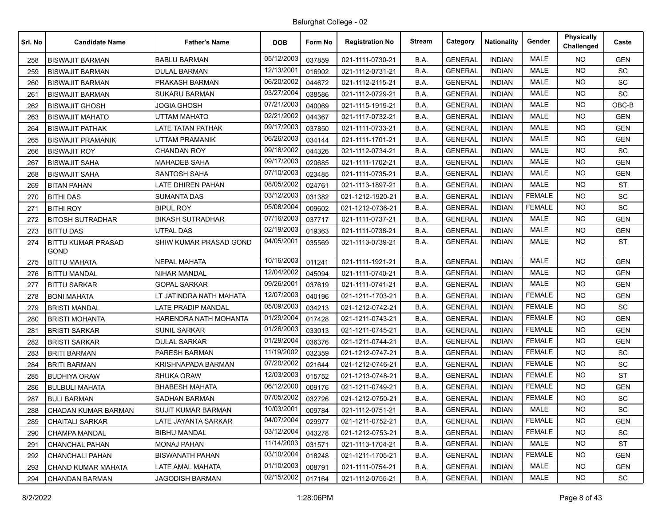| Srl. No | <b>Candidate Name</b>             | <b>Father's Name</b>      | <b>DOB</b> | Form No | <b>Registration No</b> | <b>Stream</b> | Category       | <b>Nationality</b> | Gender        | <b>Physically</b><br>Challenged | Caste      |
|---------|-----------------------------------|---------------------------|------------|---------|------------------------|---------------|----------------|--------------------|---------------|---------------------------------|------------|
| 258     | <b>BISWAJIT BARMAN</b>            | <b>BABLU BARMAN</b>       | 05/12/2003 | 037859  | 021-1111-0730-21       | B.A.          | <b>GENERAL</b> | <b>INDIAN</b>      | <b>MALE</b>   | NO.                             | <b>GEN</b> |
| 259     | <b>BISWAJIT BARMAN</b>            | <b>DULAL BARMAN</b>       | 12/13/2001 | 016902  | 021-1112-0731-21       | B.A.          | <b>GENERAL</b> | <b>INDIAN</b>      | <b>MALE</b>   | <b>NO</b>                       | SC         |
| 260     | <b>BISWAJIT BARMAN</b>            | PRAKASH BARMAN            | 06/20/2002 | 044672  | 021-1112-2115-21       | B.A.          | <b>GENERAL</b> | <b>INDIAN</b>      | <b>MALE</b>   | <b>NO</b>                       | SC         |
| 261     | <b>BISWAJIT BARMAN</b>            | <b>SUKARU BARMAN</b>      | 03/27/2004 | 038586  | 021-1112-0729-21       | B.A.          | <b>GENERAL</b> | <b>INDIAN</b>      | <b>MALE</b>   | <b>NO</b>                       | SC         |
| 262     | <b>BISWAJIT GHOSH</b>             | <b>JOGIA GHOSH</b>        | 07/21/2003 | 040069  | 021-1115-1919-21       | B.A.          | <b>GENERAL</b> | <b>INDIAN</b>      | <b>MALE</b>   | NO.                             | OBC-B      |
| 263     | <b>BISWAJIT MAHATO</b>            | UTTAM MAHATO              | 02/21/2002 | 044367  | 021-1117-0732-21       | B.A.          | <b>GENERAL</b> | <b>INDIAN</b>      | <b>MALE</b>   | <b>NO</b>                       | <b>GEN</b> |
| 264     | <b>BISWAJIT PATHAK</b>            | <b>LATE TATAN PATHAK</b>  | 09/17/2003 | 037850  | 021-1111-0733-21       | B.A.          | <b>GENERAL</b> | <b>INDIAN</b>      | <b>MALE</b>   | <b>NO</b>                       | <b>GEN</b> |
| 265     | <b>BISWAJIT PRAMANIK</b>          | UTTAM PRAMANIK            | 06/26/2003 | 034144  | 021-1111-1701-21       | B.A.          | <b>GENERAL</b> | <b>INDIAN</b>      | <b>MALE</b>   | <b>NO</b>                       | <b>GEN</b> |
| 266     | <b>BISWAJIT ROY</b>               | <b>CHANDAN ROY</b>        | 09/16/2002 | 044326  | 021-1112-0734-21       | B.A.          | <b>GENERAL</b> | <b>INDIAN</b>      | <b>MALE</b>   | NO.                             | SC         |
| 267     | <b>BISWAJIT SAHA</b>              | MAHADEB SAHA              | 09/17/2003 | 020685  | 021-1111-1702-21       | B.A.          | <b>GENERAL</b> | <b>INDIAN</b>      | <b>MALE</b>   | <b>NO</b>                       | <b>GEN</b> |
| 268     | <b>BISWAJIT SAHA</b>              | <b>SANTOSH SAHA</b>       | 07/10/2003 | 023485  | 021-1111-0735-21       | B.A.          | <b>GENERAL</b> | <b>INDIAN</b>      | <b>MALE</b>   | <b>NO</b>                       | <b>GEN</b> |
| 269     | <b>BITAN PAHAN</b>                | LATE DHIREN PAHAN         | 08/05/2002 | 024761  | 021-1113-1897-21       | B.A.          | <b>GENERAL</b> | <b>INDIAN</b>      | <b>MALE</b>   | <b>NO</b>                       | <b>ST</b>  |
| 270     | <b>BITHI DAS</b>                  | <b>SUMANTA DAS</b>        | 03/12/2003 | 031382  | 021-1212-1920-21       | B.A.          | <b>GENERAL</b> | <b>INDIAN</b>      | <b>FEMALE</b> | NO.                             | <b>SC</b>  |
| 271     | <b>BITHI ROY</b>                  | <b>BIPUL ROY</b>          | 05/08/2004 | 009602  | 021-1212-0736-21       | B.A.          | <b>GENERAL</b> | <b>INDIAN</b>      | <b>FEMALE</b> | <b>NO</b>                       | SC         |
| 272     | <b>BITOSH SUTRADHAR</b>           | <b>BIKASH SUTRADHAR</b>   | 07/16/2003 | 037717  | 021-1111-0737-21       | B.A.          | <b>GENERAL</b> | <b>INDIAN</b>      | MALE          | <b>NO</b>                       | <b>GEN</b> |
| 273     | <b>BITTU DAS</b>                  | <b>UTPAL DAS</b>          | 02/19/2003 | 019363  | 021-1111-0738-21       | B.A.          | <b>GENERAL</b> | <b>INDIAN</b>      | <b>MALE</b>   | <b>NO</b>                       | <b>GEN</b> |
| 274     | <b>BITTU KUMAR PRASAD</b><br>GOND | SHIW KUMAR PRASAD GOND    | 04/05/2001 | 035569  | 021-1113-0739-21       | B.A.          | <b>GENERAL</b> | <b>INDIAN</b>      | MALE          | <b>NO</b>                       | <b>ST</b>  |
| 275     | <b>BITTU MAHATA</b>               | <b>NEPAL MAHATA</b>       | 10/16/2003 | 011241  | 021-1111-1921-21       | B.A.          | <b>GENERAL</b> | <b>INDIAN</b>      | <b>MALE</b>   | NO.                             | <b>GEN</b> |
| 276     | <b>BITTU MANDAL</b>               | NIHAR MANDAL              | 12/04/2002 | 045094  | 021-1111-0740-21       | B.A.          | <b>GENERAL</b> | <b>INDIAN</b>      | <b>MALE</b>   | <b>NO</b>                       | <b>GEN</b> |
| 277     | <b>BITTU SARKAR</b>               | <b>GOPAL SARKAR</b>       | 09/26/2001 | 037619  | 021-1111-0741-21       | B.A.          | <b>GENERAL</b> | <b>INDIAN</b>      | <b>MALE</b>   | <b>NO</b>                       | <b>GEN</b> |
| 278     | <b>BONI MAHATA</b>                | LT JATINDRA NATH MAHATA   | 12/07/2003 | 040196  | 021-1211-1703-21       | B.A.          | <b>GENERAL</b> | <b>INDIAN</b>      | <b>FEMALE</b> | <b>NO</b>                       | <b>GEN</b> |
| 279     | <b>BRISTI MANDAL</b>              | <b>LATE PRADIP MANDAL</b> | 05/09/2003 | 034213  | 021-1212-0742-21       | B.A.          | <b>GENERAL</b> | <b>INDIAN</b>      | <b>FEMALE</b> | NO.                             | SC         |
| 280     | <b>BRISTI MOHANTA</b>             | HARENDRA NATH MOHANTA     | 01/29/2004 | 017428  | 021-1211-0743-21       | B.A.          | <b>GENERAL</b> | <b>INDIAN</b>      | <b>FEMALE</b> | <b>NO</b>                       | <b>GEN</b> |
| 281     | <b>BRISTI SARKAR</b>              | <b>SUNIL SARKAR</b>       | 01/26/2003 | 033013  | 021-1211-0745-21       | B.A.          | <b>GENERAL</b> | <b>INDIAN</b>      | <b>FEMALE</b> | <b>NO</b>                       | <b>GEN</b> |
| 282     | <b>BRISTI SARKAR</b>              | <b>DULAL SARKAR</b>       | 01/29/2004 | 036376  | 021-1211-0744-21       | B.A.          | <b>GENERAL</b> | <b>INDIAN</b>      | <b>FEMALE</b> | <b>NO</b>                       | <b>GEN</b> |
| 283     | <b>BRITI BARMAN</b>               | PARESH BARMAN             | 11/19/2002 | 032359  | 021-1212-0747-21       | B.A.          | <b>GENERAL</b> | <b>INDIAN</b>      | <b>FEMALE</b> | <b>NO</b>                       | SC         |
| 284     | <b>BRITI BARMAN</b>               | KRISHNAPADA BARMAN        | 07/20/2002 | 021644  | 021-1212-0746-21       | B.A.          | <b>GENERAL</b> | <b>INDIAN</b>      | <b>FEMALE</b> | NO.                             | SC         |
| 285     | <b>BUDHIYA ORAW</b>               | <b>SHUKA ORAW</b>         | 12/03/2003 | 015752  | 021-1213-0748-21       | B.A.          | <b>GENERAL</b> | <b>INDIAN</b>      | <b>FEMALE</b> | <b>NO</b>                       | <b>ST</b>  |
| 286     | <b>BULBULI MAHATA</b>             | <b>BHABESH MAHATA</b>     | 06/12/2000 | 009176  | 021-1211-0749-21       | B.A.          | <b>GENERAL</b> | <b>INDIAN</b>      | <b>FEMALE</b> | <b>NO</b>                       | <b>GEN</b> |
| 287     | <b>BULI BARMAN</b>                | SADHAN BARMAN             | 07/05/2002 | 032726  | 021-1212-0750-21       | B.A.          | <b>GENERAL</b> | <b>INDIAN</b>      | <b>FEMALE</b> | NO.                             | <b>SC</b>  |
| 288     | CHADAN KUMAR BARMAN               | <b>SUJIT KUMAR BARMAN</b> | 10/03/2001 | 009784  | 021-1112-0751-21       | B.A.          | <b>GENERAL</b> | <b>INDIAN</b>      | MALE          | NO.                             | SC         |
| 289     | <b>CHAITALI SARKAR</b>            | LATE JAYANTA SARKAR       | 04/07/2004 | 029977  | 021-1211-0752-21       | B.A.          | <b>GENERAL</b> | <b>INDIAN</b>      | <b>FEMALE</b> | NO.                             | <b>GEN</b> |
| 290     | CHAMPA MANDAL                     | <b>BIBHU MANDAL</b>       | 03/12/2004 | 043278  | 021-1212-0753-21       | B.A.          | <b>GENERAL</b> | <b>INDIAN</b>      | <b>FEMALE</b> | NO.                             | <b>SC</b>  |
| 291     | CHANCHAL PAHAN                    | <b>MONAJ PAHAN</b>        | 11/14/2003 | 031571  | 021-1113-1704-21       | B.A.          | <b>GENERAL</b> | <b>INDIAN</b>      | MALE          | NO.                             | <b>ST</b>  |
| 292     | <b>CHANCHALI PAHAN</b>            | <b>BISWANATH PAHAN</b>    | 03/10/2004 | 018248  | 021-1211-1705-21       | B.A.          | <b>GENERAL</b> | <b>INDIAN</b>      | <b>FEMALE</b> | NO.                             | GEN        |
| 293     | CHAND KUMAR MAHATA                | LATE AMAL MAHATA          | 01/10/2003 | 008791  | 021-1111-0754-21       | B.A.          | <b>GENERAL</b> | <b>INDIAN</b>      | MALE          | NO.                             | <b>GEN</b> |
| 294     | <b>CHANDAN BARMAN</b>             | JAGODISH BARMAN           | 02/15/2002 | 017164  | 021-1112-0755-21       | B.A.          | <b>GENERAL</b> | <b>INDIAN</b>      | MALE          | NO.                             | <b>SC</b>  |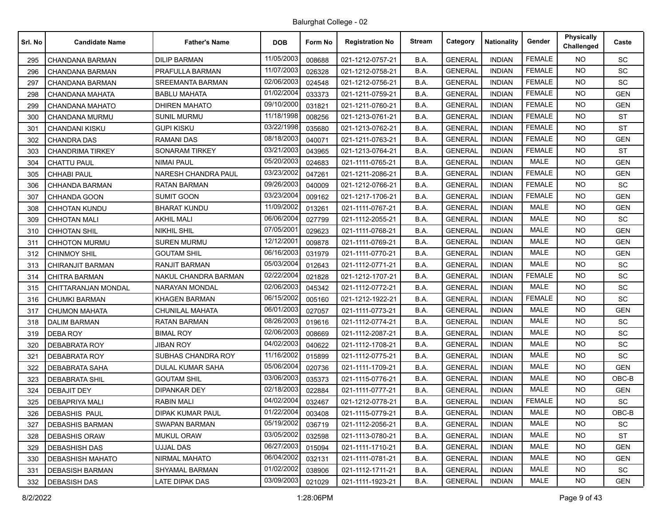| Srl. No | <b>Candidate Name</b>   | <b>Father's Name</b>    | <b>DOB</b> | Form No | <b>Registration No</b> | <b>Stream</b> | Category       | <b>Nationality</b> | Gender        | <b>Physically</b><br>Challenged | Caste      |
|---------|-------------------------|-------------------------|------------|---------|------------------------|---------------|----------------|--------------------|---------------|---------------------------------|------------|
| 295     | CHANDANA BARMAN         | <b>DILIP BARMAN</b>     | 11/05/2003 | 008688  | 021-1212-0757-21       | B.A.          | <b>GENERAL</b> | <b>INDIAN</b>      | <b>FEMALE</b> | NO.                             | SC         |
| 296     | CHANDANA BARMAN         | PRAFULLA BARMAN         | 11/07/2003 | 026328  | 021-1212-0758-21       | B.A.          | <b>GENERAL</b> | <b>INDIAN</b>      | <b>FEMALE</b> | <b>NO</b>                       | SC         |
| 297     | CHANDANA BARMAN         | <b>SREEMANTA BARMAN</b> | 02/06/2003 | 024548  | 021-1212-0756-21       | B.A.          | <b>GENERAL</b> | <b>INDIAN</b>      | <b>FEMALE</b> | <b>NO</b>                       | SC         |
| 298     | CHANDANA MAHATA         | <b>BABLU MAHATA</b>     | 01/02/2004 | 033373  | 021-1211-0759-21       | B.A.          | <b>GENERAL</b> | <b>INDIAN</b>      | <b>FEMALE</b> | <b>NO</b>                       | <b>GEN</b> |
| 299     | CHANDANA MAHATO         | <b>DHIREN MAHATO</b>    | 09/10/2000 | 031821  | 021-1211-0760-21       | B.A.          | <b>GENERAL</b> | <b>INDIAN</b>      | <b>FEMALE</b> | NO.                             | <b>GEN</b> |
| 300     | CHANDANA MURMU          | SUNIL MURMU             | 11/18/1998 | 008256  | 021-1213-0761-21       | B.A.          | <b>GENERAL</b> | <b>INDIAN</b>      | <b>FEMALE</b> | <b>NO</b>                       | <b>ST</b>  |
| 301     | <b>CHANDANI KISKU</b>   | <b>GUPI KISKU</b>       | 03/22/1998 | 035680  | 021-1213-0762-21       | B.A.          | <b>GENERAL</b> | <b>INDIAN</b>      | <b>FEMALE</b> | <b>NO</b>                       | <b>ST</b>  |
| 302     | <b>CHANDRA DAS</b>      | <b>RAMANI DAS</b>       | 08/18/2003 | 040071  | 021-1211-0763-21       | B.A.          | <b>GENERAL</b> | <b>INDIAN</b>      | <b>FEMALE</b> | <b>NO</b>                       | <b>GEN</b> |
| 303     | <b>CHANDRIMA TIRKEY</b> | SONARAM TIRKEY          | 03/21/2003 | 043965  | 021-1213-0764-21       | B.A.          | <b>GENERAL</b> | <b>INDIAN</b>      | <b>FEMALE</b> | NO.                             | <b>ST</b>  |
| 304     | <b>CHATTU PAUL</b>      | <b>NIMAI PAUL</b>       | 05/20/2003 | 024683  | 021-1111-0765-21       | B.A.          | <b>GENERAL</b> | <b>INDIAN</b>      | <b>MALE</b>   | <b>NO</b>                       | <b>GEN</b> |
| 305     | <b>CHHABI PAUL</b>      | NARESH CHANDRA PAUL     | 03/23/2002 | 047261  | 021-1211-2086-21       | B.A.          | <b>GENERAL</b> | <b>INDIAN</b>      | <b>FEMALE</b> | <b>NO</b>                       | <b>GEN</b> |
| 306     | CHHANDA BARMAN          | <b>RATAN BARMAN</b>     | 09/26/2003 | 040009  | 021-1212-0766-21       | B.A.          | <b>GENERAL</b> | <b>INDIAN</b>      | <b>FEMALE</b> | <b>NO</b>                       | <b>SC</b>  |
| 307     | CHHANDA GOON            | <b>SUMIT GOON</b>       | 03/23/2004 | 009162  | 021-1217-1706-21       | B.A.          | <b>GENERAL</b> | <b>INDIAN</b>      | <b>FEMALE</b> | NO.                             | <b>GEN</b> |
| 308     | <b>CHHOTAN KUNDU</b>    | <b>BHARAT KUNDU</b>     | 11/09/2002 | 013261  | 021-1111-0767-21       | B.A.          | <b>GENERAL</b> | <b>INDIAN</b>      | <b>MALE</b>   | <b>NO</b>                       | <b>GEN</b> |
| 309     | <b>CHHOTAN MALI</b>     | <b>AKHIL MALI</b>       | 06/06/2004 | 027799  | 021-1112-2055-21       | B.A.          | <b>GENERAL</b> | <b>INDIAN</b>      | MALE          | <b>NO</b>                       | SC         |
| 310     | <b>CHHOTAN SHIL</b>     | <b>NIKHIL SHIL</b>      | 07/05/2001 | 029623  | 021-1111-0768-21       | B.A.          | <b>GENERAL</b> | <b>INDIAN</b>      | <b>MALE</b>   | <b>NO</b>                       | <b>GEN</b> |
| 311     | <b>CHHOTON MURMU</b>    | <b>SUREN MURMU</b>      | 12/12/2001 | 009878  | 021-1111-0769-21       | B.A.          | <b>GENERAL</b> | <b>INDIAN</b>      | MALE          | NO.                             | <b>GEN</b> |
| 312     | <b>CHINMOY SHIL</b>     | <b>GOUTAM SHIL</b>      | 06/16/2003 | 031979  | 021-1111-0770-21       | B.A.          | <b>GENERAL</b> | <b>INDIAN</b>      | MALE          | NO.                             | <b>GEN</b> |
| 313     | <b>CHIRANJIT BARMAN</b> | <b>RANJIT BARMAN</b>    | 05/03/2004 | 012643  | 021-1112-0771-21       | B.A.          | <b>GENERAL</b> | <b>INDIAN</b>      | <b>MALE</b>   | <b>NO</b>                       | SC         |
| 314     | <b>CHITRA BARMAN</b>    | NAKUL CHANDRA BARMAN    | 02/22/2004 | 021828  | 021-1212-1707-21       | B.A.          | <b>GENERAL</b> | <b>INDIAN</b>      | <b>FEMALE</b> | NO.                             | SC         |
| 315     | CHITTARANJAN MONDAL     | NARAYAN MONDAL          | 02/06/2003 | 045342  | 021-1112-0772-21       | B.A.          | <b>GENERAL</b> | <b>INDIAN</b>      | <b>MALE</b>   | <b>NO</b>                       | SC         |
| 316     | <b>CHUMKI BARMAN</b>    | <b>KHAGEN BARMAN</b>    | 06/15/2002 | 005160  | 021-1212-1922-21       | B.A.          | <b>GENERAL</b> | <b>INDIAN</b>      | <b>FEMALE</b> | <b>NO</b>                       | SC         |
| 317     | <b>CHUMON MAHATA</b>    | <b>CHUNILAL MAHATA</b>  | 06/01/2003 | 027057  | 021-1111-0773-21       | B.A.          | <b>GENERAL</b> | <b>INDIAN</b>      | <b>MALE</b>   | <b>NO</b>                       | <b>GEN</b> |
| 318     | <b>DALIM BARMAN</b>     | <b>RATAN BARMAN</b>     | 08/26/2003 | 019616  | 021-1112-0774-21       | B.A.          | <b>GENERAL</b> | <b>INDIAN</b>      | <b>MALE</b>   | NO.                             | <b>SC</b>  |
| 319     | DEBA ROY                | <b>BIMAL ROY</b>        | 02/06/2003 | 008669  | 021-1112-2087-21       | B.A.          | <b>GENERAL</b> | <b>INDIAN</b>      | <b>MALE</b>   | <b>NO</b>                       | SC         |
| 320     | <b>DEBABRATA ROY</b>    | <b>JIBAN ROY</b>        | 04/02/2003 | 040622  | 021-1112-1708-21       | B.A.          | <b>GENERAL</b> | <b>INDIAN</b>      | <b>MALE</b>   | <b>NO</b>                       | <b>SC</b>  |
| 321     | <b>DEBABRATA ROY</b>    | SUBHAS CHANDRA ROY      | 11/16/2002 | 015899  | 021-1112-0775-21       | B.A.          | <b>GENERAL</b> | <b>INDIAN</b>      | <b>MALE</b>   | <b>NO</b>                       | SC         |
| 322     | <b>DEBABRATA SAHA</b>   | <b>DULAL KUMAR SAHA</b> | 05/06/2004 | 020736  | 021-1111-1709-21       | B.A.          | <b>GENERAL</b> | <b>INDIAN</b>      | <b>MALE</b>   | NO.                             | <b>GEN</b> |
| 323     | <b>DEBABRATA SHIL</b>   | <b>GOUTAM SHIL</b>      | 03/06/2003 | 035373  | 021-1115-0776-21       | B.A.          | <b>GENERAL</b> | <b>INDIAN</b>      | MALE          | <b>NO</b>                       | OBC-B      |
| 324     | <b>DEBAJIT DEY</b>      | <b>DIPANKAR DEY</b>     | 02/18/2003 | 022884  | 021-1111-0777-21       | B.A.          | <b>GENERAL</b> | <b>INDIAN</b>      | <b>MALE</b>   | NO.                             | <b>GEN</b> |
| 325     | <b>DEBAPRIYA MALI</b>   | <b>RABIN MALI</b>       | 04/02/2004 | 032467  | 021-1212-0778-21       | B.A.          | <b>GENERAL</b> | <b>INDIAN</b>      | <b>FEMALE</b> | <b>NO</b>                       | SC         |
| 326     | <b>DEBASHIS PAUL</b>    | DIPAK KUMAR PAUL        | 01/22/2004 | 003408  | 021-1115-0779-21       | B.A.          | <b>GENERAL</b> | <b>INDIAN</b>      | MALE          | NO.                             | OBC-B      |
| 327     | <b>DEBASHIS BARMAN</b>  | <b>SWAPAN BARMAN</b>    | 05/19/2002 | 036719  | 021-1112-2056-21       | B.A.          | <b>GENERAL</b> | <b>INDIAN</b>      | MALE          | NO.                             | SC         |
| 328     | DEBASHIS ORAW           | <b>MUKUL ORAW</b>       | 03/05/2002 | 032598  | 021-1113-0780-21       | B.A.          | <b>GENERAL</b> | <b>INDIAN</b>      | MALE          | NO.                             | <b>ST</b>  |
| 329     | <b>DEBASHISH DAS</b>    | UJJAL DAS               | 06/27/2003 | 015094  | 021-1111-1710-21       | B.A.          | <b>GENERAL</b> | <b>INDIAN</b>      | MALE          | <b>NO</b>                       | <b>GEN</b> |
| 330     | <b>DEBASHISH MAHATO</b> | NIRMAL MAHATO           | 06/04/2002 | 032131  | 021-1111-0781-21       | B.A.          | <b>GENERAL</b> | <b>INDIAN</b>      | MALE          | NO.                             | <b>GEN</b> |
| 331     | <b>DEBASISH BARMAN</b>  | <b>SHYAMAL BARMAN</b>   | 01/02/2002 | 038906  | 021-1112-1711-21       | B.A.          | <b>GENERAL</b> | <b>INDIAN</b>      | MALE          | NO.                             | SC         |
| 332     | <b>DEBASISH DAS</b>     | <b>LATE DIPAK DAS</b>   | 03/09/2003 | 021029  | 021-1111-1923-21       | B.A.          | <b>GENERAL</b> | <b>INDIAN</b>      | MALE          | NO.                             | <b>GEN</b> |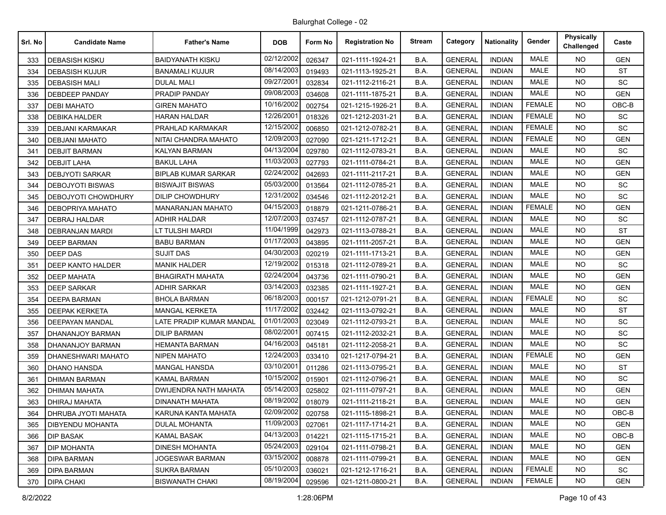| Srl. No | <b>Candidate Name</b>      | <b>Father's Name</b>         | <b>DOB</b> | Form No | <b>Registration No</b> | <b>Stream</b> | Category       | <b>Nationality</b> | Gender        | Physically<br>Challenged | Caste      |
|---------|----------------------------|------------------------------|------------|---------|------------------------|---------------|----------------|--------------------|---------------|--------------------------|------------|
| 333     | <b>DEBASISH KISKU</b>      | <b>BAIDYANATH KISKU</b>      | 02/12/2002 | 026347  | 021-1111-1924-21       | B.A.          | <b>GENERAL</b> | <b>INDIAN</b>      | <b>MALE</b>   | <b>NO</b>                | <b>GEN</b> |
| 334     | <b>DEBASISH KUJUR</b>      | <b>BANAMALI KUJUR</b>        | 08/14/2003 | 019493  | 021-1113-1925-21       | B.A.          | <b>GENERAL</b> | <b>INDIAN</b>      | <b>MALE</b>   | <b>NO</b>                | <b>ST</b>  |
| 335     | <b>DEBASISH MALI</b>       | <b>DULAL MALI</b>            | 09/27/2001 | 032834  | 021-1112-2116-21       | B.A.          | <b>GENERAL</b> | <b>INDIAN</b>      | <b>MALE</b>   | <b>NO</b>                | SC         |
| 336     | <b>DEBDEEP PANDAY</b>      | PRADIP PANDAY                | 09/08/2003 | 034608  | 021-1111-1875-21       | B.A.          | <b>GENERAL</b> | <b>INDIAN</b>      | <b>MALE</b>   | <b>NO</b>                | <b>GEN</b> |
| 337     | <b>DEBI MAHATO</b>         | <b>GIREN MAHATO</b>          | 10/16/2002 | 002754  | 021-1215-1926-21       | B.A.          | <b>GENERAL</b> | <b>INDIAN</b>      | <b>FEMALE</b> | <b>NO</b>                | OBC-B      |
| 338     | <b>DEBIKA HALDER</b>       | <b>HARAN HALDAR</b>          | 12/26/2001 | 018326  | 021-1212-2031-21       | B.A.          | <b>GENERAL</b> | <b>INDIAN</b>      | <b>FEMALE</b> | <b>NO</b>                | SC         |
| 339     | <b>DEBJANI KARMAKAR</b>    | PRAHLAD KARMAKAR             | 12/15/2002 | 006850  | 021-1212-0782-21       | B.A.          | <b>GENERAL</b> | <b>INDIAN</b>      | <b>FEMALE</b> | <b>NO</b>                | SC         |
| 340     | <b>DEBJANI MAHATO</b>      | NITAI CHANDRA MAHATO         | 12/09/2003 | 027090  | 021-1211-1712-21       | B.A.          | <b>GENERAL</b> | <b>INDIAN</b>      | <b>FEMALE</b> | <b>NO</b>                | <b>GEN</b> |
| 341     | <b>DEBJIT BARMAN</b>       | <b>KALYAN BARMAN</b>         | 04/13/2004 | 029780  | 021-1112-0783-21       | B.A.          | <b>GENERAL</b> | <b>INDIAN</b>      | <b>MALE</b>   | <b>NO</b>                | SC         |
| 342     | <b>DEBJIT LAHA</b>         | <b>BAKUL LAHA</b>            | 11/03/2003 | 027793  | 021-1111-0784-21       | B.A.          | <b>GENERAL</b> | <b>INDIAN</b>      | <b>MALE</b>   | <b>NO</b>                | <b>GEN</b> |
| 343     | <b>DEBJYOTI SARKAR</b>     | <b>BIPLAB KUMAR SARKAR</b>   | 02/24/2002 | 042693  | 021-1111-2117-21       | B.A.          | <b>GENERAL</b> | <b>INDIAN</b>      | <b>MALE</b>   | <b>NO</b>                | <b>GEN</b> |
| 344     | <b>DEBOJYOTI BISWAS</b>    | <b>BISWAJIT BISWAS</b>       | 05/03/2000 | 013564  | 021-1112-0785-21       | B.A.          | <b>GENERAL</b> | <b>INDIAN</b>      | MALE          | <b>NO</b>                | SC         |
| 345     | DEBOJYOTI CHOWDHURY        | <b>DILIP CHOWDHURY</b>       | 12/31/2002 | 034546  | 021-1112-2012-21       | B.A.          | <b>GENERAL</b> | <b>INDIAN</b>      | <b>MALE</b>   | <b>NO</b>                | SC         |
| 346     | DEBOPRIYA MAHATO           | <b>MANARANJAN MAHATO</b>     | 04/15/2003 | 018879  | 021-1211-0786-21       | B.A.          | <b>GENERAL</b> | <b>INDIAN</b>      | <b>FEMALE</b> | <b>NO</b>                | <b>GEN</b> |
| 347     | <b>DEBRAJ HALDAR</b>       | <b>ADHIR HALDAR</b>          | 12/07/2003 | 037457  | 021-1112-0787-21       | B.A.          | <b>GENERAL</b> | <b>INDIAN</b>      | <b>MALE</b>   | <b>NO</b>                | SC         |
| 348     | <b>DEBRANJAN MARDI</b>     | LT TULSHI MARDI              | 11/04/1999 | 042973  | 021-1113-0788-21       | B.A.          | <b>GENERAL</b> | <b>INDIAN</b>      | <b>MALE</b>   | <b>NO</b>                | <b>ST</b>  |
| 349     | <b>DEEP BARMAN</b>         | <b>BABU BARMAN</b>           | 01/17/2003 | 043895  | 021-1111-2057-21       | B.A.          | <b>GENERAL</b> | <b>INDIAN</b>      | <b>MALE</b>   | <b>NO</b>                | <b>GEN</b> |
| 350     | DEEP DAS                   | SUJIT DAS                    | 04/30/2003 | 020219  | 021-1111-1713-21       | B.A.          | <b>GENERAL</b> | <b>INDIAN</b>      | <b>MALE</b>   | <b>NO</b>                | <b>GEN</b> |
| 351     | <b>DEEP KANTO HALDER</b>   | <b>MANIK HALDER</b>          | 12/19/2002 | 015318  | 021-1112-0789-21       | B.A.          | <b>GENERAL</b> | <b>INDIAN</b>      | <b>MALE</b>   | NO.                      | SC         |
| 352     | <b>DEEP MAHATA</b>         | <b>BHAGIRATH MAHATA</b>      | 02/24/2004 | 043736  | 021-1111-0790-21       | B.A.          | <b>GENERAL</b> | <b>INDIAN</b>      | <b>MALE</b>   | <b>NO</b>                | <b>GEN</b> |
| 353     | <b>DEEP SARKAR</b>         | <b>ADHIR SARKAR</b>          | 03/14/2003 | 032385  | 021-1111-1927-21       | B.A.          | <b>GENERAL</b> | <b>INDIAN</b>      | <b>MALE</b>   | <b>NO</b>                | <b>GEN</b> |
| 354     | <b>DEEPA BARMAN</b>        | <b>BHOLA BARMAN</b>          | 06/18/2003 | 000157  | 021-1212-0791-21       | B.A.          | <b>GENERAL</b> | <b>INDIAN</b>      | <b>FEMALE</b> | <b>NO</b>                | SC         |
| 355     | <b>DEEPAK KERKETA</b>      | <b>MANGAL KERKETA</b>        | 11/17/2002 | 032442  | 021-1113-0792-21       | B.A.          | <b>GENERAL</b> | <b>INDIAN</b>      | <b>MALE</b>   | <b>NO</b>                | <b>ST</b>  |
| 356     | <b>DEEPAYAN MANDAL</b>     | LATE PRADIP KUMAR MANDAL     | 01/01/2003 | 023049  | 021-1112-0793-21       | B.A.          | <b>GENERAL</b> | <b>INDIAN</b>      | <b>MALE</b>   | <b>NO</b>                | SC         |
| 357     | DHANANJOY BARMAN           | <b>DILIP BARMAN</b>          | 08/02/2001 | 007415  | 021-1112-2032-21       | B.A.          | <b>GENERAL</b> | <b>INDIAN</b>      | <b>MALE</b>   | <b>NO</b>                | <b>SC</b>  |
| 358     | DHANANJOY BARMAN           | HEMANTA BARMAN               | 04/16/2003 | 045181  | 021-1112-2058-21       | B.A.          | <b>GENERAL</b> | <b>INDIAN</b>      | <b>MALE</b>   | <b>NO</b>                | SC         |
| 359     | DHANESHWARI MAHATO         | <b>NIPEN MAHATO</b>          | 12/24/2003 | 033410  | 021-1217-0794-21       | B.A.          | <b>GENERAL</b> | <b>INDIAN</b>      | <b>FEMALE</b> | <b>NO</b>                | <b>GEN</b> |
| 360     | <b>DHANO HANSDA</b>        | <b>MANGAL HANSDA</b>         | 03/10/2001 | 011286  | 021-1113-0795-21       | B.A.          | <b>GENERAL</b> | <b>INDIAN</b>      | <b>MALE</b>   | <b>NO</b>                | <b>ST</b>  |
| 361     | <b>DHIMAN BARMAN</b>       | <b>KAMAL BARMAN</b>          | 10/15/2002 | 015901  | 021-1112-0796-21       | B.A.          | <b>GENERAL</b> | <b>INDIAN</b>      | <b>MALE</b>   | <b>NO</b>                | SC         |
| 362     | DHIMAN MAHATA              | <b>DWIJENDRA NATH MAHATA</b> | 05/14/2003 | 025802  | 021-1111-0797-21       | B.A.          | <b>GENERAL</b> | <b>INDIAN</b>      | <b>MALE</b>   | <b>NO</b>                | <b>GEN</b> |
| 363     | <b>DHIRAJ MAHATA</b>       | <b>DINANATH MAHATA</b>       | 08/19/2002 | 018079  | 021-1111-2118-21       | B.A.          | <b>GENERAL</b> | <b>INDIAN</b>      | <b>MALE</b>   | <b>NO</b>                | <b>GEN</b> |
| 364     | <b>DHRUBA JYOTI MAHATA</b> | KARUNA KANTA MAHATA          | 02/09/2002 | 020758  | 021-1115-1898-21       | B.A.          | <b>GENERAL</b> | <b>INDIAN</b>      | MALE          | NO.                      | OBC-B      |
| 365     | DIBYENDU MOHANTA           | <b>DULAL MOHANTA</b>         | 11/09/2003 | 027061  | 021-1117-1714-21       | B.A.          | <b>GENERAL</b> | <b>INDIAN</b>      | <b>MALE</b>   | NO.                      | <b>GEN</b> |
| 366     | DIP BASAK                  | <b>KAMAL BASAK</b>           | 04/13/2003 | 014221  | 021-1115-1715-21       | B.A.          | <b>GENERAL</b> | <b>INDIAN</b>      | MALE          | NO.                      | OBC-B      |
| 367     | <b>DIP MOHANTA</b>         | <b>DINESH MOHANTA</b>        | 05/24/2003 | 029104  | 021-1111-0798-21       | B.A.          | <b>GENERAL</b> | <b>INDIAN</b>      | MALE          | NO.                      | <b>GEN</b> |
| 368     | <b>DIPA BARMAN</b>         | JOGESWAR BARMAN              | 03/15/2002 | 008878  | 021-1111-0799-21       | B.A.          | <b>GENERAL</b> | <b>INDIAN</b>      | MALE          | NO.                      | <b>GEN</b> |
| 369     | <b>DIPA BARMAN</b>         | <b>SUKRA BARMAN</b>          | 05/10/2003 | 036021  | 021-1212-1716-21       | B.A.          | <b>GENERAL</b> | <b>INDIAN</b>      | <b>FEMALE</b> | NO.                      | SC         |
| 370     | <b>DIPA CHAKI</b>          | <b>BISWANATH CHAKI</b>       | 08/19/2004 | 029596  | 021-1211-0800-21       | B.A.          | <b>GENERAL</b> | <b>INDIAN</b>      | <b>FEMALE</b> | NO.                      | <b>GEN</b> |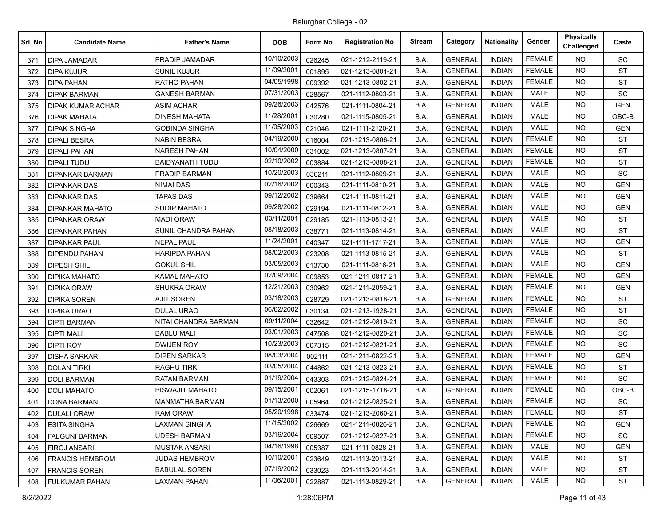| Srl. No | <b>Candidate Name</b>  | <b>Father's Name</b>   | <b>DOB</b> | Form No | <b>Registration No</b> | <b>Stream</b> | Category       | Nationality   | Gender        | <b>Physically</b><br>Challenged | Caste                        |
|---------|------------------------|------------------------|------------|---------|------------------------|---------------|----------------|---------------|---------------|---------------------------------|------------------------------|
| 371     | DIPA JAMADAR           | PRADIP JAMADAR         | 10/10/2003 | 026245  | 021-1212-2119-21       | B.A.          | <b>GENERAL</b> | <b>INDIAN</b> | <b>FEMALE</b> | <b>NO</b>                       | SC                           |
| 372     | DIPA KUJUR             | <b>SUNIL KUJUR</b>     | 11/09/2001 | 001895  | 021-1213-0801-21       | B.A.          | <b>GENERAL</b> | <b>INDIAN</b> | <b>FEMALE</b> | <b>NO</b>                       | <b>ST</b>                    |
| 373     | <b>DIPA PAHAN</b>      | RATHO PAHAN            | 04/05/1998 | 009392  | 021-1213-0802-21       | B.A.          | <b>GENERAL</b> | <b>INDIAN</b> | <b>FEMALE</b> | <b>NO</b>                       | <b>ST</b>                    |
| 374     | <b>DIPAK BARMAN</b>    | <b>GANESH BARMAN</b>   | 07/31/2003 | 028567  | 021-1112-0803-21       | B.A.          | <b>GENERAL</b> | <b>INDIAN</b> | <b>MALE</b>   | <b>NO</b>                       | SC                           |
| 375     | DIPAK KUMAR ACHAR      | <b>ASIM ACHAR</b>      | 09/26/2003 | 042576  | 021-1111-0804-21       | B.A.          | <b>GENERAL</b> | <b>INDIAN</b> | <b>MALE</b>   | <b>NO</b>                       | <b>GEN</b>                   |
| 376     | <b>DIPAK MAHATA</b>    | <b>DINESH MAHATA</b>   | 11/28/2001 | 030280  | 021-1115-0805-21       | B.A.          | <b>GENERAL</b> | <b>INDIAN</b> | <b>MALE</b>   | <b>NO</b>                       | OBC-B                        |
| 377     | <b>DIPAK SINGHA</b>    | <b>GOBINDA SINGHA</b>  | 11/05/2003 | 021046  | 021-1111-2120-21       | B.A.          | <b>GENERAL</b> | <b>INDIAN</b> | <b>MALE</b>   | NO.                             | <b>GEN</b>                   |
| 378     | <b>DIPALI BESRA</b>    | <b>NABIN BESRA</b>     | 04/19/2000 | 016004  | 021-1213-0806-21       | B.A.          | <b>GENERAL</b> | <b>INDIAN</b> | <b>FEMALE</b> | <b>NO</b>                       | <b>ST</b>                    |
| 379     | <b>DIPALI PAHAN</b>    | <b>NARESH PAHAN</b>    | 10/04/2000 | 031002  | 021-1213-0807-21       | B.A.          | <b>GENERAL</b> | <b>INDIAN</b> | <b>FEMALE</b> | <b>NO</b>                       | <b>ST</b>                    |
| 380     | DIPALI TUDU            | BAIDYANATH TUDU        | 02/10/2002 | 003884  | 021-1213-0808-21       | B.A.          | <b>GENERAL</b> | <b>INDIAN</b> | <b>FEMALE</b> | <b>NO</b>                       | <b>ST</b>                    |
| 381     | <b>DIPANKAR BARMAN</b> | PRADIP BARMAN          | 10/20/2003 | 036211  | 021-1112-0809-21       | B.A.          | <b>GENERAL</b> | <b>INDIAN</b> | <b>MALE</b>   | <b>NO</b>                       | SC                           |
| 382     | <b>DIPANKAR DAS</b>    | <b>NIMAI DAS</b>       | 02/16/2002 | 000343  | 021-1111-0810-21       | B.A.          | <b>GENERAL</b> | <b>INDIAN</b> | <b>MALE</b>   | <b>NO</b>                       | <b>GEN</b>                   |
| 383     | <b>DIPANKAR DAS</b>    | <b>TAPAS DAS</b>       | 09/12/2002 | 039664  | 021-1111-0811-21       | B.A.          | <b>GENERAL</b> | <b>INDIAN</b> | <b>MALE</b>   | <b>NO</b>                       | <b>GEN</b>                   |
| 384     | <b>DIPANKAR MAHATO</b> | SUDIP MAHATO           | 09/28/2002 | 029194  | 021-1111-0812-21       | B.A.          | <b>GENERAL</b> | <b>INDIAN</b> | <b>MALE</b>   | <b>NO</b>                       | <b>GEN</b>                   |
| 385     | <b>DIPANKAR ORAW</b>   | <b>MADI ORAW</b>       | 03/11/2001 | 029185  | 021-1113-0813-21       | B.A.          | <b>GENERAL</b> | <b>INDIAN</b> | <b>MALE</b>   | <b>NO</b>                       | <b>ST</b>                    |
| 386     | <b>DIPANKAR PAHAN</b>  | SUNIL CHANDRA PAHAN    | 08/18/2003 | 038771  | 021-1113-0814-21       | B.A.          | <b>GENERAL</b> | <b>INDIAN</b> | <b>MALE</b>   | <b>NO</b>                       | <b>ST</b>                    |
| 387     | <b>DIPANKAR PAUL</b>   | NEPAL PAUL             | 11/24/2001 | 040347  | 021-1111-1717-21       | B.A.          | <b>GENERAL</b> | <b>INDIAN</b> | <b>MALE</b>   | <b>NO</b>                       | <b>GEN</b>                   |
| 388     | DIPENDU PAHAN          | HARIPDA PAHAN          | 08/02/2003 | 023208  | 021-1113-0815-21       | B.A.          | <b>GENERAL</b> | <b>INDIAN</b> | <b>MALE</b>   | <b>NO</b>                       | <b>ST</b>                    |
| 389     | <b>DIPESH SHIL</b>     | <b>GOKUL SHIL</b>      | 03/05/2003 | 013730  | 021-1111-0816-21       | B.A.          | <b>GENERAL</b> | <b>INDIAN</b> | <b>MALE</b>   | <b>NO</b>                       | <b>GEN</b>                   |
| 390     | <b>DIPIKA MAHATO</b>   | <b>KAMAL MAHATO</b>    | 02/09/2004 | 009853  | 021-1211-0817-21       | B.A.          | <b>GENERAL</b> | <b>INDIAN</b> | <b>FEMALE</b> | <b>NO</b>                       | <b>GEN</b>                   |
| 391     | <b>DIPIKA ORAW</b>     | SHUKRA ORAW            | 12/21/2003 | 030962  | 021-1211-2059-21       | B.A.          | <b>GENERAL</b> | <b>INDIAN</b> | <b>FEMALE</b> | <b>NO</b>                       | <b>GEN</b>                   |
| 392     | <b>DIPIKA SOREN</b>    | <b>AJIT SOREN</b>      | 03/18/2003 | 028729  | 021-1213-0818-21       | B.A.          | <b>GENERAL</b> | <b>INDIAN</b> | <b>FEMALE</b> | <b>NO</b>                       | <b>ST</b>                    |
| 393     | <b>DIPIKA URAO</b>     | DULAL URAO             | 06/02/2002 | 030134  | 021-1213-1928-21       | B.A.          | <b>GENERAL</b> | <b>INDIAN</b> | <b>FEMALE</b> | <b>NO</b>                       | <b>ST</b>                    |
| 394     | <b>DIPTI BARMAN</b>    | NITAI CHANDRA BARMAN   | 09/11/2004 | 032642  | 021-1212-0819-21       | B.A.          | <b>GENERAL</b> | <b>INDIAN</b> | <b>FEMALE</b> | <b>NO</b>                       | SC                           |
| 395     | <b>DIPTI MALI</b>      | <b>BABLU MALI</b>      | 03/01/2003 | 047508  | 021-1212-0820-21       | B.A.          | <b>GENERAL</b> | <b>INDIAN</b> | <b>FEMALE</b> | <b>NO</b>                       | SC                           |
| 396     | <b>DIPTI ROY</b>       | DWIJEN ROY             | 10/23/2003 | 007315  | 021-1212-0821-21       | B.A.          | <b>GENERAL</b> | <b>INDIAN</b> | <b>FEMALE</b> | <b>NO</b>                       | SC                           |
| 397     | <b>DISHA SARKAR</b>    | <b>DIPEN SARKAR</b>    | 08/03/2004 | 002111  | 021-1211-0822-21       | B.A.          | <b>GENERAL</b> | <b>INDIAN</b> | <b>FEMALE</b> | <b>NO</b>                       | <b>GEN</b>                   |
| 398     | <b>DOLAN TIRKI</b>     | <b>RAGHU TIRKI</b>     | 03/05/2004 | 044862  | 021-1213-0823-21       | B.A.          | <b>GENERAL</b> | <b>INDIAN</b> | <b>FEMALE</b> | <b>NO</b>                       | <b>ST</b>                    |
| 399     | <b>DOLI BARMAN</b>     | RATAN BARMAN           | 01/19/2004 | 043303  | 021-1212-0824-21       | B.A.          | <b>GENERAL</b> | <b>INDIAN</b> | <b>FEMALE</b> | <b>NO</b>                       | SC                           |
| 400     | <b>DOLI MAHATO</b>     | <b>BISWAJIT MAHATO</b> | 09/15/2001 | 002061  | 021-1215-1718-21       | B.A.          | <b>GENERAL</b> | <b>INDIAN</b> | <b>FEMALE</b> | <b>NO</b>                       | OBC-B                        |
| 401     | DONA BARMAN            | MANMATHA BARMAN        | 01/13/2000 | 005964  | 021-1212-0825-21       | B.A.          | <b>GENERAL</b> | <b>INDIAN</b> | <b>FEMALE</b> | <b>NO</b>                       | $\operatorname{\textsf{SC}}$ |
| 402     | <b>DULALI ORAW</b>     | <b>RAM ORAW</b>        | 05/20/1998 | 033474  | 021-1213-2060-21       | B.A.          | <b>GENERAL</b> | <b>INDIAN</b> | FEMALE        | NO.                             | <b>ST</b>                    |
| 403     | <b>ESITA SINGHA</b>    | LAXMAN SINGHA          | 11/15/2002 | 026669  | 021-1211-0826-21       | B.A.          | <b>GENERAL</b> | <b>INDIAN</b> | FEMALE        | <b>NO</b>                       | <b>GEN</b>                   |
| 404     | <b>FALGUNI BARMAN</b>  | <b>UDESH BARMAN</b>    | 03/16/2004 | 009507  | 021-1212-0827-21       | B.A.          | <b>GENERAL</b> | <b>INDIAN</b> | <b>FEMALE</b> | NO.                             | SC                           |
| 405     | <b>FIROJ ANSARI</b>    | <b>MUSTAK ANSARI</b>   | 04/16/1998 | 005387  | 021-1111-0828-21       | B.A.          | <b>GENERAL</b> | <b>INDIAN</b> | MALE          | NO.                             | <b>GEN</b>                   |
| 406     | <b>FRANCIS HEMBROM</b> | <b>JUDAS HEMBROM</b>   | 10/10/2001 | 023649  | 021-1113-2013-21       | B.A.          | <b>GENERAL</b> | <b>INDIAN</b> | <b>MALE</b>   | NO.                             | <b>ST</b>                    |
| 407     | <b>FRANCIS SOREN</b>   | BABULAL SOREN          | 07/19/2002 | 033023  | 021-1113-2014-21       | B.A.          | <b>GENERAL</b> | <b>INDIAN</b> | MALE          | <b>NO</b>                       | ST                           |
| 408     | <b>FULKUMAR PAHAN</b>  | LAXMAN PAHAN           | 11/06/2001 | 022887  | 021-1113-0829-21       | B.A.          | <b>GENERAL</b> | <b>INDIAN</b> | MALE          | NO.                             | ST                           |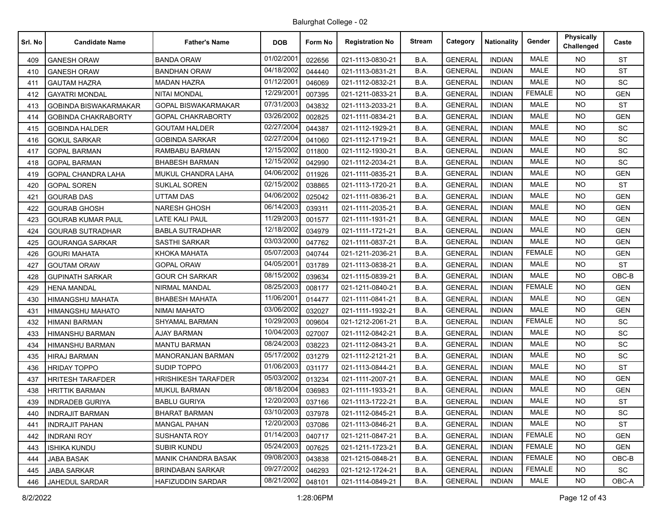| Srl. No | <b>Candidate Name</b>        | <b>Father's Name</b>       | <b>DOB</b> | Form No | <b>Registration No</b> | <b>Stream</b> | Category       | <b>Nationality</b> | Gender        | <b>Physically</b><br>Challenged | Caste      |
|---------|------------------------------|----------------------------|------------|---------|------------------------|---------------|----------------|--------------------|---------------|---------------------------------|------------|
| 409     | <b>GANESH ORAW</b>           | <b>BANDA ORAW</b>          | 01/02/2001 | 022656  | 021-1113-0830-21       | B.A.          | <b>GENERAL</b> | <b>INDIAN</b>      | <b>MALE</b>   | <b>NO</b>                       | <b>ST</b>  |
| 410     | <b>GANESH ORAW</b>           | <b>BANDHAN ORAW</b>        | 04/18/2002 | 044440  | 021-1113-0831-21       | B.A.          | <b>GENERAL</b> | <b>INDIAN</b>      | <b>MALE</b>   | <b>NO</b>                       | <b>ST</b>  |
| 411     | <b>GAUTAM HAZRA</b>          | <b>MADAN HAZRA</b>         | 01/12/2001 | 046069  | 021-1112-0832-21       | B.A.          | <b>GENERAL</b> | <b>INDIAN</b>      | <b>MALE</b>   | NO.                             | <b>SC</b>  |
| 412     | <b>GAYATRI MONDAL</b>        | <b>NITAI MONDAL</b>        | 12/29/2001 | 007395  | 021-1211-0833-21       | B.A.          | <b>GENERAL</b> | <b>INDIAN</b>      | <b>FEMALE</b> | <b>NO</b>                       | <b>GEN</b> |
| 413     | <b>GOBINDA BISWAKARMAKAR</b> | <b>GOPAL BISWAKARMAKAR</b> | 07/31/2003 | 043832  | 021-1113-2033-21       | B.A.          | <b>GENERAL</b> | <b>INDIAN</b>      | <b>MALE</b>   | NO.                             | <b>ST</b>  |
| 414     | <b>GOBINDA CHAKRABORTY</b>   | <b>GOPAL CHAKRABORTY</b>   | 03/26/2002 | 002825  | 021-1111-0834-21       | B.A.          | <b>GENERAL</b> | <b>INDIAN</b>      | <b>MALE</b>   | <b>NO</b>                       | <b>GEN</b> |
| 415     | <b>GOBINDA HALDER</b>        | <b>GOUTAM HALDER</b>       | 02/27/2004 | 044387  | 021-1112-1929-21       | B.A.          | <b>GENERAL</b> | <b>INDIAN</b>      | <b>MALE</b>   | NO.                             | <b>SC</b>  |
| 416     | <b>GOKUL SARKAR</b>          | <b>GOBINDA SARKAR</b>      | 02/27/2004 | 041060  | 021-1112-1719-21       | B.A.          | <b>GENERAL</b> | <b>INDIAN</b>      | <b>MALE</b>   | <b>NO</b>                       | SC         |
| 417     | <b>GOPAL BARMAN</b>          | RAMBABU BARMAN             | 12/15/2002 | 011800  | 021-1112-1930-21       | B.A.          | <b>GENERAL</b> | <b>INDIAN</b>      | <b>MALE</b>   | NO.                             | SC         |
| 418     | <b>GOPAL BARMAN</b>          | BHABESH BARMAN             | 12/15/2002 | 042990  | 021-1112-2034-21       | B.A.          | <b>GENERAL</b> | <b>INDIAN</b>      | <b>MALE</b>   | <b>NO</b>                       | SC         |
| 419     | <b>GOPAL CHANDRA LAHA</b>    | MUKUL CHANDRA LAHA         | 04/06/2002 | 011926  | 021-1111-0835-21       | B.A.          | <b>GENERAL</b> | <b>INDIAN</b>      | <b>MALE</b>   | <b>NO</b>                       | <b>GEN</b> |
| 420     | <b>GOPAL SOREN</b>           | <b>SUKLAL SOREN</b>        | 02/15/2002 | 038865  | 021-1113-1720-21       | B.A.          | <b>GENERAL</b> | <b>INDIAN</b>      | <b>MALE</b>   | <b>NO</b>                       | <b>ST</b>  |
| 421     | <b>GOURAB DAS</b>            | <b>UTTAM DAS</b>           | 04/06/2002 | 025042  | 021-1111-0836-21       | B.A.          | <b>GENERAL</b> | <b>INDIAN</b>      | <b>MALE</b>   | NO.                             | <b>GEN</b> |
| 422     | <b>GOURAB GHOSH</b>          | <b>NARESH GHOSH</b>        | 06/14/2003 | 039311  | 021-1111-2035-21       | B.A.          | <b>GENERAL</b> | <b>INDIAN</b>      | <b>MALE</b>   | NO.                             | <b>GEN</b> |
| 423     | <b>GOURAB KUMAR PAUL</b>     | <b>LATE KALI PAUL</b>      | 11/29/2003 | 001577  | 021-1111-1931-21       | B.A.          | <b>GENERAL</b> | <b>INDIAN</b>      | <b>MALE</b>   | NO.                             | <b>GEN</b> |
| 424     | <b>GOURAB SUTRADHAR</b>      | <b>BABLA SUTRADHAR</b>     | 12/18/2002 | 034979  | 021-1111-1721-21       | B.A.          | <b>GENERAL</b> | <b>INDIAN</b>      | <b>MALE</b>   | NO.                             | <b>GEN</b> |
| 425     | <b>GOURANGA SARKAR</b>       | <b>SASTHI SARKAR</b>       | 03/03/2000 | 047762  | 021-1111-0837-21       | B.A.          | <b>GENERAL</b> | <b>INDIAN</b>      | <b>MALE</b>   | NO.                             | <b>GEN</b> |
| 426     | <b>GOURI MAHATA</b>          | KHOKA MAHATA               | 05/07/2003 | 040744  | 021-1211-2036-21       | B.A.          | <b>GENERAL</b> | <b>INDIAN</b>      | <b>FEMALE</b> | <b>NO</b>                       | GEN        |
| 427     | <b>GOUTAM ORAW</b>           | <b>GOPAL ORAW</b>          | 04/05/2001 | 031789  | 021-1113-0838-21       | B.A.          | <b>GENERAL</b> | <b>INDIAN</b>      | <b>MALE</b>   | <b>NO</b>                       | <b>ST</b>  |
| 428     | <b>GUPINATH SARKAR</b>       | <b>GOUR CH SARKAR</b>      | 08/15/2002 | 039634  | 021-1115-0839-21       | B.A.          | <b>GENERAL</b> | <b>INDIAN</b>      | <b>MALE</b>   | <b>NO</b>                       | $OBC-B$    |
| 429     | <b>HENA MANDAL</b>           | NIRMAL MANDAL              | 08/25/2003 | 008177  | 021-1211-0840-21       | B.A.          | <b>GENERAL</b> | <b>INDIAN</b>      | <b>FEMALE</b> | NO.                             | <b>GEN</b> |
| 430     | HIMANGSHU MAHATA             | BHABESH MAHATA             | 11/06/2001 | 014477  | 021-1111-0841-21       | B.A.          | <b>GENERAL</b> | <b>INDIAN</b>      | <b>MALE</b>   | NO.                             | <b>GEN</b> |
| 431     | <b>HIMANGSHU MAHATO</b>      | <b>NIMAI MAHATO</b>        | 03/06/2002 | 032027  | 021-1111-1932-21       | B.A.          | <b>GENERAL</b> | <b>INDIAN</b>      | <b>MALE</b>   | <b>NO</b>                       | <b>GEN</b> |
| 432     | HIMANI BARMAN                | <b>SHYAMAL BARMAN</b>      | 10/29/2003 | 009604  | 021-1212-2061-21       | B.A.          | <b>GENERAL</b> | <b>INDIAN</b>      | <b>FEMALE</b> | <b>NO</b>                       | <b>SC</b>  |
| 433     | HIMANSHU BARMAN              | <b>AJAY BARMAN</b>         | 10/04/2003 | 027007  | 021-1112-0842-21       | B.A.          | <b>GENERAL</b> | <b>INDIAN</b>      | <b>MALE</b>   | NO.                             | SC         |
| 434     | HIMANSHU BARMAN              | MANTU BARMAN               | 08/24/2003 | 038223  | 021-1112-0843-21       | B.A.          | <b>GENERAL</b> | <b>INDIAN</b>      | <b>MALE</b>   | <b>NO</b>                       | SC         |
| 435     | <b>HIRAJ BARMAN</b>          | <b>MANORANJAN BARMAN</b>   | 05/17/2002 | 031279  | 021-1112-2121-21       | B.A.          | <b>GENERAL</b> | <b>INDIAN</b>      | <b>MALE</b>   | <b>NO</b>                       | SC         |
| 436     | <b>HRIDAY TOPPO</b>          | SUDIP TOPPO                | 01/06/2003 | 031177  | 021-1113-0844-21       | B.A.          | <b>GENERAL</b> | <b>INDIAN</b>      | <b>MALE</b>   | NO.                             | <b>ST</b>  |
| 437     | HRITESH TARAFDER             | <b>HRISHIKESH TARAFDER</b> | 05/03/2002 | 013234  | 021-1111-2007-21       | B.A.          | <b>GENERAL</b> | <b>INDIAN</b>      | <b>MALE</b>   | <b>NO</b>                       | <b>GEN</b> |
| 438     | <b>HRITTIK BARMAN</b>        | <b>MUKUL BARMAN</b>        | 08/18/2004 | 036983  | 021-1111-1933-21       | B.A.          | <b>GENERAL</b> | <b>INDIAN</b>      | <b>MALE</b>   | <b>NO</b>                       | <b>GEN</b> |
| 439     | <b>INDRADEB GURIYA</b>       | <b>BABLU GURIYA</b>        | 12/20/2003 | 037166  | 021-1113-1722-21       | B.A.          | <b>GENERAL</b> | <b>INDIAN</b>      | <b>MALE</b>   | <b>NO</b>                       | <b>ST</b>  |
| 440     | <b>INDRAJIT BARMAN</b>       | <b>BHARAT BARMAN</b>       | 03/10/2003 | 037978  | 021-1112-0845-21       | B.A.          | <b>GENERAL</b> | <b>INDIAN</b>      | MALE          | NO.                             | <b>SC</b>  |
| 441     | <b>INDRAJIT PAHAN</b>        | <b>MANGAL PAHAN</b>        | 12/20/2003 | 037086  | 021-1113-0846-21       | B.A.          | <b>GENERAL</b> | <b>INDIAN</b>      | MALE          | <b>NO</b>                       | <b>ST</b>  |
| 442     | <b>INDRANI ROY</b>           | <b>SUSHANTA ROY</b>        | 01/14/2003 | 040717  | 021-1211-0847-21       | B.A.          | <b>GENERAL</b> | <b>INDIAN</b>      | <b>FEMALE</b> | <b>NO</b>                       | <b>GEN</b> |
| 443     | <b>ISHIKA KUNDU</b>          | <b>SUBIR KUNDU</b>         | 05/24/2003 | 007625  | 021-1211-1723-21       | B.A.          | <b>GENERAL</b> | <b>INDIAN</b>      | <b>FEMALE</b> | <b>NO</b>                       | <b>GEN</b> |
| 444     | <b>JABA BASAK</b>            | <b>MANIK CHANDRA BASAK</b> | 09/08/2003 | 043838  | 021-1215-0848-21       | B.A.          | <b>GENERAL</b> | <b>INDIAN</b>      | <b>FEMALE</b> | NO.                             | OBC-B      |
| 445     | JABA SARKAR                  | <b>BRINDABAN SARKAR</b>    | 09/27/2002 | 046293  | 021-1212-1724-21       | B.A.          | <b>GENERAL</b> | <b>INDIAN</b>      | <b>FEMALE</b> | <b>NO</b>                       | SC         |
| 446     | <b>JAHEDUL SARDAR</b>        | <b>HAFIZUDDIN SARDAR</b>   | 08/21/2002 | 048101  | 021-1114-0849-21       | B.A.          | <b>GENERAL</b> | <b>INDIAN</b>      | MALE          | <b>NO</b>                       | OBC-A      |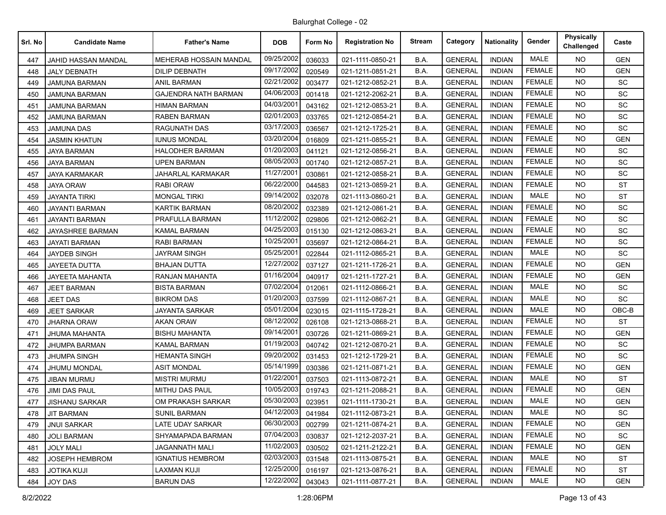| Srl. No | <b>Candidate Name</b>  | <b>Father's Name</b>        | <b>DOB</b> | Form No | <b>Registration No</b> | <b>Stream</b> | Category       | <b>Nationality</b> | Gender        | Physically<br>Challenged | Caste      |
|---------|------------------------|-----------------------------|------------|---------|------------------------|---------------|----------------|--------------------|---------------|--------------------------|------------|
| 447     | JAHID HASSAN MANDAL    | MEHERAB HOSSAIN MANDAL      | 09/25/2002 | 036033  | 021-1111-0850-21       | B.A.          | <b>GENERAL</b> | <b>INDIAN</b>      | <b>MALE</b>   | NO.                      | <b>GEN</b> |
| 448     | <b>JALY DEBNATH</b>    | DILIP DEBNATH               | 09/17/2002 | 020549  | 021-1211-0851-21       | B.A.          | <b>GENERAL</b> | <b>INDIAN</b>      | <b>FEMALE</b> | NO.                      | <b>GEN</b> |
| 449     | <b>JAMUNA BARMAN</b>   | <b>ANIL BARMAN</b>          | 02/21/2002 | 003477  | 021-1212-0852-21       | B.A.          | <b>GENERAL</b> | <b>INDIAN</b>      | <b>FEMALE</b> | <b>NO</b>                | SC         |
| 450     | <b>JAMUNA BARMAN</b>   | <b>GAJENDRA NATH BARMAN</b> | 04/06/2003 | 001418  | 021-1212-2062-21       | B.A.          | <b>GENERAL</b> | <b>INDIAN</b>      | <b>FEMALE</b> | <b>NO</b>                | <b>SC</b>  |
| 451     | <b>JAMUNA BARMAN</b>   | <b>HIMAN BARMAN</b>         | 04/03/2001 | 043162  | 021-1212-0853-21       | B.A.          | <b>GENERAL</b> | <b>INDIAN</b>      | <b>FEMALE</b> | NO.                      | <b>SC</b>  |
| 452     | <b>JAMUNA BARMAN</b>   | RABEN BARMAN                | 02/01/2003 | 033765  | 021-1212-0854-21       | B.A.          | <b>GENERAL</b> | <b>INDIAN</b>      | <b>FEMALE</b> | <b>NO</b>                | SC         |
| 453     | <b>JAMUNA DAS</b>      | <b>RAGUNATH DAS</b>         | 03/17/2003 | 036567  | 021-1212-1725-21       | B.A.          | <b>GENERAL</b> | <b>INDIAN</b>      | <b>FEMALE</b> | <b>NO</b>                | SC         |
| 454     | <b>JASMIN KHATUN</b>   | <b>IUNUS MONDAL</b>         | 03/20/2004 | 016809  | 021-1211-0855-21       | B.A.          | <b>GENERAL</b> | <b>INDIAN</b>      | <b>FEMALE</b> | <b>NO</b>                | <b>GEN</b> |
| 455     | <b>JAYA BARMAN</b>     | <b>HALODHER BARMAN</b>      | 01/20/2003 | 041121  | 021-1212-0856-21       | B.A.          | <b>GENERAL</b> | <b>INDIAN</b>      | <b>FEMALE</b> | NO.                      | SC         |
| 456     | <b>JAYA BARMAN</b>     | UPEN BARMAN                 | 08/05/2003 | 001740  | 021-1212-0857-21       | B.A.          | <b>GENERAL</b> | <b>INDIAN</b>      | <b>FEMALE</b> | <b>NO</b>                | SC         |
| 457     | <b>JAYA KARMAKAR</b>   | <b>JAHARLAL KARMAKAR</b>    | 11/27/2001 | 030861  | 021-1212-0858-21       | B.A.          | <b>GENERAL</b> | <b>INDIAN</b>      | <b>FEMALE</b> | <b>NO</b>                | SC         |
| 458     | <b>JAYA ORAW</b>       | <b>RABI ORAW</b>            | 06/22/2000 | 044583  | 021-1213-0859-21       | B.A.          | <b>GENERAL</b> | <b>INDIAN</b>      | <b>FEMALE</b> | <b>NO</b>                | <b>ST</b>  |
| 459     | <b>JAYANTA TIRKI</b>   | <b>MONGAL TIRKI</b>         | 09/14/2002 | 032078  | 021-1113-0860-21       | B.A.          | <b>GENERAL</b> | <b>INDIAN</b>      | <b>MALE</b>   | <b>NO</b>                | <b>ST</b>  |
| 460     | <b>JAYANTI BARMAN</b>  | <b>KARTIK BARMAN</b>        | 08/20/2002 | 032389  | 021-1212-0861-21       | B.A.          | <b>GENERAL</b> | <b>INDIAN</b>      | <b>FEMALE</b> | NO.                      | SC         |
| 461     | <b>JAYANTI BARMAN</b>  | PRAFULLA BARMAN             | 11/12/2002 | 029806  | 021-1212-0862-21       | B.A.          | <b>GENERAL</b> | <b>INDIAN</b>      | <b>FEMALE</b> | <b>NO</b>                | SC         |
| 462     | JAYASHREE BARMAN       | KAMAL BARMAN                | 04/25/2003 | 015130  | 021-1212-0863-21       | B.A.          | <b>GENERAL</b> | <b>INDIAN</b>      | <b>FEMALE</b> | NO.                      | <b>SC</b>  |
| 463     | <b>JAYATI BARMAN</b>   | <b>RABI BARMAN</b>          | 10/25/2001 | 035697  | 021-1212-0864-21       | B.A.          | <b>GENERAL</b> | <b>INDIAN</b>      | <b>FEMALE</b> | <b>NO</b>                | SC         |
| 464     | <b>JAYDEB SINGH</b>    | JAYRAM SINGH                | 05/25/2001 | 022844  | 021-1112-0865-21       | B.A.          | <b>GENERAL</b> | <b>INDIAN</b>      | <b>MALE</b>   | <b>NO</b>                | <b>SC</b>  |
| 465     | JAYEETA DUTTA          | <b>BHAJAN DUTTA</b>         | 12/27/2002 | 037127  | 021-1211-1726-21       | B.A.          | <b>GENERAL</b> | <b>INDIAN</b>      | <b>FEMALE</b> | <b>NO</b>                | <b>GEN</b> |
| 466     | <b>JAYEETA MAHANTA</b> | RANJAN MAHANTA              | 01/16/2004 | 040917  | 021-1211-1727-21       | B.A.          | <b>GENERAL</b> | <b>INDIAN</b>      | <b>FEMALE</b> | NO.                      | <b>GEN</b> |
| 467     | <b>JEET BARMAN</b>     | <b>BISTA BARMAN</b>         | 07/02/2004 | 012061  | 021-1112-0866-21       | B.A.          | <b>GENERAL</b> | <b>INDIAN</b>      | <b>MALE</b>   | <b>NO</b>                | SC         |
| 468     | <b>JEET DAS</b>        | <b>BIKROM DAS</b>           | 01/20/2003 | 037599  | 021-1112-0867-21       | B.A.          | <b>GENERAL</b> | <b>INDIAN</b>      | <b>MALE</b>   | <b>NO</b>                | <b>SC</b>  |
| 469     | <b>JEET SARKAR</b>     | <b>JAYANTA SARKAR</b>       | 05/01/2004 | 023015  | 021-1115-1728-21       | B.A.          | <b>GENERAL</b> | <b>INDIAN</b>      | <b>MALE</b>   | <b>NO</b>                | OBC-B      |
| 470     | <b>JHARNA ORAW</b>     | <b>AKAN ORAW</b>            | 08/12/2002 | 026108  | 021-1213-0868-21       | B.A.          | <b>GENERAL</b> | <b>INDIAN</b>      | <b>FEMALE</b> | NO.                      | <b>ST</b>  |
| 471     | JHUMA MAHANTA          | BISHU MAHANTA               | 09/14/2001 | 030726  | 021-1211-0869-21       | B.A.          | <b>GENERAL</b> | <b>INDIAN</b>      | <b>FEMALE</b> | <b>NO</b>                | <b>GEN</b> |
| 472     | <b>JHUMPA BARMAN</b>   | <b>KAMAL BARMAN</b>         | 01/19/2003 | 040742  | 021-1212-0870-21       | B.A.          | <b>GENERAL</b> | <b>INDIAN</b>      | <b>FEMALE</b> | <b>NO</b>                | <b>SC</b>  |
| 473     | <b>JHUMPA SINGH</b>    | <b>HEMANTA SINGH</b>        | 09/20/2002 | 031453  | 021-1212-1729-21       | B.A.          | <b>GENERAL</b> | <b>INDIAN</b>      | <b>FEMALE</b> | <b>NO</b>                | SC         |
| 474     | JHUMU MONDAL           | <b>ASIT MONDAL</b>          | 05/14/1999 | 030386  | 021-1211-0871-21       | B.A.          | <b>GENERAL</b> | <b>INDIAN</b>      | <b>FEMALE</b> | NO.                      | <b>GEN</b> |
| 475     | JIBAN MURMU            | <b>MISTRI MURMU</b>         | 01/22/2001 | 037503  | 021-1113-0872-21       | B.A.          | <b>GENERAL</b> | <b>INDIAN</b>      | <b>MALE</b>   | <b>NO</b>                | <b>ST</b>  |
| 476     | <b>JIMI DAS PAUL</b>   | MITHU DAS PAUL              | 10/05/2003 | 019743  | 021-1211-2088-21       | B.A.          | <b>GENERAL</b> | <b>INDIAN</b>      | <b>FEMALE</b> | NO.                      | <b>GEN</b> |
| 477     | JISHANU SARKAR         | OM PRAKASH SARKAR           | 05/30/2003 | 023951  | 021-1111-1730-21       | B.A.          | <b>GENERAL</b> | <b>INDIAN</b>      | <b>MALE</b>   | <b>NO</b>                | <b>GEN</b> |
| 478     | <b>JIT BARMAN</b>      | <b>SUNIL BARMAN</b>         | 04/12/2003 | 041984  | 021-1112-0873-21       | B.A.          | <b>GENERAL</b> | <b>INDIAN</b>      | MALE          | NO.                      | <b>SC</b>  |
| 479     | <b>JNUI SARKAR</b>     | LATE UDAY SARKAR            | 06/30/2003 | 002799  | 021-1211-0874-21       | B.A.          | <b>GENERAL</b> | <b>INDIAN</b>      | <b>FEMALE</b> | <b>NO</b>                | GEN        |
| 480     | <b>JOLI BARMAN</b>     | SHYAMAPADA BARMAN           | 07/04/2003 | 030837  | 021-1212-2037-21       | B.A.          | <b>GENERAL</b> | <b>INDIAN</b>      | <b>FEMALE</b> | NO.                      | <b>SC</b>  |
| 481     | <b>JOLY MALI</b>       | JAGANNATH MALI              | 11/02/2003 | 030502  | 021-1211-2122-21       | B.A.          | <b>GENERAL</b> | <b>INDIAN</b>      | <b>FEMALE</b> | NO.                      | <b>GEN</b> |
| 482     | <b>JOSEPH HEMBROM</b>  | <b>IGNATIUS HEMBROM</b>     | 02/03/2003 | 031548  | 021-1113-0875-21       | B.A.          | <b>GENERAL</b> | <b>INDIAN</b>      | MALE          | NO.                      | <b>ST</b>  |
| 483     | <b>JOTIKA KUJI</b>     | LAXMAN KUJI                 | 12/25/2000 | 016197  | 021-1213-0876-21       | B.A.          | <b>GENERAL</b> | <b>INDIAN</b>      | <b>FEMALE</b> | NO.                      | ST         |
| 484     | JOY DAS                | <b>BARUN DAS</b>            | 12/22/2002 | 043043  | 021-1111-0877-21       | B.A.          | <b>GENERAL</b> | <b>INDIAN</b>      | MALE          | NO                       | GEN        |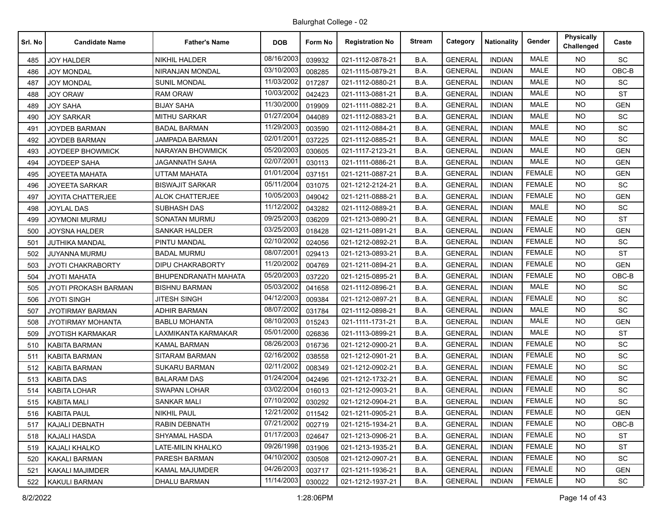| Srl. No | <b>Candidate Name</b>       | <b>Father's Name</b>    | <b>DOB</b> | Form No | <b>Registration No</b> | <b>Stream</b> | Category       | <b>Nationality</b> | Gender        | <b>Physically</b><br>Challenged | Caste      |
|---------|-----------------------------|-------------------------|------------|---------|------------------------|---------------|----------------|--------------------|---------------|---------------------------------|------------|
| 485     | <b>JOY HALDER</b>           | <b>NIKHIL HALDER</b>    | 08/16/2003 | 039932  | 021-1112-0878-21       | B.A.          | <b>GENERAL</b> | <b>INDIAN</b>      | MALE          | NO.                             | SC         |
| 486     | JOY MONDAL                  | NIRANJAN MONDAL         | 03/10/2003 | 008285  | 021-1115-0879-21       | B.A.          | <b>GENERAL</b> | <b>INDIAN</b>      | <b>MALE</b>   | <b>NO</b>                       | OBC-B      |
| 487     | <b>JOY MONDAL</b>           | <b>SUNIL MONDAL</b>     | 11/03/2002 | 017287  | 021-1112-0880-21       | B.A.          | <b>GENERAL</b> | <b>INDIAN</b>      | <b>MALE</b>   | <b>NO</b>                       | <b>SC</b>  |
| 488     | <b>JOY ORAW</b>             | <b>RAM ORAW</b>         | 10/03/2002 | 042423  | 021-1113-0881-21       | B.A.          | <b>GENERAL</b> | <b>INDIAN</b>      | <b>MALE</b>   | <b>NO</b>                       | <b>ST</b>  |
| 489     | <b>JOY SAHA</b>             | <b>BIJAY SAHA</b>       | 11/30/2000 | 019909  | 021-1111-0882-21       | B.A.          | <b>GENERAL</b> | <b>INDIAN</b>      | <b>MALE</b>   | NO.                             | <b>GEN</b> |
| 490     | <b>JOY SARKAR</b>           | MITHU SARKAR            | 01/27/2004 | 044089  | 021-1112-0883-21       | B.A.          | <b>GENERAL</b> | <b>INDIAN</b>      | <b>MALE</b>   | <b>NO</b>                       | <b>SC</b>  |
| 491     | JOYDEB BARMAN               | <b>BADAL BARMAN</b>     | 11/29/2003 | 003590  | 021-1112-0884-21       | B.A.          | <b>GENERAL</b> | <b>INDIAN</b>      | <b>MALE</b>   | <b>NO</b>                       | SC         |
| 492     | JOYDEB BARMAN               | JAMPADA BARMAN          | 02/01/2001 | 037225  | 021-1112-0885-21       | B.A.          | <b>GENERAL</b> | <b>INDIAN</b>      | <b>MALE</b>   | <b>NO</b>                       | <b>SC</b>  |
| 493     | <b>JOYDEEP BHOWMICK</b>     | <b>NARAYAN BHOWMICK</b> | 05/20/2003 | 030605  | 021-1117-2123-21       | B.A.          | <b>GENERAL</b> | <b>INDIAN</b>      | <b>MALE</b>   | NO.                             | <b>GEN</b> |
| 494     | JOYDEEP SAHA                | JAGANNATH SAHA          | 02/07/2001 | 030113  | 021-1111-0886-21       | B.A.          | <b>GENERAL</b> | <b>INDIAN</b>      | MALE          | <b>NO</b>                       | <b>GEN</b> |
| 495     | <b>JOYEETA MAHATA</b>       | <b>UTTAM MAHATA</b>     | 01/01/2004 | 037151  | 021-1211-0887-21       | B.A.          | <b>GENERAL</b> | <b>INDIAN</b>      | <b>FEMALE</b> | <b>NO</b>                       | <b>GEN</b> |
| 496     | JOYEETA SARKAR              | <b>BISWAJIT SARKAR</b>  | 05/11/2004 | 031075  | 021-1212-2124-21       | B.A.          | <b>GENERAL</b> | <b>INDIAN</b>      | <b>FEMALE</b> | <b>NO</b>                       | <b>SC</b>  |
| 497     | JOYITA CHATTERJEE           | ALOK CHATTERJEE         | 10/05/2003 | 049042  | 021-1211-0888-21       | B.A.          | <b>GENERAL</b> | <b>INDIAN</b>      | <b>FEMALE</b> | NO.                             | <b>GEN</b> |
| 498     | JOYLAL DAS                  | SUBHASH DAS             | 11/12/2002 | 043282  | 021-1112-0889-21       | B.A.          | <b>GENERAL</b> | <b>INDIAN</b>      | MALE          | <b>NO</b>                       | <b>SC</b>  |
| 499     | JOYMONI MURMU               | SONATAN MURMU           | 09/25/2003 | 036209  | 021-1213-0890-21       | B.A.          | <b>GENERAL</b> | <b>INDIAN</b>      | <b>FEMALE</b> | <b>NO</b>                       | <b>ST</b>  |
| 500     | JOYSNA HALDER               | SANKAR HALDER           | 03/25/2003 | 018428  | 021-1211-0891-21       | B.A.          | <b>GENERAL</b> | <b>INDIAN</b>      | <b>FEMALE</b> | <b>NO</b>                       | <b>GEN</b> |
| 501     | JUTHIKA MANDAL              | PINTU MANDAL            | 02/10/2002 | 024056  | 021-1212-0892-21       | B.A.          | <b>GENERAL</b> | <b>INDIAN</b>      | <b>FEMALE</b> | NO.                             | SC         |
| 502     | JUYANNA MURMU               | <b>BADAL MURMU</b>      | 08/07/2001 | 029413  | 021-1213-0893-21       | B.A.          | <b>GENERAL</b> | <b>INDIAN</b>      | <b>FEMALE</b> | <b>NO</b>                       | ST         |
| 503     | <b>JYOTI CHAKRABORTY</b>    | <b>DIPU CHAKRABORTY</b> | 11/20/2002 | 004769  | 021-1211-0894-21       | B.A.          | <b>GENERAL</b> | <b>INDIAN</b>      | <b>FEMALE</b> | <b>NO</b>                       | <b>GEN</b> |
| 504     | <b>JYOTI MAHATA</b>         | BHUPENDRANATH MAHATA    | 05/20/2003 | 037220  | 021-1215-0895-21       | B.A.          | <b>GENERAL</b> | <b>INDIAN</b>      | <b>FEMALE</b> | NO.                             | OBC-B      |
| 505     | <b>JYOTI PROKASH BARMAN</b> | <b>BISHNU BARMAN</b>    | 05/03/2002 | 041658  | 021-1112-0896-21       | B.A.          | <b>GENERAL</b> | <b>INDIAN</b>      | <b>MALE</b>   | <b>NO</b>                       | <b>SC</b>  |
| 506     | <b>JYOTI SINGH</b>          | <b>JITESH SINGH</b>     | 04/12/2003 | 009384  | 021-1212-0897-21       | B.A.          | <b>GENERAL</b> | <b>INDIAN</b>      | <b>FEMALE</b> | <b>NO</b>                       | SC         |
| 507     | <b>JYOTIRMAY BARMAN</b>     | <b>ADHIR BARMAN</b>     | 08/07/2002 | 031784  | 021-1112-0898-21       | B.A.          | <b>GENERAL</b> | <b>INDIAN</b>      | MALE          | <b>NO</b>                       | SC         |
| 508     | JYOTIRMAY MOHANTA           | <b>BABLU MOHANTA</b>    | 08/10/2003 | 015243  | 021-1111-1731-21       | B.A.          | <b>GENERAL</b> | <b>INDIAN</b>      | <b>MALE</b>   | NO.                             | <b>GEN</b> |
| 509     | <b>JYOTISH KARMAKAR</b>     | LAXMIKANTA KARMAKAR     | 05/01/2000 | 026836  | 021-1113-0899-21       | B.A.          | <b>GENERAL</b> | <b>INDIAN</b>      | <b>MALE</b>   | <b>NO</b>                       | <b>ST</b>  |
| 510     | <b>KABITA BARMAN</b>        | <b>KAMAL BARMAN</b>     | 08/26/2003 | 016736  | 021-1212-0900-21       | B.A.          | <b>GENERAL</b> | <b>INDIAN</b>      | <b>FEMALE</b> | <b>NO</b>                       | <b>SC</b>  |
| 511     | <b>KABITA BARMAN</b>        | SITARAM BARMAN          | 02/16/2002 | 038558  | 021-1212-0901-21       | B.A.          | <b>GENERAL</b> | <b>INDIAN</b>      | <b>FEMALE</b> | <b>NO</b>                       | SC         |
| 512     | <b>KABITA BARMAN</b>        | SUKARU BARMAN           | 02/11/2002 | 008349  | 021-1212-0902-21       | B.A.          | <b>GENERAL</b> | <b>INDIAN</b>      | <b>FEMALE</b> | NO.                             | SC         |
| 513     | KABITA DAS                  | <b>BALARAM DAS</b>      | 01/24/2004 | 042496  | 021-1212-1732-21       | B.A.          | <b>GENERAL</b> | <b>INDIAN</b>      | <b>FEMALE</b> | <b>NO</b>                       | SC         |
| 514     | <b>KABITA LOHAR</b>         | <b>SWAPAN LOHAR</b>     | 03/02/2004 | 016013  | 021-1212-0903-21       | B.A.          | <b>GENERAL</b> | <b>INDIAN</b>      | <b>FEMALE</b> | <b>NO</b>                       | <b>SC</b>  |
| 515     | <b>KABITA MALI</b>          | SANKAR MALI             | 07/10/2002 | 030292  | 021-1212-0904-21       | B.A.          | <b>GENERAL</b> | <b>INDIAN</b>      | <b>FEMALE</b> | <b>NO</b>                       | SC         |
| 516     | <b>KABITA PAUL</b>          | <b>NIKHIL PAUL</b>      | 12/21/2002 | 011542  | 021-1211-0905-21       | B.A.          | <b>GENERAL</b> | <b>INDIAN</b>      | FEMALE        | NO.                             | <b>GEN</b> |
| 517     | KAJALI DEBNATH              | RABIN DEBNATH           | 07/21/2002 | 002719  | 021-1215-1934-21       | B.A.          | <b>GENERAL</b> | <b>INDIAN</b>      | <b>FEMALE</b> | <b>NO</b>                       | OBC-B      |
| 518     | <b>KAJALI HASDA</b>         | SHYAMAL HASDA           | 01/17/2003 | 024647  | 021-1213-0906-21       | B.A.          | <b>GENERAL</b> | <b>INDIAN</b>      | <b>FEMALE</b> | <b>NO</b>                       | ST         |
| 519     | KAJALI KHALKO               | LATE-MILIN KHALKO       | 09/26/1998 | 031906  | 021-1213-1935-21       | B.A.          | <b>GENERAL</b> | <b>INDIAN</b>      | <b>FEMALE</b> | <b>NO</b>                       | <b>ST</b>  |
| 520     | <b>KAKALI BARMAN</b>        | PARESH BARMAN           | 04/10/2002 | 030508  | 021-1212-0907-21       | B.A.          | <b>GENERAL</b> | <b>INDIAN</b>      | <b>FEMALE</b> | NO.                             | SC         |
| 521     | <b>KAKALI MAJIMDER</b>      | KAMAL MAJUMDER          | 04/26/2003 | 003717  | 021-1211-1936-21       | B.A.          | <b>GENERAL</b> | <b>INDIAN</b>      | <b>FEMALE</b> | NO.                             | GEN        |
| 522     | KAKULI BARMAN               | DHALU BARMAN            | 11/14/2003 | 030022  | 021-1212-1937-21       | B.A.          | <b>GENERAL</b> | <b>INDIAN</b>      | <b>FEMALE</b> | NO.                             | <b>SC</b>  |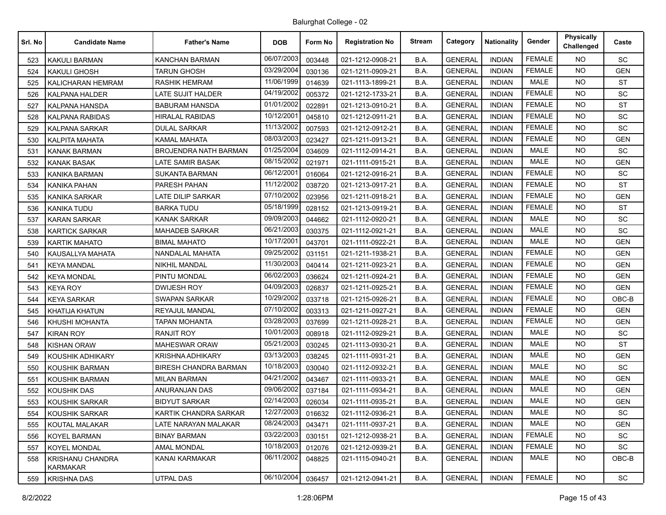| Srl. No | <b>Candidate Name</b>               | <b>Father's Name</b>         | <b>DOB</b> | Form No | <b>Registration No</b> | <b>Stream</b> | Category       | <b>Nationality</b> | Gender        | Physically<br>Challenged | Caste      |
|---------|-------------------------------------|------------------------------|------------|---------|------------------------|---------------|----------------|--------------------|---------------|--------------------------|------------|
| 523     | <b>KAKULI BARMAN</b>                | <b>KANCHAN BARMAN</b>        | 06/07/2003 | 003448  | 021-1212-0908-21       | B.A.          | <b>GENERAL</b> | <b>INDIAN</b>      | <b>FEMALE</b> | NO.                      | SC         |
| 524     | KAKULI GHOSH                        | TARUN GHOSH                  | 03/29/2004 | 030136  | 021-1211-0909-21       | B.A.          | <b>GENERAL</b> | <b>INDIAN</b>      | <b>FEMALE</b> | <b>NO</b>                | <b>GEN</b> |
| 525     | KALICHARAN HEMRAM                   | <b>RASHIK HEMRAM</b>         | 11/06/1999 | 014639  | 021-1113-1899-21       | B.A.          | <b>GENERAL</b> | <b>INDIAN</b>      | <b>MALE</b>   | <b>NO</b>                | <b>ST</b>  |
| 526     | <b>KALPANA HALDER</b>               | LATE SUJIT HALDER            | 04/19/2002 | 005372  | 021-1212-1733-21       | B.A.          | <b>GENERAL</b> | <b>INDIAN</b>      | <b>FEMALE</b> | <b>NO</b>                | SC         |
| 527     | KALPANA HANSDA                      | <b>BABURAM HANSDA</b>        | 01/01/2002 | 022891  | 021-1213-0910-21       | B.A.          | <b>GENERAL</b> | <b>INDIAN</b>      | <b>FEMALE</b> | NO.                      | <b>ST</b>  |
| 528     | KALPANA RABIDAS                     | HIRALAL RABIDAS              | 10/12/2001 | 045810  | 021-1212-0911-21       | B.A.          | <b>GENERAL</b> | <b>INDIAN</b>      | <b>FEMALE</b> | <b>NO</b>                | SC         |
| 529     | <b>KALPANA SARKAR</b>               | <b>DULAL SARKAR</b>          | 11/13/2002 | 007593  | 021-1212-0912-21       | B.A.          | <b>GENERAL</b> | <b>INDIAN</b>      | <b>FEMALE</b> | <b>NO</b>                | SC         |
| 530     | <b>KALPITA MAHATA</b>               | KAMAL MAHATA                 | 08/03/2003 | 023427  | 021-1211-0913-21       | B.A.          | <b>GENERAL</b> | <b>INDIAN</b>      | <b>FEMALE</b> | <b>NO</b>                | <b>GEN</b> |
| 531     | <b>KANAK BARMAN</b>                 | <b>BROJENDRA NATH BARMAN</b> | 01/25/2004 | 034609  | 021-1112-0914-21       | B.A.          | <b>GENERAL</b> | <b>INDIAN</b>      | <b>MALE</b>   | NO.                      | SC         |
| 532     | KANAK BASAK                         | LATE SAMIR BASAK             | 08/15/2002 | 021971  | 021-1111-0915-21       | B.A.          | <b>GENERAL</b> | <b>INDIAN</b>      | MALE          | <b>NO</b>                | <b>GEN</b> |
| 533     | <b>KANIKA BARMAN</b>                | <b>SUKANTA BARMAN</b>        | 06/12/200  | 016064  | 021-1212-0916-21       | B.A.          | <b>GENERAL</b> | <b>INDIAN</b>      | <b>FEMALE</b> | <b>NO</b>                | SC         |
| 534     | KANIKA PAHAN                        | PARESH PAHAN                 | 11/12/2002 | 038720  | 021-1213-0917-21       | B.A.          | <b>GENERAL</b> | <b>INDIAN</b>      | <b>FEMALE</b> | <b>NO</b>                | <b>ST</b>  |
| 535     | KANIKA SARKAR                       | <b>LATE DILIP SARKAR</b>     | 07/10/2002 | 023956  | 021-1211-0918-21       | B.A.          | <b>GENERAL</b> | <b>INDIAN</b>      | <b>FEMALE</b> | NO.                      | <b>GEN</b> |
| 536     | <b>KANIKA TUDU</b>                  | <b>BARKA TUDU</b>            | 05/18/1999 | 028152  | 021-1213-0919-21       | B.A.          | <b>GENERAL</b> | <b>INDIAN</b>      | <b>FEMALE</b> | <b>NO</b>                | <b>ST</b>  |
| 537     | <b>KARAN SARKAR</b>                 | <b>KANAK SARKAR</b>          | 09/09/2003 | 044662  | 021-1112-0920-21       | B.A.          | <b>GENERAL</b> | <b>INDIAN</b>      | MALE          | <b>NO</b>                | SC         |
| 538     | <b>KARTICK SARKAR</b>               | <b>MAHADEB SARKAR</b>        | 06/21/2003 | 030375  | 021-1112-0921-21       | B.A.          | <b>GENERAL</b> | <b>INDIAN</b>      | <b>MALE</b>   | <b>NO</b>                | <b>SC</b>  |
| 539     | KARTIK MAHATO                       | <b>BIMAL MAHATO</b>          | 10/17/2001 | 043701  | 021-1111-0922-21       | B.A.          | <b>GENERAL</b> | <b>INDIAN</b>      | MALE          | NO.                      | <b>GEN</b> |
| 540     | KAUSALLYA MAHATA                    | NANDALAL MAHATA              | 09/25/2002 | 031151  | 021-1211-1938-21       | B.A.          | <b>GENERAL</b> | <b>INDIAN</b>      | <b>FEMALE</b> | <b>NO</b>                | <b>GEN</b> |
| 541     | <b>KEYA MANDAL</b>                  | <b>NIKHIL MANDAL</b>         | 11/30/2003 | 040414  | 021-1211-0923-21       | B.A.          | <b>GENERAL</b> | <b>INDIAN</b>      | <b>FEMALE</b> | <b>NO</b>                | <b>GEN</b> |
| 542     | <b>KEYA MONDAL</b>                  | PINTU MONDAL                 | 06/02/2003 | 036624  | 021-1211-0924-21       | B.A.          | <b>GENERAL</b> | <b>INDIAN</b>      | <b>FEMALE</b> | NO.                      | <b>GEN</b> |
| 543     | KEYA ROY                            | <b>DWIJESH ROY</b>           | 04/09/2003 | 026837  | 021-1211-0925-21       | B.A.          | <b>GENERAL</b> | <b>INDIAN</b>      | <b>FEMALE</b> | <b>NO</b>                | <b>GEN</b> |
| 544     | <b>KEYA SARKAR</b>                  | <b>SWAPAN SARKAR</b>         | 10/29/2002 | 033718  | 021-1215-0926-21       | B.A.          | <b>GENERAL</b> | <b>INDIAN</b>      | <b>FEMALE</b> | NO.                      | $OBC-B$    |
| 545     | KHATIJA KHATUN                      | REYAJUL MANDAL               | 07/10/2002 | 003313  | 021-1211-0927-21       | B.A.          | <b>GENERAL</b> | <b>INDIAN</b>      | <b>FEMALE</b> | <b>NO</b>                | <b>GEN</b> |
| 546     | KHUSHI MOHANTA                      | <b>TAPAN MOHANTA</b>         | 03/28/2003 | 037699  | 021-1211-0928-21       | B.A.          | <b>GENERAL</b> | <b>INDIAN</b>      | <b>FEMALE</b> | NO.                      | <b>GEN</b> |
| 547     | KIRAN ROY                           | <b>RANJIT ROY</b>            | 10/01/2003 | 008918  | 021-1112-0929-21       | B.A.          | <b>GENERAL</b> | <b>INDIAN</b>      | <b>MALE</b>   | <b>NO</b>                | SC         |
| 548     | <b>KISHAN ORAW</b>                  | <b>MAHESWAR ORAW</b>         | 05/21/2003 | 030245  | 021-1113-0930-21       | B.A.          | <b>GENERAL</b> | <b>INDIAN</b>      | <b>MALE</b>   | NO.                      | ST         |
| 549     | KOUSHIK ADHIKARY                    | <b>KRISHNA ADHIKARY</b>      | 03/13/2003 | 038245  | 021-1111-0931-21       | B.A.          | <b>GENERAL</b> | <b>INDIAN</b>      | <b>MALE</b>   | <b>NO</b>                | <b>GEN</b> |
| 550     | KOUSHIK BARMAN                      | <b>BIRESH CHANDRA BARMAN</b> | 10/18/2003 | 030040  | 021-1112-0932-21       | B.A.          | <b>GENERAL</b> | <b>INDIAN</b>      | <b>MALE</b>   | NO.                      | <b>SC</b>  |
| 551     | KOUSHIK BARMAN                      | <b>MILAN BARMAN</b>          | 04/21/2002 | 043467  | 021-1111-0933-21       | B.A.          | <b>GENERAL</b> | <b>INDIAN</b>      | MALE          | <b>NO</b>                | <b>GEN</b> |
| 552     | <b>KOUSHIK DAS</b>                  | ANURANJAN DAS                | 09/06/2002 | 037184  | 021-1111-0934-21       | B.A.          | <b>GENERAL</b> | <b>INDIAN</b>      | <b>MALE</b>   | NO.                      | <b>GEN</b> |
| 553     | KOUSHIK SARKAR                      | <b>BIDYUT SARKAR</b>         | 02/14/2003 | 026034  | 021-1111-0935-21       | B.A.          | <b>GENERAL</b> | <b>INDIAN</b>      | <b>MALE</b>   | <b>NO</b>                | <b>GEN</b> |
| 554     | KOUSHIK SARKAR                      | KARTIK CHANDRA SARKAR        | 12/27/2003 | 016632  | 021-1112-0936-21       | B.A.          | <b>GENERAL</b> | <b>INDIAN</b>      | MALE          | <b>NO</b>                | SC         |
| 555     | KOUTAL MALAKAR                      | LATE NARAYAN MALAKAR         | 08/24/2003 | 043471  | 021-1111-0937-21       | B.A.          | <b>GENERAL</b> | <b>INDIAN</b>      | MALE          | NO.                      | <b>GEN</b> |
| 556     | KOYEL BARMAN                        | <b>BINAY BARMAN</b>          | 03/22/2003 | 030151  | 021-1212-0938-21       | B.A.          | <b>GENERAL</b> | <b>INDIAN</b>      | <b>FEMALE</b> | NO.                      | SC         |
| 557     | <b>KOYEL MONDAL</b>                 | AMAL MONDAL                  | 10/18/2003 | 012076  | 021-1212-0939-21       | B.A.          | <b>GENERAL</b> | <b>INDIAN</b>      | <b>FEMALE</b> | NO.                      | SC         |
| 558     | KRISHANU CHANDRA<br><b>KARMAKAR</b> | KANAI KARMAKAR               | 06/11/2002 | 048825  | 021-1115-0940-21       | B.A.          | <b>GENERAL</b> | INDIAN             | MALE          | NO.                      | OBC-B      |
| 559     | KRISHNA DAS                         | UTPAL DAS                    | 06/10/2004 | 036457  | 021-1212-0941-21       | B.A.          | <b>GENERAL</b> | <b>INDIAN</b>      | <b>FEMALE</b> | <b>NO</b>                | <b>SC</b>  |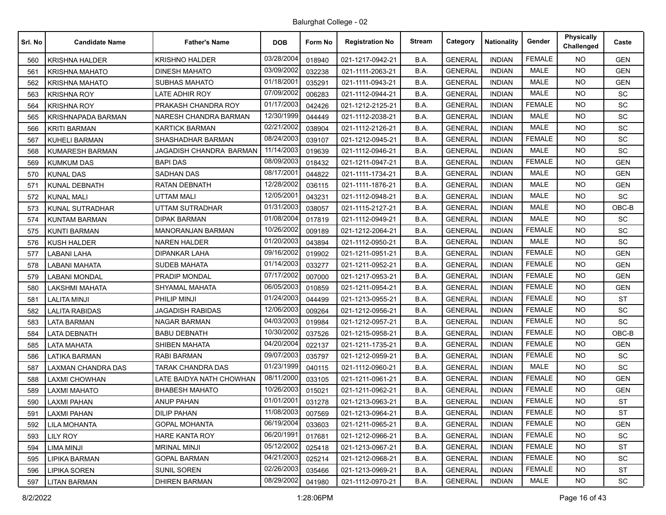| Srl. No | <b>Candidate Name</b>  | <b>Father's Name</b>     | <b>DOB</b> | Form No | <b>Registration No</b> | <b>Stream</b> | Category       | <b>Nationality</b> | Gender        | Physically<br>Challenged | Caste      |
|---------|------------------------|--------------------------|------------|---------|------------------------|---------------|----------------|--------------------|---------------|--------------------------|------------|
| 560     | <b>KRISHNA HALDER</b>  | KRISHNO HALDER           | 03/28/2004 | 018940  | 021-1217-0942-21       | B.A.          | <b>GENERAL</b> | <b>INDIAN</b>      | <b>FEMALE</b> | NO.                      | <b>GEN</b> |
| 561     | KRISHNA MAHATO         | DINESH MAHATO            | 03/09/2002 | 032238  | 021-1111-2063-21       | B.A.          | <b>GENERAL</b> | <b>INDIAN</b>      | <b>MALE</b>   | <b>NO</b>                | <b>GEN</b> |
| 562     | <b>KRISHNA MAHATO</b>  | <b>SUBHAS MAHATO</b>     | 01/18/2001 | 035291  | 021-1111-0943-21       | B.A.          | <b>GENERAL</b> | <b>INDIAN</b>      | <b>MALE</b>   | <b>NO</b>                | <b>GEN</b> |
| 563     | <b>KRISHNA ROY</b>     | LATE ADHIR ROY           | 07/09/2002 | 006283  | 021-1112-0944-21       | B.A.          | <b>GENERAL</b> | <b>INDIAN</b>      | <b>MALE</b>   | <b>NO</b>                | <b>SC</b>  |
| 564     | <b>KRISHNA ROY</b>     | PRAKASH CHANDRA ROY      | 01/17/2003 | 042426  | 021-1212-2125-21       | B.A.          | <b>GENERAL</b> | <b>INDIAN</b>      | <b>FEMALE</b> | NO.                      | SC         |
| 565     | KRISHNAPADA BARMAN     | NARESH CHANDRA BARMAN    | 12/30/1999 | 044449  | 021-1112-2038-21       | B.A.          | <b>GENERAL</b> | <b>INDIAN</b>      | <b>MALE</b>   | <b>NO</b>                | <b>SC</b>  |
| 566     | <b>KRITI BARMAN</b>    | <b>KARTICK BARMAN</b>    | 02/21/2002 | 038904  | 021-1112-2126-21       | B.A.          | <b>GENERAL</b> | <b>INDIAN</b>      | <b>MALE</b>   | <b>NO</b>                | SC         |
| 567     | <b>KUHELI BARMAN</b>   | SHASHADHAR BARMAN        | 08/24/2003 | 039107  | 021-1212-0945-21       | B.A.          | <b>GENERAL</b> | <b>INDIAN</b>      | <b>FEMALE</b> | NO.                      | SC         |
| 568     | <b>KUMARESH BARMAN</b> | JAGADISH CHANDRA BARMAN  | 11/14/2003 | 019639  | 021-1112-0946-21       | B.A.          | <b>GENERAL</b> | <b>INDIAN</b>      | <b>MALE</b>   | NO.                      | SC         |
| 569     | <b>KUMKUM DAS</b>      | <b>BAPI DAS</b>          | 08/09/2003 | 018432  | 021-1211-0947-21       | B.A.          | <b>GENERAL</b> | <b>INDIAN</b>      | <b>FEMALE</b> | NO.                      | <b>GEN</b> |
| 570     | <b>KUNAL DAS</b>       | <b>SADHAN DAS</b>        | 08/17/2001 | 044822  | 021-1111-1734-21       | B.A.          | <b>GENERAL</b> | <b>INDIAN</b>      | <b>MALE</b>   | <b>NO</b>                | <b>GEN</b> |
| 571     | KUNAL DEBNATH          | RATAN DEBNATH            | 12/28/2002 | 036115  | 021-1111-1876-21       | B.A.          | <b>GENERAL</b> | <b>INDIAN</b>      | <b>MALE</b>   | <b>NO</b>                | <b>GEN</b> |
| 572     | <b>KUNAL MALI</b>      | <b>UTTAM MALI</b>        | 12/05/2001 | 043231  | 021-1112-0948-21       | B.A.          | <b>GENERAL</b> | <b>INDIAN</b>      | <b>MALE</b>   | NO.                      | SC         |
| 573     | <b>KUNAL SUTRADHAR</b> | <b>UTTAM SUTRADHAR</b>   | 01/31/2003 | 038057  | 021-1115-2127-21       | B.A.          | <b>GENERAL</b> | <b>INDIAN</b>      | MALE          | NO.                      | OBC-B      |
| 574     | <b>KUNTAM BARMAN</b>   | <b>DIPAK BARMAN</b>      | 01/08/2004 | 017819  | 021-1112-0949-21       | B.A.          | <b>GENERAL</b> | <b>INDIAN</b>      | <b>MALE</b>   | <b>NO</b>                | SC         |
| 575     | <b>KUNTI BARMAN</b>    | <b>MANORANJAN BARMAN</b> | 10/26/2002 | 009189  | 021-1212-2064-21       | B.A.          | <b>GENERAL</b> | <b>INDIAN</b>      | <b>FEMALE</b> | <b>NO</b>                | <b>SC</b>  |
| 576     | KUSH HALDER            | <b>NAREN HALDER</b>      | 01/20/2003 | 043894  | 021-1112-0950-21       | B.A.          | <b>GENERAL</b> | <b>INDIAN</b>      | <b>MALE</b>   | NO.                      | SC         |
| 577     | <b>LABANI LAHA</b>     | DIPANKAR LAHA            | 09/16/2002 | 019902  | 021-1211-0951-21       | B.A.          | <b>GENERAL</b> | <b>INDIAN</b>      | <b>FEMALE</b> | NO.                      | <b>GEN</b> |
| 578     | LABANI MAHATA          | <b>SUDEB MAHATA</b>      | 01/14/2003 | 033277  | 021-1211-0952-21       | B.A.          | <b>GENERAL</b> | <b>INDIAN</b>      | <b>FEMALE</b> | <b>NO</b>                | <b>GEN</b> |
| 579     | <b>LABANI MONDAL</b>   | PRADIP MONDAL            | 07/17/2002 | 007000  | 021-1217-0953-21       | B.A.          | <b>GENERAL</b> | <b>INDIAN</b>      | <b>FEMALE</b> | NO.                      | <b>GEN</b> |
| 580     | LAKSHMI MAHATA         | SHYAMAL MAHATA           | 06/05/2003 | 010859  | 021-1211-0954-21       | B.A.          | <b>GENERAL</b> | <b>INDIAN</b>      | <b>FEMALE</b> | NO.                      | <b>GEN</b> |
| 581     | <b>LALITA MINJI</b>    | PHILIP MINJI             | 01/24/2003 | 044499  | 021-1213-0955-21       | B.A.          | <b>GENERAL</b> | <b>INDIAN</b>      | <b>FEMALE</b> | NO.                      | <b>ST</b>  |
| 582     | <b>LALITA RABIDAS</b>  | <b>JAGADISH RABIDAS</b>  | 12/06/2003 | 009264  | 021-1212-0956-21       | B.A.          | <b>GENERAL</b> | <b>INDIAN</b>      | <b>FEMALE</b> | <b>NO</b>                | SC         |
| 583     | <b>LATA BARMAN</b>     | <b>NAGAR BARMAN</b>      | 04/03/2003 | 019984  | 021-1212-0957-21       | B.A.          | <b>GENERAL</b> | <b>INDIAN</b>      | <b>FEMALE</b> | NO.                      | <b>SC</b>  |
| 584     | LATA DEBNATH           | <b>BABU DEBNATH</b>      | 10/30/2002 | 037526  | 021-1215-0958-21       | B.A.          | <b>GENERAL</b> | <b>INDIAN</b>      | <b>FEMALE</b> | <b>NO</b>                | OBC-B      |
| 585     | <b>LATA MAHATA</b>     | SHIBEN MAHATA            | 04/20/2004 | 022137  | 021-1211-1735-21       | B.A.          | <b>GENERAL</b> | <b>INDIAN</b>      | <b>FEMALE</b> | NO.                      | <b>GEN</b> |
| 586     | LATIKA BARMAN          | <b>RABI BARMAN</b>       | 09/07/2003 | 035797  | 021-1212-0959-21       | B.A.          | <b>GENERAL</b> | <b>INDIAN</b>      | <b>FEMALE</b> | <b>NO</b>                | SC         |
| 587     | LAXMAN CHANDRA DAS     | TARAK CHANDRA DAS        | 01/23/1999 | 040115  | 021-1112-0960-21       | B.A.          | <b>GENERAL</b> | <b>INDIAN</b>      | <b>MALE</b>   | NO.                      | <b>SC</b>  |
| 588     | LAXMI CHOWHAN          | LATE BAIDYA NATH CHOWHAN | 08/11/2000 | 033105  | 021-1211-0961-21       | B.A.          | <b>GENERAL</b> | <b>INDIAN</b>      | <b>FEMALE</b> | <b>NO</b>                | <b>GEN</b> |
| 589     | LAXMI MAHATO           | <b>BHABESH MAHATO</b>    | 10/26/2003 | 015021  | 021-1211-0962-21       | B.A.          | <b>GENERAL</b> | <b>INDIAN</b>      | <b>FEMALE</b> | NO.                      | <b>GEN</b> |
| 590     | LAXMI PAHAN            | <b>ANUP PAHAN</b>        | 01/01/2001 | 031278  | 021-1213-0963-21       | B.A.          | <b>GENERAL</b> | <b>INDIAN</b>      | <b>FEMALE</b> | <b>NO</b>                | <b>ST</b>  |
| 591     | <b>LAXMI PAHAN</b>     | <b>DILIP PAHAN</b>       | 11/08/2003 | 007569  | 021-1213-0964-21       | B.A.          | <b>GENERAL</b> | <b>INDIAN</b>      | <b>FEMALE</b> | NO.                      | <b>ST</b>  |
| 592     | <b>LILA MOHANTA</b>    | <b>GOPAL MOHANTA</b>     | 06/19/2004 | 033603  | 021-1211-0965-21       | B.A.          | <b>GENERAL</b> | <b>INDIAN</b>      | <b>FEMALE</b> | <b>NO</b>                | <b>GEN</b> |
| 593     | <b>LILY ROY</b>        | <b>HARE KANTA ROY</b>    | 06/20/1991 | 017681  | 021-1212-0966-21       | B.A.          | <b>GENERAL</b> | <b>INDIAN</b>      | <b>FEMALE</b> | <b>NO</b>                | SC         |
| 594     | LIMA MINJI             | <b>MRINAL MINJI</b>      | 05/12/2002 | 025418  | 021-1213-0967-21       | B.A.          | <b>GENERAL</b> | <b>INDIAN</b>      | <b>FEMALE</b> | <b>NO</b>                | <b>ST</b>  |
| 595     | <b>LIPIKA BARMAN</b>   | <b>GOPAL BARMAN</b>      | 04/21/2003 | 025214  | 021-1212-0968-21       | B.A.          | <b>GENERAL</b> | <b>INDIAN</b>      | <b>FEMALE</b> | NO.                      | SC         |
| 596     | <b>LIPIKA SOREN</b>    | SUNIL SOREN              | 02/26/2003 | 035466  | 021-1213-0969-21       | B.A.          | <b>GENERAL</b> | <b>INDIAN</b>      | <b>FEMALE</b> | NO.                      | ST         |
| 597     | <b>LITAN BARMAN</b>    | <b>DHIREN BARMAN</b>     | 08/29/2002 | 041980  | 021-1112-0970-21       | B.A.          | <b>GENERAL</b> | <b>INDIAN</b>      | MALE          | NO.                      | SC         |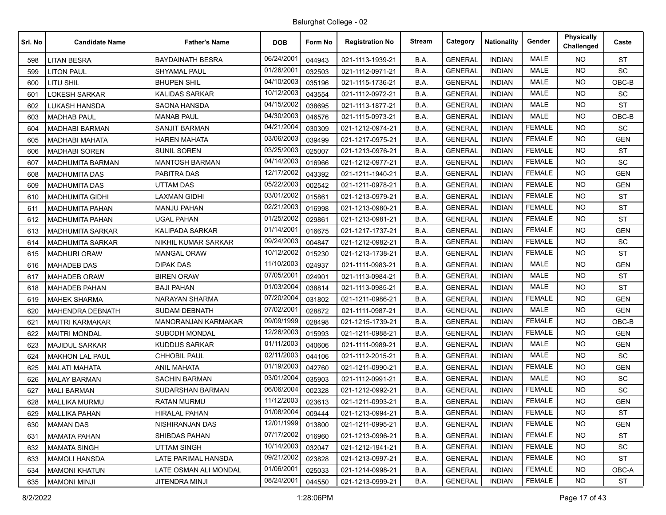| Srl. No | <b>Candidate Name</b>   | <b>Father's Name</b>       | <b>DOB</b> | Form No | <b>Registration No</b> | Stream | Category       | <b>Nationality</b> | Gender        | <b>Physically</b><br>Challenged | Caste      |
|---------|-------------------------|----------------------------|------------|---------|------------------------|--------|----------------|--------------------|---------------|---------------------------------|------------|
| 598     | <b>LITAN BESRA</b>      | <b>BAYDAINATH BESRA</b>    | 06/24/2001 | 044943  | 021-1113-1939-21       | B.A.   | <b>GENERAL</b> | <b>INDIAN</b>      | <b>MALE</b>   | <b>NO</b>                       | <b>ST</b>  |
| 599     | <b>LITON PAUL</b>       | <b>SHYAMAL PAUL</b>        | 01/26/2001 | 032503  | 021-1112-0971-21       | B.A.   | <b>GENERAL</b> | <b>INDIAN</b>      | <b>MALE</b>   | <b>NO</b>                       | <b>SC</b>  |
| 600     | LITU SHIL               | <b>BHUPEN SHIL</b>         | 04/10/2003 | 035196  | 021-1115-1736-21       | B.A.   | <b>GENERAL</b> | <b>INDIAN</b>      | <b>MALE</b>   | NO.                             | OBC-B      |
| 601     | <b>LOKESH SARKAR</b>    | <b>KALIDAS SARKAR</b>      | 10/12/2003 | 043554  | 021-1112-0972-21       | B.A.   | <b>GENERAL</b> | <b>INDIAN</b>      | <b>MALE</b>   | <b>NO</b>                       | SC         |
| 602     | LUKASH HANSDA           | <b>SAONA HANSDA</b>        | 04/15/2002 | 038695  | 021-1113-1877-21       | B.A.   | <b>GENERAL</b> | <b>INDIAN</b>      | <b>MALE</b>   | NO.                             | <b>ST</b>  |
| 603     | <b>MADHAB PAUL</b>      | <b>MANAB PAUL</b>          | 04/30/2003 | 046576  | 021-1115-0973-21       | B.A.   | <b>GENERAL</b> | <b>INDIAN</b>      | <b>MALE</b>   | <b>NO</b>                       | $OBC-B$    |
| 604     | <b>MADHABI BARMAN</b>   | <b>SANJIT BARMAN</b>       | 04/21/2004 | 030309  | 021-1212-0974-21       | B.A.   | <b>GENERAL</b> | <b>INDIAN</b>      | <b>FEMALE</b> | NO.                             | <b>SC</b>  |
| 605     | <b>MADHABI MAHATA</b>   | <b>HAREN MAHATA</b>        | 03/06/2003 | 039499  | 021-1217-0975-21       | B.A.   | <b>GENERAL</b> | <b>INDIAN</b>      | <b>FEMALE</b> | <b>NO</b>                       | <b>GEN</b> |
| 606     | <b>MADHABI SOREN</b>    | <b>SUNIL SOREN</b>         | 03/25/2003 | 025007  | 021-1213-0976-21       | B.A.   | <b>GENERAL</b> | <b>INDIAN</b>      | <b>FEMALE</b> | NO.                             | <b>ST</b>  |
| 607     | <b>MADHUMITA BARMAN</b> | <b>MANTOSH BARMAN</b>      | 04/14/2003 | 016966  | 021-1212-0977-21       | B.A.   | <b>GENERAL</b> | <b>INDIAN</b>      | <b>FEMALE</b> | <b>NO</b>                       | SC         |
| 608     | <b>MADHUMITA DAS</b>    | PABITRA DAS                | 12/17/2002 | 043392  | 021-1211-1940-21       | B.A.   | <b>GENERAL</b> | <b>INDIAN</b>      | <b>FEMALE</b> | NO.                             | <b>GEN</b> |
| 609     | <b>MADHUMITA DAS</b>    | <b>UTTAM DAS</b>           | 05/22/2003 | 002542  | 021-1211-0978-21       | B.A.   | <b>GENERAL</b> | <b>INDIAN</b>      | <b>FEMALE</b> | <b>NO</b>                       | <b>GEN</b> |
| 610     | <b>MADHUMITA GIDHI</b>  | <b>LAXMAN GIDHI</b>        | 03/01/2002 | 015861  | 021-1213-0979-21       | B.A.   | <b>GENERAL</b> | <b>INDIAN</b>      | <b>FEMALE</b> | NO.                             | <b>ST</b>  |
| 611     | <b>MADHUMITA PAHAN</b>  | <b>MANJU PAHAN</b>         | 02/21/2003 | 016998  | 021-1213-0980-21       | B.A.   | <b>GENERAL</b> | <b>INDIAN</b>      | <b>FEMALE</b> | <b>NO</b>                       | <b>ST</b>  |
| 612     | <b>MADHUMITA PAHAN</b>  | <b>UGAL PAHAN</b>          | 01/25/2002 | 029861  | 021-1213-0981-21       | B.A.   | <b>GENERAL</b> | <b>INDIAN</b>      | <b>FEMALE</b> | <b>NO</b>                       | <b>ST</b>  |
| 613     | <b>MADHUMITA SARKAR</b> | <b>KALIPADA SARKAR</b>     | 01/14/2001 | 016675  | 021-1217-1737-21       | B.A.   | <b>GENERAL</b> | <b>INDIAN</b>      | <b>FEMALE</b> | <b>NO</b>                       | <b>GEN</b> |
| 614     | <b>MADHUMITA SARKAR</b> | NIKHIL KUMAR SARKAR        | 09/24/2003 | 004847  | 021-1212-0982-21       | B.A.   | <b>GENERAL</b> | <b>INDIAN</b>      | <b>FEMALE</b> | NO.                             | SC         |
| 615     | <b>MADHURI ORAW</b>     | <b>MANGAL ORAW</b>         | 10/12/2002 | 015230  | 021-1213-1738-21       | B.A.   | <b>GENERAL</b> | <b>INDIAN</b>      | <b>FEMALE</b> | <b>NO</b>                       | <b>ST</b>  |
| 616     | <b>MAHADEB DAS</b>      | <b>DIPAK DAS</b>           | 11/10/2003 | 024937  | 021-1111-0983-21       | B.A.   | <b>GENERAL</b> | <b>INDIAN</b>      | <b>MALE</b>   | NO.                             | <b>GEN</b> |
| 617     | <b>MAHADEB ORAW</b>     | <b>BIREN ORAW</b>          | 07/05/2001 | 024901  | 021-1113-0984-21       | B.A.   | <b>GENERAL</b> | <b>INDIAN</b>      | <b>MALE</b>   | <b>NO</b>                       | <b>ST</b>  |
| 618     | <b>MAHADEB PAHAN</b>    | <b>BAJI PAHAN</b>          | 01/03/2004 | 038814  | 021-1113-0985-21       | B.A.   | <b>GENERAL</b> | <b>INDIAN</b>      | <b>MALE</b>   | NO.                             | <b>ST</b>  |
| 619     | <b>MAHEK SHARMA</b>     | NARAYAN SHARMA             | 07/20/2004 | 031802  | 021-1211-0986-21       | B.A.   | <b>GENERAL</b> | <b>INDIAN</b>      | <b>FEMALE</b> | <b>NO</b>                       | <b>GEN</b> |
| 620     | <b>MAHENDRA DEBNATH</b> | <b>SUDAM DEBNATH</b>       | 07/02/2001 | 028872  | 021-1111-0987-21       | B.A.   | <b>GENERAL</b> | <b>INDIAN</b>      | <b>MALE</b>   | <b>NO</b>                       | <b>GEN</b> |
| 621     | <b>MAITRI KARMAKAR</b>  | <b>MANORANJAN KARMAKAR</b> | 09/09/1999 | 028498  | 021-1215-1739-21       | B.A.   | <b>GENERAL</b> | <b>INDIAN</b>      | <b>FEMALE</b> | <b>NO</b>                       | OBC-B      |
| 622     | <b>MAITRI MONDAL</b>    | SUBODH MONDAL              | 12/26/2003 | 015993  | 021-1211-0988-21       | B.A.   | <b>GENERAL</b> | <b>INDIAN</b>      | <b>FEMALE</b> | <b>NO</b>                       | <b>GEN</b> |
| 623     | <b>MAJIDUL SARKAR</b>   | KUDDUS SARKAR              | 01/11/2003 | 040606  | 021-1111-0989-21       | B.A.   | <b>GENERAL</b> | <b>INDIAN</b>      | <b>MALE</b>   | <b>NO</b>                       | GEN        |
| 624     | <b>MAKHON LAL PAUL</b>  | <b>CHHOBIL PAUL</b>        | 02/11/2003 | 044106  | 021-1112-2015-21       | B.A.   | <b>GENERAL</b> | <b>INDIAN</b>      | <b>MALE</b>   | <b>NO</b>                       | <b>SC</b>  |
| 625     | <b>MALATI MAHATA</b>    | <b>ANIL MAHATA</b>         | 01/19/2003 | 042760  | 021-1211-0990-21       | B.A.   | <b>GENERAL</b> | <b>INDIAN</b>      | <b>FEMALE</b> | <b>NO</b>                       | <b>GEN</b> |
| 626     | <b>MALAY BARMAN</b>     | <b>SACHIN BARMAN</b>       | 03/01/2004 | 035903  | 021-1112-0991-21       | B.A.   | <b>GENERAL</b> | <b>INDIAN</b>      | <b>MALE</b>   | <b>NO</b>                       | <b>SC</b>  |
| 627     | <b>MALI BARMAN</b>      | SUDARSHAN BARMAN           | 06/06/2004 | 002328  | 021-1212-0992-21       | B.A.   | <b>GENERAL</b> | <b>INDIAN</b>      | <b>FEMALE</b> | NO.                             | <b>SC</b>  |
| 628     | <b>MALLIKA MURMU</b>    | <b>RATAN MURMU</b>         | 11/12/2003 | 023613  | 021-1211-0993-21       | B.A.   | <b>GENERAL</b> | <b>INDIAN</b>      | <b>FEMALE</b> | <b>NO</b>                       | <b>GEN</b> |
| 629     | <b>MALLIKA PAHAN</b>    | <b>HIRALAL PAHAN</b>       | 01/08/2004 | 009444  | 021-1213-0994-21       | B.A.   | <b>GENERAL</b> | INDIAN             | <b>FEMALE</b> | NO.                             | <b>ST</b>  |
| 630     | <b>MAMAN DAS</b>        | NISHIRANJAN DAS            | 12/01/1999 | 013800  | 021-1211-0995-21       | B.A.   | <b>GENERAL</b> | <b>INDIAN</b>      | <b>FEMALE</b> | <b>NO</b>                       | <b>GEN</b> |
| 631     | <b>MAMATA PAHAN</b>     | SHIBDAS PAHAN              | 07/17/2002 | 016960  | 021-1213-0996-21       | B.A.   | <b>GENERAL</b> | <b>INDIAN</b>      | <b>FEMALE</b> | NO.                             | ST         |
| 632     | <b>MAMATA SINGH</b>     | <b>UTTAM SINGH</b>         | 10/14/2003 | 032047  | 021-1212-1941-21       | B.A.   | <b>GENERAL</b> | <b>INDIAN</b>      | <b>FEMALE</b> | <b>NO</b>                       | SC         |
| 633     | <b>MAMOLI HANSDA</b>    | LATE PARIMAL HANSDA        | 09/21/2002 | 023828  | 021-1213-0997-21       | B.A.   | <b>GENERAL</b> | <b>INDIAN</b>      | <b>FEMALE</b> | <b>NO</b>                       | <b>ST</b>  |
| 634     | <b>MAMONI KHATUN</b>    | LATE OSMAN ALI MONDAL      | 01/06/2001 | 025033  | 021-1214-0998-21       | B.A.   | <b>GENERAL</b> | <b>INDIAN</b>      | <b>FEMALE</b> | <b>NO</b>                       | OBC-A      |
| 635     | <b>MAMONI MINJI</b>     | JITENDRA MINJI             | 08/24/2001 | 044550  | 021-1213-0999-21       | B.A.   | <b>GENERAL</b> | <b>INDIAN</b>      | <b>FEMALE</b> | <b>NO</b>                       | ST         |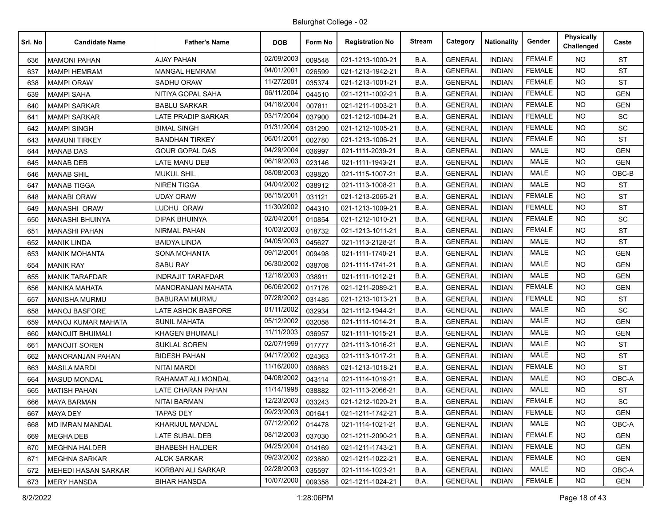| Srl. No | <b>Candidate Name</b>      | <b>Father's Name</b>      | <b>DOB</b> | Form No | <b>Registration No</b> | <b>Stream</b> | Category       | <b>Nationality</b> | Gender        | Physically<br>Challenged | Caste      |
|---------|----------------------------|---------------------------|------------|---------|------------------------|---------------|----------------|--------------------|---------------|--------------------------|------------|
| 636     | <b>MAMONI PAHAN</b>        | <b>AJAY PAHAN</b>         | 02/09/2003 | 009548  | 021-1213-1000-21       | B.A.          | <b>GENERAL</b> | <b>INDIAN</b>      | <b>FEMALE</b> | NO.                      | <b>ST</b>  |
| 637     | <b>MAMPI HEMRAM</b>        | <b>MANGAL HEMRAM</b>      | 04/01/2001 | 026599  | 021-1213-1942-21       | B.A.          | <b>GENERAL</b> | <b>INDIAN</b>      | <b>FEMALE</b> | NO.                      | <b>ST</b>  |
| 638     | <b>MAMPI ORAW</b>          | <b>SADHU ORAW</b>         | 11/27/2001 | 035374  | 021-1213-1001-21       | B.A.          | <b>GENERAL</b> | <b>INDIAN</b>      | <b>FEMALE</b> | <b>NO</b>                | <b>ST</b>  |
| 639     | <b>MAMPI SAHA</b>          | NITIYA GOPAL SAHA         | 06/11/2004 | 044510  | 021-1211-1002-21       | B.A.          | <b>GENERAL</b> | <b>INDIAN</b>      | <b>FEMALE</b> | <b>NO</b>                | <b>GEN</b> |
| 640     | <b>MAMPI SARKAR</b>        | <b>BABLU SARKAR</b>       | 04/16/2004 | 007811  | 021-1211-1003-21       | B.A.          | <b>GENERAL</b> | <b>INDIAN</b>      | <b>FEMALE</b> | NO.                      | <b>GEN</b> |
| 641     | <b>MAMPI SARKAR</b>        | <b>LATE PRADIP SARKAR</b> | 03/17/2004 | 037900  | 021-1212-1004-21       | B.A.          | <b>GENERAL</b> | <b>INDIAN</b>      | <b>FEMALE</b> | <b>NO</b>                | <b>SC</b>  |
| 642     | <b>MAMPI SINGH</b>         | <b>BIMAL SINGH</b>        | 01/31/2004 | 031290  | 021-1212-1005-21       | B.A.          | <b>GENERAL</b> | <b>INDIAN</b>      | <b>FEMALE</b> | <b>NO</b>                | SC         |
| 643     | <b>MAMUNI TIRKEY</b>       | <b>BANDHAN TIRKEY</b>     | 06/01/2001 | 002780  | 021-1213-1006-21       | B.A.          | <b>GENERAL</b> | <b>INDIAN</b>      | <b>FEMALE</b> | <b>NO</b>                | <b>ST</b>  |
| 644     | <b>MANAB DAS</b>           | <b>GOUR GOPAL DAS</b>     | 04/29/2004 | 036997  | 021-1111-2039-21       | B.A.          | <b>GENERAL</b> | <b>INDIAN</b>      | <b>MALE</b>   | NO.                      | <b>GEN</b> |
| 645     | <b>MANAB DEB</b>           | LATE MANU DEB             | 06/19/2003 | 023146  | 021-1111-1943-21       | B.A.          | <b>GENERAL</b> | <b>INDIAN</b>      | <b>MALE</b>   | <b>NO</b>                | <b>GEN</b> |
| 646     | <b>MANAB SHIL</b>          | <b>MUKUL SHIL</b>         | 08/08/2003 | 039820  | 021-1115-1007-21       | B.A.          | <b>GENERAL</b> | <b>INDIAN</b>      | <b>MALE</b>   | <b>NO</b>                | OBC-B      |
| 647     | <b>MANAB TIGGA</b>         | <b>NIREN TIGGA</b>        | 04/04/2002 | 038912  | 021-1113-1008-21       | B.A.          | <b>GENERAL</b> | <b>INDIAN</b>      | <b>MALE</b>   | <b>NO</b>                | <b>ST</b>  |
| 648     | <b>MANABI ORAW</b>         | <b>UDAY ORAW</b>          | 08/15/2001 | 031121  | 021-1213-2065-21       | B.A.          | <b>GENERAL</b> | <b>INDIAN</b>      | <b>FEMALE</b> | <b>NO</b>                | <b>ST</b>  |
| 649     | MANASHI ORAW               | LUDHU ORAW                | 11/30/2002 | 044310  | 021-1213-1009-21       | B.A.          | <b>GENERAL</b> | <b>INDIAN</b>      | <b>FEMALE</b> | NO.                      | <b>ST</b>  |
| 650     | <b>MANASHI BHUINYA</b>     | <b>DIPAK BHUINYA</b>      | 02/04/2001 | 010854  | 021-1212-1010-21       | B.A.          | <b>GENERAL</b> | <b>INDIAN</b>      | <b>FEMALE</b> | <b>NO</b>                | SC         |
| 651     | <b>MANASHI PAHAN</b>       | <b>NIRMAL PAHAN</b>       | 10/03/2003 | 018732  | 021-1213-1011-21       | B.A.          | <b>GENERAL</b> | <b>INDIAN</b>      | <b>FEMALE</b> | NO.                      | <b>ST</b>  |
| 652     | MANIK LINDA                | <b>BAIDYA LINDA</b>       | 04/05/2003 | 045627  | 021-1113-2128-21       | B.A.          | <b>GENERAL</b> | <b>INDIAN</b>      | <b>MALE</b>   | <b>NO</b>                | <b>ST</b>  |
| 653     | <b>MANIK MOHANTA</b>       | <b>SONA MOHANTA</b>       | 09/12/2001 | 009498  | 021-1111-1740-21       | B.A.          | <b>GENERAL</b> | <b>INDIAN</b>      | <b>MALE</b>   | NO.                      | <b>GEN</b> |
| 654     | <b>MANIK RAY</b>           | <b>SABU RAY</b>           | 06/30/2002 | 038708  | 021-1111-1741-21       | B.A.          | <b>GENERAL</b> | <b>INDIAN</b>      | <b>MALE</b>   | <b>NO</b>                | <b>GEN</b> |
| 655     | <b>MANIK TARAFDAR</b>      | <b>INDRAJIT TARAFDAR</b>  | 12/16/2003 | 038911  | 021-1111-1012-21       | B.A.          | <b>GENERAL</b> | <b>INDIAN</b>      | <b>MALE</b>   | NO.                      | <b>GEN</b> |
| 656     | <b>MANIKA MAHATA</b>       | <b>MANORANJAN MAHATA</b>  | 06/06/2002 | 017176  | 021-1211-2089-21       | B.A.          | <b>GENERAL</b> | <b>INDIAN</b>      | <b>FEMALE</b> | <b>NO</b>                | <b>GEN</b> |
| 657     | <b>MANISHA MURMU</b>       | <b>BABURAM MURMU</b>      | 07/28/2002 | 031485  | 021-1213-1013-21       | B.A.          | <b>GENERAL</b> | <b>INDIAN</b>      | <b>FEMALE</b> | <b>NO</b>                | ST         |
| 658     | <b>MANOJ BASFORE</b>       | <b>LATE ASHOK BASFORE</b> | 01/11/2002 | 032934  | 021-1112-1944-21       | B.A.          | <b>GENERAL</b> | <b>INDIAN</b>      | <b>MALE</b>   | <b>NO</b>                | SC         |
| 659     | MANOJ KUMAR MAHATA         | <b>SUNIL MAHATA</b>       | 05/12/2002 | 032058  | 021-1111-1014-21       | B.A.          | <b>GENERAL</b> | <b>INDIAN</b>      | <b>MALE</b>   | NO.                      | <b>GEN</b> |
| 660     | <b>MANOJIT BHUIMALI</b>    | KHAGEN BHUIMALI           | 11/11/2003 | 036957  | 021-1111-1015-21       | B.A.          | <b>GENERAL</b> | <b>INDIAN</b>      | <b>MALE</b>   | <b>NO</b>                | <b>GEN</b> |
| 661     | <b>MANOJIT SOREN</b>       | <b>SUKLAL SOREN</b>       | 02/07/1999 | 017777  | 021-1113-1016-21       | B.A.          | <b>GENERAL</b> | <b>INDIAN</b>      | <b>MALE</b>   | <b>NO</b>                | <b>ST</b>  |
| 662     | <b>MANORANJAN PAHAN</b>    | <b>BIDESH PAHAN</b>       | 04/17/2002 | 024363  | 021-1113-1017-21       | B.A.          | <b>GENERAL</b> | <b>INDIAN</b>      | <b>MALE</b>   | <b>NO</b>                | <b>ST</b>  |
| 663     | <b>MASILA MARDI</b>        | <b>NITAI MARDI</b>        | 11/16/2000 | 038863  | 021-1213-1018-21       | B.A.          | <b>GENERAL</b> | <b>INDIAN</b>      | <b>FEMALE</b> | NO.                      | <b>ST</b>  |
| 664     | <b>MASUD MONDAL</b>        | RAHAMAT ALI MONDAL        | 04/08/2002 | 043114  | 021-1114-1019-21       | B.A.          | <b>GENERAL</b> | <b>INDIAN</b>      | <b>MALE</b>   | <b>NO</b>                | OBC-A      |
| 665     | <b>MATISH PAHAN</b>        | <b>LATE CHARAN PAHAN</b>  | 11/14/1998 | 038882  | 021-1113-2066-21       | B.A.          | <b>GENERAL</b> | <b>INDIAN</b>      | <b>MALE</b>   | NO.                      | <b>ST</b>  |
| 666     | <b>MAYA BARMAN</b>         | NITAI BARMAN              | 12/23/2003 | 033243  | 021-1212-1020-21       | B.A.          | <b>GENERAL</b> | <b>INDIAN</b>      | <b>FEMALE</b> | <b>NO</b>                | SC         |
| 667     | <b>MAYA DEY</b>            | <b>TAPAS DEY</b>          | 09/23/2003 | 001641  | 021-1211-1742-21       | B.A.          | <b>GENERAL</b> | <b>INDIAN</b>      | <b>FEMALE</b> | NO.                      | <b>GEN</b> |
| 668     | <b>MD IMRAN MANDAL</b>     | KHARIJUL MANDAL           | 07/12/2002 | 014478  | 021-1114-1021-21       | B.A.          | <b>GENERAL</b> | <b>INDIAN</b>      | MALE          | <b>NO</b>                | OBC-A      |
| 669     | <b>MEGHA DEB</b>           | LATE SUBAL DEB            | 08/12/2003 | 037030  | 021-1211-2090-21       | B.A.          | <b>GENERAL</b> | <b>INDIAN</b>      | <b>FEMALE</b> | NO.                      | <b>GEN</b> |
| 670     | <b>MEGHNA HALDER</b>       | <b>BHABESH HALDER</b>     | 04/25/2004 | 014169  | 021-1211-1743-21       | B.A.          | <b>GENERAL</b> | <b>INDIAN</b>      | <b>FEMALE</b> | <b>NO</b>                | <b>GEN</b> |
| 671     | <b>MEGHNA SARKAR</b>       | <b>ALOK SARKAR</b>        | 09/23/2002 | 023880  | 021-1211-1022-21       | B.A.          | <b>GENERAL</b> | <b>INDIAN</b>      | <b>FEMALE</b> | <b>NO</b>                | <b>GEN</b> |
| 672     | <b>MEHEDI HASAN SARKAR</b> | KORBAN ALI SARKAR         | 02/28/2003 | 035597  | 021-1114-1023-21       | B.A.          | <b>GENERAL</b> | <b>INDIAN</b>      | MALE          | NO.                      | OBC-A      |
| 673     | <b>MERY HANSDA</b>         | <b>BIHAR HANSDA</b>       | 10/07/2000 | 009358  | 021-1211-1024-21       | B.A.          | <b>GENERAL</b> | <b>INDIAN</b>      | <b>FEMALE</b> | NO.                      | GEN        |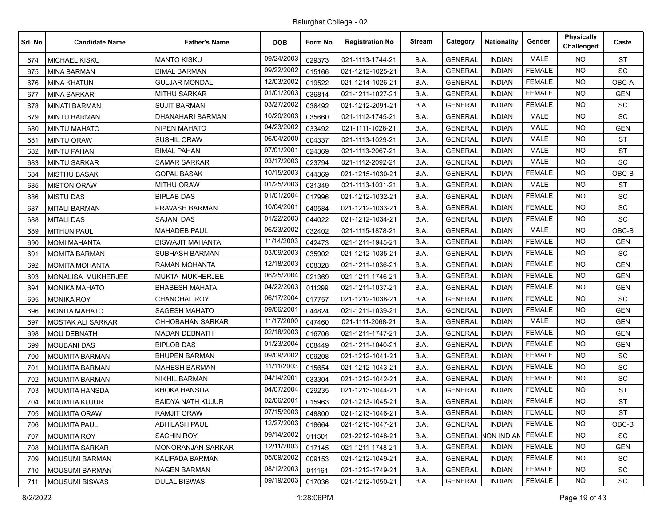| Srl. No | <b>Candidate Name</b>    | <b>Father's Name</b>     | <b>DOB</b> | Form No | <b>Registration No</b> | <b>Stream</b> | Category       | <b>Nationality</b> | Gender        | <b>Physically</b><br>Challenged | Caste      |
|---------|--------------------------|--------------------------|------------|---------|------------------------|---------------|----------------|--------------------|---------------|---------------------------------|------------|
| 674     | <b>MICHAEL KISKU</b>     | <b>MANTO KISKU</b>       | 09/24/2003 | 029373  | 021-1113-1744-21       | B.A.          | <b>GENERAL</b> | <b>INDIAN</b>      | MALE          | NO.                             | <b>ST</b>  |
| 675     | <b>MINA BARMAN</b>       | BIMAL BARMAN             | 09/22/2002 | 015166  | 021-1212-1025-21       | B.A.          | <b>GENERAL</b> | <b>INDIAN</b>      | <b>FEMALE</b> | <b>NO</b>                       | SC         |
| 676     | <b>MINA KHATUN</b>       | <b>GULJAR MONDAL</b>     | 12/03/2002 | 019522  | 021-1214-1026-21       | B.A.          | <b>GENERAL</b> | <b>INDIAN</b>      | <b>FEMALE</b> | <b>NO</b>                       | OBC-A      |
| 677     | <b>MINA SARKAR</b>       | <b>MITHU SARKAR</b>      | 01/01/2003 | 036814  | 021-1211-1027-21       | B.A.          | <b>GENERAL</b> | <b>INDIAN</b>      | <b>FEMALE</b> | <b>NO</b>                       | <b>GEN</b> |
| 678     | <b>MINATI BARMAN</b>     | <b>SUJIT BARMAN</b>      | 03/27/2002 | 036492  | 021-1212-2091-21       | B.A.          | <b>GENERAL</b> | <b>INDIAN</b>      | <b>FEMALE</b> | NO.                             | SC         |
| 679     | <b>MINTU BARMAN</b>      | DHANAHARI BARMAN         | 10/20/2003 | 035660  | 021-1112-1745-21       | B.A.          | <b>GENERAL</b> | <b>INDIAN</b>      | <b>MALE</b>   | <b>NO</b>                       | SC         |
| 680     | <b>MINTU MAHATO</b>      | <b>NIPEN MAHATO</b>      | 04/23/2002 | 033492  | 021-1111-1028-21       | B.A.          | <b>GENERAL</b> | <b>INDIAN</b>      | <b>MALE</b>   | <b>NO</b>                       | <b>GEN</b> |
| 681     | <b>MINTU ORAW</b>        | <b>SUSHIL ORAW</b>       | 06/04/2000 | 004337  | 021-1113-1029-21       | B.A.          | <b>GENERAL</b> | <b>INDIAN</b>      | <b>MALE</b>   | <b>NO</b>                       | <b>ST</b>  |
| 682     | <b>MINTU PAHAN</b>       | <b>BIMAL PAHAN</b>       | 07/01/2001 | 024369  | 021-1113-2067-21       | B.A.          | <b>GENERAL</b> | <b>INDIAN</b>      | <b>MALE</b>   | NO.                             | <b>ST</b>  |
| 683     | <b>MINTU SARKAR</b>      | SAMAR SARKAR             | 03/17/2003 | 023794  | 021-1112-2092-21       | B.A.          | <b>GENERAL</b> | <b>INDIAN</b>      | <b>MALE</b>   | <b>NO</b>                       | SC         |
| 684     | <b>MISTHU BASAK</b>      | <b>GOPAL BASAK</b>       | 10/15/2003 | 044369  | 021-1215-1030-21       | B.A.          | <b>GENERAL</b> | <b>INDIAN</b>      | <b>FEMALE</b> | <b>NO</b>                       | OBC-B      |
| 685     | <b>MISTON ORAW</b>       | <b>MITHU ORAW</b>        | 01/25/2003 | 031349  | 021-1113-1031-21       | B.A.          | <b>GENERAL</b> | <b>INDIAN</b>      | <b>MALE</b>   | <b>NO</b>                       | <b>ST</b>  |
| 686     | <b>MISTU DAS</b>         | <b>BIPLAB DAS</b>        | 01/01/2004 | 017996  | 021-1212-1032-21       | B.A.          | <b>GENERAL</b> | <b>INDIAN</b>      | <b>FEMALE</b> | NO.                             | <b>SC</b>  |
| 687     | <b>MITALI BARMAN</b>     | PRAVASH BARMAN           | 10/04/2001 | 040584  | 021-1212-1033-21       | B.A.          | <b>GENERAL</b> | <b>INDIAN</b>      | <b>FEMALE</b> | <b>NO</b>                       | <b>SC</b>  |
| 688     | <b>MITALI DAS</b>        | <b>SAJANI DAS</b>        | 01/22/2003 | 044022  | 021-1212-1034-21       | B.A.          | <b>GENERAL</b> | <b>INDIAN</b>      | <b>FEMALE</b> | <b>NO</b>                       | <b>SC</b>  |
| 689     | <b>MITHUN PAUL</b>       | <b>MAHADEB PAUL</b>      | 06/23/2002 | 032402  | 021-1115-1878-21       | B.A.          | <b>GENERAL</b> | <b>INDIAN</b>      | <b>MALE</b>   | <b>NO</b>                       | OBC-B      |
| 690     | <b>MOMI MAHANTA</b>      | <b>BISWAJIT MAHANTA</b>  | 11/14/2003 | 042473  | 021-1211-1945-21       | B.A.          | <b>GENERAL</b> | <b>INDIAN</b>      | <b>FEMALE</b> | NO.                             | <b>GEN</b> |
| 691     | <b>MOMITA BARMAN</b>     | SUBHASH BARMAN           | 03/09/2003 | 035902  | 021-1212-1035-21       | B.A.          | <b>GENERAL</b> | <b>INDIAN</b>      | <b>FEMALE</b> | <b>NO</b>                       | SC         |
| 692     | <b>MOMITA MOHANTA</b>    | <b>RAMAN MOHANTA</b>     | 12/18/2003 | 008328  | 021-1211-1036-21       | B.A.          | <b>GENERAL</b> | <b>INDIAN</b>      | <b>FEMALE</b> | <b>NO</b>                       | <b>GEN</b> |
| 693     | MONALISA MUKHERJEE       | MUKTA MUKHERJEE          | 06/25/2004 | 021369  | 021-1211-1746-21       | B.A.          | <b>GENERAL</b> | <b>INDIAN</b>      | <b>FEMALE</b> | NO.                             | <b>GEN</b> |
| 694     | <b>MONIKA MAHATO</b>     | <b>BHABESH MAHATA</b>    | 04/22/2003 | 011299  | 021-1211-1037-21       | B.A.          | <b>GENERAL</b> | <b>INDIAN</b>      | <b>FEMALE</b> | <b>NO</b>                       | <b>GEN</b> |
| 695     | <b>MONIKA ROY</b>        | <b>CHANCHAL ROY</b>      | 06/17/2004 | 017757  | 021-1212-1038-21       | B.A.          | <b>GENERAL</b> | <b>INDIAN</b>      | <b>FEMALE</b> | <b>NO</b>                       | <b>SC</b>  |
| 696     | <b>MONITA MAHATO</b>     | <b>SAGESH MAHATO</b>     | 09/06/2001 | 044824  | 021-1211-1039-21       | B.A.          | <b>GENERAL</b> | <b>INDIAN</b>      | <b>FEMALE</b> | <b>NO</b>                       | <b>GEN</b> |
| 697     | <b>MOSTAK ALI SARKAR</b> | CHHOBAHAN SARKAR         | 11/17/2000 | 047460  | 021-1111-2068-21       | B.A.          | <b>GENERAL</b> | <b>INDIAN</b>      | <b>MALE</b>   | NO.                             | <b>GEN</b> |
| 698     | <b>MOU DEBNATH</b>       | <b>MADAN DEBNATH</b>     | 02/18/2003 | 016706  | 021-1211-1747-21       | B.A.          | <b>GENERAL</b> | <b>INDIAN</b>      | <b>FEMALE</b> | <b>NO</b>                       | <b>GEN</b> |
| 699     | <b>MOUBANI DAS</b>       | <b>BIPLOB DAS</b>        | 01/23/2004 | 008449  | 021-1211-1040-21       | B.A.          | <b>GENERAL</b> | <b>INDIAN</b>      | <b>FEMALE</b> | <b>NO</b>                       | <b>GEN</b> |
| 700     | <b>MOUMITA BARMAN</b>    | <b>BHUPEN BARMAN</b>     | 09/09/2002 | 009208  | 021-1212-1041-21       | B.A.          | <b>GENERAL</b> | <b>INDIAN</b>      | <b>FEMALE</b> | <b>NO</b>                       | SC         |
| 701     | <b>MOUMITA BARMAN</b>    | <b>MAHESH BARMAN</b>     | 11/11/2003 | 015654  | 021-1212-1043-21       | B.A.          | <b>GENERAL</b> | <b>INDIAN</b>      | <b>FEMALE</b> | NO.                             | SC         |
| 702     | <b>MOUMITA BARMAN</b>    | NIKHIL BARMAN            | 04/14/2001 | 033304  | 021-1212-1042-21       | B.A.          | <b>GENERAL</b> | <b>INDIAN</b>      | <b>FEMALE</b> | <b>NO</b>                       | SC         |
| 703     | <b>MOUMITA HANSDA</b>    | KHOKA HANSDA             | 04/07/2004 | 029235  | 021-1213-1044-21       | B.A.          | <b>GENERAL</b> | <b>INDIAN</b>      | <b>FEMALE</b> | <b>NO</b>                       | <b>ST</b>  |
| 704     | <b>MOUMITA KUJUR</b>     | <b>BAIDYA NATH KUJUR</b> | 02/06/2001 | 015963  | 021-1213-1045-21       | B.A.          | <b>GENERAL</b> | <b>INDIAN</b>      | <b>FEMALE</b> | <b>NO</b>                       | <b>ST</b>  |
| 705     | MOUMITA ORAW             | <b>RAMJIT ORAW</b>       | 07/15/2003 | 048800  | 021-1213-1046-21       | B.A.          | <b>GENERAL</b> | <b>INDIAN</b>      | FEMALE        | NO.                             | <b>ST</b>  |
| 706     | <b>MOUMITA PAUL</b>      | <b>ABHILASH PAUL</b>     | 12/27/2003 | 018664  | 021-1215-1047-21       | B.A.          | <b>GENERAL</b> | <b>INDIAN</b>      | <b>FEMALE</b> | <b>NO</b>                       | OBC-B      |
| 707     | <b>MOUMITA ROY</b>       | <b>SACHIN ROY</b>        | 09/14/2002 | 011501  | 021-2212-1048-21       | B.A.          | <b>GENERAL</b> | <b>NON INDIAN</b>  | <b>FEMALE</b> | <b>NO</b>                       | SC         |
| 708     | <b>MOUMITA SARKAR</b>    | <b>MONORANJAN SARKAR</b> | 12/11/2003 | 017145  | 021-1211-1748-21       | B.A.          | <b>GENERAL</b> | <b>INDIAN</b>      | <b>FEMALE</b> | <b>NO</b>                       | <b>GEN</b> |
| 709     | MOUSUMI BARMAN           | <b>KALIPADA BARMAN</b>   | 05/09/2002 | 009153  | 021-1212-1049-21       | B.A.          | <b>GENERAL</b> | <b>INDIAN</b>      | <b>FEMALE</b> | NO.                             | <b>SC</b>  |
| 710     | <b>MOUSUMI BARMAN</b>    | <b>NAGEN BARMAN</b>      | 08/12/2003 | 011161  | 021-1212-1749-21       | B.A.          | <b>GENERAL</b> | <b>INDIAN</b>      | <b>FEMALE</b> | NO.                             | <b>SC</b>  |
| 711     | MOUSUMI BISWAS           | <b>DULAL BISWAS</b>      | 09/19/2003 | 017036  | 021-1212-1050-21       | B.A.          | <b>GENERAL</b> | <b>INDIAN</b>      | <b>FEMALE</b> | NO.                             | SC         |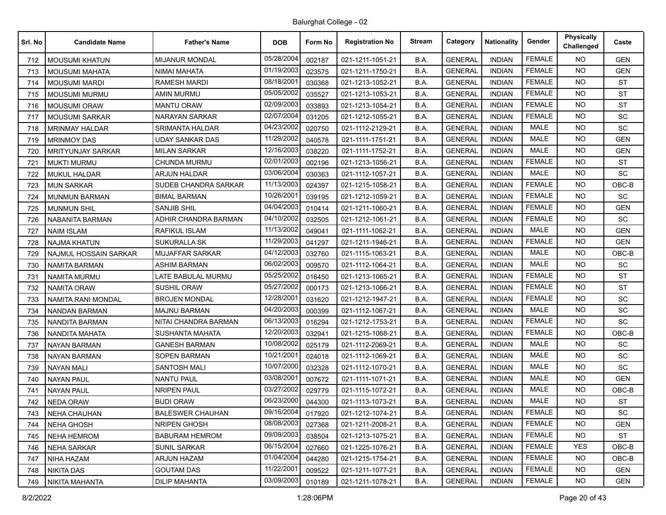| Srl. No | <b>Candidate Name</b>    | <b>Father's Name</b>    | <b>DOB</b> | Form No | <b>Registration No</b> | <b>Stream</b> | Category       | <b>Nationality</b> | Gender        | <b>Physically</b><br>Challenged | Caste      |
|---------|--------------------------|-------------------------|------------|---------|------------------------|---------------|----------------|--------------------|---------------|---------------------------------|------------|
| 712     | <b>MOUSUMI KHATUN</b>    | <b>MIJANUR MONDAL</b>   | 05/28/2004 | 002187  | 021-1211-1051-21       | B.A.          | <b>GENERAL</b> | <b>INDIAN</b>      | <b>FEMALE</b> | <b>NO</b>                       | <b>GEN</b> |
| 713     | <b>MOUSUMI MAHATA</b>    | NIMAI MAHATA            | 01/19/2003 | 023575  | 021-1211-1750-21       | B.A.          | <b>GENERAL</b> | <b>INDIAN</b>      | <b>FEMALE</b> | <b>NO</b>                       | <b>GEN</b> |
| 714     | <b>MOUSUMI MARDI</b>     | <b>RAMESH MARDI</b>     | 08/18/2001 | 030368  | 021-1213-1052-21       | B.A.          | <b>GENERAL</b> | <b>INDIAN</b>      | <b>FEMALE</b> | NO.                             | <b>ST</b>  |
| 715     | <b>MOUSUMI MURMU</b>     | <b>AMIN MURMU</b>       | 05/05/2002 | 035527  | 021-1213-1053-21       | B.A.          | <b>GENERAL</b> | <b>INDIAN</b>      | <b>FEMALE</b> | <b>NO</b>                       | <b>ST</b>  |
| 716     | <b>MOUSUMI ORAW</b>      | <b>MANTU ORAW</b>       | 02/09/2003 | 033893  | 021-1213-1054-21       | B.A.          | <b>GENERAL</b> | <b>INDIAN</b>      | <b>FEMALE</b> | NO.                             | <b>ST</b>  |
| 717     | <b>MOUSUMI SARKAR</b>    | NARAYAN SARKAR          | 02/07/2004 | 031205  | 021-1212-1055-21       | B.A.          | <b>GENERAL</b> | <b>INDIAN</b>      | <b>FEMALE</b> | NO.                             | SC         |
| 718     | <b>MRINMAY HALDAR</b>    | <b>SRIMANTA HALDAR</b>  | 04/23/2002 | 020750  | 021-1112-2129-21       | B.A.          | <b>GENERAL</b> | <b>INDIAN</b>      | <b>MALE</b>   | <b>NO</b>                       | <b>SC</b>  |
| 719     | <b>MRINMOY DAS</b>       | UDAY SANKAR DAS         | 11/29/2002 | 040578  | 021-1111-1751-21       | B.A.          | <b>GENERAL</b> | <b>INDIAN</b>      | <b>MALE</b>   | <b>NO</b>                       | <b>GEN</b> |
| 720     | <b>MRITYUNJAY SARKAR</b> | <b>MILAN SARKAR</b>     | 12/16/2003 | 038220  | 021-1111-1752-21       | B.A.          | <b>GENERAL</b> | <b>INDIAN</b>      | <b>MALE</b>   | NO.                             | <b>GEN</b> |
| 721     | <b>MUKTI MURMU</b>       | CHUNDA MURMU            | 02/01/2003 | 002196  | 021-1213-1056-21       | B.A.          | <b>GENERAL</b> | <b>INDIAN</b>      | <b>FEMALE</b> | <b>NO</b>                       | <b>ST</b>  |
| 722     | <b>MUKUL HALDAR</b>      | <b>ARJUN HALDAR</b>     | 03/06/2004 | 030363  | 021-1112-1057-21       | B.A.          | <b>GENERAL</b> | <b>INDIAN</b>      | <b>MALE</b>   | <b>NO</b>                       | SC         |
| 723     | <b>MUN SARKAR</b>        | SUDEB CHANDRA SARKAR    | 11/13/2003 | 024397  | 021-1215-1058-21       | B.A.          | <b>GENERAL</b> | <b>INDIAN</b>      | <b>FEMALE</b> | <b>NO</b>                       | OBC-B      |
| 724     | <b>MUNMUN BARMAN</b>     | <b>BIMAL BARMAN</b>     | 10/26/2001 | 039195  | 021-1212-1059-21       | B.A.          | <b>GENERAL</b> | <b>INDIAN</b>      | <b>FEMALE</b> | NO.                             | <b>SC</b>  |
| 725     | <b>MUNMUN SHIL</b>       | <b>SANJIB SHIL</b>      | 04/04/2003 | 010414  | 021-1211-1060-21       | B.A.          | <b>GENERAL</b> | <b>INDIAN</b>      | <b>FEMALE</b> | <b>NO</b>                       | GEN        |
| 726     | NABANITA BARMAN          | ADHIR CHANDRA BARMAN    | 04/10/2002 | 032505  | 021-1212-1061-21       | B.A.          | <b>GENERAL</b> | <b>INDIAN</b>      | <b>FEMALE</b> | NO.                             | SC         |
| 727     | <b>NAIM ISLAM</b>        | <b>RAFIKUL ISLAM</b>    | 11/13/2002 | 049041  | 021-1111-1062-21       | B.A.          | <b>GENERAL</b> | <b>INDIAN</b>      | <b>MALE</b>   | NO.                             | <b>GEN</b> |
| 728     | <b>NAJMA KHATUN</b>      | <b>SUKURALLA SK</b>     | 11/29/2003 | 041297  | 021-1211-1946-21       | B.A.          | <b>GENERAL</b> | <b>INDIAN</b>      | <b>FEMALE</b> | NO.                             | <b>GEN</b> |
| 729     | NAJMUL HOSSAIN SARKAR    | MUJAFFAR SARKAR         | 04/12/2003 | 032760  | 021-1115-1063-21       | B.A.          | <b>GENERAL</b> | <b>INDIAN</b>      | <b>MALE</b>   | <b>NO</b>                       | OBC-B      |
| 730     | <b>NAMITA BARMAN</b>     | <b>ASHIM BARMAN</b>     | 06/02/2003 | 009570  | 021-1112-1064-21       | B.A.          | <b>GENERAL</b> | <b>INDIAN</b>      | <b>MALE</b>   | <b>NO</b>                       | SC         |
| 731     | <b>NAMITA MURMU</b>      | LATE BABULAL MURMU      | 05/25/2002 | 016450  | 021-1213-1065-21       | B.A.          | <b>GENERAL</b> | <b>INDIAN</b>      | <b>FEMALE</b> | <b>NO</b>                       | <b>ST</b>  |
| 732     | <b>NAMITA ORAW</b>       | <b>SUSHIL ORAW</b>      | 05/27/2002 | 000173  | 021-1213-1066-21       | B.A.          | <b>GENERAL</b> | <b>INDIAN</b>      | <b>FEMALE</b> | NO.                             | <b>ST</b>  |
| 733     | NAMITA RANI MONDAL       | BROJEN MONDAL           | 12/28/2001 | 031620  | 021-1212-1947-21       | B.A.          | <b>GENERAL</b> | <b>INDIAN</b>      | <b>FEMALE</b> | <b>NO</b>                       | <b>SC</b>  |
| 734     | <b>NANDAN BARMAN</b>     | <b>MAJNU BARMAN</b>     | 04/20/2003 | 000399  | 021-1112-1067-21       | B.A.          | <b>GENERAL</b> | <b>INDIAN</b>      | <b>MALE</b>   | <b>NO</b>                       | SC         |
| 735     | NANDITA BARMAN           | NITAI CHANDRA BARMAN    | 06/13/2003 | 016294  | 021-1212-1753-21       | B.A.          | <b>GENERAL</b> | <b>INDIAN</b>      | <b>FEMALE</b> | <b>NO</b>                       | <b>SC</b>  |
| 736     | NANDITA MAHATA           | <b>SUSHANTA MAHATA</b>  | 12/20/2003 | 032941  | 021-1215-1068-21       | B.A.          | <b>GENERAL</b> | <b>INDIAN</b>      | <b>FEMALE</b> | NO.                             | OBC-B      |
| 737     | <b>NAYAN BARMAN</b>      | GANESH BARMAN           | 10/08/2002 | 025179  | 021-1112-2069-21       | B.A.          | <b>GENERAL</b> | <b>INDIAN</b>      | <b>MALE</b>   | <b>NO</b>                       | <b>SC</b>  |
| 738     | <b>NAYAN BARMAN</b>      | <b>SOPEN BARMAN</b>     | 10/21/2001 | 024018  | 021-1112-1069-21       | B.A.          | <b>GENERAL</b> | <b>INDIAN</b>      | <b>MALE</b>   | <b>NO</b>                       | SC         |
| 739     | <b>NAYAN MALI</b>        | <b>SANTOSH MALI</b>     | 10/07/2000 | 032328  | 021-1112-1070-21       | B.A.          | <b>GENERAL</b> | <b>INDIAN</b>      | <b>MALE</b>   | NO.                             | SC         |
| 740     | <b>NAYAN PAUL</b>        | <b>NANTU PAUL</b>       | 03/08/2001 | 007672  | 021-1111-1071-21       | B.A.          | <b>GENERAL</b> | <b>INDIAN</b>      | <b>MALE</b>   | <b>NO</b>                       | <b>GEN</b> |
| 741     | <b>NAYAN PAUL</b>        | <b>NRIPEN PAUL</b>      | 03/27/2002 | 029779  | 021-1115-1072-21       | B.A.          | <b>GENERAL</b> | <b>INDIAN</b>      | <b>MALE</b>   | <b>NO</b>                       | OBC-B      |
| 742     | <b>NEDA ORAW</b>         | <b>BUDI ORAW</b>        | 06/23/2000 | 044300  | 021-1113-1073-21       | B.A.          | <b>GENERAL</b> | <b>INDIAN</b>      | <b>MALE</b>   | <b>NO</b>                       | <b>ST</b>  |
| 743     | NEHA CHAUHAN             | <b>BALESWER CHAUHAN</b> | 09/16/2004 | 017920  | 021-1212-1074-21       | B.A.          | <b>GENERAL</b> | <b>INDIAN</b>      | <b>FEMALE</b> | NO.                             | <b>SC</b>  |
| 744     | <b>NEHA GHOSH</b>        | NRIPEN GHOSH            | 08/08/2003 | 027368  | 021-1211-2008-21       | B.A.          | <b>GENERAL</b> | <b>INDIAN</b>      | <b>FEMALE</b> | <b>NO</b>                       | <b>GEN</b> |
| 745     | <b>NEHA HEMROM</b>       | <b>BABURAM HEMROM</b>   | 09/09/2003 | 038504  | 021-1213-1075-21       | B.A.          | <b>GENERAL</b> | <b>INDIAN</b>      | <b>FEMALE</b> | NO.                             | <b>ST</b>  |
| 746     | <b>NEHA SARKAR</b>       | <b>SUNIL SARKAR</b>     | 06/15/2004 | 027660  | 021-1225-1076-21       | B.A.          | <b>GENERAL</b> | <b>INDIAN</b>      | <b>FEMALE</b> | <b>YES</b>                      | OBC-B      |
| 747     | NIHA HAZAM               | ARJUN HAZAM             | 01/04/2004 | 044280  | 021-1215-1754-21       | B.A.          | <b>GENERAL</b> | <b>INDIAN</b>      | <b>FEMALE</b> | NO.                             | OBC-B      |
| 748     | <b>NIKITA DAS</b>        | <b>GOUTAM DAS</b>       | 11/22/2001 | 009522  | 021-1211-1077-21       | B.A.          | <b>GENERAL</b> | <b>INDIAN</b>      | <b>FEMALE</b> | <b>NO</b>                       | <b>GEN</b> |
| 749     | NIKITA MAHANTA           | <b>DILIP MAHANTA</b>    | 03/09/2003 | 010189  | 021-1211-1078-21       | B.A.          | <b>GENERAL</b> | <b>INDIAN</b>      | <b>FEMALE</b> | <b>NO</b>                       | <b>GEN</b> |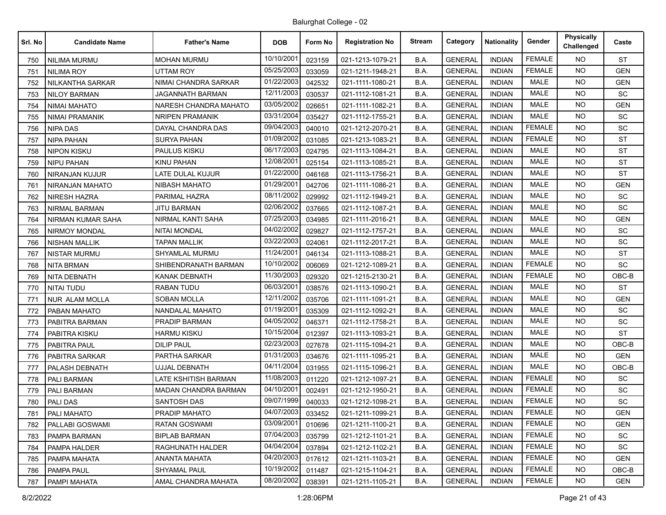| Srl. No | <b>Candidate Name</b>    | <b>Father's Name</b>    | <b>DOB</b> | Form No | <b>Registration No</b> | Stream | Category       | <b>Nationality</b> | Gender        | Physically<br>Challenged | Caste      |
|---------|--------------------------|-------------------------|------------|---------|------------------------|--------|----------------|--------------------|---------------|--------------------------|------------|
| 750     | NILIMA MURMU             | <b>MOHAN MURMU</b>      | 10/10/2001 | 023159  | 021-1213-1079-21       | B.A.   | <b>GENERAL</b> | <b>INDIAN</b>      | <b>FEMALE</b> | NO.                      | <b>ST</b>  |
| 751     | NILIMA ROY               | UTTAM ROY               | 05/25/2003 | 033059  | 021-1211-1948-21       | B.A.   | <b>GENERAL</b> | <b>INDIAN</b>      | <b>FEMALE</b> | <b>NO</b>                | <b>GEN</b> |
| 752     | <b>NILKANTHA SARKAR</b>  | NIMAI CHANDRA SARKAR    | 01/22/2003 | 042532  | 021-1111-1080-21       | B.A.   | <b>GENERAL</b> | <b>INDIAN</b>      | <b>MALE</b>   | <b>NO</b>                | <b>GEN</b> |
| 753     | <b>NILOY BARMAN</b>      | <b>JAGANNATH BARMAN</b> | 12/11/2003 | 030537  | 021-1112-1081-21       | B.A.   | <b>GENERAL</b> | <b>INDIAN</b>      | <b>MALE</b>   | <b>NO</b>                | SC         |
| 754     | <b>NIMAI MAHATO</b>      | NARESH CHANDRA MAHATO   | 03/05/2002 | 026651  | 021-1111-1082-21       | B.A.   | <b>GENERAL</b> | <b>INDIAN</b>      | <b>MALE</b>   | NO.                      | <b>GEN</b> |
| 755     | <b>NIMAI PRAMANIK</b>    | <b>NRIPEN PRAMANIK</b>  | 03/31/2004 | 035427  | 021-1112-1755-21       | B.A.   | <b>GENERAL</b> | <b>INDIAN</b>      | <b>MALE</b>   | <b>NO</b>                | <b>SC</b>  |
| 756     | <b>NIPA DAS</b>          | DAYAL CHANDRA DAS       | 09/04/2003 | 040010  | 021-1212-2070-21       | B.A.   | <b>GENERAL</b> | <b>INDIAN</b>      | <b>FEMALE</b> | NO.                      | SC         |
| 757     | <b>NIPA PAHAN</b>        | <b>SURYA PAHAN</b>      | 01/09/2002 | 031085  | 021-1213-1083-21       | B.A.   | <b>GENERAL</b> | <b>INDIAN</b>      | <b>FEMALE</b> | <b>NO</b>                | <b>ST</b>  |
| 758     | <b>NIPON KISKU</b>       | PAULUS KISKU            | 06/17/2003 | 024795  | 021-1113-1084-21       | B.A.   | <b>GENERAL</b> | <b>INDIAN</b>      | <b>MALE</b>   | NO.                      | <b>ST</b>  |
| 759     | NIPU PAHAN               | KINU PAHAN              | 12/08/2001 | 025154  | 021-1113-1085-21       | B.A.   | <b>GENERAL</b> | <b>INDIAN</b>      | <b>MALE</b>   | <b>NO</b>                | ST         |
| 760     | NIRANJAN KUJUR           | LATE DULAL KUJUR        | 01/22/2000 | 046168  | 021-1113-1756-21       | B.A.   | <b>GENERAL</b> | <b>INDIAN</b>      | <b>MALE</b>   | <b>NO</b>                | <b>ST</b>  |
| 761     | NIRANJAN MAHATO          | <b>NIBASH MAHATO</b>    | 01/29/200  | 042706  | 021-1111-1086-21       | B.A.   | <b>GENERAL</b> | <b>INDIAN</b>      | <b>MALE</b>   | <b>NO</b>                | <b>GEN</b> |
| 762     | <b>NIRESH HAZRA</b>      | PARIMAL HAZRA           | 08/11/2002 | 029992  | 021-1112-1949-21       | B.A.   | <b>GENERAL</b> | <b>INDIAN</b>      | <b>MALE</b>   | NO.                      | <b>SC</b>  |
| 763     | <b>NIRMAL BARMAN</b>     | JITU BARMAN             | 02/06/2002 | 037665  | 021-1112-1087-21       | B.A.   | <b>GENERAL</b> | <b>INDIAN</b>      | <b>MALE</b>   | <b>NO</b>                | <b>SC</b>  |
| 764     | <b>NIRMAN KUMAR SAHA</b> | NIRMAL KANTI SAHA       | 07/25/2003 | 034985  | 021-1111-2016-21       | B.A.   | <b>GENERAL</b> | <b>INDIAN</b>      | MALE          | <b>NO</b>                | <b>GEN</b> |
| 765     | <b>NIRMOY MONDAL</b>     | <b>NITAI MONDAL</b>     | 04/02/2002 | 029827  | 021-1112-1757-21       | B.A.   | <b>GENERAL</b> | <b>INDIAN</b>      | <b>MALE</b>   | <b>NO</b>                | <b>SC</b>  |
| 766     | <b>NISHAN MALLIK</b>     | <b>TAPAN MALLIK</b>     | 03/22/2003 | 024061  | 021-1112-2017-21       | B.A.   | <b>GENERAL</b> | <b>INDIAN</b>      | MALE          | NO.                      | SC         |
| 767     | <b>NISTAR MURMU</b>      | <b>SHYAMLAL MURMU</b>   | 11/24/2001 | 046134  | 021-1113-1088-21       | B.A.   | <b>GENERAL</b> | <b>INDIAN</b>      | <b>MALE</b>   | NO.                      | ST         |
| 768     | <b>NITA BRMAN</b>        | SHIBENDRANATH BARMAN    | 10/10/2002 | 006069  | 021-1212-1089-21       | B.A.   | <b>GENERAL</b> | <b>INDIAN</b>      | <b>FEMALE</b> | <b>NO</b>                | <b>SC</b>  |
| 769     | NITA DEBNATH             | <b>KANAK DEBNATH</b>    | 11/30/2003 | 029320  | 021-1215-2130-21       | B.A.   | <b>GENERAL</b> | <b>INDIAN</b>      | <b>FEMALE</b> | NO.                      | OBC-B      |
| 770     | <b>NITAI TUDU</b>        | RABAN TUDU              | 06/03/2001 | 038576  | 021-1113-1090-21       | B.A.   | <b>GENERAL</b> | <b>INDIAN</b>      | <b>MALE</b>   | NO.                      | <b>ST</b>  |
| 771     | <b>NUR ALAM MOLLA</b>    | <b>SOBAN MOLLA</b>      | 12/11/2002 | 035706  | 021-1111-1091-21       | B.A.   | <b>GENERAL</b> | <b>INDIAN</b>      | <b>MALE</b>   | <b>NO</b>                | <b>GEN</b> |
| 772     | PABAN MAHATO             | NANDALAL MAHATO         | 01/19/2001 | 035309  | 021-1112-1092-21       | B.A.   | <b>GENERAL</b> | <b>INDIAN</b>      | MALE          | <b>NO</b>                | SC         |
| 773     | PABITRA BARMAN           | PRADIP BARMAN           | 04/05/2002 | 046371  | 021-1112-1758-21       | B.A.   | <b>GENERAL</b> | <b>INDIAN</b>      | <b>MALE</b>   | NO.                      | <b>SC</b>  |
| 774     | PABITRA KISKU            | <b>HARMU KISKU</b>      | 10/15/2004 | 012397  | 021-1113-1093-21       | B.A.   | <b>GENERAL</b> | <b>INDIAN</b>      | <b>MALE</b>   | <b>NO</b>                | <b>ST</b>  |
| 775     | PABITRA PAUL             | <b>DILIP PAUL</b>       | 02/23/2003 | 027678  | 021-1115-1094-21       | B.A.   | <b>GENERAL</b> | <b>INDIAN</b>      | <b>MALE</b>   | NO.                      | OBC-B      |
| 776     | PABITRA SARKAR           | PARTHA SARKAR           | 01/31/2003 | 034676  | 021-1111-1095-21       | B.A.   | <b>GENERAL</b> | <b>INDIAN</b>      | MALE          | <b>NO</b>                | <b>GEN</b> |
| 777     | PALASH DEBNATH           | UJJAL DEBNATH           | 04/11/2004 | 031955  | 021-1115-1096-21       | B.A.   | <b>GENERAL</b> | <b>INDIAN</b>      | <b>MALE</b>   | NO.                      | $OBC-B$    |
| 778     | PALI BARMAN              | LATE KSHITISH BARMAN    | 11/08/2003 | 011220  | 021-1212-1097-21       | B.A.   | <b>GENERAL</b> | <b>INDIAN</b>      | <b>FEMALE</b> | <b>NO</b>                | <b>SC</b>  |
| 779     | PALI BARMAN              | MADAN CHANDRA BARMAN    | 04/10/2001 | 002491  | 021-1212-1950-21       | B.A.   | <b>GENERAL</b> | <b>INDIAN</b>      | <b>FEMALE</b> | <b>NO</b>                | <b>SC</b>  |
| 780     | <b>PALI DAS</b>          | <b>SANTOSH DAS</b>      | 09/07/1999 | 040033  | 021-1212-1098-21       | B.A.   | <b>GENERAL</b> | <b>INDIAN</b>      | <b>FEMALE</b> | <b>NO</b>                | SC         |
| 781     | <b>PALI MAHATO</b>       | PRADIP MAHATO           | 04/07/2003 | 033452  | 021-1211-1099-21       | B.A.   | <b>GENERAL</b> | <b>INDIAN</b>      | <b>FEMALE</b> | NO.                      | <b>GEN</b> |
| 782     | PALLABI GOSWAMI          | RATAN GOSWAMI           | 03/09/2001 | 010696  | 021-1211-1100-21       | B.A.   | <b>GENERAL</b> | <b>INDIAN</b>      | <b>FEMALE</b> | <b>NO</b>                | <b>GEN</b> |
| 783     | <b>PAMPA BARMAN</b>      | <b>BIPLAB BARMAN</b>    | 07/04/2003 | 035799  | 021-1212-1101-21       | B.A.   | <b>GENERAL</b> | <b>INDIAN</b>      | <b>FEMALE</b> | <b>NO</b>                | SC         |
| 784     | <b>PAMPA HALDER</b>      | RAGHUNATH HALDER        | 04/04/2004 | 037894  | 021-1212-1102-21       | B.A.   | <b>GENERAL</b> | <b>INDIAN</b>      | <b>FEMALE</b> | <b>NO</b>                | <b>SC</b>  |
| 785     | PAMPA MAHATA             | ANANTA MAHATA           | 04/20/2003 | 017612  | 021-1211-1103-21       | B.A.   | <b>GENERAL</b> | <b>INDIAN</b>      | <b>FEMALE</b> | NO.                      | <b>GEN</b> |
| 786     | PAMPA PAUL               | SHYAMAL PAUL            | 10/19/2002 | 011487  | 021-1215-1104-21       | B.A.   | <b>GENERAL</b> | <b>INDIAN</b>      | <b>FEMALE</b> | NO.                      | OBC-B      |
| 787     | <b>PAMPI MAHATA</b>      | AMAL CHANDRA MAHATA     | 08/20/2002 | 038391  | 021-1211-1105-21       | B.A.   | <b>GENERAL</b> | <b>INDIAN</b>      | <b>FEMALE</b> | <b>NO</b>                | <b>GEN</b> |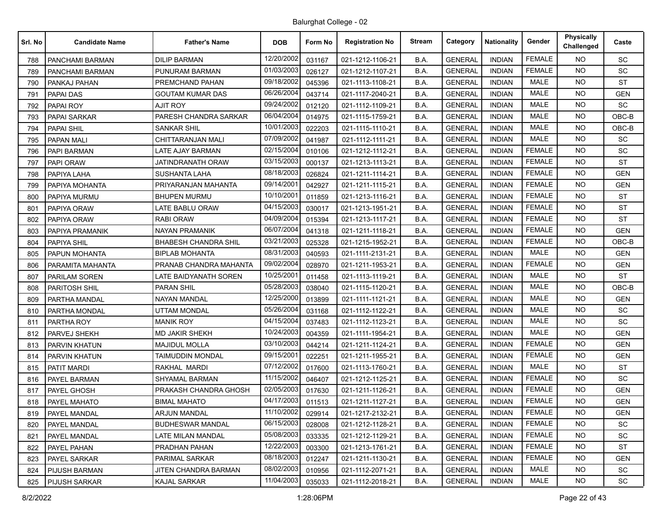| Srl. No | <b>Candidate Name</b> | <b>Father's Name</b>        | <b>DOB</b> | Form No | <b>Registration No</b> | <b>Stream</b> | Category       | <b>Nationality</b> | Gender        | <b>Physically</b><br>Challenged | Caste      |
|---------|-----------------------|-----------------------------|------------|---------|------------------------|---------------|----------------|--------------------|---------------|---------------------------------|------------|
| 788     | PANCHAMI BARMAN       | <b>DILIP BARMAN</b>         | 12/20/2002 | 031167  | 021-1212-1106-21       | B.A.          | <b>GENERAL</b> | <b>INDIAN</b>      | <b>FEMALE</b> | NO.                             | SC         |
| 789     | PANCHAMI BARMAN       | PUNURAM BARMAN              | 01/03/2003 | 026127  | 021-1212-1107-21       | B.A.          | <b>GENERAL</b> | <b>INDIAN</b>      | <b>FEMALE</b> | <b>NO</b>                       | SC         |
| 790     | PANKAJ PAHAN          | PREMCHAND PAHAN             | 09/18/2002 | 045396  | 021-1113-1108-21       | B.A.          | <b>GENERAL</b> | <b>INDIAN</b>      | <b>MALE</b>   | <b>NO</b>                       | <b>ST</b>  |
| 791     | PAPAI DAS             | <b>GOUTAM KUMAR DAS</b>     | 06/26/2004 | 043714  | 021-1117-2040-21       | B.A.          | <b>GENERAL</b> | <b>INDIAN</b>      | <b>MALE</b>   | <b>NO</b>                       | <b>GEN</b> |
| 792     | PAPAI ROY             | <b>AJIT ROY</b>             | 09/24/2002 | 012120  | 021-1112-1109-21       | B.A.          | <b>GENERAL</b> | <b>INDIAN</b>      | <b>MALE</b>   | NO.                             | SC         |
| 793     | PAPAI SARKAR          | PARESH CHANDRA SARKAR       | 06/04/2004 | 014975  | 021-1115-1759-21       | B.A.          | <b>GENERAL</b> | <b>INDIAN</b>      | <b>MALE</b>   | <b>NO</b>                       | OBC-B      |
| 794     | <b>PAPAI SHIL</b>     | <b>SANKAR SHIL</b>          | 10/01/2003 | 022203  | 021-1115-1110-21       | B.A.          | <b>GENERAL</b> | <b>INDIAN</b>      | <b>MALE</b>   | NO.                             | $OBC-B$    |
| 795     | <b>PAPAN MALI</b>     | <b>CHITTARANJAN MALI</b>    | 07/09/2002 | 041987  | 021-1112-1111-21       | B.A.          | <b>GENERAL</b> | <b>INDIAN</b>      | <b>MALE</b>   | NO.                             | <b>SC</b>  |
| 796     | PAPI BARMAN           | <b>LATE AJAY BARMAN</b>     | 02/15/2004 | 010106  | 021-1212-1112-21       | B.A.          | <b>GENERAL</b> | <b>INDIAN</b>      | <b>FEMALE</b> | NO.                             | SC         |
| 797     | PAPI ORAW             | JATINDRANATH ORAW           | 03/15/2003 | 000137  | 021-1213-1113-21       | B.A.          | <b>GENERAL</b> | <b>INDIAN</b>      | <b>FEMALE</b> | <b>NO</b>                       | <b>ST</b>  |
| 798     | PAPIYA LAHA           | <b>SUSHANTA LAHA</b>        | 08/18/2003 | 026824  | 021-1211-1114-21       | B.A.          | <b>GENERAL</b> | <b>INDIAN</b>      | <b>FEMALE</b> | <b>NO</b>                       | <b>GEN</b> |
| 799     | PAPIYA MOHANTA        | PRIYARANJAN MAHANTA         | 09/14/2001 | 042927  | 021-1211-1115-21       | B.A.          | <b>GENERAL</b> | <b>INDIAN</b>      | <b>FEMALE</b> | <b>NO</b>                       | <b>GEN</b> |
| 800     | PAPIYA MURMU          | <b>BHUPEN MURMU</b>         | 10/10/2001 | 011859  | 021-1213-1116-21       | B.A.          | <b>GENERAL</b> | <b>INDIAN</b>      | <b>FEMALE</b> | NO.                             | <b>ST</b>  |
| 801     | PAPIYA ORAW           | LATE BABLU ORAW             | 04/15/2003 | 030017  | 021-1213-1951-21       | B.A.          | <b>GENERAL</b> | <b>INDIAN</b>      | <b>FEMALE</b> | <b>NO</b>                       | <b>ST</b>  |
| 802     | PAPIYA ORAW           | <b>RABI ORAW</b>            | 04/09/2004 | 015394  | 021-1213-1117-21       | B.A.          | <b>GENERAL</b> | <b>INDIAN</b>      | <b>FEMALE</b> | <b>NO</b>                       | <b>ST</b>  |
| 803     | PAPIYA PRAMANIK       | <b>NAYAN PRAMANIK</b>       | 06/07/2004 | 041318  | 021-1211-1118-21       | B.A.          | <b>GENERAL</b> | <b>INDIAN</b>      | <b>FEMALE</b> | <b>NO</b>                       | <b>GEN</b> |
| 804     | PAPIYA SHIL           | <b>BHABESH CHANDRA SHIL</b> | 03/21/2003 | 025328  | 021-1215-1952-21       | B.A.          | <b>GENERAL</b> | <b>INDIAN</b>      | <b>FEMALE</b> | NO.                             | OBC-B      |
| 805     | PAPUN MOHANTA         | <b>BIPLAB MOHANTA</b>       | 08/31/2003 | 040593  | 021-1111-2131-21       | B.A.          | <b>GENERAL</b> | <b>INDIAN</b>      | <b>MALE</b>   | <b>NO</b>                       | <b>GEN</b> |
| 806     | PARAMITA MAHANTA      | PRANAB CHANDRA MAHANTA      | 09/02/2004 | 028970  | 021-1211-1953-21       | B.A.          | <b>GENERAL</b> | <b>INDIAN</b>      | <b>FEMALE</b> | <b>NO</b>                       | <b>GEN</b> |
| 807     | PARILAM SOREN         | LATE BAIDYANATH SOREN       | 10/25/2001 | 011458  | 021-1113-1119-21       | B.A.          | <b>GENERAL</b> | <b>INDIAN</b>      | <b>MALE</b>   | NO.                             | <b>ST</b>  |
| 808     | PARITOSH SHIL         | <b>PARAN SHIL</b>           | 05/28/2003 | 038040  | 021-1115-1120-21       | B.A.          | <b>GENERAL</b> | <b>INDIAN</b>      | <b>MALE</b>   | <b>NO</b>                       | OBC-B      |
| 809     | PARTHA MANDAL         | <b>NAYAN MANDAL</b>         | 12/25/2000 | 013899  | 021-1111-1121-21       | B.A.          | <b>GENERAL</b> | <b>INDIAN</b>      | <b>MALE</b>   | NO.                             | <b>GEN</b> |
| 810     | PARTHA MONDAL         | <b>UTTAM MONDAL</b>         | 05/26/2004 | 031168  | 021-1112-1122-21       | B.A.          | <b>GENERAL</b> | <b>INDIAN</b>      | <b>MALE</b>   | <b>NO</b>                       | SC         |
| 811     | PARTHA ROY            | <b>MANIK ROY</b>            | 04/15/2004 | 037483  | 021-1112-1123-21       | B.A.          | <b>GENERAL</b> | <b>INDIAN</b>      | <b>MALE</b>   | NO.                             | <b>SC</b>  |
| 812     | PARVEJ SHEKH          | <b>MD JAKIR SHEKH</b>       | 10/24/2003 | 004359  | 021-1111-1954-21       | B.A.          | <b>GENERAL</b> | <b>INDIAN</b>      | <b>MALE</b>   | <b>NO</b>                       | <b>GEN</b> |
| 813     | PARVIN KHATUN         | <b>MAJIDUL MOLLA</b>        | 03/10/2003 | 044214  | 021-1211-1124-21       | B.A.          | <b>GENERAL</b> | <b>INDIAN</b>      | <b>FEMALE</b> | <b>NO</b>                       | <b>GEN</b> |
| 814     | PARVIN KHATUN         | <b>TAIMUDDIN MONDAL</b>     | 09/15/2001 | 022251  | 021-1211-1955-21       | B.A.          | <b>GENERAL</b> | <b>INDIAN</b>      | <b>FEMALE</b> | <b>NO</b>                       | <b>GEN</b> |
| 815     | PATIT MARDI           | RAKHAL MARDI                | 07/12/2002 | 017600  | 021-1113-1760-21       | B.A.          | <b>GENERAL</b> | <b>INDIAN</b>      | <b>MALE</b>   | NO.                             | <b>ST</b>  |
| 816     | PAYEL BARMAN          | SHYAMAL BARMAN              | 11/15/2002 | 046407  | 021-1212-1125-21       | B.A.          | <b>GENERAL</b> | <b>INDIAN</b>      | <b>FEMALE</b> | <b>NO</b>                       | SC         |
| 817     | PAYEL GHOSH           | PRAKASH CHANDRA GHOSH       | 02/05/2003 | 017630  | 021-1211-1126-21       | B.A.          | <b>GENERAL</b> | <b>INDIAN</b>      | <b>FEMALE</b> | <b>NO</b>                       | <b>GEN</b> |
| 818     | PAYEL MAHATO          | <b>BIMAL MAHATO</b>         | 04/17/2003 | 011513  | 021-1211-1127-21       | B.A.          | <b>GENERAL</b> | <b>INDIAN</b>      | <b>FEMALE</b> | <b>NO</b>                       | <b>GEN</b> |
| 819     | PAYEL MANDAL          | <b>ARJUN MANDAL</b>         | 11/10/2002 | 029914  | 021-1217-2132-21       | B.A.          | <b>GENERAL</b> | <b>INDIAN</b>      | <b>FEMALE</b> | NO.                             | <b>GEN</b> |
| 820     | PAYEL MANDAL          | <b>BUDHESWAR MANDAL</b>     | 06/15/2003 | 028008  | 021-1212-1128-21       | B.A.          | <b>GENERAL</b> | <b>INDIAN</b>      | <b>FEMALE</b> | <b>NO</b>                       | SC         |
| 821     | PAYEL MANDAL          | LATE MILAN MANDAL           | 05/08/2003 | 033335  | 021-1212-1129-21       | B.A.          | <b>GENERAL</b> | <b>INDIAN</b>      | <b>FEMALE</b> | <b>NO</b>                       | SC         |
| 822     | PAYEL PAHAN           | PRADHAN PAHAN               | 12/22/2003 | 003300  | 021-1213-1761-21       | B.A.          | <b>GENERAL</b> | <b>INDIAN</b>      | <b>FEMALE</b> | <b>NO</b>                       | <b>ST</b>  |
| 823     | PAYEL SARKAR          | PARIMAL SARKAR              | 08/18/2003 | 012247  | 021-1211-1130-21       | B.A.          | <b>GENERAL</b> | <b>INDIAN</b>      | <b>FEMALE</b> | NO.                             | <b>GEN</b> |
| 824     | PIJUSH BARMAN         | JITEN CHANDRA BARMAN        | 08/02/2003 | 010956  | 021-1112-2071-21       | B.A.          | <b>GENERAL</b> | <b>INDIAN</b>      | MALE          | NO.                             | SC         |
| 825     | <b>PIJUSH SARKAR</b>  | <b>KAJAL SARKAR</b>         | 11/04/2003 | 035033  | 021-1112-2018-21       | B.A.          | <b>GENERAL</b> | <b>INDIAN</b>      | MALE          | NO.                             | SC         |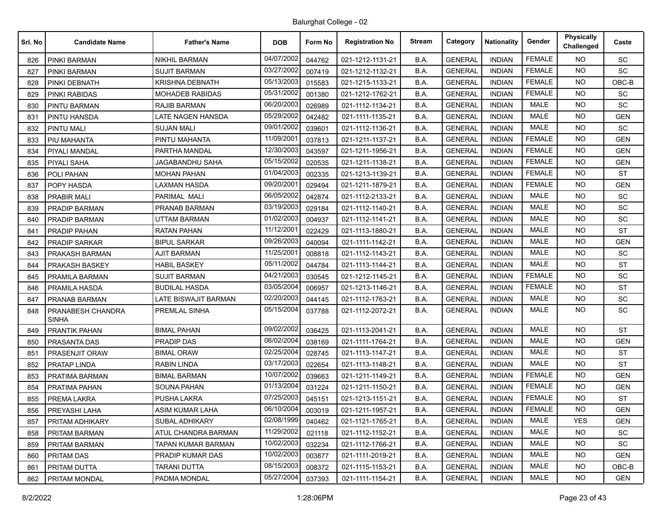| Srl. No | <b>Candidate Name</b>             | <b>Father's Name</b>        | <b>DOB</b> | Form No | <b>Registration No</b> | <b>Stream</b> | Category       | Nationality   | Gender        | <b>Physically</b><br>Challenged | Caste      |
|---------|-----------------------------------|-----------------------------|------------|---------|------------------------|---------------|----------------|---------------|---------------|---------------------------------|------------|
| 826     | PINKI BARMAN                      | <b>NIKHIL BARMAN</b>        | 04/07/2002 | 044762  | 021-1212-1131-21       | B.A.          | <b>GENERAL</b> | <b>INDIAN</b> | <b>FEMALE</b> | NO.                             | SC         |
| 827     | PINKI BARMAN                      | <b>SUJIT BARMAN</b>         | 03/27/2002 | 007419  | 021-1212-1132-21       | B.A.          | <b>GENERAL</b> | <b>INDIAN</b> | <b>FEMALE</b> | <b>NO</b>                       | SC         |
| 828     | PINKI DEBNATH                     | <b>KRISHNA DEBNATH</b>      | 05/13/2003 | 015583  | 021-1215-1133-21       | B.A.          | <b>GENERAL</b> | <b>INDIAN</b> | <b>FEMALE</b> | <b>NO</b>                       | OBC-B      |
| 829     | PINKI RABIDAS                     | MOHADEB RABIDAS             | 05/31/2002 | 001380  | 021-1212-1762-21       | B.A.          | <b>GENERAL</b> | <b>INDIAN</b> | <b>FEMALE</b> | <b>NO</b>                       | <b>SC</b>  |
| 830     | <b>PINTU BARMAN</b>               | <b>RAJIB BARMAN</b>         | 06/20/2003 | 026989  | 021-1112-1134-21       | B.A.          | <b>GENERAL</b> | <b>INDIAN</b> | <b>MALE</b>   | NO.                             | SC         |
| 831     | PINTU HANSDA                      | <b>LATE NAGEN HANSDA</b>    | 05/29/2002 | 042482  | 021-1111-1135-21       | B.A.          | <b>GENERAL</b> | <b>INDIAN</b> | <b>MALE</b>   | <b>NO</b>                       | <b>GEN</b> |
| 832     | <b>PINTU MALI</b>                 | <b>SUJAN MALI</b>           | 09/01/2002 | 039601  | 021-1112-1136-21       | B.A.          | <b>GENERAL</b> | <b>INDIAN</b> | <b>MALE</b>   | <b>NO</b>                       | SC         |
| 833     | PIU MAHANTA                       | PINTU MAHANTA               | 11/09/2001 | 037813  | 021-1211-1137-21       | B.A.          | <b>GENERAL</b> | <b>INDIAN</b> | <b>FEMALE</b> | <b>NO</b>                       | <b>GEN</b> |
| 834     | PIYALI MANDAL                     | PARTHA MANDAL               | 12/30/2003 | 043597  | 021-1211-1956-21       | B.A.          | <b>GENERAL</b> | <b>INDIAN</b> | <b>FEMALE</b> | NO.                             | <b>GEN</b> |
| 835     | PIYALI SAHA                       | JAGABANDHU SAHA             | 05/15/2002 | 020535  | 021-1211-1138-21       | B.A.          | <b>GENERAL</b> | <b>INDIAN</b> | <b>FEMALE</b> | <b>NO</b>                       | <b>GEN</b> |
| 836     | POLI PAHAN                        | <b>MOHAN PAHAN</b>          | 01/04/2003 | 002335  | 021-1213-1139-21       | B.A.          | <b>GENERAL</b> | <b>INDIAN</b> | <b>FEMALE</b> | <b>NO</b>                       | <b>ST</b>  |
| 837     | POPY HASDA                        | LAXMAN HASDA                | 09/20/2001 | 029494  | 021-1211-1879-21       | B.A.          | <b>GENERAL</b> | <b>INDIAN</b> | <b>FEMALE</b> | <b>NO</b>                       | <b>GEN</b> |
| 838     | <b>PRABIR MALI</b>                | PARIMAL MALI                | 06/05/2002 | 042874  | 021-1112-2133-21       | B.A.          | <b>GENERAL</b> | <b>INDIAN</b> | <b>MALE</b>   | <b>NO</b>                       | SC         |
| 839     | PRADIP BARMAN                     | PRANAB BARMAN               | 03/19/2003 | 029184  | 021-1112-1140-21       | B.A.          | <b>GENERAL</b> | <b>INDIAN</b> | MALE          | <b>NO</b>                       | <b>SC</b>  |
| 840     | PRADIP BARMAN                     | <b>UTTAM BARMAN</b>         | 01/02/2003 | 004937  | 021-1112-1141-21       | B.A.          | <b>GENERAL</b> | <b>INDIAN</b> | MALE          | <b>NO</b>                       | SC         |
| 841     | PRADIP PAHAN                      | <b>RATAN PAHAN</b>          | 11/12/2001 | 022429  | 021-1113-1880-21       | B.A.          | <b>GENERAL</b> | <b>INDIAN</b> | <b>MALE</b>   | <b>NO</b>                       | <b>ST</b>  |
| 842     | <b>PRADIP SARKAR</b>              | <b>BIPUL SARKAR</b>         | 09/26/2003 | 040094  | 021-1111-1142-21       | B.A.          | <b>GENERAL</b> | <b>INDIAN</b> | MALE          | <b>NO</b>                       | <b>GEN</b> |
| 843     | PRAKASH BARMAN                    | <b>AJIT BARMAN</b>          | 11/25/2001 | 008818  | 021-1112-1143-21       | B.A.          | <b>GENERAL</b> | <b>INDIAN</b> | MALE          | <b>NO</b>                       | <b>SC</b>  |
| 844     | PRAKASH BASKEY                    | <b>HABIL BASKEY</b>         | 05/11/2002 | 044784  | 021-1113-1144-21       | B.A.          | <b>GENERAL</b> | <b>INDIAN</b> | MALE          | <b>NO</b>                       | <b>ST</b>  |
| 845     | PRAMILA BARMAN                    | <b>SUJIT BARMAN</b>         | 04/21/2003 | 030545  | 021-1212-1145-21       | B.A.          | <b>GENERAL</b> | <b>INDIAN</b> | <b>FEMALE</b> | NO.                             | SC         |
| 846     | PRAMILA HASDA                     | <b>BUDILAL HASDA</b>        | 03/05/2004 | 006957  | 021-1213-1146-21       | B.A.          | <b>GENERAL</b> | <b>INDIAN</b> | <b>FEMALE</b> | <b>NO</b>                       | <b>ST</b>  |
| 847     | PRANAB BARMAN                     | <b>LATE BISWAJIT BARMAN</b> | 02/20/2003 | 044145  | 021-1112-1763-21       | B.A.          | <b>GENERAL</b> | <b>INDIAN</b> | MALE          | <b>NO</b>                       | SC         |
| 848     | PRANABESH CHANDRA<br><b>SINHA</b> | PREMLAL SINHA               | 05/15/2004 | 037788  | 021-1112-2072-21       | B.A.          | <b>GENERAL</b> | <b>INDIAN</b> | <b>MALE</b>   | <b>NO</b>                       | SC         |
| 849     | <b>PRANTIK PAHAN</b>              | <b>BIMAL PAHAN</b>          | 09/02/2002 | 036425  | 021-1113-2041-21       | B.A.          | <b>GENERAL</b> | <b>INDIAN</b> | <b>MALE</b>   | <b>NO</b>                       | <b>ST</b>  |
| 850     | PRASANTA DAS                      | PRADIP DAS                  | 06/02/2004 | 038169  | 021-1111-1764-21       | B.A.          | <b>GENERAL</b> | <b>INDIAN</b> | MALE          | <b>NO</b>                       | <b>GEN</b> |
| 851     | PRASENJIT ORAW                    | <b>BIMAL ORAW</b>           | 02/25/2004 | 028745  | 021-1113-1147-21       | B.A.          | <b>GENERAL</b> | <b>INDIAN</b> | <b>MALE</b>   | <b>NO</b>                       | <b>ST</b>  |
| 852     | PRATAP LINDA                      | RABIN LINDA                 | 03/17/2003 | 022654  | 021-1113-1148-21       | B.A.          | <b>GENERAL</b> | <b>INDIAN</b> | MALE          | NO.                             | ST         |
| 853     | PRATIMA BARMAN                    | <b>BIMAL BARMAN</b>         | 10/07/2002 | 039663  | 021-1211-1149-21       | B.A.          | <b>GENERAL</b> | <b>INDIAN</b> | <b>FEMALE</b> | <b>NO</b>                       | <b>GEN</b> |
| 854     | PRATIMA PAHAN                     | <b>SOUNA PAHAN</b>          | 01/13/2004 | 031224  | 021-1211-1150-21       | B.A.          | <b>GENERAL</b> | <b>INDIAN</b> | <b>FEMALE</b> | <b>NO</b>                       | <b>GEN</b> |
| 855     | PREMA LAKRA                       | PUSHA LAKRA                 | 07/25/2003 | 045151  | 021-1213-1151-21       | B.A.          | <b>GENERAL</b> | <b>INDIAN</b> | <b>FEMALE</b> | NO.                             | <b>ST</b>  |
| 856     | PREYASHI LAHA                     | ASIM KUMAR LAHA             | 06/10/2004 | 003019  | 021-1211-1957-21       | B.A.          | <b>GENERAL</b> | <b>INDIAN</b> | FEMALE        | NO.                             | <b>GEN</b> |
| 857     | PRITAM ADHIKARY                   | <b>SUBAL ADHIKARY</b>       | 02/08/1999 | 040462  | 021-1121-1765-21       | B.A.          | <b>GENERAL</b> | <b>INDIAN</b> | MALE          | <b>YES</b>                      | <b>GEN</b> |
| 858     | PRITAM BARMAN                     | ATUL CHANDRA BARMAN         | 11/29/2002 | 021118  | 021-1112-1152-21       | B.A.          | <b>GENERAL</b> | <b>INDIAN</b> | <b>MALE</b>   | NO.                             | <b>SC</b>  |
| 859     | PRITAM BARMAN                     | TAPAN KUMAR BARMAN          | 10/02/2003 | 032234  | 021-1112-1766-21       | B.A.          | <b>GENERAL</b> | <b>INDIAN</b> | MALE          | NO.                             | <b>SC</b>  |
| 860     | PRITAM DAS                        | PRADIP KUMAR DAS            | 10/02/2003 | 003877  | 021-1111-2019-21       | B.A.          | <b>GENERAL</b> | <b>INDIAN</b> | MALE          | NO.                             | <b>GEN</b> |
| 861     | PRITAM DUTTA                      | <b>TARANI DUTTA</b>         | 08/15/2003 | 008372  | 021-1115-1153-21       | B.A.          | <b>GENERAL</b> | <b>INDIAN</b> | MALE          | NO.                             | OBC-B      |
| 862     | PRITAM MONDAL                     | PADMA MONDAL                | 05/27/2004 | 037393  | 021-1111-1154-21       | B.A.          | <b>GENERAL</b> | <b>INDIAN</b> | MALE          | NO.                             | GEN        |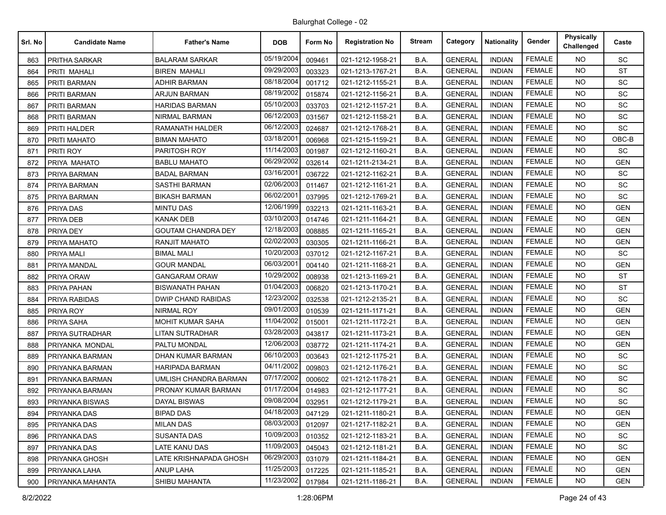| Srl. No | <b>Candidate Name</b> | <b>Father's Name</b>      | <b>DOB</b> | Form No | <b>Registration No</b> | <b>Stream</b> | Category       | <b>Nationality</b> | Gender        | Physically<br>Challenged | Caste      |
|---------|-----------------------|---------------------------|------------|---------|------------------------|---------------|----------------|--------------------|---------------|--------------------------|------------|
| 863     | <b>PRITHA SARKAR</b>  | <b>BALARAM SARKAR</b>     | 05/19/2004 | 009461  | 021-1212-1958-21       | B.A.          | <b>GENERAL</b> | <b>INDIAN</b>      | <b>FEMALE</b> | NO.                      | SC         |
| 864     | PRITI MAHALI          | BIREN MAHALI              | 09/29/2003 | 003323  | 021-1213-1767-21       | B.A.          | <b>GENERAL</b> | <b>INDIAN</b>      | <b>FEMALE</b> | <b>NO</b>                | <b>ST</b>  |
| 865     | PRITI BARMAN          | <b>ADHIR BARMAN</b>       | 08/18/2004 | 001712  | 021-1212-1155-21       | B.A.          | <b>GENERAL</b> | <b>INDIAN</b>      | <b>FEMALE</b> | <b>NO</b>                | SC         |
| 866     | PRITI BARMAN          | <b>ARJUN BARMAN</b>       | 08/19/2002 | 015874  | 021-1212-1156-21       | B.A.          | <b>GENERAL</b> | <b>INDIAN</b>      | <b>FEMALE</b> | <b>NO</b>                | SC         |
| 867     | PRITI BARMAN          | HARIDAS BARMAN            | 05/10/2003 | 033703  | 021-1212-1157-21       | B.A.          | <b>GENERAL</b> | <b>INDIAN</b>      | <b>FEMALE</b> | NO.                      | SC         |
| 868     | PRITI BARMAN          | NIRMAL BARMAN             | 06/12/2003 | 031567  | 021-1212-1158-21       | B.A.          | <b>GENERAL</b> | <b>INDIAN</b>      | <b>FEMALE</b> | <b>NO</b>                | SC         |
| 869     | PRITI HALDER          | <b>RAMANATH HALDER</b>    | 06/12/2003 | 024687  | 021-1212-1768-21       | B.A.          | <b>GENERAL</b> | <b>INDIAN</b>      | <b>FEMALE</b> | <b>NO</b>                | SC         |
| 870     | PRITI MAHATO          | <b>BIMAN MAHATO</b>       | 03/18/2001 | 006968  | 021-1215-1159-21       | B.A.          | <b>GENERAL</b> | <b>INDIAN</b>      | <b>FEMALE</b> | <b>NO</b>                | OBC-B      |
| 871     | PRITI ROY             | PARITOSH ROY              | 11/14/2003 | 001987  | 021-1212-1160-21       | B.A.          | <b>GENERAL</b> | <b>INDIAN</b>      | <b>FEMALE</b> | NO.                      | SC         |
| 872     | PRIYA MAHATO          | <b>BABLU MAHATO</b>       | 06/29/2002 | 032614  | 021-1211-2134-21       | B.A.          | <b>GENERAL</b> | <b>INDIAN</b>      | <b>FEMALE</b> | NO.                      | <b>GEN</b> |
| 873     | PRIYA BARMAN          | <b>BADAL BARMAN</b>       | 03/16/2001 | 036722  | 021-1212-1162-21       | B.A.          | <b>GENERAL</b> | <b>INDIAN</b>      | <b>FEMALE</b> | <b>NO</b>                | SC         |
| 874     | PRIYA BARMAN          | <b>SASTHI BARMAN</b>      | 02/06/2003 | 011467  | 021-1212-1161-21       | B.A.          | <b>GENERAL</b> | <b>INDIAN</b>      | <b>FEMALE</b> | <b>NO</b>                | <b>SC</b>  |
| 875     | PRIYA BARMAN          | <b>BIKASH BARMAN</b>      | 06/02/2001 | 037995  | 021-1212-1769-21       | B.A.          | <b>GENERAL</b> | <b>INDIAN</b>      | <b>FEMALE</b> | NO.                      | SC         |
| 876     | PRIYA DAS             | <b>MINTU DAS</b>          | 12/06/1999 | 032213  | 021-1211-1163-21       | B.A.          | <b>GENERAL</b> | <b>INDIAN</b>      | <b>FEMALE</b> | NO.                      | <b>GEN</b> |
| 877     | PRIYA DEB             | <b>KANAK DEB</b>          | 03/10/2003 | 014746  | 021-1211-1164-21       | B.A.          | <b>GENERAL</b> | <b>INDIAN</b>      | <b>FEMALE</b> | <b>NO</b>                | <b>GEN</b> |
| 878     | PRIYA DEY             | <b>GOUTAM CHANDRA DEY</b> | 12/18/2003 | 008885  | 021-1211-1165-21       | B.A.          | <b>GENERAL</b> | <b>INDIAN</b>      | <b>FEMALE</b> | <b>NO</b>                | <b>GEN</b> |
| 879     | PRIYA MAHATO          | RANJIT MAHATO             | 02/02/2003 | 030305  | 021-1211-1166-21       | B.A.          | <b>GENERAL</b> | <b>INDIAN</b>      | <b>FEMALE</b> | NO.                      | <b>GEN</b> |
| 880     | PRIYA MALI            | <b>BIMAL MALI</b>         | 10/20/2003 | 037012  | 021-1212-1167-21       | B.A.          | <b>GENERAL</b> | <b>INDIAN</b>      | <b>FEMALE</b> | NO.                      | SC         |
| 881     | PRIYA MANDAL          | <b>GOUR MANDAL</b>        | 06/03/2001 | 004140  | 021-1211-1168-21       | B.A.          | <b>GENERAL</b> | <b>INDIAN</b>      | <b>FEMALE</b> | <b>NO</b>                | <b>GEN</b> |
| 882     | PRIYA ORAW            | <b>GANGARAM ORAW</b>      | 10/29/2002 | 008938  | 021-1213-1169-21       | B.A.          | <b>GENERAL</b> | <b>INDIAN</b>      | <b>FEMALE</b> | NO.                      | <b>ST</b>  |
| 883     | PRIYA PAHAN           | <b>BISWANATH PAHAN</b>    | 01/04/2003 | 006820  | 021-1213-1170-21       | B.A.          | <b>GENERAL</b> | <b>INDIAN</b>      | <b>FEMALE</b> | <b>NO</b>                | <b>ST</b>  |
| 884     | PRIYA RABIDAS         | <b>DWIP CHAND RABIDAS</b> | 12/23/2002 | 032538  | 021-1212-2135-21       | B.A.          | <b>GENERAL</b> | <b>INDIAN</b>      | <b>FEMALE</b> | <b>NO</b>                | SC         |
| 885     | PRIYA ROY             | <b>NIRMAL ROY</b>         | 09/01/2003 | 010539  | 021-1211-1171-21       | B.A.          | <b>GENERAL</b> | <b>INDIAN</b>      | <b>FEMALE</b> | <b>NO</b>                | <b>GEN</b> |
| 886     | PRIYA SAHA            | <b>MOHIT KUMAR SAHA</b>   | 11/04/2002 | 015001  | 021-1211-1172-21       | B.A.          | <b>GENERAL</b> | <b>INDIAN</b>      | <b>FEMALE</b> | <b>NO</b>                | <b>GEN</b> |
| 887     | PRIYA SUTRADHAR       | <b>LITAN SUTRADHAR</b>    | 03/28/2003 | 043817  | 021-1211-1173-21       | B.A.          | <b>GENERAL</b> | <b>INDIAN</b>      | <b>FEMALE</b> | <b>NO</b>                | <b>GEN</b> |
| 888     | PRIYANKA MONDAL       | PALTU MONDAL              | 12/06/2003 | 038772  | 021-1211-1174-21       | B.A.          | <b>GENERAL</b> | <b>INDIAN</b>      | <b>FEMALE</b> | NO.                      | <b>GEN</b> |
| 889     | PRIYANKA BARMAN       | <b>DHAN KUMAR BARMAN</b>  | 06/10/2003 | 003643  | 021-1212-1175-21       | B.A.          | <b>GENERAL</b> | <b>INDIAN</b>      | <b>FEMALE</b> | <b>NO</b>                | SC         |
| 890     | PRIYANKA BARMAN       | <b>HARIPADA BARMAN</b>    | 04/11/2002 | 009803  | 021-1212-1176-21       | B.A.          | <b>GENERAL</b> | <b>INDIAN</b>      | <b>FEMALE</b> | NO.                      | SC         |
| 891     | PRIYANKA BARMAN       | UMLISH CHANDRA BARMAN     | 07/17/2002 | 000602  | 021-1212-1178-21       | B.A.          | <b>GENERAL</b> | <b>INDIAN</b>      | <b>FEMALE</b> | <b>NO</b>                | SC         |
| 892     | PRIYANKA BARMAN       | PRONAY KUMAR BARMAN       | 01/17/2004 | 014983  | 021-1212-1177-21       | B.A.          | <b>GENERAL</b> | <b>INDIAN</b>      | <b>FEMALE</b> | NO.                      | <b>SC</b>  |
| 893     | PRIYANKA BISWAS       | DAYAL BISWAS              | 09/08/2004 | 032951  | 021-1212-1179-21       | B.A.          | <b>GENERAL</b> | <b>INDIAN</b>      | <b>FEMALE</b> | <b>NO</b>                | SC         |
| 894     | <b>PRIYANKA DAS</b>   | <b>BIPAD DAS</b>          | 04/18/2003 | 047129  | 021-1211-1180-21       | B.A.          | <b>GENERAL</b> | <b>INDIAN</b>      | FEMALE        | NO.                      | <b>GEN</b> |
| 895     | PRIYANKA DAS          | <b>MILAN DAS</b>          | 08/03/2003 | 012097  | 021-1217-1182-21       | B.A.          | <b>GENERAL</b> | <b>INDIAN</b>      | <b>FEMALE</b> | <b>NO</b>                | <b>GEN</b> |
| 896     | PRIYANKA DAS          | <b>SUSANTA DAS</b>        | 10/09/2003 | 010352  | 021-1212-1183-21       | B.A.          | <b>GENERAL</b> | <b>INDIAN</b>      | <b>FEMALE</b> | <b>NO</b>                | SC         |
| 897     | PRIYANKA DAS          | LATE KANU DAS             | 11/09/2003 | 045043  | 021-1212-1181-21       | B.A.          | <b>GENERAL</b> | <b>INDIAN</b>      | <b>FEMALE</b> | <b>NO</b>                | <b>SC</b>  |
| 898     | PRIYANKA GHOSH        | LATE KRISHNAPADA GHOSH    | 06/29/2003 | 031079  | 021-1211-1184-21       | B.A.          | <b>GENERAL</b> | <b>INDIAN</b>      | <b>FEMALE</b> | NO.                      | <b>GEN</b> |
| 899     | PRIYANKA LAHA         | ANUP LAHA                 | 11/25/2003 | 017225  | 021-1211-1185-21       | B.A.          | <b>GENERAL</b> | <b>INDIAN</b>      | <b>FEMALE</b> | NO.                      | <b>GEN</b> |
| 900     | PRIYANKA MAHANTA      | SHIBU MAHANTA             | 11/23/2002 | 017984  | 021-1211-1186-21       | B.A.          | <b>GENERAL</b> | <b>INDIAN</b>      | <b>FEMALE</b> | NO.                      | <b>GEN</b> |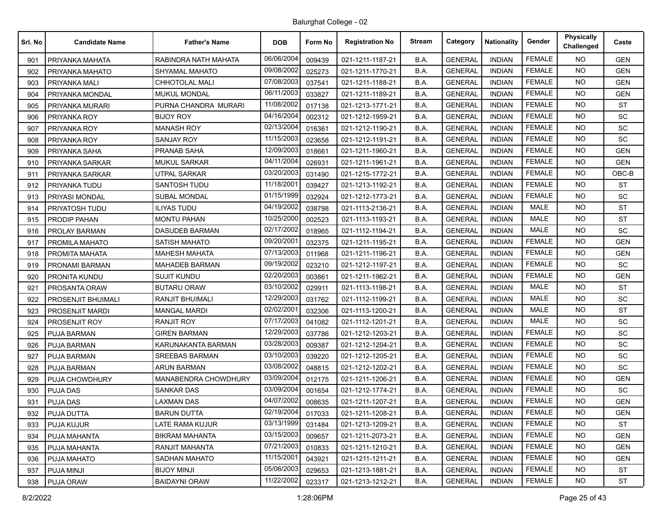| Srl. No | <b>Candidate Name</b> | <b>Father's Name</b>   | <b>DOB</b> | Form No | <b>Registration No</b> | <b>Stream</b> | Category       | <b>Nationality</b> | Gender        | Physically<br>Challenged | Caste      |
|---------|-----------------------|------------------------|------------|---------|------------------------|---------------|----------------|--------------------|---------------|--------------------------|------------|
| 901     | PRIYANKA MAHATA       | RABINDRA NATH MAHATA   | 06/06/2004 | 009439  | 021-1211-1187-21       | B.A.          | <b>GENERAL</b> | <b>INDIAN</b>      | <b>FEMALE</b> | NO.                      | <b>GEN</b> |
| 902     | PRIYANKA MAHATO       | SHYAMAL MAHATO         | 09/08/2002 | 025273  | 021-1211-1770-21       | B.A.          | <b>GENERAL</b> | <b>INDIAN</b>      | <b>FEMALE</b> | <b>NO</b>                | <b>GEN</b> |
| 903     | PRIYANKA MALI         | CHHOTOLAL MALI         | 07/08/2003 | 037541  | 021-1211-1188-21       | B.A.          | <b>GENERAL</b> | <b>INDIAN</b>      | <b>FEMALE</b> | <b>NO</b>                | <b>GEN</b> |
| 904     | PRIYANKA MONDAL       | <b>MUKUL MONDAL</b>    | 06/11/2003 | 033827  | 021-1211-1189-21       | B.A.          | <b>GENERAL</b> | <b>INDIAN</b>      | <b>FEMALE</b> | <b>NO</b>                | <b>GEN</b> |
| 905     | PRIYANKA MURARI       | PURNA CHANDRA MURARI   | 11/08/2002 | 017138  | 021-1213-1771-21       | B.A.          | <b>GENERAL</b> | <b>INDIAN</b>      | <b>FEMALE</b> | NO.                      | <b>ST</b>  |
| 906     | PRIYANKA ROY          | <b>BIJOY ROY</b>       | 04/16/2004 | 002312  | 021-1212-1959-21       | B.A.          | <b>GENERAL</b> | <b>INDIAN</b>      | <b>FEMALE</b> | <b>NO</b>                | SC         |
| 907     | PRIYANKA ROY          | <b>MANASH ROY</b>      | 02/13/2004 | 016361  | 021-1212-1190-21       | B.A.          | <b>GENERAL</b> | <b>INDIAN</b>      | <b>FEMALE</b> | <b>NO</b>                | SC         |
| 908     | PRIYANKA ROY          | SANJAY ROY             | 11/15/2003 | 023658  | 021-1212-1191-21       | B.A.          | <b>GENERAL</b> | <b>INDIAN</b>      | <b>FEMALE</b> | <b>NO</b>                | SC         |
| 909     | PRIYANKA SAHA         | <b>PRANAB SAHA</b>     | 12/09/2003 | 018661  | 021-1211-1960-21       | B.A.          | <b>GENERAL</b> | <b>INDIAN</b>      | <b>FEMALE</b> | NO.                      | <b>GEN</b> |
| 910     | PRIYANKA SARKAR       | MUKUL SARKAR           | 04/11/2004 | 026931  | 021-1211-1961-21       | B.A.          | <b>GENERAL</b> | <b>INDIAN</b>      | <b>FEMALE</b> | <b>NO</b>                | <b>GEN</b> |
| 911     | PRIYANKA SARKAR       | <b>UTPAL SARKAR</b>    | 03/20/2003 | 031490  | 021-1215-1772-21       | B.A.          | <b>GENERAL</b> | <b>INDIAN</b>      | <b>FEMALE</b> | <b>NO</b>                | OBC-B      |
| 912     | PRIYANKA TUDU         | SANTOSH TUDU           | 11/18/2001 | 039427  | 021-1213-1192-21       | B.A.          | <b>GENERAL</b> | <b>INDIAN</b>      | <b>FEMALE</b> | <b>NO</b>                | <b>ST</b>  |
| 913     | PRIYASI MONDAL        | <b>SUBAL MONDAL</b>    | 01/15/1999 | 032924  | 021-1212-1773-21       | B.A.          | <b>GENERAL</b> | <b>INDIAN</b>      | <b>FEMALE</b> | NO.                      | SC         |
| 914     | PRIYATOSH TUDU        | <b>ILIYAS TUDU</b>     | 04/19/2002 | 038798  | 021-1113-2136-21       | B.A.          | <b>GENERAL</b> | <b>INDIAN</b>      | MALE          | NO.                      | <b>ST</b>  |
| 915     | PRODIP PAHAN          | <b>MONTU PAHAN</b>     | 10/25/2000 | 002523  | 021-1113-1193-21       | B.A.          | <b>GENERAL</b> | <b>INDIAN</b>      | MALE          | <b>NO</b>                | <b>ST</b>  |
| 916     | PROLAY BARMAN         | <b>DASUDEB BARMAN</b>  | 02/17/2002 | 018965  | 021-1112-1194-21       | B.A.          | <b>GENERAL</b> | <b>INDIAN</b>      | <b>MALE</b>   | <b>NO</b>                | <b>SC</b>  |
| 917     | PROMILA MAHATO        | SATISH MAHATO          | 09/20/2001 | 032375  | 021-1211-1195-21       | B.A.          | <b>GENERAL</b> | <b>INDIAN</b>      | <b>FEMALE</b> | NO.                      | <b>GEN</b> |
| 918     | PROMITA MAHATA        | MAHESH MAHATA          | 07/13/2003 | 011968  | 021-1211-1196-21       | B.A.          | <b>GENERAL</b> | <b>INDIAN</b>      | <b>FEMALE</b> | <b>NO</b>                | <b>GEN</b> |
| 919     | PRONAMI BARMAN        | <b>MAHADEB BARMAN</b>  | 09/19/2002 | 023210  | 021-1212-1197-21       | B.A.          | <b>GENERAL</b> | <b>INDIAN</b>      | <b>FEMALE</b> | <b>NO</b>                | SC         |
| 920     | PRONITA KUNDU         | <b>SUJIT KUNDU</b>     | 02/20/2003 | 003861  | 021-1211-1962-21       | B.A.          | <b>GENERAL</b> | <b>INDIAN</b>      | <b>FEMALE</b> | NO.                      | <b>GEN</b> |
| 921     | PROSANTA ORAW         | <b>BUTARU ORAW</b>     | 03/10/2002 | 029911  | 021-1113-1198-21       | B.A.          | <b>GENERAL</b> | <b>INDIAN</b>      | <b>MALE</b>   | <b>NO</b>                | <b>ST</b>  |
| 922     | PROSENJIT BHUIMALI    | <b>RANJIT BHUIMALI</b> | 12/29/2003 | 031762  | 021-1112-1199-21       | B.A.          | <b>GENERAL</b> | <b>INDIAN</b>      | MALE          | <b>NO</b>                | SC         |
| 923     | PROSENJIT MARDI       | <b>MANGAL MARDI</b>    | 02/02/2001 | 032306  | 021-1113-1200-21       | B.A.          | <b>GENERAL</b> | <b>INDIAN</b>      | MALE          | <b>NO</b>                | <b>ST</b>  |
| 924     | PROSENJIT ROY         | RANJIT ROY             | 07/17/2003 | 041082  | 021-1112-1201-21       | B.A.          | <b>GENERAL</b> | <b>INDIAN</b>      | <b>MALE</b>   | NO.                      | <b>SC</b>  |
| 925     | PUJA BARMAN           | <b>GIREN BARMAN</b>    | 12/29/2003 | 037786  | 021-1212-1203-21       | B.A.          | <b>GENERAL</b> | <b>INDIAN</b>      | <b>FEMALE</b> | <b>NO</b>                | SC         |
| 926     | PUJA BARMAN           | KARUNAKANTA BARMAN     | 03/28/2003 | 009387  | 021-1212-1204-21       | B.A.          | <b>GENERAL</b> | <b>INDIAN</b>      | <b>FEMALE</b> | NO.                      | <b>SC</b>  |
| 927     | PUJA BARMAN           | <b>SREEBAS BARMAN</b>  | 03/10/2003 | 039220  | 021-1212-1205-21       | B.A.          | <b>GENERAL</b> | <b>INDIAN</b>      | <b>FEMALE</b> | <b>NO</b>                | SC         |
| 928     | <b>PUJA BARMAN</b>    | <b>ARUN BARMAN</b>     | 03/08/2002 | 048815  | 021-1212-1202-21       | B.A.          | <b>GENERAL</b> | <b>INDIAN</b>      | <b>FEMALE</b> | NO.                      | <b>SC</b>  |
| 929     | PUJA CHOWDHURY        | MANABENDRA CHOWDHURY   | 03/09/2004 | 012175  | 021-1211-1206-21       | B.A.          | <b>GENERAL</b> | <b>INDIAN</b>      | <b>FEMALE</b> | <b>NO</b>                | <b>GEN</b> |
| 930     | PUJA DAS              | SANKAR DAS             | 03/09/2004 | 001654  | 021-1212-1774-21       | B.A.          | <b>GENERAL</b> | <b>INDIAN</b>      | <b>FEMALE</b> | NO.                      | <b>SC</b>  |
| 931     | <b>PUJA DAS</b>       | LAXMAN DAS             | 04/07/2002 | 008635  | 021-1211-1207-21       | B.A.          | <b>GENERAL</b> | <b>INDIAN</b>      | <b>FEMALE</b> | <b>NO</b>                | <b>GEN</b> |
| 932     | <b>PUJA DUTTA</b>     | <b>BARUN DUTTA</b>     | 02/19/2004 | 017033  | 021-1211-1208-21       | B.A.          | <b>GENERAL</b> | <b>INDIAN</b>      | <b>FEMALE</b> | NO.                      | <b>GEN</b> |
| 933     | PUJA KUJUR            | LATE RAMA KUJUR        | 03/13/1999 | 031484  | 021-1213-1209-21       | B.A.          | <b>GENERAL</b> | <b>INDIAN</b>      | <b>FEMALE</b> | <b>NO</b>                | <b>ST</b>  |
| 934     | PUJA MAHANTA          | <b>BIKRAM MAHANTA</b>  | 03/15/2003 | 009657  | 021-1211-2073-21       | B.A.          | <b>GENERAL</b> | <b>INDIAN</b>      | <b>FEMALE</b> | <b>NO</b>                | <b>GEN</b> |
| 935     | PUJA MAHANTA          | RANJIT MAHANTA         | 07/21/2003 | 010833  | 021-1211-1210-21       | B.A.          | <b>GENERAL</b> | <b>INDIAN</b>      | <b>FEMALE</b> | <b>NO</b>                | <b>GEN</b> |
| 936     | PUJA MAHATO           | <b>SADHAN MAHATO</b>   | 11/15/2001 | 043921  | 021-1211-1211-21       | B.A.          | <b>GENERAL</b> | <b>INDIAN</b>      | <b>FEMALE</b> | NO.                      | <b>GEN</b> |
| 937     | PUJA MINJI            | BIJOY MINJI            | 05/06/2003 | 029653  | 021-1213-1881-21       | B.A.          | <b>GENERAL</b> | <b>INDIAN</b>      | <b>FEMALE</b> | NO.                      | ST         |
| 938     | PUJA ORAW             | <b>BAIDAYNI ORAW</b>   | 11/22/2002 | 023317  | 021-1213-1212-21       | B.A.          | <b>GENERAL</b> | <b>INDIAN</b>      | <b>FEMALE</b> | <b>NO</b>                | <b>ST</b>  |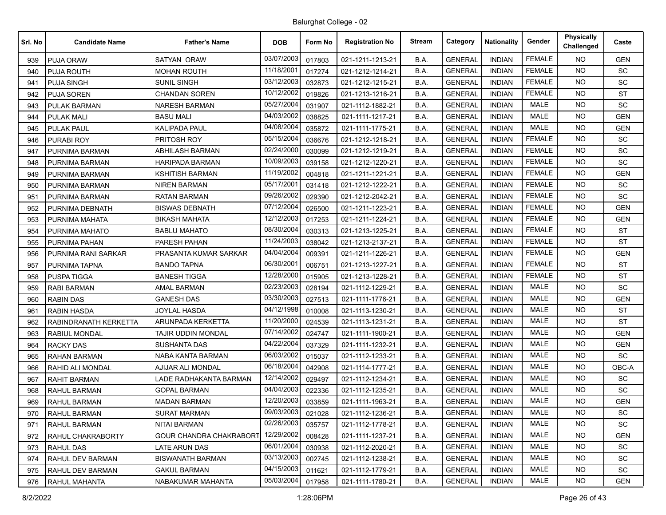| Srl. No | <b>Candidate Name</b> | <b>Father's Name</b>           | <b>DOB</b> | Form No | <b>Registration No</b> | <b>Stream</b> | Category       | <b>Nationality</b> | Gender        | Physically<br>Challenged | Caste      |
|---------|-----------------------|--------------------------------|------------|---------|------------------------|---------------|----------------|--------------------|---------------|--------------------------|------------|
| 939     | PUJA ORAW             | <b>SATYAN ORAW</b>             | 03/07/2003 | 017803  | 021-1211-1213-21       | B.A.          | <b>GENERAL</b> | <b>INDIAN</b>      | <b>FEMALE</b> | NO.                      | <b>GEN</b> |
| 940     | PUJA ROUTH            | MOHAN ROUTH                    | 11/18/2001 | 017274  | 021-1212-1214-21       | B.A.          | <b>GENERAL</b> | <b>INDIAN</b>      | <b>FEMALE</b> | NO.                      | SC         |
| 941     | <b>PUJA SINGH</b>     | <b>SUNIL SINGH</b>             | 03/12/2003 | 032873  | 021-1212-1215-21       | B.A.          | <b>GENERAL</b> | <b>INDIAN</b>      | <b>FEMALE</b> | <b>NO</b>                | SC         |
| 942     | <b>PUJA SOREN</b>     | <b>CHANDAN SOREN</b>           | 10/12/2002 | 019826  | 021-1213-1216-21       | B.A.          | <b>GENERAL</b> | <b>INDIAN</b>      | <b>FEMALE</b> | <b>NO</b>                | <b>ST</b>  |
| 943     | <b>PULAK BARMAN</b>   | <b>NARESH BARMAN</b>           | 05/27/2004 | 031907  | 021-1112-1882-21       | B.A.          | <b>GENERAL</b> | <b>INDIAN</b>      | <b>MALE</b>   | NO.                      | <b>SC</b>  |
| 944     | <b>PULAK MALI</b>     | <b>BASU MALI</b>               | 04/03/2002 | 038825  | 021-1111-1217-21       | B.A.          | <b>GENERAL</b> | <b>INDIAN</b>      | <b>MALE</b>   | <b>NO</b>                | <b>GEN</b> |
| 945     | <b>PULAK PAUL</b>     | <b>KALIPADA PAUL</b>           | 04/08/2004 | 035872  | 021-1111-1775-21       | B.A.          | <b>GENERAL</b> | <b>INDIAN</b>      | <b>MALE</b>   | <b>NO</b>                | <b>GEN</b> |
| 946     | <b>PURABI ROY</b>     | PRITOSH ROY                    | 05/15/2004 | 036676  | 021-1212-1218-21       | B.A.          | <b>GENERAL</b> | <b>INDIAN</b>      | <b>FEMALE</b> | <b>NO</b>                | <b>SC</b>  |
| 947     | PURNIMA BARMAN        | <b>ABHILASH BARMAN</b>         | 02/24/2000 | 030099  | 021-1212-1219-21       | B.A.          | <b>GENERAL</b> | <b>INDIAN</b>      | <b>FEMALE</b> | NO.                      | SC         |
| 948     | PURNIMA BARMAN        | HARIPADA BARMAN                | 10/09/2003 | 039158  | 021-1212-1220-21       | B.A.          | <b>GENERAL</b> | <b>INDIAN</b>      | <b>FEMALE</b> | <b>NO</b>                | SC         |
| 949     | PURNIMA BARMAN        | <b>KSHITISH BARMAN</b>         | 11/19/2002 | 004818  | 021-1211-1221-21       | B.A.          | <b>GENERAL</b> | <b>INDIAN</b>      | <b>FEMALE</b> | NO.                      | <b>GEN</b> |
| 950     | PURNIMA BARMAN        | <b>NIREN BARMAN</b>            | 05/17/2001 | 031418  | 021-1212-1222-21       | B.A.          | <b>GENERAL</b> | <b>INDIAN</b>      | <b>FEMALE</b> | <b>NO</b>                | SC         |
| 951     | PURNIMA BARMAN        | <b>RATAN BARMAN</b>            | 09/26/2002 | 029390  | 021-1212-2042-21       | B.A.          | <b>GENERAL</b> | <b>INDIAN</b>      | <b>FEMALE</b> | <b>NO</b>                | <b>SC</b>  |
| 952     | PURNIMA DEBNATH       | <b>BISWAS DEBNATH</b>          | 07/12/2004 | 026500  | 021-1211-1223-21       | B.A.          | <b>GENERAL</b> | <b>INDIAN</b>      | <b>FEMALE</b> | NO.                      | <b>GEN</b> |
| 953     | PURNIMA MAHATA        | <b>BIKASH MAHATA</b>           | 12/12/2003 | 017253  | 021-1211-1224-21       | B.A.          | <b>GENERAL</b> | <b>INDIAN</b>      | <b>FEMALE</b> | <b>NO</b>                | <b>GEN</b> |
| 954     | PURNIMA MAHATO        | <b>BABLU MAHATO</b>            | 08/30/2004 | 030313  | 021-1213-1225-21       | B.A.          | <b>GENERAL</b> | <b>INDIAN</b>      | <b>FEMALE</b> | NO.                      | <b>ST</b>  |
| 955     | PURNIMA PAHAN         | PARESH PAHAN                   | 11/24/2003 | 038042  | 021-1213-2137-21       | B.A.          | <b>GENERAL</b> | <b>INDIAN</b>      | <b>FEMALE</b> | <b>NO</b>                | <b>ST</b>  |
| 956     | PURNIMA RANI SARKAR   | PRASANTA KUMAR SARKAR          | 04/04/2004 | 009391  | 021-1211-1226-21       | B.A.          | <b>GENERAL</b> | <b>INDIAN</b>      | <b>FEMALE</b> | NO.                      | <b>GEN</b> |
| 957     | PURNIMA TAPNA         | <b>BANDO TAPNA</b>             | 06/30/2001 | 006751  | 021-1213-1227-21       | B.A.          | <b>GENERAL</b> | <b>INDIAN</b>      | <b>FEMALE</b> | <b>NO</b>                | <b>ST</b>  |
| 958     | <b>PUSPA TIGGA</b>    | <b>BANESH TIGGA</b>            | 12/28/2000 | 015905  | 021-1213-1228-21       | B.A.          | <b>GENERAL</b> | <b>INDIAN</b>      | <b>FEMALE</b> | NO.                      | <b>ST</b>  |
| 959     | <b>RABI BARMAN</b>    | AMAL BARMAN                    | 02/23/2003 | 028194  | 021-1112-1229-21       | B.A.          | <b>GENERAL</b> | <b>INDIAN</b>      | <b>MALE</b>   | <b>NO</b>                | SC         |
| 960     | <b>RABIN DAS</b>      | <b>GANESH DAS</b>              | 03/30/2003 | 027513  | 021-1111-1776-21       | B.A.          | <b>GENERAL</b> | <b>INDIAN</b>      | <b>MALE</b>   | <b>NO</b>                | <b>GEN</b> |
| 961     | <b>RABIN HASDA</b>    | <b>JOYLAL HASDA</b>            | 04/12/1998 | 010008  | 021-1113-1230-21       | B.A.          | <b>GENERAL</b> | <b>INDIAN</b>      | <b>MALE</b>   | <b>NO</b>                | <b>ST</b>  |
| 962     | RABINDRANATH KERKETTA | ARUNPADA KERKETTA              | 11/20/2000 | 024539  | 021-1113-1231-21       | B.A.          | <b>GENERAL</b> | <b>INDIAN</b>      | <b>MALE</b>   | NO.                      | ST         |
| 963     | RABIUL MONDAL         | TAJIR UDDIN MONDAL             | 07/14/2002 | 024747  | 021-1111-1900-21       | B.A.          | <b>GENERAL</b> | <b>INDIAN</b>      | <b>MALE</b>   | <b>NO</b>                | <b>GEN</b> |
| 964     | <b>RACKY DAS</b>      | <b>SUSHANTA DAS</b>            | 04/22/2004 | 037329  | 021-1111-1232-21       | B.A.          | <b>GENERAL</b> | <b>INDIAN</b>      | <b>MALE</b>   | <b>NO</b>                | <b>GEN</b> |
| 965     | <b>RAHAN BARMAN</b>   | NABA KANTA BARMAN              | 06/03/2002 | 015037  | 021-1112-1233-21       | B.A.          | <b>GENERAL</b> | <b>INDIAN</b>      | <b>MALE</b>   | <b>NO</b>                | SC         |
| 966     | RAHID ALI MONDAL      | AJIJAR ALI MONDAL              | 06/18/2004 | 042908  | 021-1114-1777-21       | B.A.          | <b>GENERAL</b> | <b>INDIAN</b>      | <b>MALE</b>   | NO.                      | OBC-A      |
| 967     | RAHIT BARMAN          | LADE RADHAKANTA BARMAN         | 12/14/2002 | 029497  | 021-1112-1234-21       | B.A.          | <b>GENERAL</b> | <b>INDIAN</b>      | <b>MALE</b>   | NO.                      | SC         |
| 968     | <b>RAHUL BARMAN</b>   | <b>GOPAL BARMAN</b>            | 04/04/2003 | 022336  | 021-1112-1235-21       | B.A.          | <b>GENERAL</b> | <b>INDIAN</b>      | MALE          | NO.                      | <b>SC</b>  |
| 969     | <b>RAHUL BARMAN</b>   | <b>MADAN BARMAN</b>            | 12/20/2003 | 033859  | 021-1111-1963-21       | B.A.          | <b>GENERAL</b> | <b>INDIAN</b>      | <b>MALE</b>   | <b>NO</b>                | <b>GEN</b> |
| 970     | RAHUL BARMAN          | <b>SURAT MARMAN</b>            | 09/03/2003 | 021028  | 021-1112-1236-21       | B.A.          | <b>GENERAL</b> | <b>INDIAN</b>      | MALE          | NO.                      | SC         |
| 971     | RAHUL BARMAN          | NITAI BARMAN                   | 02/26/2003 | 035757  | 021-1112-1778-21       | B.A.          | <b>GENERAL</b> | <b>INDIAN</b>      | MALE          | <b>NO</b>                | SC         |
| 972     | RAHUL CHAKRABORTY     | <b>GOUR CHANDRA CHAKRABORT</b> | 12/29/2002 | 008428  | 021-1111-1237-21       | B.A.          | <b>GENERAL</b> | <b>INDIAN</b>      | MALE          | NO.                      | <b>GEN</b> |
| 973     | <b>RAHUL DAS</b>      | LATE ARUN DAS                  | 06/01/2004 | 030938  | 021-1112-2020-21       | B.A.          | <b>GENERAL</b> | <b>INDIAN</b>      | MALE          | NO.                      | SC         |
| 974     | RAHUL DEV BARMAN      | <b>BISWANATH BARMAN</b>        | 03/13/2003 | 002745  | 021-1112-1238-21       | B.A.          | <b>GENERAL</b> | <b>INDIAN</b>      | MALE          | NO.                      | SC         |
| 975     | RAHUL DEV BARMAN      | <b>GAKUL BARMAN</b>            | 04/15/2003 | 011621  | 021-1112-1779-21       | B.A.          | <b>GENERAL</b> | <b>INDIAN</b>      | MALE          | NO.                      | <b>SC</b>  |
| 976     | RAHUL MAHANTA         | NABAKUMAR MAHANTA              | 05/03/2004 | 017958  | 021-1111-1780-21       | B.A.          | <b>GENERAL</b> | <b>INDIAN</b>      | MALE          | NO.                      | GEN        |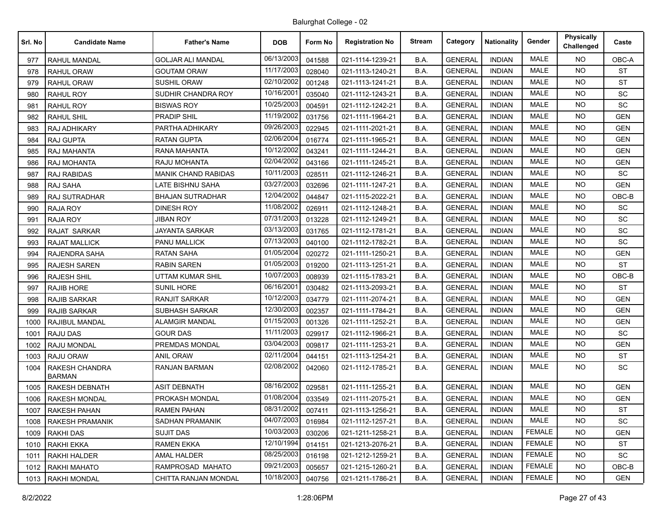| Srl. No | <b>Candidate Name</b>           | <b>Father's Name</b>       | <b>DOB</b> | Form No | <b>Registration No</b> | <b>Stream</b> | Category       | Nationality   | Gender        | <b>Physically</b><br>Challenged | Caste      |
|---------|---------------------------------|----------------------------|------------|---------|------------------------|---------------|----------------|---------------|---------------|---------------------------------|------------|
| 977     | <b>RAHUL MANDAL</b>             | <b>GOLJAR ALI MANDAL</b>   | 06/13/2003 | 041588  | 021-1114-1239-21       | B.A.          | <b>GENERAL</b> | <b>INDIAN</b> | <b>MALE</b>   | NO.                             | OBC-A      |
| 978     | <b>RAHUL ORAW</b>               | GOUTAM ORAW                | 11/17/2003 | 028040  | 021-1113-1240-21       | B.A.          | <b>GENERAL</b> | <b>INDIAN</b> | <b>MALE</b>   | <b>NO</b>                       | <b>ST</b>  |
| 979     | <b>RAHUL ORAW</b>               | <b>SUSHIL ORAW</b>         | 02/10/2002 | 001248  | 021-1113-1241-21       | B.A.          | <b>GENERAL</b> | <b>INDIAN</b> | MALE          | NO.                             | <b>ST</b>  |
| 980     | <b>RAHUL ROY</b>                | SUDHIR CHANDRA ROY         | 10/16/200  | 035040  | 021-1112-1243-21       | B.A.          | <b>GENERAL</b> | <b>INDIAN</b> | <b>MALE</b>   | <b>NO</b>                       | SC         |
| 981     | <b>RAHUL ROY</b>                | <b>BISWAS ROY</b>          | 10/25/2003 | 004591  | 021-1112-1242-21       | B.A.          | <b>GENERAL</b> | <b>INDIAN</b> | <b>MALE</b>   | <b>NO</b>                       | SC         |
| 982     | <b>RAHUL SHIL</b>               | <b>PRADIP SHIL</b>         | 11/19/2002 | 031756  | 021-1111-1964-21       | B.A.          | <b>GENERAL</b> | <b>INDIAN</b> | <b>MALE</b>   | <b>NO</b>                       | <b>GEN</b> |
| 983     | <b>RAJ ADHIKARY</b>             | PARTHA ADHIKARY            | 09/26/2003 | 022945  | 021-1111-2021-21       | B.A.          | <b>GENERAL</b> | <b>INDIAN</b> | <b>MALE</b>   | <b>NO</b>                       | <b>GEN</b> |
| 984     | <b>RAJ GUPTA</b>                | <b>RATAN GUPTA</b>         | 02/06/2004 | 016774  | 021-1111-1965-21       | B.A.          | <b>GENERAL</b> | <b>INDIAN</b> | <b>MALE</b>   | <b>NO</b>                       | <b>GEN</b> |
| 985     | RAJ MAHANTA                     | <b>RANA MAHANTA</b>        | 10/12/2002 | 043241  | 021-1111-1244-21       | B.A.          | <b>GENERAL</b> | <b>INDIAN</b> | <b>MALE</b>   | <b>NO</b>                       | <b>GEN</b> |
| 986     | <b>RAJ MOHANTA</b>              | RAJU MOHANTA               | 02/04/2002 | 043166  | 021-1111-1245-21       | B.A.          | <b>GENERAL</b> | <b>INDIAN</b> | <b>MALE</b>   | <b>NO</b>                       | <b>GEN</b> |
| 987     | <b>RAJ RABIDAS</b>              | <b>MANIK CHAND RABIDAS</b> | 10/11/2003 | 028511  | 021-1112-1246-21       | B.A.          | <b>GENERAL</b> | <b>INDIAN</b> | <b>MALE</b>   | <b>NO</b>                       | SC         |
| 988     | <b>RAJ SAHA</b>                 | LATE BISHNU SAHA           | 03/27/2003 | 032696  | 021-1111-1247-21       | B.A.          | <b>GENERAL</b> | <b>INDIAN</b> | <b>MALE</b>   | <b>NO</b>                       | <b>GEN</b> |
| 989     | RAJ SUTRADHAR                   | <b>BHAJAN SUTRADHAR</b>    | 12/04/2002 | 044847  | 021-1115-2022-21       | B.A.          | <b>GENERAL</b> | <b>INDIAN</b> | <b>MALE</b>   | <b>NO</b>                       | OBC-B      |
| 990     | <b>RAJA ROY</b>                 | <b>DINESH ROY</b>          | 11/08/2002 | 026911  | 021-1112-1248-21       | B.A.          | <b>GENERAL</b> | <b>INDIAN</b> | MALE          | <b>NO</b>                       | SC         |
| 991     | <b>RAJA ROY</b>                 | <b>JIBAN ROY</b>           | 07/31/2003 | 013228  | 021-1112-1249-21       | B.A.          | <b>GENERAL</b> | <b>INDIAN</b> | <b>MALE</b>   | <b>NO</b>                       | SC         |
| 992     | <b>RAJAT SARKAR</b>             | <b>JAYANTA SARKAR</b>      | 03/13/2003 | 031765  | 021-1112-1781-21       | B.A.          | <b>GENERAL</b> | <b>INDIAN</b> | <b>MALE</b>   | <b>NO</b>                       | SC         |
| 993     | <b>RAJAT MALLICK</b>            | <b>PANU MALLICK</b>        | 07/13/2003 | 040100  | 021-1112-1782-21       | B.A.          | <b>GENERAL</b> | <b>INDIAN</b> | <b>MALE</b>   | <b>NO</b>                       | <b>SC</b>  |
| 994     | <b>RAJENDRA SAHA</b>            | <b>RATAN SAHA</b>          | 01/05/2004 | 020272  | 021-1111-1250-21       | B.A.          | <b>GENERAL</b> | <b>INDIAN</b> | <b>MALE</b>   | <b>NO</b>                       | <b>GEN</b> |
| 995     | <b>RAJESH SAREN</b>             | <b>RABIN SAREN</b>         | 01/05/2003 | 019200  | 021-1113-1251-21       | B.A.          | <b>GENERAL</b> | <b>INDIAN</b> | <b>MALE</b>   | <b>NO</b>                       | <b>ST</b>  |
| 996     | <b>RAJESH SHIL</b>              | <b>UTTAM KUMAR SHIL</b>    | 10/07/2003 | 008939  | 021-1115-1783-21       | B.A.          | <b>GENERAL</b> | <b>INDIAN</b> | MALE          | <b>NO</b>                       | OBC-B      |
| 997     | <b>RAJIB HORE</b>               | <b>SUNIL HORE</b>          | 06/16/2001 | 030482  | 021-1113-2093-21       | B.A.          | <b>GENERAL</b> | <b>INDIAN</b> | <b>MALE</b>   | <b>NO</b>                       | <b>ST</b>  |
| 998     | <b>RAJIB SARKAR</b>             | <b>RANJIT SARKAR</b>       | 10/12/2003 | 034779  | 021-1111-2074-21       | B.A.          | <b>GENERAL</b> | <b>INDIAN</b> | MALE          | <b>NO</b>                       | <b>GEN</b> |
| 999     | <b>RAJIB SARKAR</b>             | SUBHASH SARKAR             | 12/30/2003 | 002357  | 021-1111-1784-21       | B.A.          | <b>GENERAL</b> | <b>INDIAN</b> | <b>MALE</b>   | <b>NO</b>                       | <b>GEN</b> |
| 1000    | RAJIBUL MANDAL                  | <b>ALAMGIR MANDAL</b>      | 01/15/2003 | 001326  | 021-1111-1252-21       | B.A.          | <b>GENERAL</b> | <b>INDIAN</b> | MALE          | <b>NO</b>                       | <b>GEN</b> |
| 1001    | <b>RAJU DAS</b>                 | <b>GOUR DAS</b>            | 11/11/2003 | 029917  | 021-1112-1966-21       | B.A.          | <b>GENERAL</b> | <b>INDIAN</b> | <b>MALE</b>   | <b>NO</b>                       | SC         |
| 1002    | <b>RAJU MONDAL</b>              | PREMDAS MONDAL             | 03/04/2003 | 009817  | 021-1111-1253-21       | B.A.          | <b>GENERAL</b> | <b>INDIAN</b> | <b>MALE</b>   | <b>NO</b>                       | <b>GEN</b> |
| 1003    | RAJU ORAW                       | <b>ANIL ORAW</b>           | 02/11/2004 | 044151  | 021-1113-1254-21       | B.A.          | <b>GENERAL</b> | <b>INDIAN</b> | MALE          | <b>NO</b>                       | <b>ST</b>  |
| 1004    | RAKESH CHANDRA<br><b>BARMAN</b> | <b>RANJAN BARMAN</b>       | 02/08/2002 | 042060  | 021-1112-1785-21       | B.A.          | <b>GENERAL</b> | <b>INDIAN</b> | <b>MALE</b>   | NO.                             | SC         |
| 1005    | <b>RAKESH DEBNATH</b>           | <b>ASIT DEBNATH</b>        | 08/16/2002 | 029581  | 021-1111-1255-21       | B.A.          | <b>GENERAL</b> | <b>INDIAN</b> | <b>MALE</b>   | <b>NO</b>                       | <b>GEN</b> |
| 1006    | <b>RAKESH MONDAL</b>            | PROKASH MONDAL             | 01/08/2004 | 033549  | 021-1111-2075-21       | B.A.          | <b>GENERAL</b> | <b>INDIAN</b> | <b>MALE</b>   | NO.                             | <b>GEN</b> |
|         | 1007   RAKESH PAHAN             | <b>RAMEN PAHAN</b>         | 08/31/2002 | 007411  | 021-1113-1256-21       | B.A.          | <b>GENERAL</b> | <b>INDIAN</b> | MALE          | NO.                             | ST         |
| 1008    | <b>RAKESH PRAMANIK</b>          | <b>SADHAN PRAMANIK</b>     | 04/07/2003 | 016984  | 021-1112-1257-21       | B.A.          | <b>GENERAL</b> | <b>INDIAN</b> | MALE          | NO.                             | SC         |
| 1009    | RAKHI DAS                       | <b>SUJIT DAS</b>           | 10/03/2003 | 030206  | 021-1211-1258-21       | B.A.          | <b>GENERAL</b> | <b>INDIAN</b> | <b>FEMALE</b> | NO.                             | <b>GEN</b> |
| 1010    | RAKHI EKKA                      | <b>RAMEN EKKA</b>          | 12/10/1994 | 014151  | 021-1213-2076-21       | B.A.          | <b>GENERAL</b> | <b>INDIAN</b> | <b>FEMALE</b> | NO.                             | <b>ST</b>  |
| 1011    | <b>RAKHI HALDER</b>             | AMAL HALDER                | 08/25/2003 | 016198  | 021-1212-1259-21       | B.A.          | <b>GENERAL</b> | <b>INDIAN</b> | <b>FEMALE</b> | NO.                             | SC         |
| 1012    | RAKHI MAHATO                    | RAMPROSAD MAHATO           | 09/21/2003 | 005657  | 021-1215-1260-21       | B.A.          | <b>GENERAL</b> | <b>INDIAN</b> | <b>FEMALE</b> | NO.                             | OBC-B      |
| 1013    | <b>RAKHI MONDAL</b>             | CHITTA RANJAN MONDAL       | 10/18/2003 | 040756  | 021-1211-1786-21       | B.A.          | <b>GENERAL</b> | <b>INDIAN</b> | <b>FEMALE</b> | NO.                             | <b>GEN</b> |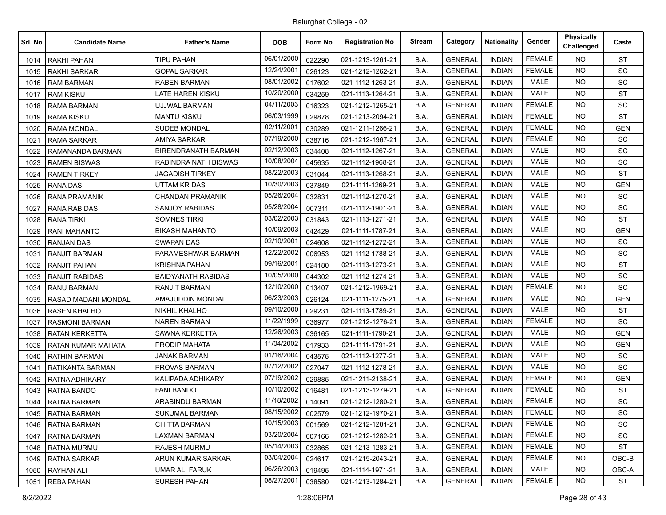| Srl. No | <b>Candidate Name</b> | <b>Father's Name</b>       | <b>DOB</b> | Form No | <b>Registration No</b> | <b>Stream</b> | Category       | <b>Nationality</b> | Gender        | <b>Physically</b><br>Challenged | Caste      |
|---------|-----------------------|----------------------------|------------|---------|------------------------|---------------|----------------|--------------------|---------------|---------------------------------|------------|
| 1014    | RAKHI PAHAN           | <b>TIPU PAHAN</b>          | 06/01/2000 | 022290  | 021-1213-1261-21       | B.A.          | <b>GENERAL</b> | <b>INDIAN</b>      | <b>FEMALE</b> | NO.                             | <b>ST</b>  |
| 1015    | RAKHI SARKAR          | GOPAL SARKAR               | 12/24/2001 | 026123  | 021-1212-1262-21       | B.A.          | <b>GENERAL</b> | <b>INDIAN</b>      | <b>FEMALE</b> | <b>NO</b>                       | SC         |
| 1016    | <b>RAM BARMAN</b>     | <b>RABEN BARMAN</b>        | 08/01/2002 | 017602  | 021-1112-1263-21       | B.A.          | <b>GENERAL</b> | <b>INDIAN</b>      | <b>MALE</b>   | <b>NO</b>                       | SC         |
| 1017    | <b>RAM KISKU</b>      | LATE HAREN KISKU           | 10/20/2000 | 034259  | 021-1113-1264-21       | B.A.          | <b>GENERAL</b> | <b>INDIAN</b>      | <b>MALE</b>   | <b>NO</b>                       | <b>ST</b>  |
| 1018    | <b>RAMA BARMAN</b>    | <b>UJJWAL BARMAN</b>       | 04/11/2003 | 016323  | 021-1212-1265-21       | B.A.          | <b>GENERAL</b> | <b>INDIAN</b>      | <b>FEMALE</b> | NO.                             | SC         |
| 1019    | RAMA KISKU            | <b>MANTU KISKU</b>         | 06/03/1999 | 029878  | 021-1213-2094-21       | B.A.          | <b>GENERAL</b> | <b>INDIAN</b>      | <b>FEMALE</b> | <b>NO</b>                       | <b>ST</b>  |
| 1020    | <b>RAMA MONDAL</b>    | <b>SUDEB MONDAL</b>        | 02/11/2001 | 030289  | 021-1211-1266-21       | B.A.          | <b>GENERAL</b> | <b>INDIAN</b>      | <b>FEMALE</b> | <b>NO</b>                       | <b>GEN</b> |
| 1021    | RAMA SARKAR           | AMIYA SARKAR               | 07/19/2000 | 038716  | 021-1212-1967-21       | B.A.          | <b>GENERAL</b> | <b>INDIAN</b>      | <b>FEMALE</b> | <b>NO</b>                       | <b>SC</b>  |
| 1022    | RAMANANDA BARMAN      | <b>BIRENDRANATH BARMAN</b> | 02/12/2003 | 034408  | 021-1112-1267-21       | B.A.          | <b>GENERAL</b> | <b>INDIAN</b>      | <b>MALE</b>   | NO.                             | SC         |
| 1023    | <b>RAMEN BISWAS</b>   | RABINDRA NATH BISWAS       | 10/08/2004 | 045635  | 021-1112-1968-21       | B.A.          | <b>GENERAL</b> | <b>INDIAN</b>      | <b>MALE</b>   | <b>NO</b>                       | SC         |
| 1024    | <b>RAMEN TIRKEY</b>   | <b>JAGADISH TIRKEY</b>     | 08/22/2003 | 031044  | 021-1113-1268-21       | B.A.          | <b>GENERAL</b> | <b>INDIAN</b>      | <b>MALE</b>   | <b>NO</b>                       | <b>ST</b>  |
| 1025    | <b>RANA DAS</b>       | <b>UTTAM KR DAS</b>        | 10/30/2003 | 037849  | 021-1111-1269-21       | B.A.          | <b>GENERAL</b> | <b>INDIAN</b>      | <b>MALE</b>   | <b>NO</b>                       | <b>GEN</b> |
| 1026    | <b>RANA PRAMANIK</b>  | <b>CHANDAN PRAMANIK</b>    | 05/26/2004 | 032831  | 021-1112-1270-21       | B.A.          | <b>GENERAL</b> | <b>INDIAN</b>      | <b>MALE</b>   | NO.                             | <b>SC</b>  |
| 1027    | <b>RANA RABIDAS</b>   | <b>SANJOY RABIDAS</b>      | 05/28/2004 | 007311  | 021-1112-1901-21       | B.A.          | <b>GENERAL</b> | <b>INDIAN</b>      | MALE          | <b>NO</b>                       | <b>SC</b>  |
| 1028    | <b>RANA TIRKI</b>     | <b>SOMNES TIRKI</b>        | 03/02/2003 | 031843  | 021-1113-1271-21       | B.A.          | <b>GENERAL</b> | <b>INDIAN</b>      | MALE          | <b>NO</b>                       | <b>ST</b>  |
| 1029    | <b>RANI MAHANTO</b>   | <b>BIKASH MAHANTO</b>      | 10/09/2003 | 042429  | 021-1111-1787-21       | B.A.          | <b>GENERAL</b> | <b>INDIAN</b>      | <b>MALE</b>   | <b>NO</b>                       | <b>GEN</b> |
| 1030    | <b>RANJAN DAS</b>     | <b>SWAPAN DAS</b>          | 02/10/2001 | 024608  | 021-1112-1272-21       | B.A.          | <b>GENERAL</b> | <b>INDIAN</b>      | MALE          | NO.                             | SC         |
| 1031    | RANJIT BARMAN         | PARAMESHWAR BARMAN         | 12/22/2002 | 006953  | 021-1112-1788-21       | B.A.          | <b>GENERAL</b> | <b>INDIAN</b>      | <b>MALE</b>   | NO.                             | SC         |
| 1032    | <b>RANJIT PAHAN</b>   | <b>KRISHNA PAHAN</b>       | 09/16/2001 | 024180  | 021-1113-1273-21       | B.A.          | <b>GENERAL</b> | <b>INDIAN</b>      | <b>MALE</b>   | <b>NO</b>                       | <b>ST</b>  |
| 1033    | RANJIT RABIDAS        | <b>BAIDYANATH RABIDAS</b>  | 10/05/2000 | 044302  | 021-1112-1274-21       | B.A.          | <b>GENERAL</b> | <b>INDIAN</b>      | <b>MALE</b>   | NO.                             | SC         |
| 1034    | RANU BARMAN           | <b>RANJIT BARMAN</b>       | 12/10/2000 | 013407  | 021-1212-1969-21       | B.A.          | <b>GENERAL</b> | <b>INDIAN</b>      | <b>FEMALE</b> | <b>NO</b>                       | <b>SC</b>  |
| 1035    | RASAD MADANI MONDAL   | AMAJUDDIN MONDAL           | 06/23/2003 | 026124  | 021-1111-1275-21       | B.A.          | <b>GENERAL</b> | <b>INDIAN</b>      | <b>MALE</b>   | NO.                             | <b>GEN</b> |
| 1036    | <b>RASEN KHALHO</b>   | <b>NIKHIL KHALHO</b>       | 09/10/2000 | 029231  | 021-1113-1789-21       | B.A.          | <b>GENERAL</b> | <b>INDIAN</b>      | <b>MALE</b>   | <b>NO</b>                       | <b>ST</b>  |
| 1037    | <b>RASMONI BARMAN</b> | <b>NAREN BARMAN</b>        | 11/22/1999 | 036977  | 021-1212-1276-21       | B.A.          | <b>GENERAL</b> | <b>INDIAN</b>      | <b>FEMALE</b> | NO.                             | <b>SC</b>  |
| 1038    | RATAN KERKETTA        | <b>SAWNA KERKETTA</b>      | 12/26/2003 | 036165  | 021-1111-1790-21       | B.A.          | <b>GENERAL</b> | <b>INDIAN</b>      | <b>MALE</b>   | <b>NO</b>                       | <b>GEN</b> |
| 1039    | RATAN KUMAR MAHATA    | PRODIP MAHATA              | 11/04/2002 | 017933  | 021-1111-1791-21       | B.A.          | <b>GENERAL</b> | <b>INDIAN</b>      | <b>MALE</b>   | <b>NO</b>                       | <b>GEN</b> |
| 1040    | RATHIN BARMAN         | <b>JANAK BARMAN</b>        | 01/16/2004 | 043575  | 021-1112-1277-21       | B.A.          | <b>GENERAL</b> | <b>INDIAN</b>      | <b>MALE</b>   | <b>NO</b>                       | SC         |
| 1041    | RATIKANTA BARMAN      | PROVAS BARMAN              | 07/12/2002 | 027047  | 021-1112-1278-21       | B.A.          | <b>GENERAL</b> | <b>INDIAN</b>      | <b>MALE</b>   | NO.                             | <b>SC</b>  |
| 1042    | RATNA ADHIKARY        | KALIPADA ADHIKARY          | 07/19/2002 | 029885  | 021-1211-2138-21       | B.A.          | <b>GENERAL</b> | <b>INDIAN</b>      | <b>FEMALE</b> | <b>NO</b>                       | <b>GEN</b> |
| 1043    | RATNA BANDO           | <b>FANI BANDO</b>          | 10/10/2002 | 016481  | 021-1213-1279-21       | B.A.          | <b>GENERAL</b> | <b>INDIAN</b>      | <b>FEMALE</b> | <b>NO</b>                       | <b>ST</b>  |
| 1044    | RATNA BARMAN          | ARABINDU BARMAN            | 11/18/2002 | 014091  | 021-1212-1280-21       | B.A.          | <b>GENERAL</b> | <b>INDIAN</b>      | <b>FEMALE</b> | <b>NO</b>                       | SC         |
| 1045    | <b>RATNA BARMAN</b>   | <b>SUKUMAL BARMAN</b>      | 08/15/2002 | 002579  | 021-1212-1970-21       | B.A.          | <b>GENERAL</b> | <b>INDIAN</b>      | <b>FEMALE</b> | NO.                             | SC         |
| 1046    | RATNA BARMAN          | <b>CHITTA BARMAN</b>       | 10/15/2003 | 001569  | 021-1212-1281-21       | B.A.          | <b>GENERAL</b> | <b>INDIAN</b>      | <b>FEMALE</b> | NO.                             | SC         |
| 1047    | <b>RATNA BARMAN</b>   | <b>LAXMAN BARMAN</b>       | 03/20/2004 | 007166  | 021-1212-1282-21       | B.A.          | <b>GENERAL</b> | <b>INDIAN</b>      | <b>FEMALE</b> | NO.                             | SC         |
| 1048    | <b>RATNA MURMU</b>    | <b>RAJESH MURMU</b>        | 05/14/2003 | 032865  | 021-1213-1283-21       | B.A.          | <b>GENERAL</b> | <b>INDIAN</b>      | <b>FEMALE</b> | <b>NO</b>                       | <b>ST</b>  |
| 1049    | RATNA SARKAR          | ARUN KUMAR SARKAR          | 03/04/2004 | 024617  | 021-1215-2043-21       | B.A.          | <b>GENERAL</b> | <b>INDIAN</b>      | <b>FEMALE</b> | NO.                             | OBC-B      |
| 1050    | RAYHAN ALI            | UMAR ALI FARUK             | 06/26/2003 | 019495  | 021-1114-1971-21       | B.A.          | <b>GENERAL</b> | <b>INDIAN</b>      | MALE          | NO.                             | OBC-A      |
| 1051    | <b>REBA PAHAN</b>     | <b>SURESH PAHAN</b>        | 08/27/2001 | 038580  | 021-1213-1284-21       | B.A.          | <b>GENERAL</b> | <b>INDIAN</b>      | <b>FEMALE</b> | NO.                             | <b>ST</b>  |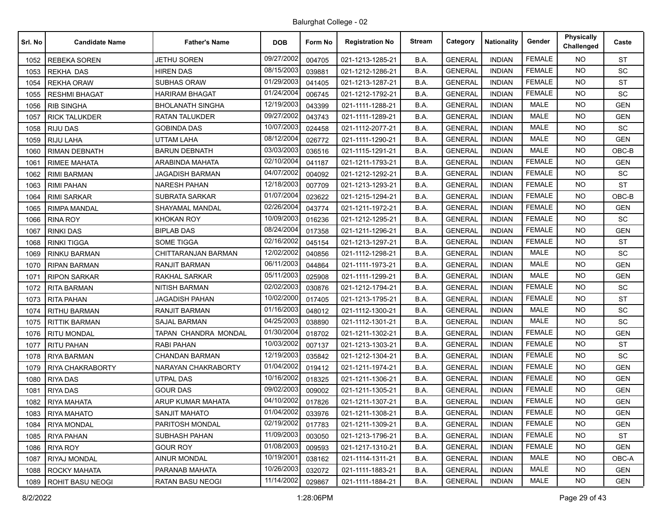| Srl. No | <b>Candidate Name</b>   | <b>Father's Name</b>    | <b>DOB</b> | Form No | <b>Registration No</b> | Stream | Category       | <b>Nationality</b> | Gender        | Physically<br>Challenged | Caste      |
|---------|-------------------------|-------------------------|------------|---------|------------------------|--------|----------------|--------------------|---------------|--------------------------|------------|
| 1052    | <b>REBEKA SOREN</b>     | <b>JETHU SOREN</b>      | 09/27/2002 | 004705  | 021-1213-1285-21       | B.A.   | <b>GENERAL</b> | <b>INDIAN</b>      | <b>FEMALE</b> | <b>NO</b>                | <b>ST</b>  |
| 1053    | <b>REKHA DAS</b>        | <b>HIREN DAS</b>        | 08/15/2003 | 039881  | 021-1212-1286-21       | B.A.   | <b>GENERAL</b> | <b>INDIAN</b>      | <b>FEMALE</b> | <b>NO</b>                | <b>SC</b>  |
| 1054    | <b>REKHA ORAW</b>       | <b>SUBHAS ORAW</b>      | 01/29/2003 | 041405  | 021-1213-1287-21       | B.A.   | <b>GENERAL</b> | <b>INDIAN</b>      | <b>FEMALE</b> | <b>NO</b>                | <b>ST</b>  |
| 1055    | <b>RESHMI BHAGAT</b>    | <b>HARIRAM BHAGAT</b>   | 01/24/2004 | 006745  | 021-1212-1792-21       | B.A.   | <b>GENERAL</b> | <b>INDIAN</b>      | <b>FEMALE</b> | <b>NO</b>                | SC         |
| 1056    | <b>RIB SINGHA</b>       | <b>BHOLANATH SINGHA</b> | 12/19/2003 | 043399  | 021-1111-1288-21       | B.A.   | <b>GENERAL</b> | <b>INDIAN</b>      | <b>MALE</b>   | <b>NO</b>                | <b>GEN</b> |
| 1057    | <b>RICK TALUKDER</b>    | RATAN TALUKDER          | 09/27/2002 | 043743  | 021-1111-1289-21       | B.A.   | <b>GENERAL</b> | <b>INDIAN</b>      | <b>MALE</b>   | <b>NO</b>                | <b>GEN</b> |
| 1058    | <b>RIJU DAS</b>         | <b>GOBINDA DAS</b>      | 10/07/2003 | 024458  | 021-1112-2077-21       | B.A.   | <b>GENERAL</b> | <b>INDIAN</b>      | <b>MALE</b>   | <b>NO</b>                | <b>SC</b>  |
| 1059    | <b>RIJU LAHA</b>        | <b>UTTAM LAHA</b>       | 08/12/2004 | 026772  | 021-1111-1290-21       | B.A.   | <b>GENERAL</b> | <b>INDIAN</b>      | <b>MALE</b>   | <b>NO</b>                | <b>GEN</b> |
| 1060    | <b>RIMAN DEBNATH</b>    | <b>BARUN DEBNATH</b>    | 03/03/2003 | 036516  | 021-1115-1291-21       | B.A.   | <b>GENERAL</b> | <b>INDIAN</b>      | <b>MALE</b>   | <b>NO</b>                | OBC-B      |
| 1061    | <b>RIMEE MAHATA</b>     | ARABINDA MAHATA         | 02/10/2004 | 041187  | 021-1211-1793-21       | B.A.   | <b>GENERAL</b> | <b>INDIAN</b>      | <b>FEMALE</b> | <b>NO</b>                | <b>GEN</b> |
| 1062    | <b>RIMI BARMAN</b>      | <b>JAGADISH BARMAN</b>  | 04/07/2002 | 004092  | 021-1212-1292-21       | B.A.   | <b>GENERAL</b> | <b>INDIAN</b>      | <b>FEMALE</b> | <b>NO</b>                | SC         |
| 1063    | <b>RIMI PAHAN</b>       | <b>NARESH PAHAN</b>     | 12/18/2003 | 007709  | 021-1213-1293-21       | B.A.   | <b>GENERAL</b> | <b>INDIAN</b>      | <b>FEMALE</b> | <b>NO</b>                | <b>ST</b>  |
| 1064    | <b>RIMI SARKAR</b>      | <b>SUBRATA SARKAR</b>   | 01/07/2004 | 023622  | 021-1215-1294-21       | B.A.   | <b>GENERAL</b> | <b>INDIAN</b>      | <b>FEMALE</b> | <b>NO</b>                | OBC-B      |
| 1065    | <b>RIMPA MANDAL</b>     | SHAYAMAL MANDAL         | 02/26/2004 | 043774  | 021-1211-1972-21       | B.A.   | <b>GENERAL</b> | <b>INDIAN</b>      | <b>FEMALE</b> | <b>NO</b>                | <b>GEN</b> |
| 1066    | <b>RINA ROY</b>         | <b>KHOKAN ROY</b>       | 10/09/2003 | 016236  | 021-1212-1295-21       | B.A.   | <b>GENERAL</b> | <b>INDIAN</b>      | <b>FEMALE</b> | <b>NO</b>                | SC         |
| 1067    | <b>RINKI DAS</b>        | <b>BIPLAB DAS</b>       | 08/24/2004 | 017358  | 021-1211-1296-21       | B.A.   | <b>GENERAL</b> | <b>INDIAN</b>      | <b>FEMALE</b> | <b>NO</b>                | <b>GEN</b> |
| 1068    | <b>RINKI TIGGA</b>      | <b>SOME TIGGA</b>       | 02/16/2002 | 045154  | 021-1213-1297-21       | B.A.   | <b>GENERAL</b> | <b>INDIAN</b>      | <b>FEMALE</b> | <b>NO</b>                | <b>ST</b>  |
| 1069    | <b>RINKU BARMAN</b>     | CHITTARANJAN BARMAN     | 12/02/2002 | 040856  | 021-1112-1298-21       | B.A.   | <b>GENERAL</b> | <b>INDIAN</b>      | <b>MALE</b>   | <b>NO</b>                | SC         |
| 1070    | <b>RIPAN BARMAN</b>     | <b>RANJIT BARMAN</b>    | 06/11/2003 | 044864  | 021-1111-1973-21       | B.A.   | <b>GENERAL</b> | <b>INDIAN</b>      | <b>MALE</b>   | <b>NO</b>                | <b>GEN</b> |
| 1071    | <b>RIPON SARKAR</b>     | RAKHAL SARKAR           | 05/11/2003 | 025908  | 021-1111-1299-21       | B.A.   | <b>GENERAL</b> | <b>INDIAN</b>      | <b>MALE</b>   | <b>NO</b>                | <b>GEN</b> |
| 1072    | <b>RITA BARMAN</b>      | <b>NITISH BARMAN</b>    | 02/02/2003 | 030876  | 021-1212-1794-21       | B.A.   | <b>GENERAL</b> | <b>INDIAN</b>      | <b>FEMALE</b> | <b>NO</b>                | SC         |
| 1073    | <b>RITA PAHAN</b>       | <b>JAGADISH PAHAN</b>   | 10/02/2000 | 017405  | 021-1213-1795-21       | B.A.   | <b>GENERAL</b> | <b>INDIAN</b>      | <b>FEMALE</b> | <b>NO</b>                | <b>ST</b>  |
| 1074    | <b>RITHU BARMAN</b>     | <b>RANJIT BARMAN</b>    | 01/16/2003 | 048012  | 021-1112-1300-21       | B.A.   | <b>GENERAL</b> | <b>INDIAN</b>      | <b>MALE</b>   | <b>NO</b>                | SC         |
| 1075    | <b>RITTIK BARMAN</b>    | <b>SAJAL BARMAN</b>     | 04/25/2003 | 038890  | 021-1112-1301-21       | B.A.   | <b>GENERAL</b> | <b>INDIAN</b>      | <b>MALE</b>   | <b>NO</b>                | SC         |
| 1076    | <b>RITU MONDAL</b>      | TAPAN CHANDRA MONDAL    | 01/30/2004 | 018702  | 021-1211-1302-21       | B.A.   | <b>GENERAL</b> | <b>INDIAN</b>      | <b>FEMALE</b> | <b>NO</b>                | <b>GEN</b> |
| 1077    | <b>RITU PAHAN</b>       | RABI PAHAN              | 10/03/2002 | 007137  | 021-1213-1303-21       | B.A.   | <b>GENERAL</b> | <b>INDIAN</b>      | <b>FEMALE</b> | <b>NO</b>                | <b>ST</b>  |
| 1078    | <b>RIYA BARMAN</b>      | <b>CHANDAN BARMAN</b>   | 12/19/2003 | 035842  | 021-1212-1304-21       | B.A.   | <b>GENERAL</b> | <b>INDIAN</b>      | <b>FEMALE</b> | <b>NO</b>                | <b>SC</b>  |
| 1079    | RIYA CHAKRABORTY        | NARAYAN CHAKRABORTY     | 01/04/2002 | 019412  | 021-1211-1974-21       | B.A.   | <b>GENERAL</b> | <b>INDIAN</b>      | <b>FEMALE</b> | <b>NO</b>                | <b>GEN</b> |
| 1080    | <b>RIYA DAS</b>         | UTPAL DAS               | 10/16/2002 | 018325  | 021-1211-1306-21       | B.A.   | <b>GENERAL</b> | <b>INDIAN</b>      | <b>FEMALE</b> | <b>NO</b>                | <b>GEN</b> |
| 1081    | <b>RIYA DAS</b>         | <b>GOUR DAS</b>         | 09/02/2003 | 009002  | 021-1211-1305-21       | B.A.   | <b>GENERAL</b> | <b>INDIAN</b>      | <b>FEMALE</b> | <b>NO</b>                | <b>GEN</b> |
| 1082    | <b>RIYA MAHATA</b>      | ARUP KUMAR MAHATA       | 04/10/2002 | 017826  | 021-1211-1307-21       | B.A.   | <b>GENERAL</b> | <b>INDIAN</b>      | <b>FEMALE</b> | <b>NO</b>                | <b>GEN</b> |
|         | 1083   RIYA MAHATO      | <b>SANJIT MAHATO</b>    | 01/04/2002 | 033976  | 021-1211-1308-21       | B.A.   | <b>GENERAL</b> | <b>INDIAN</b>      | <b>FEMALE</b> | NO                       | <b>GEN</b> |
| 1084    | <b>RIYA MONDAL</b>      | PARITOSH MONDAL         | 02/19/2002 | 017783  | 021-1211-1309-21       | B.A.   | <b>GENERAL</b> | <b>INDIAN</b>      | <b>FEMALE</b> | NO.                      | <b>GEN</b> |
| 1085    | <b>RIYA PAHAN</b>       | SUBHASH PAHAN           | 11/09/2003 | 003050  | 021-1213-1796-21       | B.A.   | <b>GENERAL</b> | <b>INDIAN</b>      | <b>FEMALE</b> | NO.                      | ST         |
| 1086    | RIYA ROY                | <b>GOUR ROY</b>         | 01/08/2003 | 009593  | 021-1217-1310-21       | B.A.   | <b>GENERAL</b> | <b>INDIAN</b>      | <b>FEMALE</b> | NO.                      | <b>GEN</b> |
| 1087    | RIYAJ MONDAL            | <b>AINUR MONDAL</b>     | 10/19/2001 | 038162  | 021-1114-1311-21       | B.A.   | <b>GENERAL</b> | <b>INDIAN</b>      | MALE          | NO                       | OBC-A      |
| 1088    | ROCKY MAHATA            | PARANAB MAHATA          | 10/26/2003 | 032072  | 021-1111-1883-21       | B.A.   | <b>GENERAL</b> | <b>INDIAN</b>      | MALE          | <b>NO</b>                | <b>GEN</b> |
| 1089    | <b>ROHIT BASU NEOGI</b> | <b>RATAN BASU NEOGI</b> | 11/14/2002 | 029867  | 021-1111-1884-21       | B.A.   | <b>GENERAL</b> | <b>INDIAN</b>      | MALE          | <b>NO</b>                | <b>GEN</b> |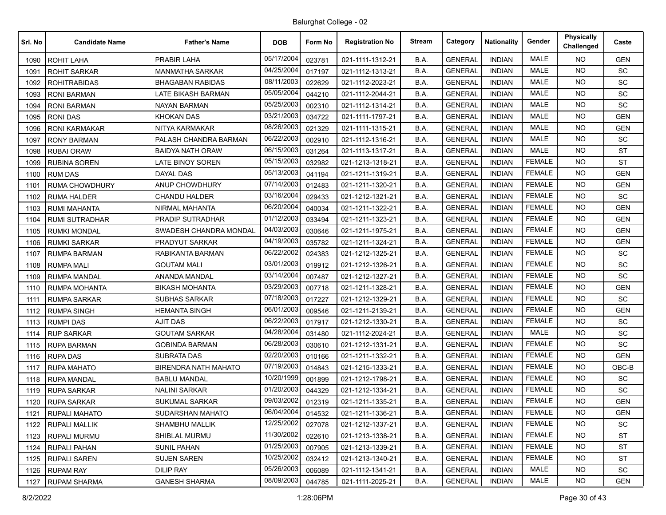| Srl. No | <b>Candidate Name</b> | <b>Father's Name</b>        | <b>DOB</b> | Form No | <b>Registration No</b> | <b>Stream</b> | Category       | <b>Nationality</b> | Gender        | <b>Physically</b><br>Challenged | Caste      |
|---------|-----------------------|-----------------------------|------------|---------|------------------------|---------------|----------------|--------------------|---------------|---------------------------------|------------|
| 1090    | ROHIT LAHA            | <b>PRABIR LAHA</b>          | 05/17/2004 | 023781  | 021-1111-1312-21       | B.A.          | <b>GENERAL</b> | <b>INDIAN</b>      | <b>MALE</b>   | NO.                             | <b>GEN</b> |
| 1091    | <b>ROHIT SARKAR</b>   | <b>MANMATHA SARKAR</b>      | 04/25/2004 | 017197  | 021-1112-1313-21       | B.A.          | <b>GENERAL</b> | <b>INDIAN</b>      | <b>MALE</b>   | <b>NO</b>                       | SC         |
| 1092    | <b>ROHITRABIDAS</b>   | <b>BHAGABAN RABIDAS</b>     | 08/11/2003 | 022629  | 021-1112-2023-21       | B.A.          | <b>GENERAL</b> | <b>INDIAN</b>      | <b>MALE</b>   | <b>NO</b>                       | SC         |
| 1093    | <b>RONI BARMAN</b>    | LATE BIKASH BARMAN          | 05/05/2004 | 044210  | 021-1112-2044-21       | B.A.          | <b>GENERAL</b> | <b>INDIAN</b>      | <b>MALE</b>   | <b>NO</b>                       | SC         |
| 1094    | <b>RONI BARMAN</b>    | <b>NAYAN BARMAN</b>         | 05/25/2003 | 002310  | 021-1112-1314-21       | B.A.          | <b>GENERAL</b> | <b>INDIAN</b>      | <b>MALE</b>   | NO.                             | SC         |
| 1095    | <b>RONIDAS</b>        | <b>KHOKAN DAS</b>           | 03/21/2003 | 034722  | 021-1111-1797-21       | B.A.          | <b>GENERAL</b> | <b>INDIAN</b>      | <b>MALE</b>   | <b>NO</b>                       | <b>GEN</b> |
| 1096    | <b>RONI KARMAKAR</b>  | NITYA KARMAKAR              | 08/26/2003 | 021329  | 021-1111-1315-21       | B.A.          | <b>GENERAL</b> | <b>INDIAN</b>      | <b>MALE</b>   | <b>NO</b>                       | <b>GEN</b> |
| 1097    | <b>RONY BARMAN</b>    | PALASH CHANDRA BARMAN       | 06/22/2003 | 002910  | 021-1112-1316-21       | B.A.          | <b>GENERAL</b> | <b>INDIAN</b>      | <b>MALE</b>   | <b>NO</b>                       | <b>SC</b>  |
| 1098    | <b>RUBAI ORAW</b>     | <b>BAIDYA NATH ORAW</b>     | 06/15/2003 | 031264  | 021-1113-1317-21       | B.A.          | <b>GENERAL</b> | <b>INDIAN</b>      | <b>MALE</b>   | NO.                             | <b>ST</b>  |
| 1099    | <b>RUBINA SOREN</b>   | LATE BINOY SOREN            | 05/15/2003 | 032982  | 021-1213-1318-21       | B.A.          | <b>GENERAL</b> | <b>INDIAN</b>      | <b>FEMALE</b> | <b>NO</b>                       | ST         |
| 1100    | <b>RUM DAS</b>        | <b>DAYAL DAS</b>            | 05/13/2003 | 041194  | 021-1211-1319-21       | B.A.          | <b>GENERAL</b> | <b>INDIAN</b>      | <b>FEMALE</b> | <b>NO</b>                       | <b>GEN</b> |
| 1101    | RUMA CHOWDHURY        | ANUP CHOWDHURY              | 07/14/2003 | 012483  | 021-1211-1320-21       | B.A.          | <b>GENERAL</b> | <b>INDIAN</b>      | <b>FEMALE</b> | <b>NO</b>                       | <b>GEN</b> |
| 1102    | <b>RUMA HALDER</b>    | <b>CHANDU HALDER</b>        | 03/16/2004 | 029433  | 021-1212-1321-21       | B.A.          | <b>GENERAL</b> | <b>INDIAN</b>      | <b>FEMALE</b> | <b>NO</b>                       | <b>SC</b>  |
| 1103    | <b>RUMI MAHANTA</b>   | NIRMAL MAHANTA              | 06/20/2004 | 040034  | 021-1211-1322-21       | B.A.          | <b>GENERAL</b> | <b>INDIAN</b>      | <b>FEMALE</b> | <b>NO</b>                       | <b>GEN</b> |
| 1104    | <b>RUMI SUTRADHAR</b> | PRADIP SUTRADHAR            | 01/12/2003 | 033494  | 021-1211-1323-21       | B.A.          | <b>GENERAL</b> | <b>INDIAN</b>      | <b>FEMALE</b> | <b>NO</b>                       | <b>GEN</b> |
| 1105    | <b>RUMKI MONDAL</b>   | SWADESH CHANDRA MONDAL      | 04/03/2003 | 030646  | 021-1211-1975-21       | B.A.          | <b>GENERAL</b> | <b>INDIAN</b>      | <b>FEMALE</b> | NO.                             | <b>GEN</b> |
| 1106    | <b>RUMKI SARKAR</b>   | PRADYUT SARKAR              | 04/19/2003 | 035782  | 021-1211-1324-21       | B.A.          | <b>GENERAL</b> | <b>INDIAN</b>      | <b>FEMALE</b> | <b>NO</b>                       | <b>GEN</b> |
| 1107    | <b>RUMPA BARMAN</b>   | RABIKANTA BARMAN            | 06/22/2002 | 024383  | 021-1212-1325-21       | B.A.          | <b>GENERAL</b> | <b>INDIAN</b>      | <b>FEMALE</b> | NO.                             | <b>SC</b>  |
| 1108    | <b>RUMPA MALI</b>     | <b>GOUTAM MALI</b>          | 03/01/2003 | 019912  | 021-1212-1326-21       | B.A.          | <b>GENERAL</b> | <b>INDIAN</b>      | <b>FEMALE</b> | <b>NO</b>                       | SC         |
| 1109    | <b>RUMPA MANDAL</b>   | ANANDA MANDAL               | 03/14/2004 | 007487  | 021-1212-1327-21       | B.A.          | <b>GENERAL</b> | <b>INDIAN</b>      | <b>FEMALE</b> | NO.                             | SC         |
| 1110    | RUMPA MOHANTA         | <b>BIKASH MOHANTA</b>       | 03/29/2003 | 007718  | 021-1211-1328-21       | B.A.          | <b>GENERAL</b> | <b>INDIAN</b>      | <b>FEMALE</b> | <b>NO</b>                       | <b>GEN</b> |
| 1111    | <b>RUMPA SARKAR</b>   | <b>SUBHAS SARKAR</b>        | 07/18/2003 | 017227  | 021-1212-1329-21       | B.A.          | <b>GENERAL</b> | <b>INDIAN</b>      | <b>FEMALE</b> | NO.                             | SC         |
| 1112    | <b>RUMPA SINGH</b>    | <b>HEMANTA SINGH</b>        | 06/01/2003 | 009546  | 021-1211-2139-21       | B.A.          | <b>GENERAL</b> | <b>INDIAN</b>      | <b>FEMALE</b> | <b>NO</b>                       | <b>GEN</b> |
| 1113    | <b>RUMPI DAS</b>      | <b>AJIT DAS</b>             | 06/22/2003 | 017917  | 021-1212-1330-21       | B.A.          | <b>GENERAL</b> | <b>INDIAN</b>      | <b>FEMALE</b> | NO.                             | SC         |
| 1114    | <b>RUP SARKAR</b>     | <b>GOUTAM SARKAR</b>        | 04/28/2004 | 031480  | 021-1112-2024-21       | B.A.          | <b>GENERAL</b> | <b>INDIAN</b>      | <b>MALE</b>   | NO.                             | SC         |
| 1115    | <b>RUPA BARMAN</b>    | <b>GOBINDA BARMAN</b>       | 06/28/2003 | 030610  | 021-1212-1331-21       | B.A.          | <b>GENERAL</b> | <b>INDIAN</b>      | <b>FEMALE</b> | <b>NO</b>                       | SC         |
| 1116    | <b>RUPA DAS</b>       | <b>SUBRATA DAS</b>          | 02/20/2003 | 010166  | 021-1211-1332-21       | B.A.          | <b>GENERAL</b> | <b>INDIAN</b>      | <b>FEMALE</b> | <b>NO</b>                       | <b>GEN</b> |
| 1117    | <b>RUPA MAHATO</b>    | <b>BIRENDRA NATH MAHATO</b> | 07/19/2003 | 014843  | 021-1215-1333-21       | B.A.          | <b>GENERAL</b> | <b>INDIAN</b>      | <b>FEMALE</b> | NO.                             | $OBC-B$    |
| 1118    | <b>RUPA MANDAL</b>    | BABLU MANDAL                | 10/20/1999 | 001899  | 021-1212-1798-21       | B.A.          | <b>GENERAL</b> | <b>INDIAN</b>      | <b>FEMALE</b> | <b>NO</b>                       | SC         |
| 1119    | <b>RUPA SARKAR</b>    | <b>NALINI SARKAR</b>        | 01/20/2003 | 044329  | 021-1212-1334-21       | B.A.          | <b>GENERAL</b> | <b>INDIAN</b>      | <b>FEMALE</b> | <b>NO</b>                       | <b>SC</b>  |
| 1120    | <b>RUPA SARKAR</b>    | <b>SUKUMAL SARKAR</b>       | 09/03/2002 | 012319  | 021-1211-1335-21       | B.A.          | <b>GENERAL</b> | <b>INDIAN</b>      | <b>FEMALE</b> | <b>NO</b>                       | <b>GEN</b> |
| 1121    | <b>RUPALI MAHATO</b>  | SUDARSHAN MAHATO            | 06/04/2004 | 014532  | 021-1211-1336-21       | B.A.          | <b>GENERAL</b> | INDIAN             | <b>FEMALE</b> | NO.                             | <b>GEN</b> |
| 1122    | <b>RUPALI MALLIK</b>  | SHAMBHU MALLIK              | 12/25/2002 | 027078  | 021-1212-1337-21       | B.A.          | <b>GENERAL</b> | <b>INDIAN</b>      | <b>FEMALE</b> | <b>NO</b>                       | SC         |
| 1123    | <b>RUPALI MURMU</b>   | SHIBLAL MURMU               | 11/30/2002 | 022610  | 021-1213-1338-21       | B.A.          | <b>GENERAL</b> | <b>INDIAN</b>      | <b>FEMALE</b> | NO.                             | <b>ST</b>  |
| 1124    | <b>RUPALI PAHAN</b>   | <b>SUNIL PAHAN</b>          | 01/25/2003 | 007905  | 021-1213-1339-21       | B.A.          | <b>GENERAL</b> | <b>INDIAN</b>      | FEMALE        | NO.                             | ST         |
| 1125    | <b>RUPALI SAREN</b>   | <b>SUJEN SAREN</b>          | 10/25/2002 | 032412  | 021-1213-1340-21       | <b>B.A.</b>   | <b>GENERAL</b> | INDIAN             | <b>FEMALE</b> | NO.                             | ST         |
| 1126    | <b>RUPAM RAY</b>      | DILIP RAY                   | 05/26/2003 | 006089  | 021-1112-1341-21       | B.A.          | <b>GENERAL</b> | <b>INDIAN</b>      | MALE          | NO.                             | SC         |
| 1127    | <b>RUPAM SHARMA</b>   | <b>GANESH SHARMA</b>        | 08/09/2003 | 044785  | 021-1111-2025-21       | B.A.          | <b>GENERAL</b> | <b>INDIAN</b>      | MALE          | NO.                             | <b>GEN</b> |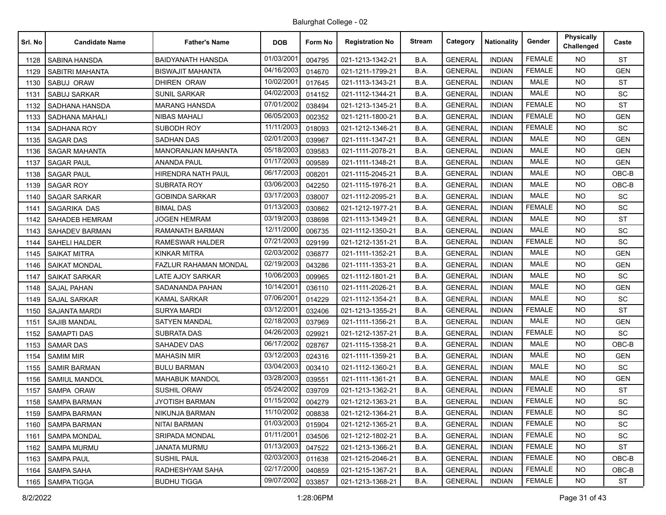| Srl. No | <b>Candidate Name</b> | <b>Father's Name</b>      | <b>DOB</b> | Form No | <b>Registration No</b> | <b>Stream</b> | Category       | <b>Nationality</b> | Gender        | <b>Physically</b><br>Challenged | Caste      |
|---------|-----------------------|---------------------------|------------|---------|------------------------|---------------|----------------|--------------------|---------------|---------------------------------|------------|
| 1128    | SABINA HANSDA         | <b>BAIDYANATH HANSDA</b>  | 01/03/2001 | 004795  | 021-1213-1342-21       | B.A.          | <b>GENERAL</b> | <b>INDIAN</b>      | <b>FEMALE</b> | <b>NO</b>                       | <b>ST</b>  |
| 1129    | SABITRI MAHANTA       | <b>BISWAJIT MAHANTA</b>   | 04/16/2003 | 014670  | 021-1211-1799-21       | B.A.          | <b>GENERAL</b> | <b>INDIAN</b>      | <b>FEMALE</b> | <b>NO</b>                       | <b>GEN</b> |
| 1130    | SABUJ ORAW            | <b>DHIREN ORAW</b>        | 10/02/2001 | 017645  | 021-1113-1343-21       | B.A.          | <b>GENERAL</b> | <b>INDIAN</b>      | <b>MALE</b>   | <b>NO</b>                       | <b>ST</b>  |
| 1131    | <b>SABUJ SARKAR</b>   | <b>SUNIL SARKAR</b>       | 04/02/2003 | 014152  | 021-1112-1344-21       | B.A.          | <b>GENERAL</b> | <b>INDIAN</b>      | <b>MALE</b>   | <b>NO</b>                       | SC         |
| 1132    | SADHANA HANSDA        | <b>MARANG HANSDA</b>      | 07/01/2002 | 038494  | 021-1213-1345-21       | B.A.          | <b>GENERAL</b> | <b>INDIAN</b>      | <b>FEMALE</b> | NO.                             | <b>ST</b>  |
| 1133    | <b>SADHANA MAHALI</b> | <b>NIBAS MAHALI</b>       | 06/05/2003 | 002352  | 021-1211-1800-21       | B.A.          | <b>GENERAL</b> | <b>INDIAN</b>      | <b>FEMALE</b> | <b>NO</b>                       | <b>GEN</b> |
| 1134    | SADHANA ROY           | SUBODH ROY                | 11/11/2003 | 018093  | 021-1212-1346-21       | B.A.          | <b>GENERAL</b> | <b>INDIAN</b>      | <b>FEMALE</b> | NO.                             | <b>SC</b>  |
| 1135    | <b>SAGAR DAS</b>      | <b>SADHAN DAS</b>         | 02/01/2003 | 039967  | 021-1111-1347-21       | B.A.          | <b>GENERAL</b> | <b>INDIAN</b>      | <b>MALE</b>   | <b>NO</b>                       | <b>GEN</b> |
| 1136    | <b>SAGAR MAHANTA</b>  | <b>MANORANJAN MAHANTA</b> | 05/18/2003 | 039583  | 021-1111-2078-21       | B.A.          | <b>GENERAL</b> | <b>INDIAN</b>      | <b>MALE</b>   | NO.                             | <b>GEN</b> |
| 1137    | <b>SAGAR PAUL</b>     | ANANDA PAUL               | 01/17/2003 | 009589  | 021-1111-1348-21       | B.A.          | <b>GENERAL</b> | <b>INDIAN</b>      | <b>MALE</b>   | <b>NO</b>                       | <b>GEN</b> |
| 1138    | <b>SAGAR PAUL</b>     | HIRENDRA NATH PAUL        | 06/17/2003 | 008201  | 021-1115-2045-21       | B.A.          | <b>GENERAL</b> | <b>INDIAN</b>      | <b>MALE</b>   | <b>NO</b>                       | OBC-B      |
| 1139    | <b>SAGAR ROY</b>      | <b>SUBRATA ROY</b>        | 03/06/2003 | 042250  | 021-1115-1976-21       | B.A.          | <b>GENERAL</b> | <b>INDIAN</b>      | <b>MALE</b>   | <b>NO</b>                       | $OBC-B$    |
| 1140    | <b>SAGAR SARKAR</b>   | GOBINDA SARKAR            | 03/17/2003 | 038007  | 021-1112-2095-21       | B.A.          | <b>GENERAL</b> | <b>INDIAN</b>      | <b>MALE</b>   | NO.                             | SC         |
| 1141    | SAGARIKA DAS          | BIMAL DAS                 | 01/13/2003 | 030862  | 021-1212-1977-21       | B.A.          | <b>GENERAL</b> | <b>INDIAN</b>      | <b>FEMALE</b> | NO.                             | <b>SC</b>  |
| 1142    | <b>SAHADEB HEMRAM</b> | <b>JOGEN HEMRAM</b>       | 03/19/2003 | 038698  | 021-1113-1349-21       | B.A.          | <b>GENERAL</b> | <b>INDIAN</b>      | <b>MALE</b>   | NO.                             | <b>ST</b>  |
| 1143    | <b>SAHADEV BARMAN</b> | RAMANATH BARMAN           | 12/11/2000 | 006735  | 021-1112-1350-21       | B.A.          | <b>GENERAL</b> | <b>INDIAN</b>      | <b>MALE</b>   | <b>NO</b>                       | SC         |
| 1144    | <b>SAHELI HALDER</b>  | RAMESWAR HALDER           | 07/21/2003 | 029199  | 021-1212-1351-21       | B.A.          | <b>GENERAL</b> | <b>INDIAN</b>      | <b>FEMALE</b> | NO.                             | SC         |
| 1145    | <b>SAIKAT MITRA</b>   | KINKAR MITRA              | 02/03/2002 | 036877  | 021-1111-1352-21       | B.A.          | <b>GENERAL</b> | <b>INDIAN</b>      | MALE          | <b>NO</b>                       | <b>GEN</b> |
| 1146    | <b>SAIKAT MONDAL</b>  | FAZLUR RAHAMAN MONDAL     | 02/19/2003 | 043286  | 021-1111-1353-21       | B.A.          | <b>GENERAL</b> | <b>INDIAN</b>      | <b>MALE</b>   | <b>NO</b>                       | <b>GEN</b> |
| 1147    | <b>SAIKAT SARKAR</b>  | LATE AJOY SARKAR          | 10/06/2003 | 009965  | 021-1112-1801-21       | B.A.          | <b>GENERAL</b> | <b>INDIAN</b>      | <b>MALE</b>   | <b>NO</b>                       | <b>SC</b>  |
| 1148    | <b>SAJAL PAHAN</b>    | SADANANDA PAHAN           | 10/14/2001 | 036110  | 021-1111-2026-21       | B.A.          | <b>GENERAL</b> | <b>INDIAN</b>      | <b>MALE</b>   | NO.                             | <b>GEN</b> |
| 1149    | <b>SAJAL SARKAR</b>   | KAMAL SARKAR              | 07/06/2001 | 014229  | 021-1112-1354-21       | B.A.          | <b>GENERAL</b> | <b>INDIAN</b>      | MALE          | <b>NO</b>                       | <b>SC</b>  |
| 1150    | <b>SAJANTA MARDI</b>  | SURYA MARDI               | 03/12/2001 | 032406  | 021-1213-1355-21       | B.A.          | <b>GENERAL</b> | <b>INDIAN</b>      | <b>FEMALE</b> | <b>NO</b>                       | <b>ST</b>  |
| 1151    | SAJIB MANDAL          | SATYEN MANDAL             | 02/18/2003 | 037969  | 021-1111-1356-21       | B.A.          | <b>GENERAL</b> | <b>INDIAN</b>      | <b>MALE</b>   | <b>NO</b>                       | <b>GEN</b> |
| 1152    | <b>SAMAPTI DAS</b>    | <b>SUBRATA DAS</b>        | 04/26/2003 | 029921  | 021-1212-1357-21       | B.A.          | <b>GENERAL</b> | <b>INDIAN</b>      | <b>FEMALE</b> | NO.                             | SC         |
| 1153    | <b>SAMAR DAS</b>      | SAHADEV DAS               | 06/17/2002 | 028767  | 021-1115-1358-21       | B.A.          | <b>GENERAL</b> | <b>INDIAN</b>      | <b>MALE</b>   | <b>NO</b>                       | OBC-B      |
| 1154    | <b>SAMIM MIR</b>      | <b>MAHASIN MIR</b>        | 03/12/2003 | 024316  | 021-1111-1359-21       | B.A.          | <b>GENERAL</b> | <b>INDIAN</b>      | <b>MALE</b>   | <b>NO</b>                       | <b>GEN</b> |
| 1155    | <b>SAMIR BARMAN</b>   | <b>BULU BARMAN</b>        | 03/04/2003 | 003410  | 021-1112-1360-21       | B.A.          | <b>GENERAL</b> | <b>INDIAN</b>      | <b>MALE</b>   | NO.                             | <b>SC</b>  |
| 1156    | SAMIUL MANDOL         | MAHABUK MANDOL            | 03/28/2003 | 039551  | 021-1111-1361-21       | B.A.          | <b>GENERAL</b> | <b>INDIAN</b>      | <b>MALE</b>   | <b>NO</b>                       | <b>GEN</b> |
| 1157    | <b>SAMPA ORAW</b>     | <b>SUSHIL ORAW</b>        | 05/24/2002 | 039709  | 021-1213-1362-21       | B.A.          | <b>GENERAL</b> | <b>INDIAN</b>      | <b>FEMALE</b> | <b>NO</b>                       | <b>ST</b>  |
| 1158    | <b>SAMPA BARMAN</b>   | JYOTISH BARMAN            | 01/15/2002 | 004279  | 021-1212-1363-21       | B.A.          | <b>GENERAL</b> | <b>INDIAN</b>      | <b>FEMALE</b> | <b>NO</b>                       | SC         |
| 1159    | <b>SAMPA BARMAN</b>   | NIKUNJA BARMAN            | 11/10/2002 | 008838  | 021-1212-1364-21       | B.A.          | <b>GENERAL</b> | <b>INDIAN</b>      | FEMALE        | NO.                             | <b>SC</b>  |
| 1160    | <b>SAMPA BARMAN</b>   | <b>NITAI BARMAN</b>       | 01/03/2003 | 015904  | 021-1212-1365-21       | B.A.          | <b>GENERAL</b> | <b>INDIAN</b>      | <b>FEMALE</b> | <b>NO</b>                       | SC         |
| 1161    | <b>SAMPA MONDAL</b>   | SRIPADA MONDAL            | 01/11/2001 | 034506  | 021-1212-1802-21       | B.A.          | <b>GENERAL</b> | <b>INDIAN</b>      | FEMALE        | NO.                             | SC         |
| 1162    | <b>SAMPA MURMU</b>    | JANATA MURMU              | 01/13/2003 | 047522  | 021-1213-1366-21       | B.A.          | <b>GENERAL</b> | <b>INDIAN</b>      | <b>FEMALE</b> | <b>NO</b>                       | <b>ST</b>  |
| 1163    | <b>SAMPA PAUL</b>     | <b>SUSHIL PAUL</b>        | 02/03/2003 | 011638  | 021-1215-2046-21       | B.A.          | <b>GENERAL</b> | <b>INDIAN</b>      | <b>FEMALE</b> | NO.                             | OBC-B      |
| 1164    | SAMPA SAHA            | RADHESHYAM SAHA           | 02/17/2000 | 040859  | 021-1215-1367-21       | B.A.          | <b>GENERAL</b> | <b>INDIAN</b>      | <b>FEMALE</b> | <b>NO</b>                       | $OBC-B$    |
| 1165    | <b>SAMPA TIGGA</b>    | <b>BUDHU TIGGA</b>        | 09/07/2002 | 033857  | 021-1213-1368-21       | B.A.          | <b>GENERAL</b> | <b>INDIAN</b>      | FEMALE        | <b>NO</b>                       | ST         |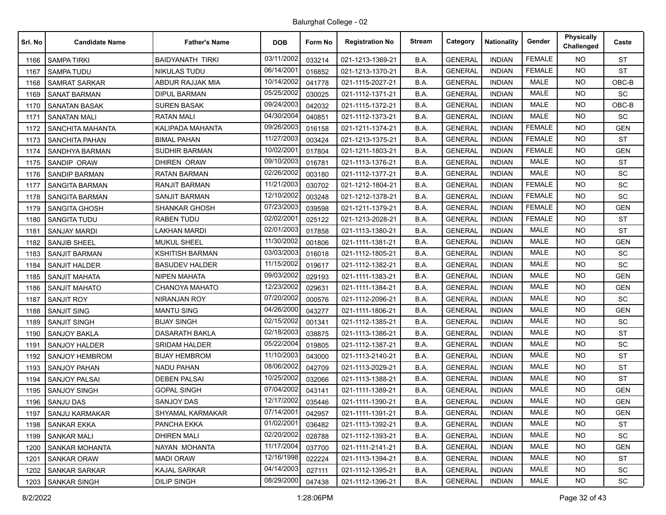| Srl. No | <b>Candidate Name</b> | <b>Father's Name</b>    | <b>DOB</b> | Form No | <b>Registration No</b> | <b>Stream</b> | Category       | <b>Nationality</b> | Gender        | Physically<br>Challenged | Caste                        |
|---------|-----------------------|-------------------------|------------|---------|------------------------|---------------|----------------|--------------------|---------------|--------------------------|------------------------------|
| 1166    | <b>SAMPA TIRKI</b>    | <b>BAIDYANATH TIRKI</b> | 03/11/2002 | 033214  | 021-1213-1369-21       | B.A.          | <b>GENERAL</b> | <b>INDIAN</b>      | <b>FEMALE</b> | NO.                      | <b>ST</b>                    |
| 1167    | <b>SAMPA TUDU</b>     | <b>NIKULAS TUDU</b>     | 06/14/2001 | 016852  | 021-1213-1370-21       | B.A.          | <b>GENERAL</b> | <b>INDIAN</b>      | <b>FEMALE</b> | <b>NO</b>                | <b>ST</b>                    |
| 1168    | <b>SAMRAT SARKAR</b>  | ABDUR RAJJAK MIA        | 10/14/2002 | 041778  | 021-1115-2027-21       | B.A.          | <b>GENERAL</b> | <b>INDIAN</b>      | <b>MALE</b>   | <b>NO</b>                | OBC-B                        |
| 1169    | <b>SANAT BARMAN</b>   | <b>DIPUL BARMAN</b>     | 05/25/2002 | 030025  | 021-1112-1371-21       | B.A.          | <b>GENERAL</b> | <b>INDIAN</b>      | <b>MALE</b>   | <b>NO</b>                | SC                           |
| 1170    | <b>SANATAN BASAK</b>  | <b>SUREN BASAK</b>      | 09/24/2003 | 042032  | 021-1115-1372-21       | B.A.          | <b>GENERAL</b> | <b>INDIAN</b>      | <b>MALE</b>   | <b>NO</b>                | OBC-B                        |
| 1171    | <b>SANATAN MALI</b>   | RATAN MALI              | 04/30/2004 | 040851  | 021-1112-1373-21       | B.A.          | <b>GENERAL</b> | <b>INDIAN</b>      | <b>MALE</b>   | <b>NO</b>                | SC                           |
| 1172    | SANCHITA MAHANTA      | KALIPADA MAHANTA        | 09/26/2003 | 016158  | 021-1211-1374-21       | B.A.          | <b>GENERAL</b> | <b>INDIAN</b>      | <b>FEMALE</b> | <b>NO</b>                | <b>GEN</b>                   |
| 1173    | <b>SANCHITA PAHAN</b> | <b>BIMAL PAHAN</b>      | 11/27/2003 | 003424  | 021-1213-1375-21       | B.A.          | <b>GENERAL</b> | <b>INDIAN</b>      | <b>FEMALE</b> | <b>NO</b>                | <b>ST</b>                    |
| 1174    | SANDHYA BARMAN        | <b>SUDHIR BARMAN</b>    | 10/02/2001 | 017804  | 021-1211-1803-21       | B.A.          | <b>GENERAL</b> | <b>INDIAN</b>      | <b>FEMALE</b> | <b>NO</b>                | <b>GEN</b>                   |
| 1175    | SANDIP ORAW           | DHIREN ORAW             | 09/10/2003 | 016781  | 021-1113-1376-21       | B.A.          | <b>GENERAL</b> | <b>INDIAN</b>      | MALE          | <b>NO</b>                | <b>ST</b>                    |
| 1176    | <b>SANDIP BARMAN</b>  | <b>RATAN BARMAN</b>     | 02/26/2002 | 003180  | 021-1112-1377-21       | B.A.          | <b>GENERAL</b> | <b>INDIAN</b>      | <b>MALE</b>   | <b>NO</b>                | SC                           |
| 1177    | <b>SANGITA BARMAN</b> | RANJIT BARMAN           | 11/21/2003 | 030702  | 021-1212-1804-21       | B.A.          | <b>GENERAL</b> | <b>INDIAN</b>      | <b>FEMALE</b> | <b>NO</b>                | SC                           |
| 1178    | <b>SANGITA BARMAN</b> | <b>SANJIT BARMAN</b>    | 12/10/2002 | 003248  | 021-1212-1378-21       | B.A.          | <b>GENERAL</b> | <b>INDIAN</b>      | <b>FEMALE</b> | <b>NO</b>                | <b>SC</b>                    |
| 1179    | <b>SANGITA GHOSH</b>  | <b>SHANKAR GHOSH</b>    | 07/23/2003 | 039598  | 021-1211-1379-21       | B.A.          | <b>GENERAL</b> | <b>INDIAN</b>      | <b>FEMALE</b> | <b>NO</b>                | <b>GEN</b>                   |
| 1180    | <b>SANGITA TUDU</b>   | <b>RABEN TUDU</b>       | 02/02/2001 | 025122  | 021-1213-2028-21       | B.A.          | <b>GENERAL</b> | <b>INDIAN</b>      | <b>FEMALE</b> | <b>NO</b>                | <b>ST</b>                    |
| 1181    | <b>SANJAY MARDI</b>   | LAKHAN MARDI            | 02/01/2003 | 017858  | 021-1113-1380-21       | B.A.          | <b>GENERAL</b> | <b>INDIAN</b>      | <b>MALE</b>   | <b>NO</b>                | <b>ST</b>                    |
| 1182    | <b>SANJIB SHEEL</b>   | <b>MUKUL SHEEL</b>      | 11/30/2002 | 001806  | 021-1111-1381-21       | B.A.          | <b>GENERAL</b> | <b>INDIAN</b>      | <b>MALE</b>   | <b>NO</b>                | <b>GEN</b>                   |
| 1183    | <b>SANJIT BARMAN</b>  | <b>KSHITISH BARMAN</b>  | 03/03/2003 | 016018  | 021-1112-1805-21       | B.A.          | <b>GENERAL</b> | <b>INDIAN</b>      | MALE          | <b>NO</b>                | SC                           |
| 1184    | <b>SANJIT HALDER</b>  | <b>BASUDEV HALDER</b>   | 11/15/2002 | 019617  | 021-1112-1382-21       | B.A.          | <b>GENERAL</b> | <b>INDIAN</b>      | <b>MALE</b>   | <b>NO</b>                | SC                           |
| 1185    | <b>SANJIT MAHATA</b>  | <b>NIPEN MAHATA</b>     | 09/03/2002 | 029193  | 021-1111-1383-21       | B.A.          | <b>GENERAL</b> | <b>INDIAN</b>      | <b>MALE</b>   | <b>NO</b>                | <b>GEN</b>                   |
| 1186    | <b>SANJIT MAHATO</b>  | CHANOYA MAHATO          | 12/23/2002 | 029631  | 021-1111-1384-21       | B.A.          | <b>GENERAL</b> | <b>INDIAN</b>      | <b>MALE</b>   | <b>NO</b>                | <b>GEN</b>                   |
| 1187    | <b>SANJIT ROY</b>     | NIRANJAN ROY            | 07/20/2002 | 000576  | 021-1112-2096-21       | B.A.          | <b>GENERAL</b> | <b>INDIAN</b>      | <b>MALE</b>   | <b>NO</b>                | <b>SC</b>                    |
| 1188    | <b>SANJIT SING</b>    | <b>MANTU SING</b>       | 04/26/2000 | 043277  | 021-1111-1806-21       | B.A.          | <b>GENERAL</b> | <b>INDIAN</b>      | <b>MALE</b>   | <b>NO</b>                | <b>GEN</b>                   |
| 1189    | <b>SANJIT SINGH</b>   | <b>BIJAY SINGH</b>      | 02/15/2002 | 001341  | 021-1112-1385-21       | B.A.          | <b>GENERAL</b> | <b>INDIAN</b>      | <b>MALE</b>   | <b>NO</b>                | SC                           |
| 1190    | SANJOY BAKLA          | DASARATH BAKLA          | 02/18/2003 | 038875  | 021-1113-1386-21       | B.A.          | <b>GENERAL</b> | <b>INDIAN</b>      | <b>MALE</b>   | <b>NO</b>                | <b>ST</b>                    |
| 1191    | <b>SANJOY HALDER</b>  | <b>SRIDAM HALDER</b>    | 05/22/2004 | 019805  | 021-1112-1387-21       | B.A.          | <b>GENERAL</b> | <b>INDIAN</b>      | <b>MALE</b>   | <b>NO</b>                | $\operatorname{\textsf{SC}}$ |
| 1192    | <b>SANJOY HEMBROM</b> | <b>BIJAY HEMBROM</b>    | 11/10/2003 | 043000  | 021-1113-2140-21       | B.A.          | <b>GENERAL</b> | <b>INDIAN</b>      | MALE          | <b>NO</b>                | <b>ST</b>                    |
| 1193    | <b>SANJOY PAHAN</b>   | <b>NADU PAHAN</b>       | 08/06/2002 | 042709  | 021-1113-2029-21       | B.A.          | <b>GENERAL</b> | <b>INDIAN</b>      | <b>MALE</b>   | <b>NO</b>                | <b>ST</b>                    |
| 1194    | <b>SANJOY PALSAI</b>  | <b>DEBEN PALSAI</b>     | 10/25/2002 | 032066  | 021-1113-1388-21       | B.A.          | <b>GENERAL</b> | <b>INDIAN</b>      | <b>MALE</b>   | <b>NO</b>                | <b>ST</b>                    |
| 1195    | <b>SANJOY SINGH</b>   | <b>GOPAL SINGH</b>      | 07/04/2002 | 043141  | 021-1111-1389-21       | B.A.          | <b>GENERAL</b> | <b>INDIAN</b>      | <b>MALE</b>   | <b>NO</b>                | <b>GEN</b>                   |
| 1196    | <b>SANJU DAS</b>      | <b>SANJOY DAS</b>       | 12/17/2002 | 035446  | 021-1111-1390-21       | B.A.          | <b>GENERAL</b> | <b>INDIAN</b>      | <b>MALE</b>   | <b>NO</b>                | <b>GEN</b>                   |
| 1197    | <b>SANJU KARMAKAR</b> | <b>SHYAMAL KARMAKAR</b> | 07/14/2001 | 042957  | 021-1111-1391-21       | B.A.          | <b>GENERAL</b> | <b>INDIAN</b>      | MALE          | NO.                      | <b>GEN</b>                   |
| 1198    | SANKAR EKKA           | PANCHA EKKA             | 01/02/2001 | 036482  | 021-1113-1392-21       | B.A.          | <b>GENERAL</b> | <b>INDIAN</b>      | <b>MALE</b>   | NO.                      | ST                           |
| 1199    | <b>SANKAR MALI</b>    | <b>DHIREN MALI</b>      | 02/20/2002 | 028788  | 021-1112-1393-21       | B.A.          | <b>GENERAL</b> | <b>INDIAN</b>      | MALE          | NO.                      | $\operatorname{\textsf{SC}}$ |
| 1200    | SANKAR MOHANTA        | NAYAN MOHANTA           | 11/17/2004 | 037700  | 021-1111-2141-21       | B.A.          | <b>GENERAL</b> | <b>INDIAN</b>      | MALE          | NO.                      | <b>GEN</b>                   |
| 1201    | SANKAR ORAW           | <b>MADI ORAW</b>        | 12/16/1998 | 022224  | 021-1113-1394-21       | B.A.          | <b>GENERAL</b> | <b>INDIAN</b>      | MALE          | <b>NO</b>                | ST                           |
| 1202    | SANKAR SARKAR         | KAJAL SARKAR            | 04/14/2003 | 027111  | 021-1112-1395-21       | B.A.          | <b>GENERAL</b> | <b>INDIAN</b>      | MALE          | NO.                      | SC                           |
| 1203    | <b>SANKAR SINGH</b>   | <b>DILIP SINGH</b>      | 08/29/2000 | 047438  | 021-1112-1396-21       | B.A.          | <b>GENERAL</b> | <b>INDIAN</b>      | MALE          | NO.                      | SC                           |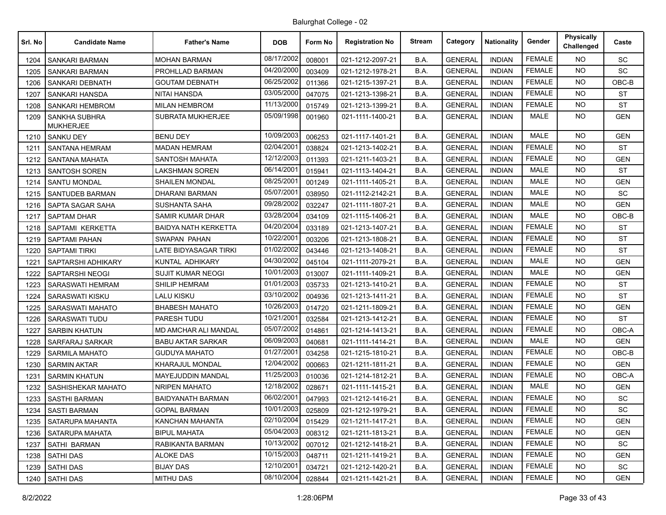| Srl. No | <b>Candidate Name</b>                    | <b>Father's Name</b>        | <b>DOB</b> | Form No | <b>Registration No</b> | <b>Stream</b> | Category       | <b>Nationality</b> | Gender        | <b>Physically</b><br>Challenged | Caste      |
|---------|------------------------------------------|-----------------------------|------------|---------|------------------------|---------------|----------------|--------------------|---------------|---------------------------------|------------|
| 1204    | <b>SANKARI BARMAN</b>                    | <b>MOHAN BARMAN</b>         | 08/17/2002 | 008001  | 021-1212-2097-21       | B.A.          | <b>GENERAL</b> | <b>INDIAN</b>      | <b>FEMALE</b> | NO.                             | <b>SC</b>  |
| 1205    | SANKARI BARMAN                           | PROHLLAD BARMAN             | 04/20/2000 | 003409  | 021-1212-1978-21       | B.A.          | <b>GENERAL</b> | <b>INDIAN</b>      | <b>FEMALE</b> | NO.                             | SC         |
| 1206    | <b>SANKARI DEBNATH</b>                   | <b>GOUTAM DEBNATH</b>       | 06/25/2002 | 011366  | 021-1215-1397-21       | B.A.          | <b>GENERAL</b> | <b>INDIAN</b>      | <b>FEMALE</b> | NO.                             | OBC-B      |
| 1207    | SANKARI HANSDA                           | NITAI HANSDA                | 03/05/2000 | 047075  | 021-1213-1398-21       | B.A.          | <b>GENERAL</b> | <b>INDIAN</b>      | <b>FEMALE</b> | <b>NO</b>                       | <b>ST</b>  |
| 1208    | <b>SANKARI HEMBROM</b>                   | <b>MILAN HEMBROM</b>        | 11/13/2000 | 015749  | 021-1213-1399-21       | B.A.          | <b>GENERAL</b> | <b>INDIAN</b>      | <b>FEMALE</b> | NO.                             | <b>ST</b>  |
| 1209    | <b>SANKHA SUBHRA</b><br><b>MUKHERJEE</b> | SUBRATA MUKHERJEE           | 05/09/1998 | 001960  | 021-1111-1400-21       | B.A.          | <b>GENERAL</b> | <b>INDIAN</b>      | MALE          | NO.                             | GEN        |
| 1210    | <b>SANKU DEY</b>                         | <b>BENU DEY</b>             | 10/09/2003 | 006253  | 021-1117-1401-21       | B.A.          | <b>GENERAL</b> | <b>INDIAN</b>      | <b>MALE</b>   | <b>NO</b>                       | <b>GEN</b> |
| 1211    | <b>SANTANA HEMRAM</b>                    | <b>MADAN HEMRAM</b>         | 02/04/2001 | 038824  | 021-1213-1402-21       | B.A.          | <b>GENERAL</b> | <b>INDIAN</b>      | <b>FEMALE</b> | NO.                             | <b>ST</b>  |
| 1212    | SANTANA MAHATA                           | SANTOSH MAHATA              | 12/12/2003 | 011393  | 021-1211-1403-21       | B.A.          | <b>GENERAL</b> | <b>INDIAN</b>      | <b>FEMALE</b> | <b>NO</b>                       | <b>GEN</b> |
| 1213    | <b>SANTOSH SOREN</b>                     | <b>LAKSHMAN SOREN</b>       | 06/14/2001 | 015941  | 021-1113-1404-21       | B.A.          | <b>GENERAL</b> | <b>INDIAN</b>      | <b>MALE</b>   | NO.                             | <b>ST</b>  |
| 1214    | <b>SANTU MONDAL</b>                      | <b>SHAILEN MONDAL</b>       | 08/25/2001 | 001249  | 021-1111-1405-21       | B.A.          | <b>GENERAL</b> | <b>INDIAN</b>      | MALE          | NO.                             | <b>GEN</b> |
| 1215    | SANTUDEB BARMAN                          | DHARANI BARMAN              | 05/07/2001 | 038950  | 021-1112-2142-21       | B.A.          | <b>GENERAL</b> | <b>INDIAN</b>      | <b>MALE</b>   | NO.                             | SC         |
| 1216    | SAPTA SAGAR SAHA                         | <b>SUSHANTA SAHA</b>        | 09/28/2002 | 032247  | 021-1111-1807-21       | B.A.          | <b>GENERAL</b> | <b>INDIAN</b>      | <b>MALE</b>   | <b>NO</b>                       | <b>GEN</b> |
| 1217    | <b>SAPTAM DHAR</b>                       | <b>SAMIR KUMAR DHAR</b>     | 03/28/2004 | 034109  | 021-1115-1406-21       | B.A.          | <b>GENERAL</b> | <b>INDIAN</b>      | <b>MALE</b>   | NO.                             | OBC-B      |
| 1218    | SAPTAMI KERKETTA                         | <b>BAIDYA NATH KERKETTA</b> | 04/20/2004 | 033189  | 021-1213-1407-21       | B.A.          | <b>GENERAL</b> | <b>INDIAN</b>      | <b>FEMALE</b> | NO.                             | <b>ST</b>  |
| 1219    | <b>SAPTAMI PAHAN</b>                     | SWAPAN PAHAN                | 10/22/2001 | 003206  | 021-1213-1808-21       | B.A.          | <b>GENERAL</b> | <b>INDIAN</b>      | <b>FEMALE</b> | NO.                             | <b>ST</b>  |
| 1220    | <b>SAPTAMI TIRKI</b>                     | LATE BIDYASAGAR TIRKI       | 01/02/2002 | 043446  | 021-1213-1408-21       | B.A.          | <b>GENERAL</b> | <b>INDIAN</b>      | <b>FEMALE</b> | <b>NO</b>                       | <b>ST</b>  |
| 1221    | SAPTARSHI ADHIKARY                       | KUNTAL ADHIKARY             | 04/30/2002 | 045104  | 021-1111-2079-21       | B.A.          | <b>GENERAL</b> | <b>INDIAN</b>      | <b>MALE</b>   | NO.                             | <b>GEN</b> |
| 1222    | SAPTARSHI NEOGI                          | <b>SUJIT KUMAR NEOGI</b>    | 10/01/2003 | 013007  | 021-1111-1409-21       | B.A.          | <b>GENERAL</b> | <b>INDIAN</b>      | MALE          | NO.                             | <b>GEN</b> |
| 1223    | <b>SARASWATI HEMRAM</b>                  | <b>SHILIP HEMRAM</b>        | 01/01/2003 | 035733  | 021-1213-1410-21       | B.A.          | <b>GENERAL</b> | <b>INDIAN</b>      | <b>FEMALE</b> | NO.                             | <b>ST</b>  |
| 1224    | SARASWATI KISKU                          | LALU KISKU                  | 03/10/2002 | 004936  | 021-1213-1411-21       | B.A.          | <b>GENERAL</b> | <b>INDIAN</b>      | <b>FEMALE</b> | <b>NO</b>                       | <b>ST</b>  |
| 1225    | SARASWATI MAHATO                         | <b>BHABESH MAHATO</b>       | 10/26/2003 | 014720  | 021-1211-1809-21       | B.A.          | <b>GENERAL</b> | <b>INDIAN</b>      | <b>FEMALE</b> | NO.                             | <b>GEN</b> |
| 1226    | <b>SARASWATI TUDU</b>                    | PARESH TUDU                 | 10/21/2001 | 032584  | 021-1213-1412-21       | B.A.          | <b>GENERAL</b> | <b>INDIAN</b>      | <b>FEMALE</b> | NO.                             | <b>ST</b>  |
| 1227    | <b>SARBIN KHATUN</b>                     | <b>MD AMCHAR ALI MANDAL</b> | 05/07/2002 | 014861  | 021-1214-1413-21       | B.A.          | <b>GENERAL</b> | <b>INDIAN</b>      | <b>FEMALE</b> | NO.                             | OBC-A      |
| 1228    | SARFARAJ SARKAR                          | <b>BABU AKTAR SARKAR</b>    | 06/09/2003 | 040681  | 021-1111-1414-21       | B.A.          | <b>GENERAL</b> | <b>INDIAN</b>      | <b>MALE</b>   | NO.                             | <b>GEN</b> |
| 1229    | <b>SARMILA MAHATO</b>                    | <b>GUDUYA MAHATO</b>        | 01/27/2001 | 034258  | 021-1215-1810-21       | B.A.          | <b>GENERAL</b> | <b>INDIAN</b>      | <b>FEMALE</b> | NO.                             | $OBC-B$    |
| 1230    | <b>SARMIN AKTAR</b>                      | KHARAJUL MONDAL             | 12/04/2002 | 000663  | 021-1211-1811-21       | B.A.          | <b>GENERAL</b> | <b>INDIAN</b>      | <b>FEMALE</b> | NO.                             | <b>GEN</b> |
| 1231    | <b>SARMIN KHATUN</b>                     | <b>MAYEJUDDIN MANDAL</b>    | 11/25/2003 | 010036  | 021-1214-1812-21       | B.A.          | <b>GENERAL</b> | <b>INDIAN</b>      | <b>FEMALE</b> | <b>NO</b>                       | OBC-A      |
| 1232    | SASHISHEKAR MAHATO                       | <b>NRIPEN MAHATO</b>        | 12/18/2002 | 028671  | 021-1111-1415-21       | B.A.          | <b>GENERAL</b> | <b>INDIAN</b>      | <b>MALE</b>   | <b>NO</b>                       | <b>GEN</b> |
| 1233    | <b>SASTHI BARMAN</b>                     | <b>BAIDYANATH BARMAN</b>    | 06/02/2001 | 047993  | 021-1212-1416-21       | B.A.          | <b>GENERAL</b> | <b>INDIAN</b>      | <b>FEMALE</b> | NO.                             | SC.        |
| 1234    | <b>SASTI BARMAN</b>                      | <b>GOPAL BARMAN</b>         | 10/01/2003 | 025809  | 021-1212-1979-21       | B.A.          | <b>GENERAL</b> | <b>INDIAN</b>      | FEMALE        | NO.                             | SC         |
| 1235    | SATARUPA MAHANTA                         | KANCHAN MAHANTA             | 02/10/2004 | 015429  | 021-1211-1417-21       | B.A.          | <b>GENERAL</b> | <b>INDIAN</b>      | <b>FEMALE</b> | <b>NO</b>                       | <b>GEN</b> |
| 1236    | SATARUPA MAHATA                          | <b>BIPUL MAHATA</b>         | 05/04/2003 | 008312  | 021-1211-1813-21       | B.A.          | <b>GENERAL</b> | <b>INDIAN</b>      | <b>FEMALE</b> | <b>NO</b>                       | <b>GEN</b> |
| 1237    | SATHI BARMAN                             | RABIKANTA BARMAN            | 10/13/2002 | 007012  | 021-1212-1418-21       | B.A.          | <b>GENERAL</b> | <b>INDIAN</b>      | <b>FEMALE</b> | <b>NO</b>                       | <b>SC</b>  |
| 1238    | SATHI DAS                                | ALOKE DAS                   | 10/15/2003 | 048711  | 021-1211-1419-21       | B.A.          | <b>GENERAL</b> | <b>INDIAN</b>      | FEMALE        | <b>NO</b>                       | GEN        |
| 1239    | SATHI DAS                                | <b>BIJAY DAS</b>            | 12/10/2001 | 034721  | 021-1212-1420-21       | B.A.          | <b>GENERAL</b> | <b>INDIAN</b>      | <b>FEMALE</b> | <b>NO</b>                       | SC         |
| 1240    | <b>SATHI DAS</b>                         | <b>MITHU DAS</b>            | 08/10/2004 | 028844  | 021-1211-1421-21       | B.A.          | <b>GENERAL</b> | INDIAN             | <b>FEMALE</b> | NO.                             | <b>GEN</b> |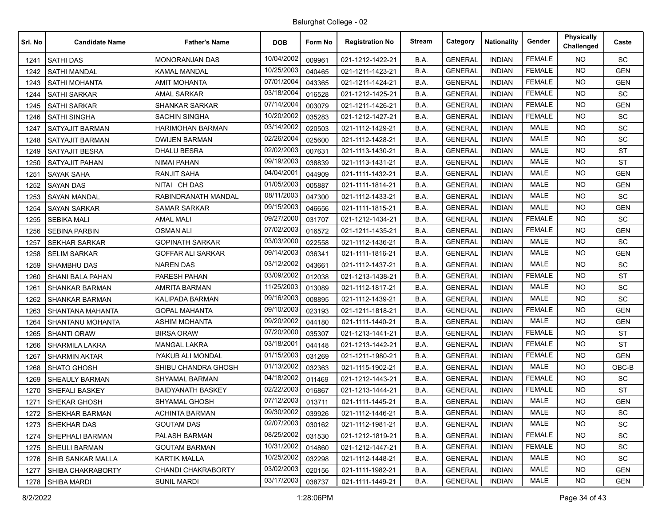| Srl. No | <b>Candidate Name</b>    | <b>Father's Name</b>      | <b>DOB</b> | Form No | <b>Registration No</b> | Stream | Category       | <b>Nationality</b> | Gender        | <b>Physically</b><br>Challenged | Caste      |
|---------|--------------------------|---------------------------|------------|---------|------------------------|--------|----------------|--------------------|---------------|---------------------------------|------------|
| 1241    | <b>SATHI DAS</b>         | <b>MONORANJAN DAS</b>     | 10/04/2002 | 009961  | 021-1212-1422-21       | B.A.   | <b>GENERAL</b> | <b>INDIAN</b>      | <b>FEMALE</b> | <b>NO</b>                       | SC         |
| 1242    | <b>SATHI MANDAL</b>      | <b>KAMAL MANDAL</b>       | 10/25/2003 | 040465  | 021-1211-1423-21       | B.A.   | <b>GENERAL</b> | <b>INDIAN</b>      | <b>FEMALE</b> | <b>NO</b>                       | <b>GEN</b> |
| 1243    | <b>SATHI MOHANTA</b>     | AMIT MOHANTA              | 07/01/2004 | 043365  | 021-1211-1424-21       | B.A.   | <b>GENERAL</b> | <b>INDIAN</b>      | <b>FEMALE</b> | <b>NO</b>                       | <b>GEN</b> |
| 1244    | <b>SATHI SARKAR</b>      | AMAL SARKAR               | 03/18/2004 | 016528  | 021-1212-1425-21       | B.A.   | <b>GENERAL</b> | <b>INDIAN</b>      | <b>FEMALE</b> | <b>NO</b>                       | SC         |
| 1245    | <b>SATHI SARKAR</b>      | <b>SHANKAR SARKAR</b>     | 07/14/2004 | 003079  | 021-1211-1426-21       | B.A.   | <b>GENERAL</b> | <b>INDIAN</b>      | <b>FEMALE</b> | <b>NO</b>                       | <b>GEN</b> |
| 1246    | <b>SATHI SINGHA</b>      | SACHIN SINGHA             | 10/20/2002 | 035283  | 021-1212-1427-21       | B.A.   | <b>GENERAL</b> | <b>INDIAN</b>      | <b>FEMALE</b> | <b>NO</b>                       | <b>SC</b>  |
| 1247    | <b>SATYAJIT BARMAN</b>   | HARIMOHAN BARMAN          | 03/14/2002 | 020503  | 021-1112-1429-21       | B.A.   | <b>GENERAL</b> | <b>INDIAN</b>      | <b>MALE</b>   | <b>NO</b>                       | SC         |
| 1248    | SATYAJIT BARMAN          | <b>DWIJEN BARMAN</b>      | 02/26/2004 | 025600  | 021-1112-1428-21       | B.A.   | <b>GENERAL</b> | <b>INDIAN</b>      | <b>MALE</b>   | <b>NO</b>                       | SC         |
| 1249    | <b>SATYAJIT BESRA</b>    | <b>DHALU BESRA</b>        | 02/02/2003 | 007631  | 021-1113-1430-21       | B.A.   | <b>GENERAL</b> | <b>INDIAN</b>      | <b>MALE</b>   | <b>NO</b>                       | <b>ST</b>  |
| 1250    | <b>SATYAJIT PAHAN</b>    | <b>NIMAI PAHAN</b>        | 09/19/2003 | 038839  | 021-1113-1431-21       | B.A.   | <b>GENERAL</b> | <b>INDIAN</b>      | <b>MALE</b>   | <b>NO</b>                       | <b>ST</b>  |
| 1251    | <b>SAYAK SAHA</b>        | <b>RANJIT SAHA</b>        | 04/04/2001 | 044909  | 021-1111-1432-21       | B.A.   | <b>GENERAL</b> | <b>INDIAN</b>      | <b>MALE</b>   | <b>NO</b>                       | <b>GEN</b> |
| 1252    | <b>SAYAN DAS</b>         | NITAI CH DAS              | 01/05/2003 | 005887  | 021-1111-1814-21       | B.A.   | <b>GENERAL</b> | <b>INDIAN</b>      | <b>MALE</b>   | <b>NO</b>                       | <b>GEN</b> |
| 1253    | <b>SAYAN MANDAL</b>      | RABINDRANATH MANDAL       | 08/11/2003 | 047300  | 021-1112-1433-21       | B.A.   | <b>GENERAL</b> | <b>INDIAN</b>      | <b>MALE</b>   | <b>NO</b>                       | <b>SC</b>  |
| 1254    | <b>SAYAN SARKAR</b>      | <b>SAMAR SARKAR</b>       | 09/15/2003 | 046656  | 021-1111-1815-21       | B.A.   | <b>GENERAL</b> | <b>INDIAN</b>      | <b>MALE</b>   | <b>NO</b>                       | <b>GEN</b> |
| 1255    | <b>SEBIKA MALI</b>       | <b>AMAL MALI</b>          | 09/27/2000 | 031707  | 021-1212-1434-21       | B.A.   | <b>GENERAL</b> | <b>INDIAN</b>      | <b>FEMALE</b> | <b>NO</b>                       | <b>SC</b>  |
| 1256    | <b>SEBINA PARBIN</b>     | <b>OSMAN ALI</b>          | 07/02/2003 | 016572  | 021-1211-1435-21       | B.A.   | <b>GENERAL</b> | <b>INDIAN</b>      | <b>FEMALE</b> | <b>NO</b>                       | <b>GEN</b> |
| 1257    | <b>SEKHAR SARKAR</b>     | <b>GOPINATH SARKAR</b>    | 03/03/2000 | 022558  | 021-1112-1436-21       | B.A.   | <b>GENERAL</b> | <b>INDIAN</b>      | <b>MALE</b>   | <b>NO</b>                       | SC         |
| 1258    | <b>SELIM SARKAR</b>      | <b>GOFFAR ALI SARKAR</b>  | 09/14/2003 | 036341  | 021-1111-1816-21       | B.A.   | <b>GENERAL</b> | <b>INDIAN</b>      | <b>MALE</b>   | <b>NO</b>                       | <b>GEN</b> |
| 1259    | <b>SHAMBHU DAS</b>       | <b>NAREN DAS</b>          | 03/12/2002 | 043661  | 021-1112-1437-21       | B.A.   | <b>GENERAL</b> | <b>INDIAN</b>      | <b>MALE</b>   | <b>NO</b>                       | SC         |
| 1260    | <b>SHANI BALA PAHAN</b>  | PARESH PAHAN              | 03/09/2002 | 012038  | 021-1213-1438-21       | B.A.   | <b>GENERAL</b> | <b>INDIAN</b>      | <b>FEMALE</b> | <b>NO</b>                       | <b>ST</b>  |
| 1261    | <b>SHANKAR BARMAN</b>    | <b>AMRITA BARMAN</b>      | 11/25/2003 | 013089  | 021-1112-1817-21       | B.A.   | <b>GENERAL</b> | <b>INDIAN</b>      | <b>MALE</b>   | <b>NO</b>                       | SC         |
| 1262    | <b>SHANKAR BARMAN</b>    | KALIPADA BARMAN           | 09/16/2003 | 008895  | 021-1112-1439-21       | B.A.   | <b>GENERAL</b> | <b>INDIAN</b>      | <b>MALE</b>   | <b>NO</b>                       | SC         |
| 1263    | SHANTANA MAHANTA         | <b>GOPAL MAHANTA</b>      | 09/10/2003 | 023193  | 021-1211-1818-21       | B.A.   | <b>GENERAL</b> | <b>INDIAN</b>      | <b>FEMALE</b> | <b>NO</b>                       | <b>GEN</b> |
| 1264    | SHANTANU MOHANTA         | <b>ASHIM MOHANTA</b>      | 09/20/2002 | 044180  | 021-1111-1440-21       | B.A.   | <b>GENERAL</b> | <b>INDIAN</b>      | <b>MALE</b>   | <b>NO</b>                       | <b>GEN</b> |
| 1265    | <b>SHANTI ORAW</b>       | <b>BIRSA ORAW</b>         | 07/20/2000 | 035307  | 021-1213-1441-21       | B.A.   | <b>GENERAL</b> | <b>INDIAN</b>      | <b>FEMALE</b> | <b>NO</b>                       | <b>ST</b>  |
| 1266    | <b>SHARMILA LAKRA</b>    | MANGAL LAKRA              | 03/18/2001 | 044148  | 021-1213-1442-21       | B.A.   | <b>GENERAL</b> | <b>INDIAN</b>      | <b>FEMALE</b> | <b>NO</b>                       | <b>ST</b>  |
| 1267    | <b>SHARMIN AKTAR</b>     | IYAKUB ALI MONDAL         | 01/15/2003 | 031269  | 021-1211-1980-21       | B.A.   | <b>GENERAL</b> | <b>INDIAN</b>      | <b>FEMALE</b> | <b>NO</b>                       | <b>GEN</b> |
| 1268    | <b>SHATO GHOSH</b>       | SHIBU CHANDRA GHOSH       | 01/13/2002 | 032363  | 021-1115-1902-21       | B.A.   | <b>GENERAL</b> | <b>INDIAN</b>      | <b>MALE</b>   | <b>NO</b>                       | OBC-B      |
| 1269    | <b>SHEAULY BARMAN</b>    | <b>SHYAMAL BARMAN</b>     | 04/18/2002 | 011469  | 021-1212-1443-21       | B.A.   | <b>GENERAL</b> | <b>INDIAN</b>      | <b>FEMALE</b> | <b>NO</b>                       | SC         |
| 1270    | <b>SHEFALI BASKEY</b>    | BAIDYANATH BASKEY         | 02/22/2003 | 016867  | 021-1213-1444-21       | B.A.   | <b>GENERAL</b> | <b>INDIAN</b>      | <b>FEMALE</b> | <b>NO</b>                       | <b>ST</b>  |
| 1271    | SHEKAR GHOSH             | SHYAMAL GHOSH             | 07/12/2003 | 013711  | 021-1111-1445-21       | B.A.   | <b>GENERAL</b> | <b>INDIAN</b>      | <b>MALE</b>   | <b>NO</b>                       | <b>GEN</b> |
|         | 1272 SHEKHAR BARMAN      | <b>ACHINTA BARMAN</b>     | 09/30/2002 | 039926  | 021-1112-1446-21       | B.A.   | <b>GENERAL</b> | <b>INDIAN</b>      | MALE          | <b>NO</b>                       | SC         |
| 1273    | <b>SHEKHAR DAS</b>       | <b>GOUTAM DAS</b>         | 02/07/2003 | 030162  | 021-1112-1981-21       | B.A.   | <b>GENERAL</b> | <b>INDIAN</b>      | <b>MALE</b>   | NO.                             | SC         |
| 1274    | SHEPHALI BARMAN          | PALASH BARMAN             | 08/25/2002 | 031530  | 021-1212-1819-21       | B.A.   | <b>GENERAL</b> | <b>INDIAN</b>      | <b>FEMALE</b> | NO.                             | SC         |
|         | 1275   SHEULI BARMAN     | <b>GOUTAM BARMAN</b>      | 10/31/2002 | 014860  | 021-1212-1447-21       | B.A.   | <b>GENERAL</b> | <b>INDIAN</b>      | <b>FEMALE</b> | NO.                             | SC         |
| 1276    | SHIB SANKAR MALLA        | <b>KARTIK MALLA</b>       | 10/25/2002 | 032298  | 021-1112-1448-21       | B.A.   | <b>GENERAL</b> | <b>INDIAN</b>      | MALE          | NO.                             | SC         |
| 1277    | <b>SHIBA CHAKRABORTY</b> | <b>CHANDI CHAKRABORTY</b> | 03/02/2003 | 020156  | 021-1111-1982-21       | B.A.   | <b>GENERAL</b> | <b>INDIAN</b>      | MALE          | NO.                             | <b>GEN</b> |
|         | 1278 SHIBA MARDI         | <b>SUNIL MARDI</b>        | 03/17/2003 | 038737  | 021-1111-1449-21       | B.A.   | <b>GENERAL</b> | <b>INDIAN</b>      | MALE          | NO.                             | <b>GEN</b> |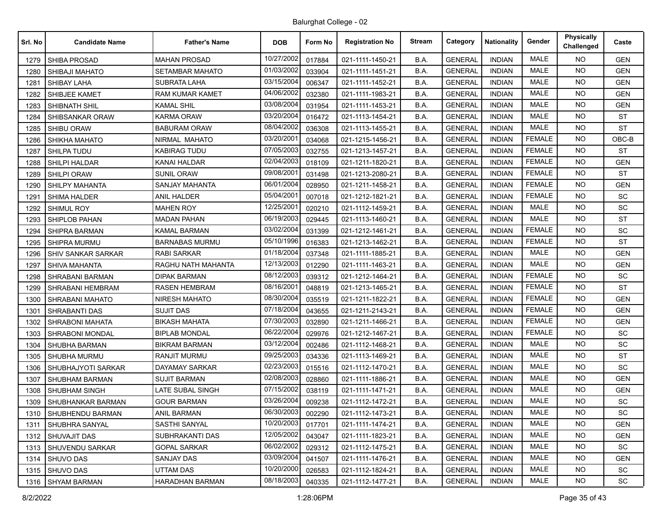| Srl. No | <b>Candidate Name</b>     | <b>Father's Name</b>   | <b>DOB</b> | Form No | <b>Registration No</b> | <b>Stream</b> | Category       | <b>Nationality</b> | Gender        | <b>Physically</b><br>Challenged | Caste      |
|---------|---------------------------|------------------------|------------|---------|------------------------|---------------|----------------|--------------------|---------------|---------------------------------|------------|
| 1279    | <b>SHIBA PROSAD</b>       | <b>MAHAN PROSAD</b>    | 10/27/2002 | 017884  | 021-1111-1450-21       | B.A.          | <b>GENERAL</b> | <b>INDIAN</b>      | <b>MALE</b>   | <b>NO</b>                       | <b>GEN</b> |
| 1280    | SHIBAJI MAHATO            | <b>SETAMBAR MAHATO</b> | 01/03/2002 | 033904  | 021-1111-1451-21       | B.A.          | <b>GENERAL</b> | <b>INDIAN</b>      | <b>MALE</b>   | <b>NO</b>                       | <b>GEN</b> |
| 1281    | <b>SHIBAY LAHA</b>        | <b>SUBRATA LAHA</b>    | 03/15/2004 | 006347  | 021-1111-1452-21       | B.A.          | <b>GENERAL</b> | <b>INDIAN</b>      | <b>MALE</b>   | NO.                             | <b>GEN</b> |
| 1282    | SHIBJEE KAMET             | <b>RAM KUMAR KAMET</b> | 04/06/2002 | 032380  | 021-1111-1983-21       | B.A.          | <b>GENERAL</b> | <b>INDIAN</b>      | <b>MALE</b>   | <b>NO</b>                       | <b>GEN</b> |
| 1283    | SHIBNATH SHIL             | <b>KAMAL SHIL</b>      | 03/08/2004 | 031954  | 021-1111-1453-21       | B.A.          | <b>GENERAL</b> | <b>INDIAN</b>      | <b>MALE</b>   | NO.                             | <b>GEN</b> |
| 1284    | SHIBSANKAR ORAW           | <b>KARMA ORAW</b>      | 03/20/2004 | 016472  | 021-1113-1454-21       | B.A.          | <b>GENERAL</b> | <b>INDIAN</b>      | <b>MALE</b>   | <b>NO</b>                       | <b>ST</b>  |
| 1285    | <b>SHIBU ORAW</b>         | <b>BABURAM ORAW</b>    | 08/04/2002 | 036308  | 021-1113-1455-21       | B.A.          | <b>GENERAL</b> | <b>INDIAN</b>      | <b>MALE</b>   | <b>NO</b>                       | <b>ST</b>  |
| 1286    | SHIKHA MAHATO             | NIRMAL MAHATO          | 03/20/2001 | 034068  | 021-1215-1456-21       | B.A.          | <b>GENERAL</b> | <b>INDIAN</b>      | <b>FEMALE</b> | <b>NO</b>                       | $OBC-B$    |
| 1287    | <b>SHILPA TUDU</b>        | <b>KABIRAG TUDU</b>    | 07/05/2003 | 032755  | 021-1213-1457-21       | B.A.          | <b>GENERAL</b> | <b>INDIAN</b>      | <b>FEMALE</b> | NO.                             | <b>ST</b>  |
| 1288    | SHILPI HALDAR             | KANAI HALDAR           | 02/04/2003 | 018109  | 021-1211-1820-21       | B.A.          | <b>GENERAL</b> | <b>INDIAN</b>      | <b>FEMALE</b> | <b>NO</b>                       | <b>GEN</b> |
| 1289    | <b>SHILPI ORAW</b>        | <b>SUNIL ORAW</b>      | 09/08/2001 | 031498  | 021-1213-2080-21       | B.A.          | <b>GENERAL</b> | <b>INDIAN</b>      | <b>FEMALE</b> | NO.                             | <b>ST</b>  |
| 1290    | <b>SHILPY MAHANTA</b>     | <b>SANJAY MAHANTA</b>  | 06/01/2004 | 028950  | 021-1211-1458-21       | B.A.          | <b>GENERAL</b> | <b>INDIAN</b>      | <b>FEMALE</b> | <b>NO</b>                       | <b>GEN</b> |
| 1291    | <b>SHIMA HALDER</b>       | <b>ANIL HALDER</b>     | 05/04/2001 | 007018  | 021-1212-1821-21       | B.A.          | <b>GENERAL</b> | <b>INDIAN</b>      | <b>FEMALE</b> | NO.                             | SC         |
| 1292    | <b>SHIMUL ROY</b>         | <b>MAHEN ROY</b>       | 12/25/2001 | 020210  | 021-1112-1459-21       | B.A.          | <b>GENERAL</b> | <b>INDIAN</b>      | <b>MALE</b>   | <b>NO</b>                       | SC         |
| 1293    | <b>SHIPLOB PAHAN</b>      | <b>MADAN PAHAN</b>     | 06/19/2003 | 029445  | 021-1113-1460-21       | B.A.          | <b>GENERAL</b> | <b>INDIAN</b>      | <b>MALE</b>   | <b>NO</b>                       | <b>ST</b>  |
| 1294    | SHIPRA BARMAN             | <b>KAMAL BARMAN</b>    | 03/02/2004 | 031399  | 021-1212-1461-21       | B.A.          | <b>GENERAL</b> | <b>INDIAN</b>      | <b>FEMALE</b> | <b>NO</b>                       | SC         |
| 1295    | <b>SHIPRA MURMU</b>       | <b>BARNABAS MURMU</b>  | 05/10/1996 | 016383  | 021-1213-1462-21       | B.A.          | <b>GENERAL</b> | <b>INDIAN</b>      | <b>FEMALE</b> | NO.                             | <b>ST</b>  |
| 1296    | <b>SHIV SANKAR SARKAR</b> | RABI SARKAR            | 01/18/2004 | 037348  | 021-1111-1885-21       | B.A.          | <b>GENERAL</b> | <b>INDIAN</b>      | <b>MALE</b>   | <b>NO</b>                       | <b>GEN</b> |
| 1297    | SHIVA MAHANTA             | RAGHU NATH MAHANTA     | 12/13/2003 | 012290  | 021-1111-1463-21       | B.A.          | <b>GENERAL</b> | <b>INDIAN</b>      | <b>MALE</b>   | <b>NO</b>                       | <b>GEN</b> |
| 1298    | SHRABANI BARMAN           | DIPAK BARMAN           | 08/12/2003 | 039312  | 021-1212-1464-21       | B.A.          | <b>GENERAL</b> | <b>INDIAN</b>      | <b>FEMALE</b> | <b>NO</b>                       | SC         |
| 1299    | SHRABANI HEMBRAM          | RASEN HEMBRAM          | 08/16/2001 | 048819  | 021-1213-1465-21       | B.A.          | <b>GENERAL</b> | <b>INDIAN</b>      | <b>FEMALE</b> | NO.                             | <b>ST</b>  |
| 1300    | <b>SHRABANI MAHATO</b>    | NIRESH MAHATO          | 08/30/2004 | 035519  | 021-1211-1822-21       | B.A.          | <b>GENERAL</b> | <b>INDIAN</b>      | <b>FEMALE</b> | <b>NO</b>                       | <b>GEN</b> |
| 1301    | <b>SHRABANTI DAS</b>      | <b>SUJIT DAS</b>       | 07/18/2004 | 043655  | 021-1211-2143-21       | B.A.          | <b>GENERAL</b> | <b>INDIAN</b>      | <b>FEMALE</b> | <b>NO</b>                       | <b>GEN</b> |
| 1302    | <b>SHRABONI MAHATA</b>    | <b>BIKASH MAHATA</b>   | 07/30/2003 | 032890  | 021-1211-1466-21       | B.A.          | <b>GENERAL</b> | <b>INDIAN</b>      | <b>FEMALE</b> | <b>NO</b>                       | <b>GEN</b> |
| 1303    | SHRABONI MONDAL           | <b>BIPLAB MONDAL</b>   | 06/22/2004 | 029976  | 021-1212-1467-21       | B.A.          | <b>GENERAL</b> | <b>INDIAN</b>      | <b>FEMALE</b> | <b>NO</b>                       | <b>SC</b>  |
| 1304    | SHUBHA BARMAN             | <b>BIKRAM BARMAN</b>   | 03/12/2004 | 002486  | 021-1112-1468-21       | B.A.          | <b>GENERAL</b> | <b>INDIAN</b>      | <b>MALE</b>   | <b>NO</b>                       | <b>SC</b>  |
| 1305    | <b>SHUBHA MURMU</b>       | RANJIT MURMU           | 09/25/2003 | 034336  | 021-1113-1469-21       | B.A.          | <b>GENERAL</b> | <b>INDIAN</b>      | <b>MALE</b>   | <b>NO</b>                       | <b>ST</b>  |
| 1306    | SHUBHAJYOTI SARKAR        | DAYAMAY SARKAR         | 02/23/2003 | 015516  | 021-1112-1470-21       | B.A.          | <b>GENERAL</b> | <b>INDIAN</b>      | <b>MALE</b>   | <b>NO</b>                       | <b>SC</b>  |
| 1307    | <b>SHUBHAM BARMAN</b>     | <b>SUJIT BARMAN</b>    | 02/08/2003 | 028860  | 021-1111-1886-21       | B.A.          | <b>GENERAL</b> | <b>INDIAN</b>      | <b>MALE</b>   | <b>NO</b>                       | <b>GEN</b> |
| 1308    | <b>SHUBHAM SINGH</b>      | LATE SUBAL SINGH       | 07/15/2002 | 038119  | 021-1111-1471-21       | B.A.          | <b>GENERAL</b> | <b>INDIAN</b>      | <b>MALE</b>   | NO.                             | <b>GEN</b> |
| 1309    | SHUBHANKAR BARMAN         | <b>GOUR BARMAN</b>     | 03/26/2004 | 009238  | 021-1112-1472-21       | B.A.          | <b>GENERAL</b> | <b>INDIAN</b>      | <b>MALE</b>   | <b>NO</b>                       | <b>SC</b>  |
| 1310    | SHUBHENDU BARMAN          | <b>ANIL BARMAN</b>     | 06/30/2003 | 002290  | 021-1112-1473-21       | B.A.          | <b>GENERAL</b> | INDIAN             | MALE          | NO.                             | <b>SC</b>  |
| 1311    | SHUBHRA SANYAL            | SASTHI SANYAL          | 10/20/2003 | 017701  | 021-1111-1474-21       | B.A.          | <b>GENERAL</b> | <b>INDIAN</b>      | <b>MALE</b>   | <b>NO</b>                       | <b>GEN</b> |
| 1312    | <b>SHUVAJIT DAS</b>       | SUBHRAKANTI DAS        | 12/05/2002 | 043047  | 021-1111-1823-21       | B.A.          | <b>GENERAL</b> | <b>INDIAN</b>      | MALE          | NO.                             | GEN        |
| 1313    | SHUVENDU SARKAR           | <b>GOPAL SARKAR</b>    | 06/02/2002 | 029312  | 021-1112-1475-21       | <b>B.A.</b>   | <b>GENERAL</b> | <b>INDIAN</b>      | <b>MALE</b>   | <b>NO</b>                       | SC         |
| 1314    | <b>SHUVO DAS</b>          | <b>SANJAY DAS</b>      | 03/09/2004 | 041507  | 021-1111-1476-21       | B.A.          | <b>GENERAL</b> | <b>INDIAN</b>      | <b>MALE</b>   | NO.                             | <b>GEN</b> |
| 1315    | SHUVO DAS                 | UTTAM DAS              | 10/20/2000 | 026583  | 021-1112-1824-21       | B.A.          | <b>GENERAL</b> | <b>INDIAN</b>      | <b>MALE</b>   | <b>NO</b>                       | SC         |
| 1316    | <b>SHYAM BARMAN</b>       | HARADHAN BARMAN        | 08/18/2003 | 040335  | 021-1112-1477-21       | B.A.          | <b>GENERAL</b> | <b>INDIAN</b>      | MALE          | <b>NO</b>                       | SC         |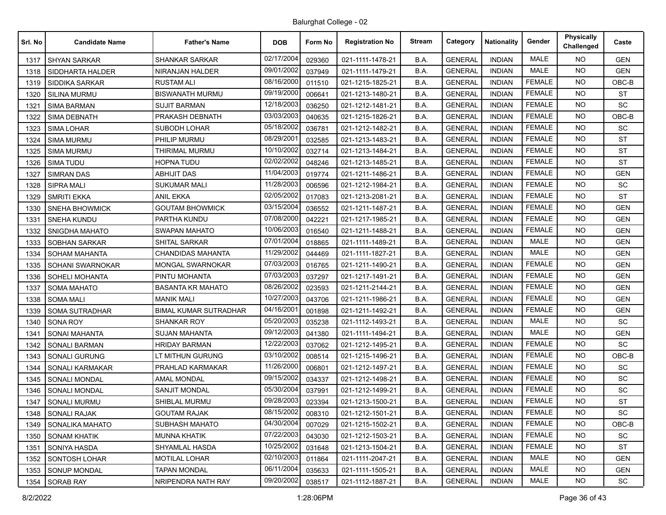| Srl. No | <b>Candidate Name</b> | <b>Father's Name</b>         | <b>DOB</b> | Form No | <b>Registration No</b> | <b>Stream</b> | Category       | <b>Nationality</b> | Gender        | <b>Physically</b><br>Challenged | Caste      |
|---------|-----------------------|------------------------------|------------|---------|------------------------|---------------|----------------|--------------------|---------------|---------------------------------|------------|
| 1317    | <b>SHYAN SARKAR</b>   | <b>SHANKAR SARKAR</b>        | 02/17/2004 | 029360  | 021-1111-1478-21       | B.A.          | <b>GENERAL</b> | <b>INDIAN</b>      | <b>MALE</b>   | <b>NO</b>                       | <b>GEN</b> |
| 1318    | SIDDHARTA HALDER      | NIRANJAN HALDER              | 09/01/2002 | 037949  | 021-1111-1479-21       | B.A.          | <b>GENERAL</b> | <b>INDIAN</b>      | <b>MALE</b>   | <b>NO</b>                       | <b>GEN</b> |
| 1319    | <b>SIDDIKA SARKAR</b> | <b>RUSTAM ALI</b>            | 08/16/2000 | 011510  | 021-1215-1825-21       | B.A.          | <b>GENERAL</b> | <b>INDIAN</b>      | <b>FEMALE</b> | <b>NO</b>                       | OBC-B      |
| 1320    | <b>SILINA MURMU</b>   | <b>BISWANATH MURMU</b>       | 09/19/2000 | 006641  | 021-1213-1480-21       | B.A.          | <b>GENERAL</b> | <b>INDIAN</b>      | <b>FEMALE</b> | <b>NO</b>                       | <b>ST</b>  |
| 1321    | <b>SIMA BARMAN</b>    | <b>SUJIT BARMAN</b>          | 12/18/2003 | 036250  | 021-1212-1481-21       | B.A.          | <b>GENERAL</b> | <b>INDIAN</b>      | <b>FEMALE</b> | NO.                             | <b>SC</b>  |
| 1322    | <b>SIMA DEBNATH</b>   | PRAKASH DEBNATH              | 03/03/2003 | 040635  | 021-1215-1826-21       | B.A.          | <b>GENERAL</b> | <b>INDIAN</b>      | <b>FEMALE</b> | <b>NO</b>                       | OBC-B      |
| 1323    | <b>SIMA LOHAR</b>     | <b>SUBODH LOHAR</b>          | 05/18/2002 | 036781  | 021-1212-1482-21       | B.A.          | <b>GENERAL</b> | <b>INDIAN</b>      | <b>FEMALE</b> | NO.                             | <b>SC</b>  |
| 1324    | <b>SIMA MURMU</b>     | PHILIP MURMU                 | 08/29/2001 | 032585  | 021-1213-1483-21       | B.A.          | <b>GENERAL</b> | <b>INDIAN</b>      | <b>FEMALE</b> | <b>NO</b>                       | <b>ST</b>  |
| 1325    | <b>SIMA MURMU</b>     | THIRIMAL MURMU               | 10/10/2002 | 032714  | 021-1213-1484-21       | B.A.          | <b>GENERAL</b> | <b>INDIAN</b>      | <b>FEMALE</b> | NO.                             | <b>ST</b>  |
| 1326    | <b>SIMA TUDU</b>      | HOPNA TUDU                   | 02/02/2002 | 048246  | 021-1213-1485-21       | B.A.          | <b>GENERAL</b> | <b>INDIAN</b>      | <b>FEMALE</b> | <b>NO</b>                       | <b>ST</b>  |
| 1327    | <b>SIMRAN DAS</b>     | <b>ABHIJIT DAS</b>           | 11/04/2003 | 019774  | 021-1211-1486-21       | B.A.          | <b>GENERAL</b> | <b>INDIAN</b>      | <b>FEMALE</b> | <b>NO</b>                       | <b>GEN</b> |
| 1328    | <b>SIPRA MALI</b>     | <b>SUKUMAR MALI</b>          | 11/28/2003 | 006596  | 021-1212-1984-21       | B.A.          | <b>GENERAL</b> | <b>INDIAN</b>      | <b>FEMALE</b> | <b>NO</b>                       | <b>SC</b>  |
| 1329    | <b>SMRITI EKKA</b>    | <b>ANIL EKKA</b>             | 02/05/2002 | 017083  | 021-1213-2081-21       | B.A.          | <b>GENERAL</b> | <b>INDIAN</b>      | <b>FEMALE</b> | NO.                             | <b>ST</b>  |
| 1330    | <b>SNEHA BHOWMICK</b> | <b>GOUTAM BHOWMICK</b>       | 03/15/2004 | 036552  | 021-1211-1487-21       | B.A.          | <b>GENERAL</b> | <b>INDIAN</b>      | <b>FEMALE</b> | <b>NO</b>                       | <b>GEN</b> |
| 1331    | <b>SNEHA KUNDU</b>    | PARTHA KUNDU                 | 07/08/2000 | 042221  | 021-1217-1985-21       | B.A.          | <b>GENERAL</b> | <b>INDIAN</b>      | <b>FEMALE</b> | NO.                             | <b>GEN</b> |
| 1332    | SNIGDHA MAHATO        | <b>SWAPAN MAHATO</b>         | 10/06/2003 | 016540  | 021-1211-1488-21       | B.A.          | <b>GENERAL</b> | <b>INDIAN</b>      | <b>FEMALE</b> | <b>NO</b>                       | <b>GEN</b> |
| 1333    | <b>SOBHAN SARKAR</b>  | SHITAL SARKAR                | 07/01/2004 | 018865  | 021-1111-1489-21       | B.A.          | <b>GENERAL</b> | <b>INDIAN</b>      | <b>MALE</b>   | NO.                             | <b>GEN</b> |
| 1334    | <b>SOHAM MAHANTA</b>  | <b>CHANDIDAS MAHANTA</b>     | 11/29/2002 | 044469  | 021-1111-1827-21       | B.A.          | <b>GENERAL</b> | <b>INDIAN</b>      | MALE          | <b>NO</b>                       | <b>GEN</b> |
| 1335    | SOHANI SWARNOKAR      | <b>MONGAL SWARNOKAR</b>      | 07/03/2003 | 016765  | 021-1211-1490-21       | B.A.          | <b>GENERAL</b> | <b>INDIAN</b>      | <b>FEMALE</b> | <b>NO</b>                       | <b>GEN</b> |
| 1336    | SOHELI MOHANTA        | PINTU MOHANTA                | 07/03/2003 | 037297  | 021-1217-1491-21       | B.A.          | <b>GENERAL</b> | <b>INDIAN</b>      | <b>FEMALE</b> | <b>NO</b>                       | <b>GEN</b> |
| 1337    | <b>SOMA MAHATO</b>    | <b>BASANTA KR MAHATO</b>     | 08/26/2002 | 023593  | 021-1211-2144-21       | B.A.          | <b>GENERAL</b> | <b>INDIAN</b>      | <b>FEMALE</b> | NO.                             | <b>GEN</b> |
| 1338    | <b>SOMA MALI</b>      | <b>MANIK MALI</b>            | 10/27/2003 | 043706  | 021-1211-1986-21       | B.A.          | <b>GENERAL</b> | <b>INDIAN</b>      | <b>FEMALE</b> | <b>NO</b>                       | <b>GEN</b> |
| 1339    | <b>SOMA SUTRADHAR</b> | <b>BIMAL KUMAR SUTRADHAR</b> | 04/16/2001 | 001898  | 021-1211-1492-21       | B.A.          | <b>GENERAL</b> | <b>INDIAN</b>      | <b>FEMALE</b> | <b>NO</b>                       | <b>GEN</b> |
| 1340    | SONA ROY              | SHANKAR ROY                  | 05/20/2003 | 035238  | 021-1112-1493-21       | B.A.          | <b>GENERAL</b> | <b>INDIAN</b>      | <b>MALE</b>   | <b>NO</b>                       | SC.        |
| 1341    | SONAI MAHANTA         | SUJAN MAHANTA                | 09/12/2003 | 041380  | 021-1111-1494-21       | B.A.          | <b>GENERAL</b> | <b>INDIAN</b>      | <b>MALE</b>   | NO.                             | <b>GEN</b> |
| 1342    | <b>SONALI BARMAN</b>  | <b>HRIDAY BARMAN</b>         | 12/22/2003 | 037062  | 021-1212-1495-21       | B.A.          | <b>GENERAL</b> | <b>INDIAN</b>      | <b>FEMALE</b> | <b>NO</b>                       | <b>SC</b>  |
| 1343    | SONALI GURUNG         | LT MITHUN GURUNG             | 03/10/2002 | 008514  | 021-1215-1496-21       | B.A.          | <b>GENERAL</b> | <b>INDIAN</b>      | <b>FEMALE</b> | <b>NO</b>                       | OBC-B      |
| 1344    | SONALI KARMAKAR       | PRAHLAD KARMAKAR             | 11/26/2000 | 006801  | 021-1212-1497-21       | B.A.          | <b>GENERAL</b> | <b>INDIAN</b>      | <b>FEMALE</b> | NO.                             | <b>SC</b>  |
| 1345    | SONALI MONDAL         | <b>AMAL MONDAL</b>           | 09/15/2002 | 034337  | 021-1212-1498-21       | B.A.          | <b>GENERAL</b> | <b>INDIAN</b>      | <b>FEMALE</b> | <b>NO</b>                       | <b>SC</b>  |
| 1346    | <b>SONALI MONDAL</b>  | <b>SANJIT MONDAL</b>         | 05/30/2004 | 037991  | 021-1212-1499-21       | B.A.          | <b>GENERAL</b> | <b>INDIAN</b>      | <b>FEMALE</b> | <b>NO</b>                       | SC         |
| 1347    | <b>SONALI MURMU</b>   | SHIBLAL MURMU                | 09/28/2003 | 023394  | 021-1213-1500-21       | B.A.          | <b>GENERAL</b> | <b>INDIAN</b>      | <b>FEMALE</b> | <b>NO</b>                       | <b>ST</b>  |
| 1348    | <b>SONALI RAJAK</b>   | <b>GOUTAM RAJAK</b>          | 08/15/2002 | 008310  | 021-1212-1501-21       | B.A.          | <b>GENERAL</b> | <b>INDIAN</b>      | FEMALE        | NO.                             | <b>SC</b>  |
| 1349    | SONALIKA MAHATO       | SUBHASH MAHATO               | 04/30/2004 | 007029  | 021-1215-1502-21       | B.A.          | <b>GENERAL</b> | <b>INDIAN</b>      | <b>FEMALE</b> | NO.                             | OBC-B      |
| 1350    | <b>SONAM KHATIK</b>   | <b>MUNNA KHATIK</b>          | 07/22/2003 | 043030  | 021-1212-1503-21       | B.A.          | <b>GENERAL</b> | <b>INDIAN</b>      | FEMALE        | <b>NO</b>                       | SC         |
| 1351    | <b>SONIYA HASDA</b>   | <b>SHYAMLAL HASDA</b>        | 10/25/2002 | 031648  | 021-1213-1504-21       | B.A.          | <b>GENERAL</b> | <b>INDIAN</b>      | <b>FEMALE</b> | <b>NO</b>                       | <b>ST</b>  |
| 1352    | <b>SONTOSH LOHAR</b>  | <b>MOTILAL LOHAR</b>         | 02/10/2003 | 011864  | 021-1111-2047-21       | B.A.          | <b>GENERAL</b> | <b>INDIAN</b>      | MALE          | NO.                             | GEN        |
| 1353    | <b>SONUP MONDAL</b>   | TAPAN MONDAL                 | 06/11/2004 | 035633  | 021-1111-1505-21       | B.A.          | <b>GENERAL</b> | <b>INDIAN</b>      | MALE          | <b>NO</b>                       | <b>GEN</b> |
| 1354    | <b>SORAB RAY</b>      | NRIPENDRA NATH RAY           | 09/20/2002 | 038517  | 021-1112-1887-21       | B.A.          | <b>GENERAL</b> | <b>INDIAN</b>      | MALE          | <b>NO</b>                       | SC         |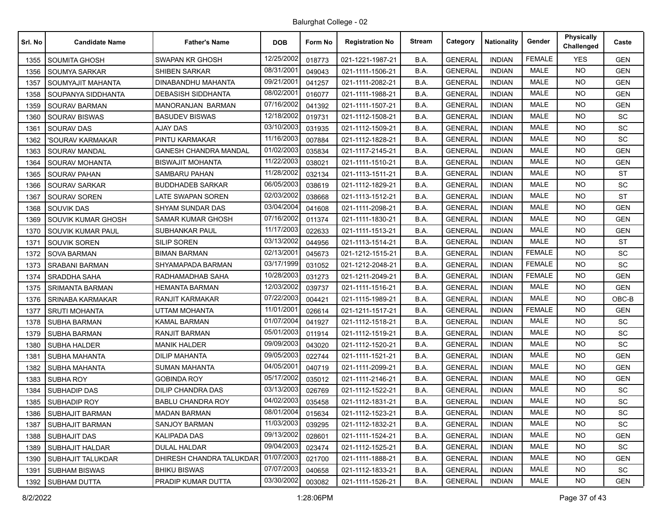| Srl. No | <b>Candidate Name</b>    | <b>Father's Name</b>         | <b>DOB</b> | Form No | <b>Registration No</b> | <b>Stream</b> | Category       | <b>Nationality</b> | Gender        | <b>Physically</b><br>Challenged | Caste      |
|---------|--------------------------|------------------------------|------------|---------|------------------------|---------------|----------------|--------------------|---------------|---------------------------------|------------|
| 1355    | <b>SOUMITA GHOSH</b>     | SWAPAN KR GHOSH              | 12/25/2002 | 018773  | 021-1221-1987-21       | B.A.          | <b>GENERAL</b> | <b>INDIAN</b>      | <b>FEMALE</b> | <b>YES</b>                      | <b>GEN</b> |
| 1356    | <b>SOUMYA SARKAR</b>     | SHIBEN SARKAR                | 08/31/2001 | 049043  | 021-1111-1506-21       | B.A.          | <b>GENERAL</b> | <b>INDIAN</b>      | <b>MALE</b>   | <b>NO</b>                       | <b>GEN</b> |
| 1357    | SOUMYAJIT MAHANTA        | DINABANDHU MAHANTA           | 09/21/2001 | 041257  | 021-1111-2082-21       | B.A.          | <b>GENERAL</b> | <b>INDIAN</b>      | <b>MALE</b>   | <b>NO</b>                       | <b>GEN</b> |
| 1358    | SOUPANYA SIDDHANTA       | <b>DEBASISH SIDDHANTA</b>    | 08/02/2001 | 016077  | 021-1111-1988-21       | B.A.          | <b>GENERAL</b> | <b>INDIAN</b>      | <b>MALE</b>   | <b>NO</b>                       | <b>GEN</b> |
| 1359    | SOURAV BARMAN            | MANORANJAN BARMAN            | 07/16/2002 | 041392  | 021-1111-1507-21       | B.A.          | <b>GENERAL</b> | <b>INDIAN</b>      | <b>MALE</b>   | NO.                             | <b>GEN</b> |
| 1360    | <b>SOURAV BISWAS</b>     | <b>BASUDEV BISWAS</b>        | 12/18/2002 | 019731  | 021-1112-1508-21       | B.A.          | <b>GENERAL</b> | <b>INDIAN</b>      | <b>MALE</b>   | NO.                             | <b>SC</b>  |
| 1361    | <b>SOURAV DAS</b>        | <b>AJAY DAS</b>              | 03/10/2003 | 031935  | 021-1112-1509-21       | B.A.          | <b>GENERAL</b> | <b>INDIAN</b>      | <b>MALE</b>   | <b>NO</b>                       | SC         |
| 1362    | 'SOURAV KARMAKAR         | PINTU KARMAKAR               | 11/16/2003 | 007884  | 021-1112-1828-21       | B.A.          | <b>GENERAL</b> | <b>INDIAN</b>      | <b>MALE</b>   | NO.                             | <b>SC</b>  |
| 1363    | SOURAV MANDAL            | <b>GANESH CHANDRA MANDAL</b> | 01/02/2003 | 035834  | 021-1117-2145-21       | B.A.          | <b>GENERAL</b> | <b>INDIAN</b>      | <b>MALE</b>   | NO.                             | <b>GEN</b> |
| 1364    | SOURAV MOHANTA           | BISWAJIT MOHANTA             | 11/22/2003 | 038021  | 021-1111-1510-21       | B.A.          | <b>GENERAL</b> | <b>INDIAN</b>      | <b>MALE</b>   | NO.                             | <b>GEN</b> |
| 1365    | <b>SOURAV PAHAN</b>      | SAMBARU PAHAN                | 11/28/2002 | 032134  | 021-1113-1511-21       | B.A.          | <b>GENERAL</b> | <b>INDIAN</b>      | <b>MALE</b>   | <b>NO</b>                       | <b>ST</b>  |
| 1366    | SOURAV SARKAR            | <b>BUDDHADEB SARKAR</b>      | 06/05/2003 | 038619  | 021-1112-1829-21       | B.A.          | <b>GENERAL</b> | <b>INDIAN</b>      | <b>MALE</b>   | <b>NO</b>                       | <b>SC</b>  |
| 1367    | SOURAV SOREN             | LATE SWAPAN SOREN            | 02/03/2002 | 038668  | 021-1113-1512-21       | B.A.          | <b>GENERAL</b> | <b>INDIAN</b>      | <b>MALE</b>   | NO.                             | <b>ST</b>  |
| 1368    | <b>SOUVIK DAS</b>        | SHYAM SUNDAR DAS             | 03/04/2004 | 041608  | 021-1111-2098-21       | B.A.          | <b>GENERAL</b> | <b>INDIAN</b>      | <b>MALE</b>   | NO.                             | <b>GEN</b> |
| 1369    | SOUVIK KUMAR GHOSH       | SAMAR KUMAR GHOSH            | 07/16/2002 | 011374  | 021-1111-1830-21       | B.A.          | <b>GENERAL</b> | <b>INDIAN</b>      | <b>MALE</b>   | <b>NO</b>                       | <b>GEN</b> |
| 1370    | SOUVIK KUMAR PAUL        | <b>SUBHANKAR PAUL</b>        | 11/17/2003 | 022633  | 021-1111-1513-21       | B.A.          | <b>GENERAL</b> | <b>INDIAN</b>      | <b>MALE</b>   | NO.                             | <b>GEN</b> |
| 1371    | SOUVIK SOREN             | <b>SILIP SOREN</b>           | 03/13/2002 | 044956  | 021-1113-1514-21       | B.A.          | <b>GENERAL</b> | <b>INDIAN</b>      | <b>MALE</b>   | <b>NO</b>                       | <b>ST</b>  |
| 1372    | <b>SOVA BARMAN</b>       | <b>BIMAN BARMAN</b>          | 02/13/2001 | 045673  | 021-1212-1515-21       | B.A.          | <b>GENERAL</b> | <b>INDIAN</b>      | <b>FEMALE</b> | NO.                             | <b>SC</b>  |
| 1373    | <b>SRABANI BARMAN</b>    | SHYAMAPADA BARMAN            | 03/17/1999 | 031052  | 021-1212-2048-21       | B.A.          | <b>GENERAL</b> | <b>INDIAN</b>      | <b>FEMALE</b> | <b>NO</b>                       | SC         |
| 1374    | <b>SRADDHA SAHA</b>      | RADHAMADHAB SAHA             | 10/28/2003 | 031273  | 021-1211-2049-21       | B.A.          | <b>GENERAL</b> | <b>INDIAN</b>      | <b>FEMALE</b> | NO.                             | <b>GEN</b> |
| 1375    | <b>SRIMANTA BARMAN</b>   | HEMANTA BARMAN               | 12/03/2002 | 039737  | 021-1111-1516-21       | B.A.          | <b>GENERAL</b> | <b>INDIAN</b>      | <b>MALE</b>   | NO.                             | <b>GEN</b> |
| 1376    | SRINABA KARMAKAR         | <b>RANJIT KARMAKAR</b>       | 07/22/2003 | 004421  | 021-1115-1989-21       | B.A.          | <b>GENERAL</b> | <b>INDIAN</b>      | <b>MALE</b>   | NO.                             | OBC-B      |
| 1377    | <b>SRUTI MOHANTA</b>     | UTTAM MOHANTA                | 11/01/2001 | 026614  | 021-1211-1517-21       | B.A.          | <b>GENERAL</b> | <b>INDIAN</b>      | <b>FEMALE</b> | <b>NO</b>                       | <b>GEN</b> |
| 1378    | <b>SUBHA BARMAN</b>      | <b>KAMAL BARMAN</b>          | 01/07/2004 | 041927  | 021-1112-1518-21       | B.A.          | <b>GENERAL</b> | <b>INDIAN</b>      | <b>MALE</b>   | NO.                             | SC.        |
| 1379    | <b>SUBHA BARMAN</b>      | RANJIT BARMAN                | 05/01/2003 | 011914  | 021-1112-1519-21       | B.A.          | <b>GENERAL</b> | <b>INDIAN</b>      | <b>MALE</b>   | NO.                             | SC         |
| 1380    | <b>SUBHA HALDER</b>      | <b>MANIK HALDER</b>          | 09/09/2003 | 043020  | 021-1112-1520-21       | B.A.          | <b>GENERAL</b> | <b>INDIAN</b>      | <b>MALE</b>   | <b>NO</b>                       | SC         |
| 1381    | SUBHA MAHANTA            | <b>DILIP MAHANTA</b>         | 09/05/2003 | 022744  | 021-1111-1521-21       | B.A.          | <b>GENERAL</b> | <b>INDIAN</b>      | <b>MALE</b>   | <b>NO</b>                       | <b>GEN</b> |
| 1382    | SUBHA MAHANTA            | <b>SUMAN MAHANTA</b>         | 04/05/2001 | 040719  | 021-1111-2099-21       | B.A.          | <b>GENERAL</b> | <b>INDIAN</b>      | <b>MALE</b>   | NO.                             | <b>GEN</b> |
| 1383    | SUBHA ROY                | <b>GOBINDA ROY</b>           | 05/17/2002 | 035012  | 021-1111-2146-21       | B.A.          | <b>GENERAL</b> | <b>INDIAN</b>      | <b>MALE</b>   | NO.                             | GEN        |
| 1384    | <b>SUBHADIP DAS</b>      | <b>DILIP CHANDRA DAS</b>     | 03/13/2003 | 026769  | 021-1112-1522-21       | B.A.          | <b>GENERAL</b> | <b>INDIAN</b>      | MALE          | NO.                             | <b>SC</b>  |
| 1385    | <b>SUBHADIP ROY</b>      | <b>BABLU CHANDRA ROY</b>     | 04/02/2003 | 035458  | 021-1112-1831-21       | B.A.          | <b>GENERAL</b> | <b>INDIAN</b>      | <b>MALE</b>   | <b>NO</b>                       | SC         |
| 1386    | <b>SUBHAJIT BARMAN</b>   | <b>MADAN BARMAN</b>          | 08/01/2004 | 015634  | 021-1112-1523-21       | B.A.          | <b>GENERAL</b> | INDIAN             | MALE          | NO.                             | SC         |
| 1387    | SUBHAJIT BARMAN          | SANJOY BARMAN                | 11/03/2003 | 039295  | 021-1112-1832-21       | B.A.          | <b>GENERAL</b> | INDIAN             | MALE          | <b>NO</b>                       | SC         |
| 1388    | <b>SUBHAJIT DAS</b>      | <b>KALIPADA DAS</b>          | 09/13/2002 | 028601  | 021-1111-1524-21       | B.A.          | <b>GENERAL</b> | <b>INDIAN</b>      | MALE          | NO.                             | <b>GEN</b> |
| 1389    | <b>SUBHAJIT HALDAR</b>   | DULAL HALDAR                 | 09/04/2003 | 023474  | 021-1112-1525-21       | B.A.          | <b>GENERAL</b> | <b>INDIAN</b>      | MALE          | <b>NO</b>                       | SC         |
| 1390    | <b>SUBHAJIT TALUKDAR</b> | DHIRESH CHANDRA TALUKDAR     | 01/07/2003 | 021700  | 021-1111-1888-21       | B.A.          | <b>GENERAL</b> | INDIAN             | MALE          | <b>NO</b>                       | <b>GEN</b> |
| 1391    | <b>SUBHAM BISWAS</b>     | <b>BHIKU BISWAS</b>          | 07/07/2003 | 040658  | 021-1112-1833-21       | B.A.          | <b>GENERAL</b> | INDIAN             | MALE          | NO.                             | SC         |
| 1392    | <b>SUBHAM DUTTA</b>      | PRADIP KUMAR DUTTA           | 03/30/2002 | 003082  | 021-1111-1526-21       | B.A.          | <b>GENERAL</b> | <b>INDIAN</b>      | MALE          | NO.                             | GEN        |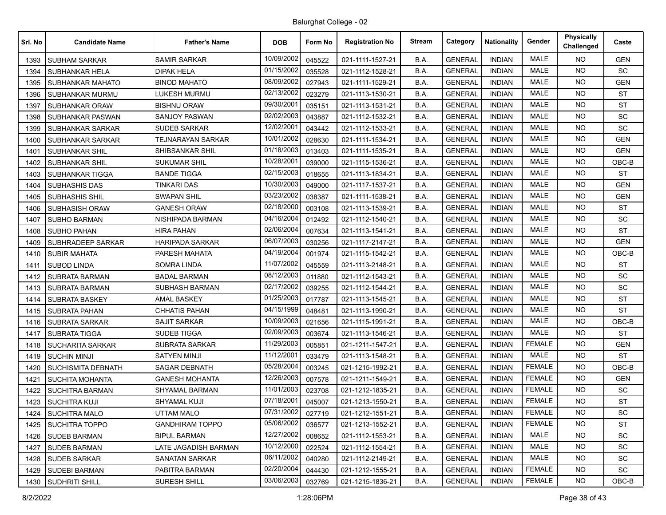| Srl. No | <b>Candidate Name</b>     | <b>Father's Name</b>     | <b>DOB</b> | Form No | <b>Registration No</b> | <b>Stream</b> | Category       | <b>Nationality</b> | Gender        | <b>Physically</b><br>Challenged | Caste      |
|---------|---------------------------|--------------------------|------------|---------|------------------------|---------------|----------------|--------------------|---------------|---------------------------------|------------|
| 1393    | <b>SUBHAM SARKAR</b>      | <b>SAMIR SARKAR</b>      | 10/09/2002 | 045522  | 021-1111-1527-21       | B.A.          | <b>GENERAL</b> | <b>INDIAN</b>      | MALE          | NO.                             | <b>GEN</b> |
| 1394    | <b>SUBHANKAR HELA</b>     | DIPAK HELA               | 01/15/2002 | 035528  | 021-1112-1528-21       | B.A.          | <b>GENERAL</b> | <b>INDIAN</b>      | <b>MALE</b>   | <b>NO</b>                       | SC         |
| 1395    | SUBHANKAR MAHATO          | <b>BINOD MAHATO</b>      | 08/09/2002 | 027943  | 021-1111-1529-21       | B.A.          | <b>GENERAL</b> | <b>INDIAN</b>      | <b>MALE</b>   | NO.                             | <b>GEN</b> |
| 1396    | SUBHANKAR MURMU           | <b>LUKESH MURMU</b>      | 02/13/2002 | 023279  | 021-1113-1530-21       | B.A.          | <b>GENERAL</b> | <b>INDIAN</b>      | <b>MALE</b>   | <b>NO</b>                       | <b>ST</b>  |
| 1397    | <b>SUBHANKAR ORAW</b>     | <b>BISHNU ORAW</b>       | 09/30/2001 | 035151  | 021-1113-1531-21       | B.A.          | <b>GENERAL</b> | <b>INDIAN</b>      | <b>MALE</b>   | NO.                             | <b>ST</b>  |
| 1398    | SUBHANKAR PASWAN          | <b>SANJOY PASWAN</b>     | 02/02/2003 | 043887  | 021-1112-1532-21       | B.A.          | <b>GENERAL</b> | <b>INDIAN</b>      | <b>MALE</b>   | NO.                             | SC         |
| 1399    | SUBHANKAR SARKAR          | <b>SUDEB SARKAR</b>      | 12/02/2001 | 043442  | 021-1112-1533-21       | B.A.          | <b>GENERAL</b> | <b>INDIAN</b>      | <b>MALE</b>   | <b>NO</b>                       | SC         |
| 1400    | SUBHANKAR SARKAR          | <b>TEJNARAYAN SARKAR</b> | 10/01/2002 | 028630  | 021-1111-1534-21       | B.A.          | <b>GENERAL</b> | <b>INDIAN</b>      | <b>MALE</b>   | <b>NO</b>                       | <b>GEN</b> |
| 1401    | <b>SUBHANKAR SHIL</b>     | SHIBSANKAR SHIL          | 01/18/2003 | 013403  | 021-1111-1535-21       | B.A.          | <b>GENERAL</b> | <b>INDIAN</b>      | <b>MALE</b>   | NO.                             | <b>GEN</b> |
| 1402    | <b>SUBHANKAR SHIL</b>     | SUKUMAR SHIL             | 10/28/2001 | 039000  | 021-1115-1536-21       | B.A.          | <b>GENERAL</b> | <b>INDIAN</b>      | MALE          | NO.                             | OBC-B      |
| 1403    | SUBHANKAR TIGGA           | <b>BANDE TIGGA</b>       | 02/15/2003 | 018655  | 021-1113-1834-21       | B.A.          | <b>GENERAL</b> | <b>INDIAN</b>      | <b>MALE</b>   | <b>NO</b>                       | <b>ST</b>  |
| 1404    | <b>SUBHASHIS DAS</b>      | <b>TINKARI DAS</b>       | 10/30/2003 | 049000  | 021-1117-1537-21       | B.A.          | <b>GENERAL</b> | <b>INDIAN</b>      | <b>MALE</b>   | <b>NO</b>                       | <b>GEN</b> |
| 1405    | <b>SUBHASHIS SHIL</b>     | <b>SWAPAN SHIL</b>       | 03/23/2002 | 038387  | 021-1111-1538-21       | B.A.          | <b>GENERAL</b> | <b>INDIAN</b>      | <b>MALE</b>   | NO.                             | <b>GEN</b> |
| 1406    | SUBHASISH ORAW            | <b>GANESH ORAW</b>       | 02/18/2000 | 003108  | 021-1113-1539-21       | B.A.          | <b>GENERAL</b> | <b>INDIAN</b>      | <b>MALE</b>   | <b>NO</b>                       | ST         |
| 1407    | <b>SUBHO BARMAN</b>       | NISHIPADA BARMAN         | 04/16/2004 | 012492  | 021-1112-1540-21       | B.A.          | <b>GENERAL</b> | <b>INDIAN</b>      | MALE          | NO.                             | <b>SC</b>  |
| 1408    | <b>SUBHO PAHAN</b>        | HIRA PAHAN               | 02/06/2004 | 007634  | 021-1113-1541-21       | B.A.          | <b>GENERAL</b> | <b>INDIAN</b>      | <b>MALE</b>   | <b>NO</b>                       | <b>ST</b>  |
| 1409    | SUBHRADEEP SARKAR         | <b>HARIPADA SARKAR</b>   | 06/07/2003 | 030256  | 021-1117-2147-21       | B.A.          | <b>GENERAL</b> | <b>INDIAN</b>      | <b>MALE</b>   | <b>NO</b>                       | <b>GEN</b> |
| 1410    | <b>SUBIR MAHATA</b>       | PARESH MAHATA            | 04/19/2004 | 001974  | 021-1115-1542-21       | B.A.          | <b>GENERAL</b> | <b>INDIAN</b>      | MALE          | NO.                             | OBC-B      |
| 1411    | <b>SUBOD LINDA</b>        | <b>SOMRA LINDA</b>       | 11/07/2002 | 045559  | 021-1113-2148-21       | B.A.          | <b>GENERAL</b> | <b>INDIAN</b>      | <b>MALE</b>   | NO.                             | <b>ST</b>  |
| 1412    | <b>SUBRATA BARMAN</b>     | <b>BADAL BARMAN</b>      | 08/12/2003 | 011880  | 021-1112-1543-21       | B.A.          | <b>GENERAL</b> | <b>INDIAN</b>      | <b>MALE</b>   | NO.                             | <b>SC</b>  |
| 1413    | <b>SUBRATA BARMAN</b>     | <b>SUBHASH BARMAN</b>    | 02/17/2002 | 039255  | 021-1112-1544-21       | B.A.          | <b>GENERAL</b> | <b>INDIAN</b>      | <b>MALE</b>   | <b>NO</b>                       | SC         |
| 1414    | <b>SUBRATA BASKEY</b>     | <b>AMAL BASKEY</b>       | 01/25/2003 | 017787  | 021-1113-1545-21       | B.A.          | <b>GENERAL</b> | <b>INDIAN</b>      | <b>MALE</b>   | <b>NO</b>                       | <b>ST</b>  |
| 1415    | <b>SUBRATA PAHAN</b>      | <b>CHHATIS PAHAN</b>     | 04/15/1999 | 048481  | 021-1113-1990-21       | B.A.          | <b>GENERAL</b> | <b>INDIAN</b>      | <b>MALE</b>   | <b>NO</b>                       | <b>ST</b>  |
| 1416    | <b>SUBRATA SARKAR</b>     | <b>SAJIT SARKAR</b>      | 10/09/2003 | 021656  | 021-1115-1991-21       | B.A.          | <b>GENERAL</b> | <b>INDIAN</b>      | <b>MALE</b>   | NO.                             | OBC-B      |
| 1417    | <b>SUBRATA TIGGA</b>      | <b>SUDEB TIGGA</b>       | 02/09/2003 | 003674  | 021-1113-1546-21       | B.A.          | <b>GENERAL</b> | <b>INDIAN</b>      | <b>MALE</b>   | <b>NO</b>                       | <b>ST</b>  |
| 1418    | <b>SUCHARITA SARKAR</b>   | <b>SUBRATA SARKAR</b>    | 11/29/2003 | 005851  | 021-1211-1547-21       | B.A.          | <b>GENERAL</b> | <b>INDIAN</b>      | <b>FEMALE</b> | NO.                             | <b>GEN</b> |
| 1419    | <b>SUCHIN MINJI</b>       | <b>SATYEN MINJI</b>      | 11/12/2001 | 033479  | 021-1113-1548-21       | B.A.          | <b>GENERAL</b> | <b>INDIAN</b>      | <b>MALE</b>   | <b>NO</b>                       | <b>ST</b>  |
| 1420    | <b>SUCHISMITA DEBNATH</b> | <b>SAGAR DEBNATH</b>     | 05/28/2004 | 003245  | 021-1215-1992-21       | B.A.          | <b>GENERAL</b> | <b>INDIAN</b>      | <b>FEMALE</b> | NO.                             | OBC-B      |
| 1421    | <b>SUCHITA MOHANTA</b>    | GANESH MOHANTA           | 12/26/2003 | 007578  | 021-1211-1549-21       | B.A.          | <b>GENERAL</b> | <b>INDIAN</b>      | <b>FEMALE</b> | <b>NO</b>                       | <b>GEN</b> |
| 1422    | <b>SUCHITRA BARMAN</b>    | SHYAMAL BARMAN           | 11/01/2003 | 023708  | 021-1212-1835-21       | B.A.          | <b>GENERAL</b> | <b>INDIAN</b>      | <b>FEMALE</b> | NO.                             | <b>SC</b>  |
| 1423    | <b>SUCHITRA KUJI</b>      | <b>SHYAMAL KUJI</b>      | 07/18/2001 | 045007  | 021-1213-1550-21       | B.A.          | <b>GENERAL</b> | <b>INDIAN</b>      | <b>FEMALE</b> | <b>NO</b>                       | <b>ST</b>  |
| 1424    | <b>SUCHITRA MALO</b>      | <b>UTTAM MALO</b>        | 07/31/2002 | 027719  | 021-1212-1551-21       | B.A.          | <b>GENERAL</b> | <b>INDIAN</b>      | <b>FEMALE</b> | NO.                             | SC         |
| 1425    | SUCHITRA TOPPO            | <b>GANDHIRAM TOPPO</b>   | 05/06/2002 | 036577  | 021-1213-1552-21       | B.A.          | <b>GENERAL</b> | <b>INDIAN</b>      | <b>FEMALE</b> | NO.                             | ST         |
| 1426    | <b>SUDEB BARMAN</b>       | <b>BIPUL BARMAN</b>      | 12/27/2002 | 008652  | 021-1112-1553-21       | B.A.          | <b>GENERAL</b> | <b>INDIAN</b>      | MALE          | NO.                             | SC         |
| 1427    | <b>SUDEB BARMAN</b>       | LATE JAGADISH BARMAN     | 10/12/2000 | 022524  | 021-1112-1554-21       | B.A.          | <b>GENERAL</b> | <b>INDIAN</b>      | MALE          | <b>NO</b>                       | SC         |
| 1428    | <b>SUDEB SARKAR</b>       | SANATAN SARKAR           | 06/11/2002 | 040280  | 021-1112-2149-21       | B.A.          | <b>GENERAL</b> | <b>INDIAN</b>      | MALE          | NO.                             | SC         |
| 1429    | <b>SUDEBI BARMAN</b>      | PABITRA BARMAN           | 02/20/2004 | 044430  | 021-1212-1555-21       | B.A.          | <b>GENERAL</b> | <b>INDIAN</b>      | <b>FEMALE</b> | NO.                             | SC         |
| 1430    | <b>SUDHRITI SHILL</b>     | <b>SURESH SHILL</b>      | 03/06/2003 | 032769  | 021-1215-1836-21       | B.A.          | <b>GENERAL</b> | <b>INDIAN</b>      | FEMALE        | NO.                             | OBC-B      |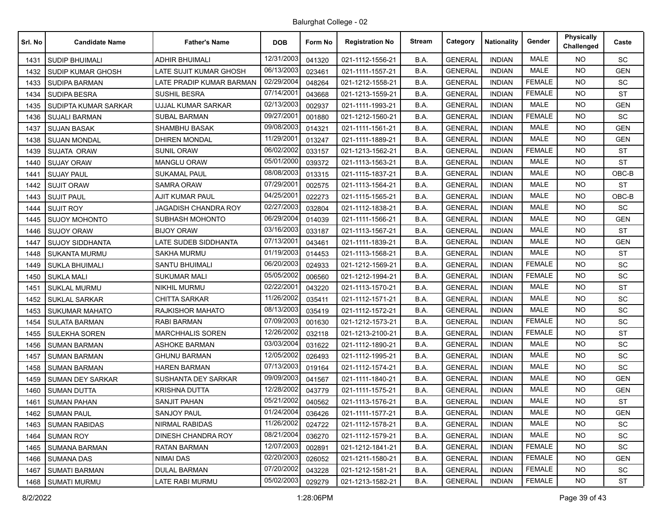| Srl. No | <b>Candidate Name</b>   | <b>Father's Name</b>      | <b>DOB</b> | Form No | <b>Registration No</b> | <b>Stream</b> | Category       | <b>Nationality</b> | Gender        | <b>Physically</b><br>Challenged | Caste      |
|---------|-------------------------|---------------------------|------------|---------|------------------------|---------------|----------------|--------------------|---------------|---------------------------------|------------|
| 1431    | <b>SUDIP BHUIMALI</b>   | <b>ADHIR BHUIMALI</b>     | 12/31/2003 | 041320  | 021-1112-1556-21       | B.A.          | <b>GENERAL</b> | <b>INDIAN</b>      | <b>MALE</b>   | <b>NO</b>                       | <b>SC</b>  |
| 1432    | SUDIP KUMAR GHOSH       | LATE SUJIT KUMAR GHOSH    | 06/13/2003 | 023461  | 021-1111-1557-21       | B.A.          | <b>GENERAL</b> | <b>INDIAN</b>      | <b>MALE</b>   | <b>NO</b>                       | <b>GEN</b> |
| 1433    | <b>SUDIPA BARMAN</b>    | LATE PRADIP KUMAR BARMAN  | 02/29/2004 | 048264  | 021-1212-1558-21       | B.A.          | <b>GENERAL</b> | <b>INDIAN</b>      | <b>FEMALE</b> | NO.                             | <b>SC</b>  |
| 1434    | <b>SUDIPA BESRA</b>     | <b>SUSHIL BESRA</b>       | 07/14/2001 | 043668  | 021-1213-1559-21       | B.A.          | <b>GENERAL</b> | <b>INDIAN</b>      | <b>FEMALE</b> | <b>NO</b>                       | <b>ST</b>  |
| 1435    | SUDIPTA KUMAR SARKAR    | <b>UJJAL KUMAR SARKAR</b> | 02/13/2003 | 002937  | 021-1111-1993-21       | B.A.          | <b>GENERAL</b> | <b>INDIAN</b>      | <b>MALE</b>   | NO.                             | <b>GEN</b> |
| 1436    | <b>SUJALI BARMAN</b>    | <b>SUBAL BARMAN</b>       | 09/27/2001 | 001880  | 021-1212-1560-21       | B.A.          | <b>GENERAL</b> | <b>INDIAN</b>      | <b>FEMALE</b> | <b>NO</b>                       | SC         |
| 1437    | <b>SUJAN BASAK</b>      | <b>SHAMBHU BASAK</b>      | 09/08/2003 | 014321  | 021-1111-1561-21       | B.A.          | <b>GENERAL</b> | <b>INDIAN</b>      | <b>MALE</b>   | NO.                             | <b>GEN</b> |
| 1438    | <b>SUJAN MONDAL</b>     | <b>DHIREN MONDAL</b>      | 11/29/2001 | 013247  | 021-1111-1889-21       | B.A.          | <b>GENERAL</b> | <b>INDIAN</b>      | <b>MALE</b>   | <b>NO</b>                       | <b>GEN</b> |
| 1439    | <b>SUJATA ORAW</b>      | <b>SUNIL ORAW</b>         | 06/02/2002 | 033157  | 021-1213-1562-21       | B.A.          | <b>GENERAL</b> | <b>INDIAN</b>      | <b>FEMALE</b> | NO.                             | <b>ST</b>  |
| 1440    | <b>SUJAY ORAW</b>       | <b>MANGLU ORAW</b>        | 05/01/2000 | 039372  | 021-1113-1563-21       | B.A.          | <b>GENERAL</b> | <b>INDIAN</b>      | <b>MALE</b>   | <b>NO</b>                       | <b>ST</b>  |
| 1441    | <b>SUJAY PAUL</b>       | <b>SUKAMAL PAUL</b>       | 08/08/2003 | 013315  | 021-1115-1837-21       | B.A.          | <b>GENERAL</b> | <b>INDIAN</b>      | <b>MALE</b>   | <b>NO</b>                       | OBC-B      |
| 1442    | <b>SUJIT ORAW</b>       | <b>SAMRA ORAW</b>         | 07/29/2001 | 002575  | 021-1113-1564-21       | B.A.          | <b>GENERAL</b> | <b>INDIAN</b>      | <b>MALE</b>   | <b>NO</b>                       | <b>ST</b>  |
| 1443    | <b>SUJIT PAUL</b>       | <b>AJIT KUMAR PAUL</b>    | 04/25/2001 | 022273  | 021-1115-1565-21       | B.A.          | <b>GENERAL</b> | <b>INDIAN</b>      | <b>MALE</b>   | NO.                             | OBC-B      |
| 1444    | <b>SUJIT ROY</b>        | JAGADISH CHANDRA ROY      | 02/27/2003 | 032804  | 021-1112-1838-21       | B.A.          | <b>GENERAL</b> | <b>INDIAN</b>      | <b>MALE</b>   | NO.                             | <b>SC</b>  |
| 1445    | <b>SUJOY MOHONTO</b>    | SUBHASH MOHONTO           | 06/29/2004 | 014039  | 021-1111-1566-21       | B.A.          | <b>GENERAL</b> | <b>INDIAN</b>      | <b>MALE</b>   | NO.                             | <b>GEN</b> |
| 1446    | <b>SUJOY ORAW</b>       | <b>BIJOY ORAW</b>         | 03/16/2003 | 033187  | 021-1113-1567-21       | B.A.          | <b>GENERAL</b> | <b>INDIAN</b>      | <b>MALE</b>   | <b>NO</b>                       | <b>ST</b>  |
| 1447    | <b>SUJOY SIDDHANTA</b>  | LATE SUDEB SIDDHANTA      | 07/13/2001 | 043461  | 021-1111-1839-21       | B.A.          | <b>GENERAL</b> | <b>INDIAN</b>      | <b>MALE</b>   | NO.                             | <b>GEN</b> |
| 1448    | <b>SUKANTA MURMU</b>    | SAKHA MURMU               | 01/19/2003 | 014453  | 021-1113-1568-21       | B.A.          | <b>GENERAL</b> | <b>INDIAN</b>      | MALE          | NO.                             | <b>ST</b>  |
| 1449    | <b>SUKLA BHUIMALI</b>   | <b>SANTU BHUIMALI</b>     | 06/20/2003 | 024933  | 021-1212-1569-21       | B.A.          | <b>GENERAL</b> | <b>INDIAN</b>      | <b>FEMALE</b> | <b>NO</b>                       | SC         |
| 1450    | <b>SUKLA MALI</b>       | <b>SUKUMAR MALI</b>       | 05/05/2002 | 006560  | 021-1212-1994-21       | B.A.          | <b>GENERAL</b> | <b>INDIAN</b>      | <b>FEMALE</b> | <b>NO</b>                       | SC         |
| 1451    | <b>SUKLAL MURMU</b>     | <b>NIKHIL MURMU</b>       | 02/22/2001 | 043220  | 021-1113-1570-21       | B.A.          | <b>GENERAL</b> | <b>INDIAN</b>      | <b>MALE</b>   | NO.                             | <b>ST</b>  |
| 1452    | <b>SUKLAL SARKAR</b>    | <b>CHITTA SARKAR</b>      | 11/26/2002 | 035411  | 021-1112-1571-21       | B.A.          | <b>GENERAL</b> | <b>INDIAN</b>      | <b>MALE</b>   | <b>NO</b>                       | <b>SC</b>  |
| 1453    | <b>SUKUMAR MAHATO</b>   | <b>RAJKISHOR MAHATO</b>   | 08/13/2003 | 035419  | 021-1112-1572-21       | B.A.          | <b>GENERAL</b> | <b>INDIAN</b>      | <b>MALE</b>   | <b>NO</b>                       | SC         |
| 1454    | <b>SULATA BARMAN</b>    | RABI BARMAN               | 07/09/2003 | 001630  | 021-1212-1573-21       | B.A.          | <b>GENERAL</b> | <b>INDIAN</b>      | <b>FEMALE</b> | <b>NO</b>                       | SC         |
| 1455    | <b>SULEKHA SOREN</b>    | <b>MARCHHALIS SOREN</b>   | 12/26/2002 | 032118  | 021-1213-2100-21       | B.A.          | <b>GENERAL</b> | <b>INDIAN</b>      | <b>FEMALE</b> | NO.                             | ST         |
| 1456    | <b>SUMAN BARMAN</b>     | <b>ASHOKE BARMAN</b>      | 03/03/2004 | 031622  | 021-1112-1890-21       | B.A.          | <b>GENERAL</b> | <b>INDIAN</b>      | <b>MALE</b>   | <b>NO</b>                       | SC         |
| 1457    | <b>SUMAN BARMAN</b>     | <b>GHUNU BARMAN</b>       | 12/05/2002 | 026493  | 021-1112-1995-21       | B.A.          | <b>GENERAL</b> | <b>INDIAN</b>      | <b>MALE</b>   | <b>NO</b>                       | SC         |
| 1458    | <b>SUMAN BARMAN</b>     | <b>HAREN BARMAN</b>       | 07/13/2003 | 019164  | 021-1112-1574-21       | B.A.          | <b>GENERAL</b> | <b>INDIAN</b>      | <b>MALE</b>   | NO.                             | <b>SC</b>  |
| 1459    | <b>SUMAN DEY SARKAR</b> | SUSHANTA DEY SARKAR       | 09/09/2003 | 041567  | 021-1111-1840-21       | B.A.          | <b>GENERAL</b> | <b>INDIAN</b>      | <b>MALE</b>   | <b>NO</b>                       | <b>GEN</b> |
| 1460    | <b>SUMAN DUTTA</b>      | <b>KRISHNA DUTTA</b>      | 12/28/2002 | 043779  | 021-1111-1575-21       | B.A.          | <b>GENERAL</b> | <b>INDIAN</b>      | <b>MALE</b>   | <b>NO</b>                       | <b>GEN</b> |
| 1461    | <b>SUMAN PAHAN</b>      | <b>SANJIT PAHAN</b>       | 05/21/2002 | 040562  | 021-1113-1576-21       | B.A.          | <b>GENERAL</b> | <b>INDIAN</b>      | <b>MALE</b>   | <b>NO</b>                       | <b>ST</b>  |
|         | 1462 SUMAN PAUL         | SANJOY PAUL               | 01/24/2004 | 036426  | 021-1111-1577-21       | B.A.          | <b>GENERAL</b> | <b>INDIAN</b>      | MALE          | NO.                             | <b>GEN</b> |
| 1463    | <b>SUMAN RABIDAS</b>    | <b>NIRMAL RABIDAS</b>     | 11/26/2002 | 024722  | 021-1112-1578-21       | B.A.          | <b>GENERAL</b> | <b>INDIAN</b>      | MALE          | <b>NO</b>                       | SC         |
| 1464    | <b>SUMAN ROY</b>        | DINESH CHANDRA ROY        | 08/21/2004 | 036270  | 021-1112-1579-21       | B.A.          | <b>GENERAL</b> | <b>INDIAN</b>      | MALE          | NO.                             | SC         |
| 1465    | SUMANA BARMAN           | RATAN BARMAN              | 12/07/2003 | 002891  | 021-1212-1841-21       | B.A.          | <b>GENERAL</b> | <b>INDIAN</b>      | <b>FEMALE</b> | NO.                             | SC         |
| 1466    | <b>SUMANA DAS</b>       | NIMAI DAS                 | 02/20/2003 | 026052  | 021-1211-1580-21       | B.A.          | <b>GENERAL</b> | <b>INDIAN</b>      | <b>FEMALE</b> | NO.                             | GEN        |
| 1467    | <b>SUMATI BARMAN</b>    | DULAL BARMAN              | 07/20/2002 | 043228  | 021-1212-1581-21       | B.A.          | <b>GENERAL</b> | <b>INDIAN</b>      | <b>FEMALE</b> | <b>NO</b>                       | SC         |
| 1468    | <b>SUMATI MURMU</b>     | LATE RABI MURMU           | 05/02/2003 | 029279  | 021-1213-1582-21       | B.A.          | <b>GENERAL</b> | <b>INDIAN</b>      | FEMALE        | NO.                             | <b>ST</b>  |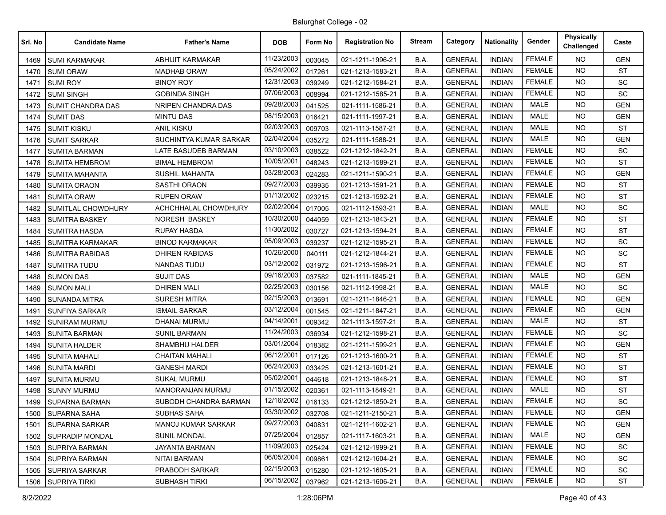| Srl. No | <b>Candidate Name</b>   | <b>Father's Name</b>      | <b>DOB</b> | Form No | <b>Registration No</b> | <b>Stream</b> | Category       | <b>Nationality</b> | Gender        | <b>Physically</b><br>Challenged | Caste      |
|---------|-------------------------|---------------------------|------------|---------|------------------------|---------------|----------------|--------------------|---------------|---------------------------------|------------|
| 1469    | <b>SUMI KARMAKAR</b>    | <b>ABHIJIT KARMAKAR</b>   | 11/23/2003 | 003045  | 021-1211-1996-21       | B.A.          | <b>GENERAL</b> | <b>INDIAN</b>      | <b>FEMALE</b> | <b>NO</b>                       | <b>GEN</b> |
| 1470    | <b>SUMI ORAW</b>        | <b>MADHAB ORAW</b>        | 05/24/2002 | 017261  | 021-1213-1583-21       | B.A.          | <b>GENERAL</b> | <b>INDIAN</b>      | <b>FEMALE</b> | <b>NO</b>                       | <b>ST</b>  |
| 1471    | <b>SUMI ROY</b>         | <b>BINOY ROY</b>          | 12/31/2003 | 039249  | 021-1212-1584-21       | B.A.          | <b>GENERAL</b> | <b>INDIAN</b>      | <b>FEMALE</b> | <b>NO</b>                       | SC         |
| 1472    | <b>SUMI SINGH</b>       | <b>GOBINDA SINGH</b>      | 07/06/2003 | 008994  | 021-1212-1585-21       | B.A.          | <b>GENERAL</b> | <b>INDIAN</b>      | <b>FEMALE</b> | <b>NO</b>                       | SC         |
| 1473    | SUMIT CHANDRA DAS       | <b>NRIPEN CHANDRA DAS</b> | 09/28/2003 | 041525  | 021-1111-1586-21       | B.A.          | <b>GENERAL</b> | <b>INDIAN</b>      | <b>MALE</b>   | <b>NO</b>                       | <b>GEN</b> |
| 1474    | <b>SUMIT DAS</b>        | <b>MINTU DAS</b>          | 08/15/2003 | 016421  | 021-1111-1997-21       | B.A.          | <b>GENERAL</b> | <b>INDIAN</b>      | <b>MALE</b>   | <b>NO</b>                       | <b>GEN</b> |
| 1475    | <b>SUMIT KISKU</b>      | <b>ANIL KISKU</b>         | 02/03/2003 | 009703  | 021-1113-1587-21       | B.A.          | <b>GENERAL</b> | <b>INDIAN</b>      | <b>MALE</b>   | NO.                             | <b>ST</b>  |
| 1476    | <b>SUMIT SARKAR</b>     | SUCHINTYA KUMAR SARKAR    | 02/04/2004 | 035272  | 021-1111-1588-21       | B.A.          | <b>GENERAL</b> | <b>INDIAN</b>      | <b>MALE</b>   | <b>NO</b>                       | <b>GEN</b> |
| 1477    | <b>SUMITA BARMAN</b>    | LATE BASUDEB BARMAN       | 03/10/2003 | 038522  | 021-1212-1842-21       | B.A.          | <b>GENERAL</b> | <b>INDIAN</b>      | <b>FEMALE</b> | <b>NO</b>                       | SC         |
| 1478    | <b>SUMITA HEMBROM</b>   | <b>BIMAL HEMBROM</b>      | 10/05/2001 | 048243  | 021-1213-1589-21       | B.A.          | <b>GENERAL</b> | <b>INDIAN</b>      | <b>FEMALE</b> | <b>NO</b>                       | <b>ST</b>  |
| 1479    | <b>SUMITA MAHANTA</b>   | <b>SUSHIL MAHANTA</b>     | 03/28/2003 | 024283  | 021-1211-1590-21       | B.A.          | <b>GENERAL</b> | <b>INDIAN</b>      | <b>FEMALE</b> | <b>NO</b>                       | <b>GEN</b> |
| 1480    | <b>SUMITA ORAON</b>     | <b>SASTHI ORAON</b>       | 09/27/2003 | 039935  | 021-1213-1591-21       | B.A.          | <b>GENERAL</b> | <b>INDIAN</b>      | <b>FEMALE</b> | <b>NO</b>                       | <b>ST</b>  |
| 1481    | <b>SUMITA ORAW</b>      | RUPEN ORAW                | 01/13/2002 | 023215  | 021-1213-1592-21       | B.A.          | <b>GENERAL</b> | <b>INDIAN</b>      | <b>FEMALE</b> | <b>NO</b>                       | <b>ST</b>  |
| 1482    | SUMITLAL CHOWDHURY      | ACHCHHALAL CHOWDHURY      | 02/02/2004 | 017005  | 021-1112-1593-21       | B.A.          | <b>GENERAL</b> | <b>INDIAN</b>      | <b>MALE</b>   | <b>NO</b>                       | SC         |
| 1483    | <b>SUMITRA BASKEY</b>   | NORESH BASKEY             | 10/30/2000 | 044059  | 021-1213-1843-21       | B.A.          | <b>GENERAL</b> | <b>INDIAN</b>      | <b>FEMALE</b> | <b>NO</b>                       | <b>ST</b>  |
| 1484    | <b>SUMITRA HASDA</b>    | RUPAY HASDA               | 11/30/2002 | 030727  | 021-1213-1594-21       | B.A.          | <b>GENERAL</b> | <b>INDIAN</b>      | <b>FEMALE</b> | <b>NO</b>                       | <b>ST</b>  |
| 1485    | <b>SUMITRA KARMAKAR</b> | <b>BINOD KARMAKAR</b>     | 05/09/2003 | 039237  | 021-1212-1595-21       | B.A.          | <b>GENERAL</b> | <b>INDIAN</b>      | <b>FEMALE</b> | <b>NO</b>                       | SC         |
| 1486    | <b>SUMITRA RABIDAS</b>  | <b>DHIREN RABIDAS</b>     | 10/26/2000 | 040111  | 021-1212-1844-21       | B.A.          | <b>GENERAL</b> | <b>INDIAN</b>      | <b>FEMALE</b> | <b>NO</b>                       | SC         |
| 1487    | <b>SUMITRA TUDU</b>     | <b>NANDAS TUDU</b>        | 03/12/2002 | 031972  | 021-1213-1596-21       | B.A.          | <b>GENERAL</b> | <b>INDIAN</b>      | <b>FEMALE</b> | <b>NO</b>                       | <b>ST</b>  |
| 1488    | <b>SUMON DAS</b>        | <b>SUJIT DAS</b>          | 09/16/2003 | 037582  | 021-1111-1845-21       | B.A.          | <b>GENERAL</b> | <b>INDIAN</b>      | <b>MALE</b>   | <b>NO</b>                       | <b>GEN</b> |
| 1489    | <b>SUMON MALI</b>       | <b>DHIREN MALI</b>        | 02/25/2003 | 030156  | 021-1112-1998-21       | B.A.          | <b>GENERAL</b> | <b>INDIAN</b>      | <b>MALE</b>   | <b>NO</b>                       | <b>SC</b>  |
| 1490    | <b>SUNANDA MITRA</b>    | <b>SURESH MITRA</b>       | 02/15/2003 | 013691  | 021-1211-1846-21       | B.A.          | <b>GENERAL</b> | <b>INDIAN</b>      | <b>FEMALE</b> | <b>NO</b>                       | <b>GEN</b> |
| 1491    | <b>SUNFIYA SARKAR</b>   | <b>ISMAIL SARKAR</b>      | 03/12/2004 | 001545  | 021-1211-1847-21       | B.A.          | <b>GENERAL</b> | <b>INDIAN</b>      | <b>FEMALE</b> | <b>NO</b>                       | <b>GEN</b> |
| 1492    | <b>SUNIRAM MURMU</b>    | DHANAI MURMU              | 04/14/2001 | 009342  | 021-1113-1597-21       | B.A.          | <b>GENERAL</b> | <b>INDIAN</b>      | <b>MALE</b>   | <b>NO</b>                       | <b>ST</b>  |
| 1493    | <b>SUNITA BARMAN</b>    | <b>SUNIL BARMAN</b>       | 11/24/2003 | 036934  | 021-1212-1598-21       | B.A.          | <b>GENERAL</b> | <b>INDIAN</b>      | <b>FEMALE</b> | <b>NO</b>                       | SC         |
| 1494    | <b>SUNITA HALDER</b>    | SHAMBHU HALDER            | 03/01/2004 | 018382  | 021-1211-1599-21       | B.A.          | <b>GENERAL</b> | <b>INDIAN</b>      | <b>FEMALE</b> | <b>NO</b>                       | <b>GEN</b> |
| 1495    | <b>SUNITA MAHALI</b>    | <b>CHAITAN MAHALI</b>     | 06/12/2001 | 017126  | 021-1213-1600-21       | B.A.          | <b>GENERAL</b> | <b>INDIAN</b>      | <b>FEMALE</b> | <b>NO</b>                       | <b>ST</b>  |
| 1496    | <b>SUNITA MARDI</b>     | <b>GANESH MARDI</b>       | 06/24/2003 | 033425  | 021-1213-1601-21       | B.A.          | <b>GENERAL</b> | <b>INDIAN</b>      | <b>FEMALE</b> | <b>NO</b>                       | <b>ST</b>  |
| 1497    | <b>SUNITA MURMU</b>     | <b>SUKAL MURMU</b>        | 05/02/2001 | 044618  | 021-1213-1848-21       | B.A.          | <b>GENERAL</b> | <b>INDIAN</b>      | <b>FEMALE</b> | <b>NO</b>                       | <b>ST</b>  |
| 1498    | <b>SUNNY MURMU</b>      | MANORANJAN MURMU          | 01/15/2002 | 020361  | 021-1113-1849-21       | B.A.          | <b>GENERAL</b> | <b>INDIAN</b>      | <b>MALE</b>   | <b>NO</b>                       | <b>ST</b>  |
| 1499    | <b>SUPARNA BARMAN</b>   | SUBODH CHANDRA BARMAN     | 12/16/2002 | 016133  | 021-1212-1850-21       | B.A.          | <b>GENERAL</b> | <b>INDIAN</b>      | <b>FEMALE</b> | <b>NO</b>                       | SC         |
| 1500    | SUPARNA SAHA            | SUBHAS SAHA               | 03/30/2002 | 032708  | 021-1211-2150-21       | B.A.          | <b>GENERAL</b> | <b>INDIAN</b>      | FEMALE        | NO.                             | <b>GEN</b> |
| 1501    | SUPARNA SARKAR          | MANOJ KUMAR SARKAR        | 09/27/2003 | 040831  | 021-1211-1602-21       | B.A.          | <b>GENERAL</b> | <b>INDIAN</b>      | <b>FEMALE</b> | <b>NO</b>                       | <b>GEN</b> |
| 1502    | SUPRADIP MONDAL         | <b>SUNIL MONDAL</b>       | 07/25/2004 | 012857  | 021-1117-1603-21       | B.A.          | <b>GENERAL</b> | <b>INDIAN</b>      | MALE          | NO.                             | <b>GEN</b> |
| 1503    | SUPRIYA BARMAN          | JAYANTA BARMAN            | 11/09/2003 | 025424  | 021-1212-1999-21       | B.A.          | <b>GENERAL</b> | <b>INDIAN</b>      | <b>FEMALE</b> | NO.                             | SC         |
| 1504    | <b>SUPRIYA BARMAN</b>   | <b>NITAI BARMAN</b>       | 06/05/2004 | 009861  | 021-1212-1604-21       | B.A.          | <b>GENERAL</b> | <b>INDIAN</b>      | <b>FEMALE</b> | NO.                             | SC         |
| 1505    | SUPRIYA SARKAR          | PRABODH SARKAR            | 02/15/2003 | 015280  | 021-1212-1605-21       | B.A.          | <b>GENERAL</b> | <b>INDIAN</b>      | <b>FEMALE</b> | NO.                             | SC         |
| 1506    | SUPRIYA TIRKI           | <b>SUBHASH TIRKI</b>      | 06/15/2002 | 037962  | 021-1213-1606-21       | B.A.          | <b>GENERAL</b> | <b>INDIAN</b>      | <b>FEMALE</b> | NO.                             | ST         |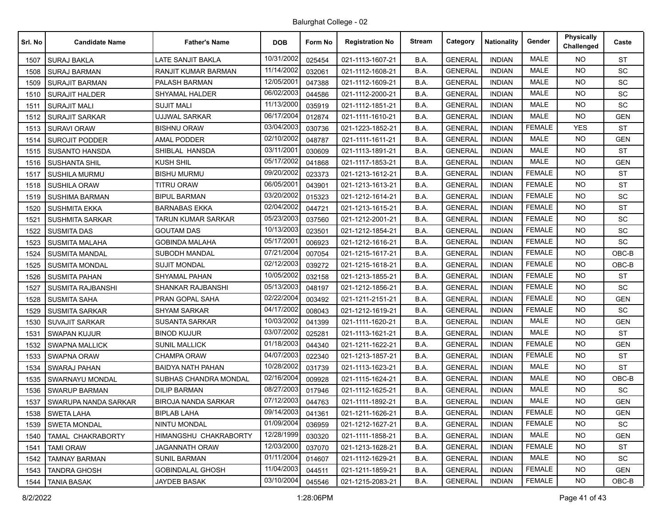| Srl. No | <b>Candidate Name</b>  | <b>Father's Name</b>       | <b>DOB</b> | Form No | <b>Registration No</b> | <b>Stream</b> | Category       | <b>Nationality</b> | Gender        | Physically<br>Challenged | Caste      |
|---------|------------------------|----------------------------|------------|---------|------------------------|---------------|----------------|--------------------|---------------|--------------------------|------------|
| 1507    | <b>SURAJ BAKLA</b>     | LATE SANJIT BAKLA          | 10/31/2002 | 025454  | 021-1113-1607-21       | B.A.          | <b>GENERAL</b> | <b>INDIAN</b>      | <b>MALE</b>   | <b>NO</b>                | <b>ST</b>  |
| 1508    | <b>SURAJ BARMAN</b>    | RANJIT KUMAR BARMAN        | 11/14/2002 | 032061  | 021-1112-1608-21       | B.A.          | <b>GENERAL</b> | <b>INDIAN</b>      | <b>MALE</b>   | <b>NO</b>                | <b>SC</b>  |
| 1509    | <b>SURAJIT BARMAN</b>  | PALASH BARMAN              | 12/05/2001 | 047388  | 021-1112-1609-21       | B.A.          | <b>GENERAL</b> | <b>INDIAN</b>      | <b>MALE</b>   | <b>NO</b>                | SC         |
| 1510    | <b>SURAJIT HALDER</b>  | SHYAMAL HALDER             | 06/02/2003 | 044586  | 021-1112-2000-21       | B.A.          | <b>GENERAL</b> | <b>INDIAN</b>      | <b>MALE</b>   | <b>NO</b>                | SC         |
| 1511    | <b>SURAJIT MALI</b>    | <b>SUJIT MALI</b>          | 11/13/2000 | 035919  | 021-1112-1851-21       | B.A.          | <b>GENERAL</b> | <b>INDIAN</b>      | <b>MALE</b>   | <b>NO</b>                | SC         |
| 1512    | <b>SURAJIT SARKAR</b>  | UJJWAL SARKAR              | 06/17/2004 | 012874  | 021-1111-1610-21       | B.A.          | <b>GENERAL</b> | <b>INDIAN</b>      | <b>MALE</b>   | <b>NO</b>                | <b>GEN</b> |
| 1513    | <b>SURAVI ORAW</b>     | <b>BISHNU ORAW</b>         | 03/04/2003 | 030736  | 021-1223-1852-21       | B.A.          | <b>GENERAL</b> | <b>INDIAN</b>      | <b>FEMALE</b> | <b>YES</b>               | <b>ST</b>  |
| 1514    | <b>SUROJIT PODDER</b>  | AMAL PODDER                | 02/10/2002 | 048787  | 021-1111-1611-21       | B.A.          | <b>GENERAL</b> | <b>INDIAN</b>      | <b>MALE</b>   | <b>NO</b>                | <b>GEN</b> |
| 1515    | <b>SUSANTO HANSDA</b>  | SHIBLAL HANSDA             | 03/11/2001 | 030609  | 021-1113-1891-21       | B.A.          | <b>GENERAL</b> | <b>INDIAN</b>      | <b>MALE</b>   | <b>NO</b>                | <b>ST</b>  |
| 1516    | <b>SUSHANTA SHIL</b>   | KUSH SHIL                  | 05/17/2002 | 041868  | 021-1117-1853-21       | B.A.          | <b>GENERAL</b> | <b>INDIAN</b>      | <b>MALE</b>   | <b>NO</b>                | <b>GEN</b> |
| 1517    | <b>SUSHILA MURMU</b>   | <b>BISHU MURMU</b>         | 09/20/2002 | 023373  | 021-1213-1612-21       | B.A.          | <b>GENERAL</b> | <b>INDIAN</b>      | <b>FEMALE</b> | <b>NO</b>                | <b>ST</b>  |
| 1518    | <b>SUSHILA ORAW</b>    | <b>TITRU ORAW</b>          | 06/05/2001 | 043901  | 021-1213-1613-21       | B.A.          | <b>GENERAL</b> | <b>INDIAN</b>      | <b>FEMALE</b> | <b>NO</b>                | <b>ST</b>  |
| 1519    | SUSHIMA BARMAN         | <b>BIPUL BARMAN</b>        | 03/20/2002 | 015323  | 021-1212-1614-21       | B.A.          | <b>GENERAL</b> | <b>INDIAN</b>      | <b>FEMALE</b> | <b>NO</b>                | SC         |
| 1520    | <b>SUSHMITA EKKA</b>   | <b>BARNABAS EKKA</b>       | 02/04/2002 | 044721  | 021-1213-1615-21       | B.A.          | <b>GENERAL</b> | <b>INDIAN</b>      | <b>FEMALE</b> | <b>NO</b>                | <b>ST</b>  |
| 1521    | <b>SUSHMITA SARKAR</b> | <b>TARUN KUMAR SARKAR</b>  | 05/23/2003 | 037560  | 021-1212-2001-21       | B.A.          | <b>GENERAL</b> | <b>INDIAN</b>      | <b>FEMALE</b> | <b>NO</b>                | SC         |
| 1522    | <b>SUSMITA DAS</b>     | <b>GOUTAM DAS</b>          | 10/13/2003 | 023501  | 021-1212-1854-21       | B.A.          | <b>GENERAL</b> | <b>INDIAN</b>      | <b>FEMALE</b> | <b>NO</b>                | SC         |
| 1523    | <b>SUSMITA MALAHA</b>  | <b>GOBINDA MALAHA</b>      | 05/17/2001 | 006923  | 021-1212-1616-21       | B.A.          | <b>GENERAL</b> | <b>INDIAN</b>      | <b>FEMALE</b> | <b>NO</b>                | SC         |
| 1524    | <b>SUSMITA MANDAL</b>  | SUBODH MANDAL              | 07/21/2004 | 007054  | 021-1215-1617-21       | B.A.          | <b>GENERAL</b> | <b>INDIAN</b>      | <b>FEMALE</b> | <b>NO</b>                | OBC-B      |
| 1525    | <b>SUSMITA MONDAL</b>  | <b>SUJIT MONDAL</b>        | 02/12/2003 | 039272  | 021-1215-1618-21       | B.A.          | <b>GENERAL</b> | <b>INDIAN</b>      | <b>FEMALE</b> | <b>NO</b>                | OBC-B      |
| 1526    | <b>SUSMITA PAHAN</b>   | SHYAMAL PAHAN              | 10/05/2002 | 032158  | 021-1213-1855-21       | B.A.          | <b>GENERAL</b> | <b>INDIAN</b>      | <b>FEMALE</b> | <b>NO</b>                | <b>ST</b>  |
| 1527    | SUSMITA RAJBANSHI      | SHANKAR RAJBANSHI          | 05/13/2003 | 048197  | 021-1212-1856-21       | B.A.          | <b>GENERAL</b> | <b>INDIAN</b>      | <b>FEMALE</b> | <b>NO</b>                | SC         |
| 1528    | <b>SUSMITA SAHA</b>    | PRAN GOPAL SAHA            | 02/22/2004 | 003492  | 021-1211-2151-21       | B.A.          | <b>GENERAL</b> | <b>INDIAN</b>      | <b>FEMALE</b> | <b>NO</b>                | <b>GEN</b> |
| 1529    | <b>SUSMITA SARKAR</b>  | <b>SHYAM SARKAR</b>        | 04/17/2002 | 008043  | 021-1212-1619-21       | B.A.          | <b>GENERAL</b> | <b>INDIAN</b>      | <b>FEMALE</b> | <b>NO</b>                | SC         |
| 1530    | <b>SUVAJIT SARKAR</b>  | <b>SUSANTA SARKAR</b>      | 10/03/2002 | 041399  | 021-1111-1620-21       | B.A.          | <b>GENERAL</b> | <b>INDIAN</b>      | <b>MALE</b>   | <b>NO</b>                | <b>GEN</b> |
| 1531    | <b>SWAPAN KUJUR</b>    | <b>BINOD KUJUR</b>         | 03/07/2002 | 025281  | 021-1113-1621-21       | B.A.          | <b>GENERAL</b> | <b>INDIAN</b>      | <b>MALE</b>   | <b>NO</b>                | <b>ST</b>  |
| 1532    | <b>SWAPNA MALLICK</b>  | SUNIL MALLICK              | 01/18/2003 | 044340  | 021-1211-1622-21       | B.A.          | <b>GENERAL</b> | <b>INDIAN</b>      | <b>FEMALE</b> | <b>NO</b>                | <b>GEN</b> |
| 1533    | <b>SWAPNA ORAW</b>     | <b>CHAMPA ORAW</b>         | 04/07/2003 | 022340  | 021-1213-1857-21       | B.A.          | <b>GENERAL</b> | <b>INDIAN</b>      | <b>FEMALE</b> | <b>NO</b>                | <b>ST</b>  |
| 1534    | <b>SWARAJ PAHAN</b>    | <b>BAIDYA NATH PAHAN</b>   | 10/28/2002 | 031739  | 021-1113-1623-21       | B.A.          | <b>GENERAL</b> | <b>INDIAN</b>      | <b>MALE</b>   | <b>NO</b>                | <b>ST</b>  |
| 1535    | SWARNAYU MONDAL        | SUBHAS CHANDRA MONDAL      | 02/16/2004 | 009928  | 021-1115-1624-21       | B.A.          | <b>GENERAL</b> | <b>INDIAN</b>      | <b>MALE</b>   | <b>NO</b>                | OBC-B      |
| 1536    | <b>SWARUP BARMAN</b>   | <b>DILIP BARMAN</b>        | 08/27/2003 | 017946  | 021-1112-1625-21       | B.A.          | <b>GENERAL</b> | <b>INDIAN</b>      | <b>MALE</b>   | <b>NO</b>                | SC         |
| 1537    | SWARUPA NANDA SARKAR   | <b>BIROJA NANDA SARKAR</b> | 07/12/2003 | 044763  | 021-1111-1892-21       | B.A.          | <b>GENERAL</b> | <b>INDIAN</b>      | <b>MALE</b>   | <b>NO</b>                | <b>GEN</b> |
| 1538    | <b>SWETA LAHA</b>      | <b>BIPLAB LAHA</b>         | 09/14/2003 | 041361  | 021-1211-1626-21       | B.A.          | <b>GENERAL</b> | INDIAN             | <b>FEMALE</b> | NO.                      | <b>GEN</b> |
| 1539    | <b>SWETA MONDAL</b>    | NINTU MONDAL               | 01/09/2004 | 036959  | 021-1212-1627-21       | B.A.          | <b>GENERAL</b> | <b>INDIAN</b>      | <b>FEMALE</b> | NO.                      | SC         |
| 1540    | TAMAL CHAKRABORTY      | HIMANGSHU CHAKRABORTY      | 12/28/1999 | 030320  | 021-1111-1858-21       | B.A.          | <b>GENERAL</b> | <b>INDIAN</b>      | MALE          | NO.                      | <b>GEN</b> |
| 1541    | <b>TAMI ORAW</b>       | <b>JAGANNATH ORAW</b>      | 12/03/2000 | 037070  | 021-1213-1628-21       | B.A.          | <b>GENERAL</b> | <b>INDIAN</b>      | <b>FEMALE</b> | NO.                      | <b>ST</b>  |
| 1542    | <b>TAMNAY BARMAN</b>   | <b>SUNIL BARMAN</b>        | 01/11/2004 | 014607  | 021-1112-1629-21       | B.A.          | <b>GENERAL</b> | <b>INDIAN</b>      | MALE          | NO.                      | SC         |
| 1543    | <b>TANDRA GHOSH</b>    | <b>GOBINDALAL GHOSH</b>    | 11/04/2003 | 044511  | 021-1211-1859-21       | B.A.          | <b>GENERAL</b> | <b>INDIAN</b>      | <b>FEMALE</b> | NO.                      | <b>GEN</b> |
| 1544    | <b>TANIA BASAK</b>     | JAYDEB BASAK               | 03/10/2004 | 045546  | 021-1215-2083-21       | B.A.          | <b>GENERAL</b> | <b>INDIAN</b>      | <b>FEMALE</b> | NO.                      | OBC-B      |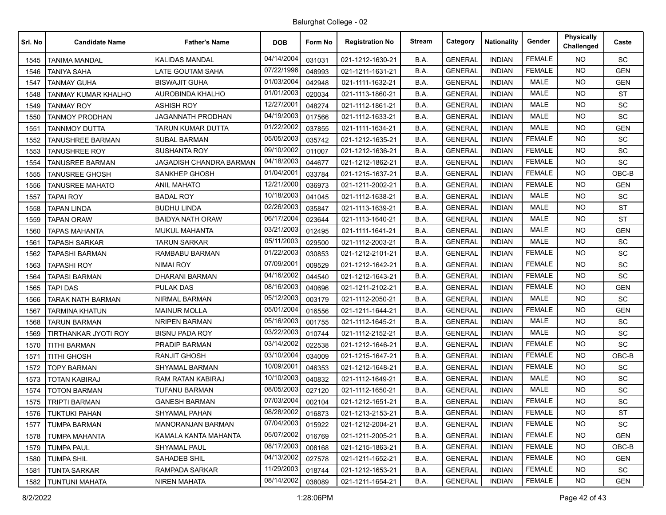| Srl. No | <b>Candidate Name</b>    | <b>Father's Name</b>     | <b>DOB</b> | Form No | <b>Registration No</b> | <b>Stream</b> | Category       | <b>Nationality</b> | Gender        | <b>Physically</b><br>Challenged | Caste      |
|---------|--------------------------|--------------------------|------------|---------|------------------------|---------------|----------------|--------------------|---------------|---------------------------------|------------|
| 1545    | TANIMA MANDAL            | <b>KALIDAS MANDAL</b>    | 04/14/2004 | 031031  | 021-1212-1630-21       | B.A.          | <b>GENERAL</b> | <b>INDIAN</b>      | <b>FEMALE</b> | NO.                             | SC         |
| 1546    | TANIYA SAHA              | LATE GOUTAM SAHA         | 07/22/1996 | 048993  | 021-1211-1631-21       | B.A.          | <b>GENERAL</b> | <b>INDIAN</b>      | <b>FEMALE</b> | <b>NO</b>                       | <b>GEN</b> |
| 1547    | <b>TANMAY GUHA</b>       | <b>BISWAJIT GUHA</b>     | 01/03/2004 | 042948  | 021-1111-1632-21       | B.A.          | <b>GENERAL</b> | <b>INDIAN</b>      | <b>MALE</b>   | <b>NO</b>                       | <b>GEN</b> |
| 1548    | TANMAY KUMAR KHALHO      | AUROBINDA KHALHO         | 01/01/2003 | 020034  | 021-1113-1860-21       | B.A.          | <b>GENERAL</b> | <b>INDIAN</b>      | <b>MALE</b>   | <b>NO</b>                       | <b>ST</b>  |
| 1549    | <b>TANMAY ROY</b>        | <b>ASHISH ROY</b>        | 12/27/2001 | 048274  | 021-1112-1861-21       | B.A.          | <b>GENERAL</b> | <b>INDIAN</b>      | <b>MALE</b>   | NO.                             | SC         |
| 1550    | TANMOY PRODHAN           | <b>JAGANNATH PRODHAN</b> | 04/19/2003 | 017566  | 021-1112-1633-21       | B.A.          | <b>GENERAL</b> | <b>INDIAN</b>      | <b>MALE</b>   | <b>NO</b>                       | SC         |
| 1551    | <b>TANNMOY DUTTA</b>     | <b>TARUN KUMAR DUTTA</b> | 01/22/2002 | 037855  | 021-1111-1634-21       | B.A.          | <b>GENERAL</b> | <b>INDIAN</b>      | <b>MALE</b>   | <b>NO</b>                       | <b>GEN</b> |
| 1552    | TANUSHREE BARMAN         | <b>SUBAL BARMAN</b>      | 05/05/2003 | 035742  | 021-1212-1635-21       | B.A.          | <b>GENERAL</b> | <b>INDIAN</b>      | <b>FEMALE</b> | <b>NO</b>                       | <b>SC</b>  |
| 1553    | <b>TANUSHREE ROY</b>     | <b>SUSHANTA ROY</b>      | 09/10/2002 | 011007  | 021-1212-1636-21       | B.A.          | <b>GENERAL</b> | <b>INDIAN</b>      | <b>FEMALE</b> | NO.                             | SC         |
| 1554    | TANUSREE BARMAN          | JAGADISH CHANDRA BARMAN  | 04/18/2003 | 044677  | 021-1212-1862-21       | B.A.          | <b>GENERAL</b> | <b>INDIAN</b>      | <b>FEMALE</b> | <b>NO</b>                       | SC         |
| 1555    | <b>TANUSREE GHOSH</b>    | <b>SANKHEP GHOSH</b>     | 01/04/2001 | 033784  | 021-1215-1637-21       | B.A.          | <b>GENERAL</b> | <b>INDIAN</b>      | <b>FEMALE</b> | <b>NO</b>                       | OBC-B      |
| 1556    | <b>TANUSREE MAHATO</b>   | ANIL MAHATO              | 12/21/2000 | 036973  | 021-1211-2002-21       | B.A.          | <b>GENERAL</b> | <b>INDIAN</b>      | <b>FEMALE</b> | <b>NO</b>                       | <b>GEN</b> |
| 1557    | <b>TAPAI ROY</b>         | <b>BADAL ROY</b>         | 10/18/2003 | 041045  | 021-1112-1638-21       | B.A.          | <b>GENERAL</b> | <b>INDIAN</b>      | <b>MALE</b>   | NO.                             | SC.        |
| 1558    | <b>TAPAN LINDA</b>       | <b>BUDHU LINDA</b>       | 02/26/2003 | 035847  | 021-1113-1639-21       | B.A.          | <b>GENERAL</b> | <b>INDIAN</b>      | MALE          | NO.                             | <b>ST</b>  |
| 1559    | <b>TAPAN ORAW</b>        | <b>BAIDYA NATH ORAW</b>  | 06/17/2004 | 023644  | 021-1113-1640-21       | B.A.          | <b>GENERAL</b> | <b>INDIAN</b>      | MALE          | <b>NO</b>                       | <b>ST</b>  |
| 1560    | TAPAS MAHANTA            | <b>MUKUL MAHANTA</b>     | 03/21/2003 | 012495  | 021-1111-1641-21       | B.A.          | <b>GENERAL</b> | <b>INDIAN</b>      | <b>MALE</b>   | <b>NO</b>                       | <b>GEN</b> |
| 1561    | <b>TAPASH SARKAR</b>     | <b>TARUN SARKAR</b>      | 05/11/2003 | 029500  | 021-1112-2003-21       | B.A.          | <b>GENERAL</b> | <b>INDIAN</b>      | MALE          | NO.                             | SC         |
| 1562    | TAPASHI BARMAN           | RAMBABU BARMAN           | 01/22/2003 | 030853  | 021-1212-2101-21       | B.A.          | <b>GENERAL</b> | <b>INDIAN</b>      | <b>FEMALE</b> | NO.                             | SC         |
| 1563    | <b>TAPASHI ROY</b>       | <b>NIMAI ROY</b>         | 07/09/2001 | 009529  | 021-1212-1642-21       | B.A.          | <b>GENERAL</b> | <b>INDIAN</b>      | <b>FEMALE</b> | <b>NO</b>                       | SC         |
| 1564    | <b>TAPASI BARMAN</b>     | <b>DHARANI BARMAN</b>    | 04/16/2002 | 044540  | 021-1212-1643-21       | B.A.          | <b>GENERAL</b> | <b>INDIAN</b>      | <b>FEMALE</b> | NO.                             | SC         |
| 1565    | <b>TAPI DAS</b>          | <b>PULAK DAS</b>         | 08/16/2003 | 040696  | 021-1211-2102-21       | B.A.          | <b>GENERAL</b> | <b>INDIAN</b>      | <b>FEMALE</b> | <b>NO</b>                       | <b>GEN</b> |
| 1566    | <b>TARAK NATH BARMAN</b> | NIRMAL BARMAN            | 05/12/2003 | 003179  | 021-1112-2050-21       | B.A.          | <b>GENERAL</b> | <b>INDIAN</b>      | <b>MALE</b>   | NO.                             | SC         |
| 1567    | TARMINA KHATUN           | <b>MAINUR MOLLA</b>      | 05/01/2004 | 016556  | 021-1211-1644-21       | B.A.          | <b>GENERAL</b> | <b>INDIAN</b>      | <b>FEMALE</b> | <b>NO</b>                       | <b>GEN</b> |
| 1568    | TARUN BARMAN             | <b>NRIPEN BARMAN</b>     | 05/16/2003 | 001755  | 021-1112-1645-21       | B.A.          | <b>GENERAL</b> | <b>INDIAN</b>      | <b>MALE</b>   | NO.                             | <b>SC</b>  |
| 1569    | TIRTHANKAR JYOTI ROY     | <b>BISNU PADA ROY</b>    | 03/22/2003 | 010744  | 021-1112-2152-21       | B.A.          | <b>GENERAL</b> | <b>INDIAN</b>      | <b>MALE</b>   | <b>NO</b>                       | SC         |
| 1570    | <b>TITHI BARMAN</b>      | PRADIP BARMAN            | 03/14/2002 | 022538  | 021-1212-1646-21       | B.A.          | <b>GENERAL</b> | <b>INDIAN</b>      | <b>FEMALE</b> | NO.                             | SC         |
| 1571    | <b>TITHI GHOSH</b>       | <b>RANJIT GHOSH</b>      | 03/10/2004 | 034009  | 021-1215-1647-21       | B.A.          | <b>GENERAL</b> | <b>INDIAN</b>      | <b>FEMALE</b> | <b>NO</b>                       | OBC-B      |
| 1572    | <b>TOPY BARMAN</b>       | SHYAMAL BARMAN           | 10/09/2001 | 046353  | 021-1212-1648-21       | B.A.          | <b>GENERAL</b> | <b>INDIAN</b>      | <b>FEMALE</b> | NO.                             | <b>SC</b>  |
| 1573    | TOTAN KABIRAJ            | RAM RATAN KABIRAJ        | 10/10/2003 | 040832  | 021-1112-1649-21       | B.A.          | <b>GENERAL</b> | <b>INDIAN</b>      | MALE          | <b>NO</b>                       | SC         |
| 1574    | <b>TOTON BARMAN</b>      | <b>TUFANU BARMAN</b>     | 08/05/2003 | 027120  | 021-1112-1650-21       | B.A.          | <b>GENERAL</b> | <b>INDIAN</b>      | <b>MALE</b>   | NO.                             | <b>SC</b>  |
| 1575    | <b>TRIPTI BARMAN</b>     | <b>GANESH BARMAN</b>     | 07/03/2004 | 002104  | 021-1212-1651-21       | B.A.          | <b>GENERAL</b> | <b>INDIAN</b>      | <b>FEMALE</b> | <b>NO</b>                       | SC         |
| 1576    | TUKTUKI PAHAN            | SHYAMAL PAHAN            | 08/28/2002 | 016873  | 021-1213-2153-21       | B.A.          | <b>GENERAL</b> | <b>INDIAN</b>      | <b>FEMALE</b> | NO.                             | <b>ST</b>  |
| 1577    | <b>TUMPA BARMAN</b>      | MANORANJAN BARMAN        | 07/04/2003 | 015922  | 021-1212-2004-21       | B.A.          | <b>GENERAL</b> | <b>INDIAN</b>      | <b>FEMALE</b> | <b>NO</b>                       | <b>SC</b>  |
| 1578    | <b>TUMPA MAHANTA</b>     | KAMALA KANTA MAHANTA     | 05/07/2002 | 016769  | 021-1211-2005-21       | B.A.          | <b>GENERAL</b> | <b>INDIAN</b>      | <b>FEMALE</b> | <b>NO</b>                       | <b>GEN</b> |
| 1579    | <b>TUMPA PAUL</b>        | SHYAMAL PAUL             | 08/17/2003 | 008168  | 021-1215-1863-21       | B.A.          | <b>GENERAL</b> | <b>INDIAN</b>      | <b>FEMALE</b> | <b>NO</b>                       | OBC-B      |
| 1580    | <b>TUMPA SHIL</b>        | SAHADEB SHIL             | 04/13/2002 | 027578  | 021-1211-1652-21       | B.A.          | <b>GENERAL</b> | <b>INDIAN</b>      | <b>FEMALE</b> | NO.                             | <b>GEN</b> |
| 1581    | <b>TUNTA SARKAR</b>      | RAMPADA SARKAR           | 11/29/2003 | 018744  | 021-1212-1653-21       | B.A.          | <b>GENERAL</b> | <b>INDIAN</b>      | <b>FEMALE</b> | NO.                             | SC         |
| 1582    | TUNTUNI MAHATA           | <b>NIREN MAHATA</b>      | 08/14/2002 | 038089  | 021-1211-1654-21       | B.A.          | <b>GENERAL</b> | <b>INDIAN</b>      | <b>FEMALE</b> | <b>NO</b>                       | <b>GEN</b> |